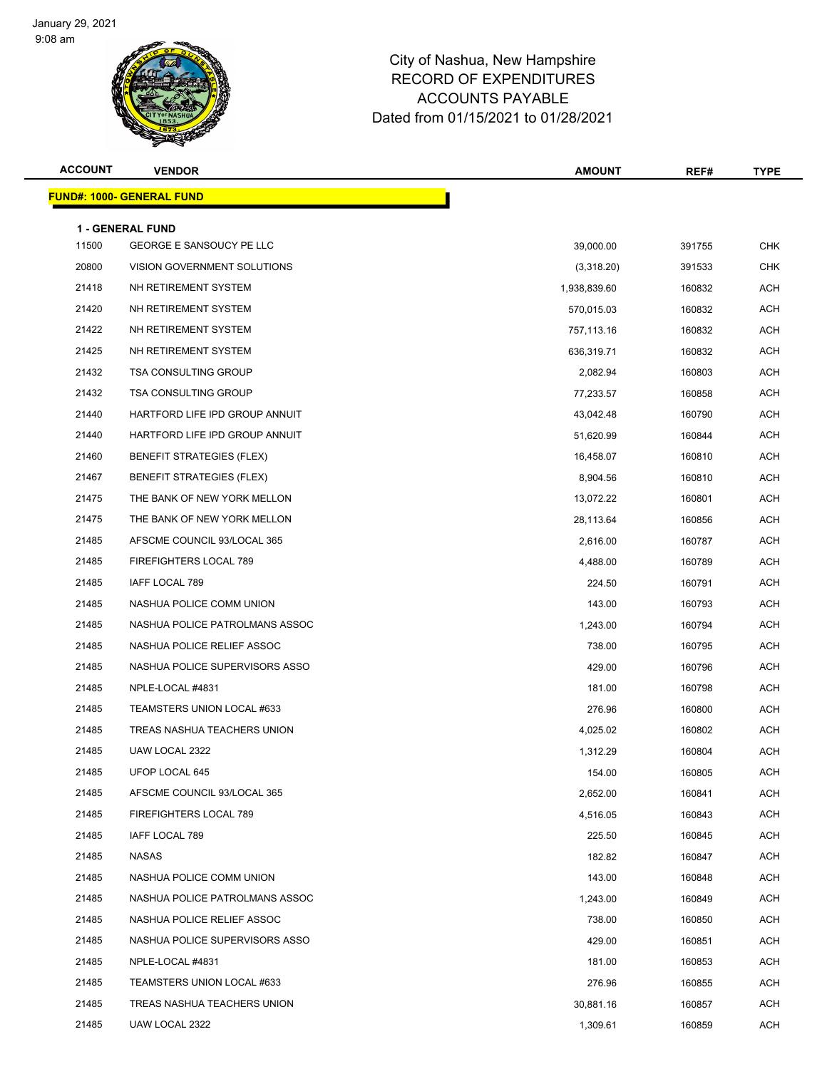

| <b>ACCOUNT</b> | <b>VENDOR</b>                     | <b>AMOUNT</b> | REF#   | <b>TYPE</b> |
|----------------|-----------------------------------|---------------|--------|-------------|
|                | <u> FUND#: 1000- GENERAL FUND</u> |               |        |             |
|                | <b>1 - GENERAL FUND</b>           |               |        |             |
| 11500          | GEORGE E SANSOUCY PE LLC          | 39,000.00     | 391755 | <b>CHK</b>  |
| 20800          | VISION GOVERNMENT SOLUTIONS       | (3,318.20)    | 391533 | <b>CHK</b>  |
| 21418          | NH RETIREMENT SYSTEM              | 1,938,839.60  | 160832 | ACH         |
| 21420          | NH RETIREMENT SYSTEM              | 570,015.03    | 160832 | ACH         |
| 21422          | NH RETIREMENT SYSTEM              | 757,113.16    | 160832 | <b>ACH</b>  |
| 21425          | NH RETIREMENT SYSTEM              | 636,319.71    | 160832 | <b>ACH</b>  |
| 21432          | <b>TSA CONSULTING GROUP</b>       | 2,082.94      | 160803 | <b>ACH</b>  |
| 21432          | <b>TSA CONSULTING GROUP</b>       | 77,233.57     | 160858 | <b>ACH</b>  |
| 21440          | HARTFORD LIFE IPD GROUP ANNUIT    | 43,042.48     | 160790 | <b>ACH</b>  |
| 21440          | HARTFORD LIFE IPD GROUP ANNUIT    | 51,620.99     | 160844 | <b>ACH</b>  |
| 21460          | <b>BENEFIT STRATEGIES (FLEX)</b>  | 16,458.07     | 160810 | <b>ACH</b>  |
| 21467          | <b>BENEFIT STRATEGIES (FLEX)</b>  | 8,904.56      | 160810 | <b>ACH</b>  |
| 21475          | THE BANK OF NEW YORK MELLON       | 13,072.22     | 160801 | ACH         |
| 21475          | THE BANK OF NEW YORK MELLON       | 28,113.64     | 160856 | ACH         |
| 21485          | AFSCME COUNCIL 93/LOCAL 365       | 2,616.00      | 160787 | <b>ACH</b>  |
| 21485          | FIREFIGHTERS LOCAL 789            | 4,488.00      | 160789 | <b>ACH</b>  |
| 21485          | IAFF LOCAL 789                    | 224.50        | 160791 | <b>ACH</b>  |
| 21485          | NASHUA POLICE COMM UNION          | 143.00        | 160793 | ACH         |
| 21485          | NASHUA POLICE PATROLMANS ASSOC    | 1,243.00      | 160794 | <b>ACH</b>  |
| 21485          | NASHUA POLICE RELIEF ASSOC        | 738.00        | 160795 | <b>ACH</b>  |
| 21485          | NASHUA POLICE SUPERVISORS ASSO    | 429.00        | 160796 | <b>ACH</b>  |
| 21485          | NPLE-LOCAL #4831                  | 181.00        | 160798 | <b>ACH</b>  |
| 21485          | TEAMSTERS UNION LOCAL #633        | 276.96        | 160800 | ACH         |
| 21485          | TREAS NASHUA TEACHERS UNION       | 4,025.02      | 160802 | ACH         |
| 21485          | UAW LOCAL 2322                    | 1,312.29      | 160804 | <b>ACH</b>  |
| 21485          | UFOP LOCAL 645                    | 154.00        | 160805 | <b>ACH</b>  |
| 21485          | AFSCME COUNCIL 93/LOCAL 365       | 2,652.00      | 160841 | ACH         |
| 21485          | FIREFIGHTERS LOCAL 789            | 4,516.05      | 160843 | ACH         |
| 21485          | IAFF LOCAL 789                    | 225.50        | 160845 | ACH         |
| 21485          | NASAS                             | 182.82        | 160847 | ACH         |
| 21485          | NASHUA POLICE COMM UNION          | 143.00        | 160848 | ACH         |
| 21485          | NASHUA POLICE PATROLMANS ASSOC    | 1,243.00      | 160849 | ACH         |
| 21485          | NASHUA POLICE RELIEF ASSOC        | 738.00        | 160850 | ACH         |
| 21485          | NASHUA POLICE SUPERVISORS ASSO    | 429.00        | 160851 | ACH         |
| 21485          | NPLE-LOCAL #4831                  | 181.00        | 160853 | ACH         |
| 21485          | TEAMSTERS UNION LOCAL #633        | 276.96        | 160855 | ACH         |
| 21485          | TREAS NASHUA TEACHERS UNION       | 30,881.16     | 160857 | ACH         |
| 21485          | UAW LOCAL 2322                    | 1,309.61      | 160859 | ACH         |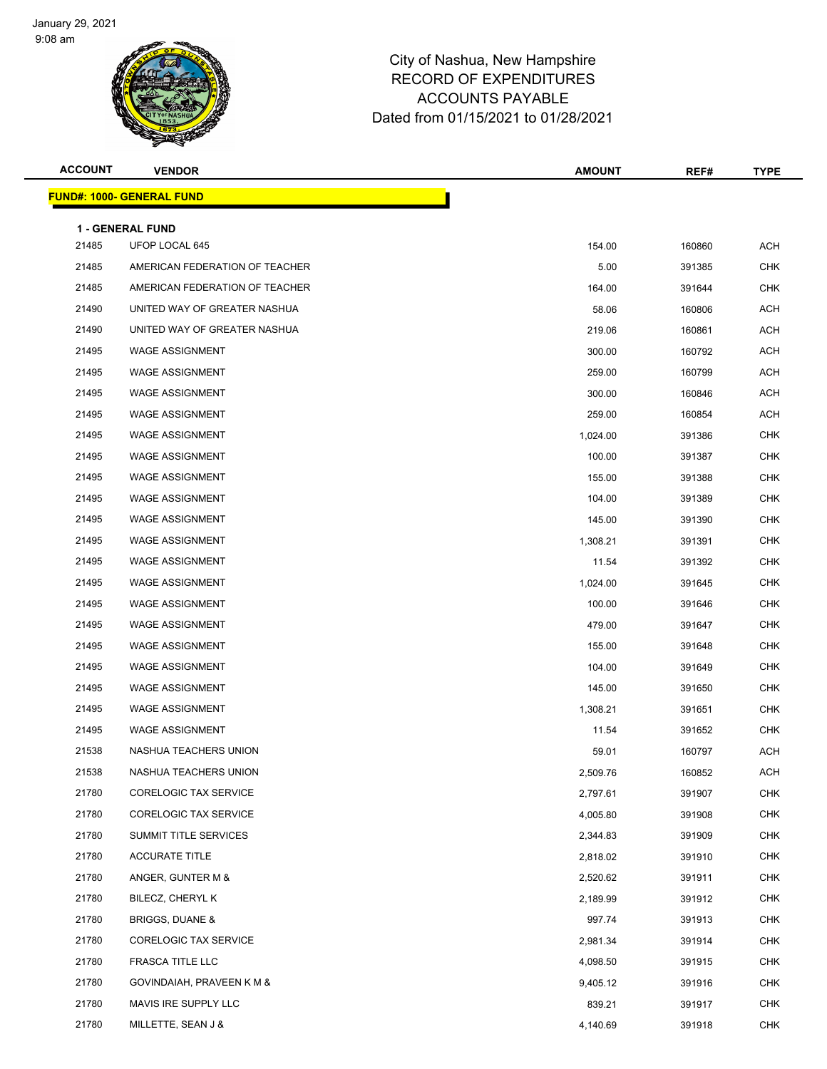

| <b>ACCOUNT</b> | <b>VENDOR</b>                             | <b>AMOUNT</b> | REF#   | <b>TYPE</b> |
|----------------|-------------------------------------------|---------------|--------|-------------|
|                | <b>FUND#: 1000- GENERAL FUND</b>          |               |        |             |
|                |                                           |               |        |             |
| 21485          | <b>1 - GENERAL FUND</b><br>UFOP LOCAL 645 | 154.00        | 160860 | <b>ACH</b>  |
| 21485          | AMERICAN FEDERATION OF TEACHER            | 5.00          | 391385 | <b>CHK</b>  |
| 21485          | AMERICAN FEDERATION OF TEACHER            | 164.00        | 391644 | <b>CHK</b>  |
| 21490          | UNITED WAY OF GREATER NASHUA              | 58.06         | 160806 | ACH         |
| 21490          | UNITED WAY OF GREATER NASHUA              | 219.06        | 160861 | <b>ACH</b>  |
| 21495          | <b>WAGE ASSIGNMENT</b>                    | 300.00        | 160792 | <b>ACH</b>  |
| 21495          | <b>WAGE ASSIGNMENT</b>                    | 259.00        | 160799 | ACH         |
| 21495          | <b>WAGE ASSIGNMENT</b>                    | 300.00        | 160846 | <b>ACH</b>  |
| 21495          | <b>WAGE ASSIGNMENT</b>                    | 259.00        | 160854 | ACH         |
| 21495          | <b>WAGE ASSIGNMENT</b>                    | 1,024.00      | 391386 | <b>CHK</b>  |
| 21495          | <b>WAGE ASSIGNMENT</b>                    | 100.00        | 391387 | <b>CHK</b>  |
| 21495          | <b>WAGE ASSIGNMENT</b>                    | 155.00        | 391388 | CHK         |
| 21495          | <b>WAGE ASSIGNMENT</b>                    | 104.00        | 391389 | <b>CHK</b>  |
| 21495          | <b>WAGE ASSIGNMENT</b>                    | 145.00        | 391390 | <b>CHK</b>  |
| 21495          | <b>WAGE ASSIGNMENT</b>                    | 1,308.21      | 391391 | <b>CHK</b>  |
| 21495          | <b>WAGE ASSIGNMENT</b>                    | 11.54         | 391392 | <b>CHK</b>  |
| 21495          | <b>WAGE ASSIGNMENT</b>                    | 1,024.00      | 391645 | <b>CHK</b>  |
| 21495          | <b>WAGE ASSIGNMENT</b>                    | 100.00        | 391646 | <b>CHK</b>  |
| 21495          | <b>WAGE ASSIGNMENT</b>                    | 479.00        | 391647 | <b>CHK</b>  |
| 21495          | <b>WAGE ASSIGNMENT</b>                    | 155.00        | 391648 | <b>CHK</b>  |
| 21495          | <b>WAGE ASSIGNMENT</b>                    | 104.00        | 391649 | <b>CHK</b>  |
| 21495          | <b>WAGE ASSIGNMENT</b>                    | 145.00        | 391650 | <b>CHK</b>  |
| 21495          | <b>WAGE ASSIGNMENT</b>                    | 1,308.21      | 391651 | <b>CHK</b>  |
| 21495          | <b>WAGE ASSIGNMENT</b>                    | 11.54         | 391652 | <b>CHK</b>  |
| 21538          | NASHUA TEACHERS UNION                     | 59.01         | 160797 | <b>ACH</b>  |
| 21538          | NASHUA TEACHERS UNION                     | 2,509.76      | 160852 | ACH         |
| 21780          | <b>CORELOGIC TAX SERVICE</b>              | 2,797.61      | 391907 | <b>CHK</b>  |
| 21780          | <b>CORELOGIC TAX SERVICE</b>              | 4,005.80      | 391908 | <b>CHK</b>  |
| 21780          | SUMMIT TITLE SERVICES                     | 2,344.83      | 391909 | <b>CHK</b>  |
| 21780          | <b>ACCURATE TITLE</b>                     | 2,818.02      | 391910 | <b>CHK</b>  |
| 21780          | ANGER, GUNTER M &                         | 2,520.62      | 391911 | <b>CHK</b>  |
| 21780          | BILECZ, CHERYL K                          | 2,189.99      | 391912 | CHK         |
| 21780          | <b>BRIGGS, DUANE &amp;</b>                | 997.74        | 391913 | <b>CHK</b>  |
| 21780          | CORELOGIC TAX SERVICE                     | 2,981.34      | 391914 | <b>CHK</b>  |
| 21780          | FRASCA TITLE LLC                          | 4,098.50      | 391915 | CHK         |
| 21780          | GOVINDAIAH, PRAVEEN K M &                 | 9,405.12      | 391916 | <b>CHK</b>  |
| 21780          | MAVIS IRE SUPPLY LLC                      | 839.21        | 391917 | <b>CHK</b>  |
| 21780          | MILLETTE, SEAN J &                        | 4,140.69      | 391918 | <b>CHK</b>  |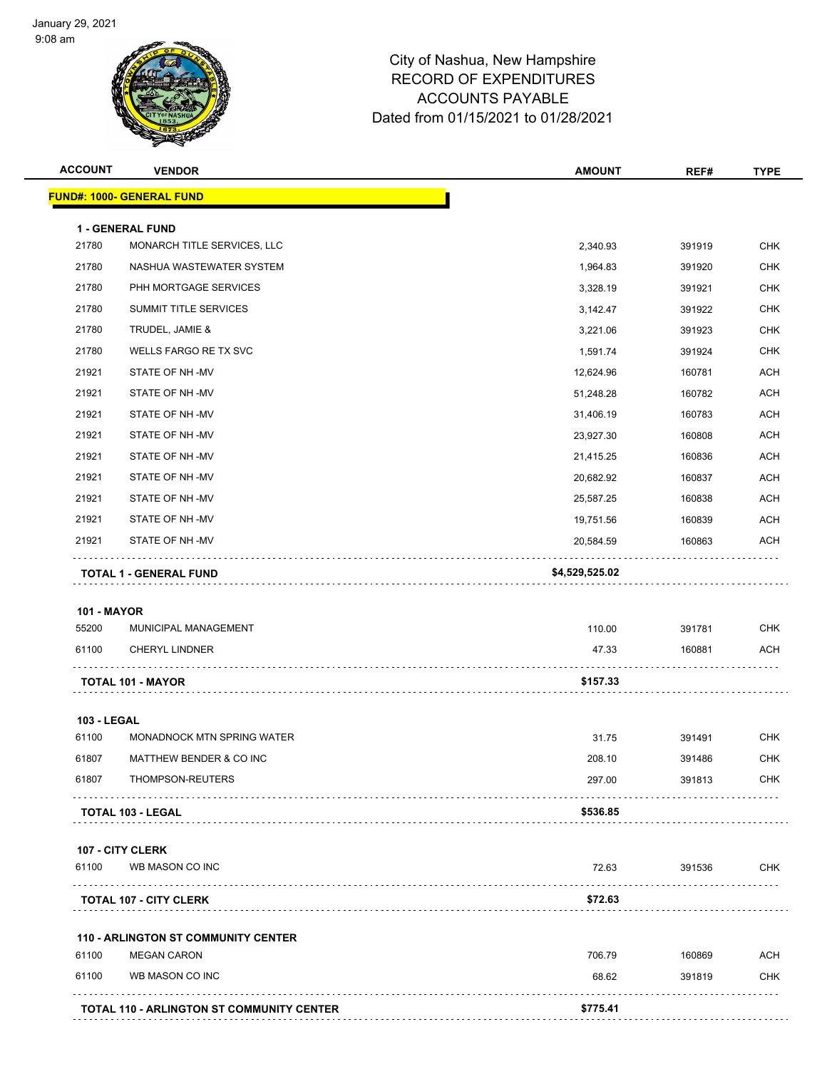

| <b>ACCOUNT</b>     | <b>VENDOR</b>                              | <b>AMOUNT</b>  | REF#   | <b>TYPE</b> |
|--------------------|--------------------------------------------|----------------|--------|-------------|
|                    | <u> FUND#: 1000- GENERAL FUND</u>          |                |        |             |
|                    | 1 - GENERAL FUND                           |                |        |             |
| 21780              | MONARCH TITLE SERVICES, LLC                | 2,340.93       | 391919 | <b>CHK</b>  |
| 21780              | NASHUA WASTEWATER SYSTEM                   | 1,964.83       | 391920 | <b>CHK</b>  |
| 21780              | PHH MORTGAGE SERVICES                      | 3,328.19       | 391921 | <b>CHK</b>  |
| 21780              | <b>SUMMIT TITLE SERVICES</b>               | 3,142.47       | 391922 | <b>CHK</b>  |
| 21780              | TRUDEL, JAMIE &                            | 3,221.06       | 391923 | <b>CHK</b>  |
| 21780              | WELLS FARGO RE TX SVC                      | 1,591.74       | 391924 | <b>CHK</b>  |
| 21921              | STATE OF NH -MV                            | 12,624.96      | 160781 | <b>ACH</b>  |
| 21921              | STATE OF NH-MV                             | 51,248.28      | 160782 | <b>ACH</b>  |
| 21921              | STATE OF NH-MV                             | 31,406.19      | 160783 | <b>ACH</b>  |
| 21921              | STATE OF NH-MV                             | 23,927.30      | 160808 | <b>ACH</b>  |
| 21921              | STATE OF NH-MV                             | 21,415.25      | 160836 | <b>ACH</b>  |
| 21921              | STATE OF NH -MV                            | 20,682.92      | 160837 | <b>ACH</b>  |
| 21921              | STATE OF NH-MV                             | 25,587.25      | 160838 | <b>ACH</b>  |
| 21921              | STATE OF NH-MV                             | 19,751.56      | 160839 | <b>ACH</b>  |
| 21921              | STATE OF NH-MV                             | 20,584.59      | 160863 | ACH         |
|                    | TOTAL 1 - GENERAL FUND                     | \$4,529,525.02 |        |             |
| <b>101 - MAYOR</b> |                                            |                |        |             |
| 55200              | MUNICIPAL MANAGEMENT                       | 110.00         | 391781 | <b>CHK</b>  |
| 61100              | <b>CHERYL LINDNER</b>                      | 47.33          | 160881 | <b>ACH</b>  |
|                    | <b>TOTAL 101 - MAYOR</b>                   | \$157.33       |        |             |
| <b>103 - LEGAL</b> |                                            |                |        |             |
| 61100              | MONADNOCK MTN SPRING WATER                 | 31.75          | 391491 | <b>CHK</b>  |
| 61807              | MATTHEW BENDER & CO INC                    | 208.10         | 391486 | <b>CHK</b>  |
| 61807              | THOMPSON-REUTERS                           | 297.00         | 391813 | <b>CHK</b>  |
|                    | <b>TOTAL 103 - LEGAL</b>                   | \$536.85       |        |             |
|                    | 107 - CITY CLERK                           |                |        |             |
| 61100              | WB MASON CO INC                            | 72.63          | 391536 | <b>CHK</b>  |
|                    | .<br><b>TOTAL 107 - CITY CLERK</b>         | \$72.63        |        |             |
|                    | <b>110 - ARLINGTON ST COMMUNITY CENTER</b> |                |        |             |
| 61100              | <b>MEGAN CARON</b>                         | 706.79         | 160869 | <b>ACH</b>  |
| 61100              | WB MASON CO INC                            | 68.62          | 391819 | <b>CHK</b>  |
|                    | TOTAL 110 - ARLINGTON ST COMMUNITY CENTER  | \$775.41       |        |             |
|                    |                                            |                |        |             |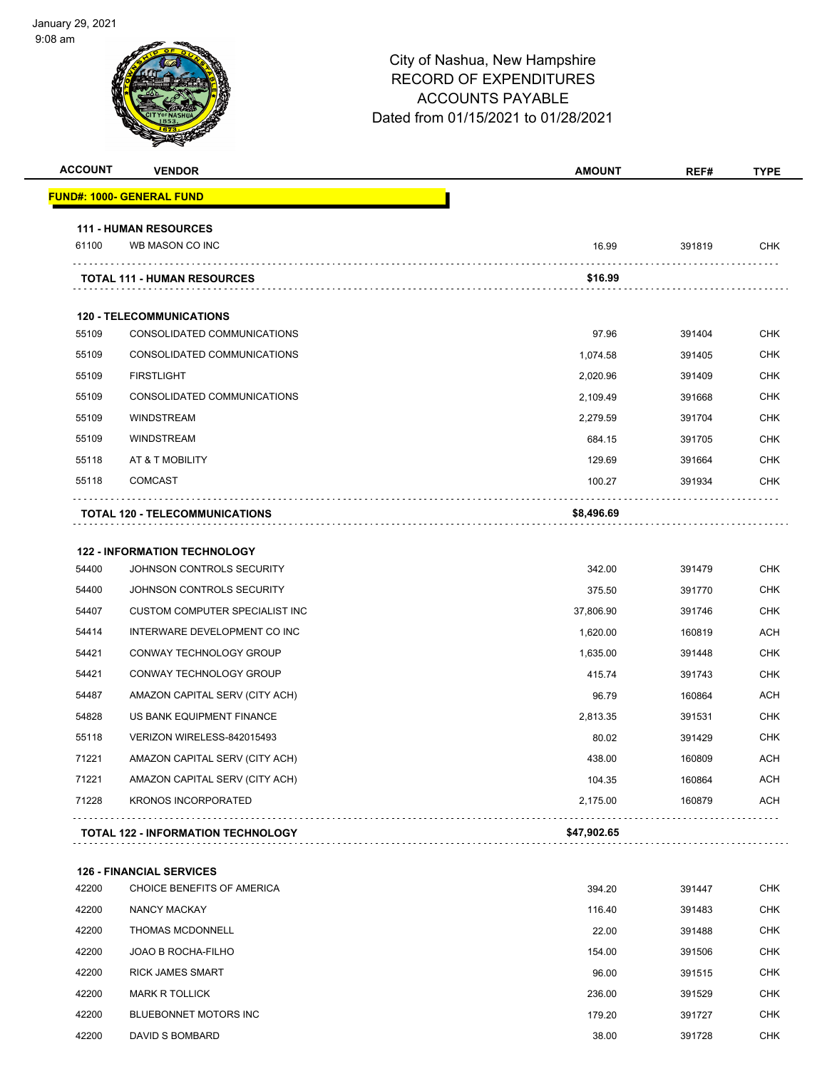

| <b>ACCOUNT</b> | <b>VENDOR</b>                                                 | <b>AMOUNT</b>   | REF#             | <b>TYPE</b>              |
|----------------|---------------------------------------------------------------|-----------------|------------------|--------------------------|
|                | <u> FUND#: 1000- GENERAL FUND</u>                             |                 |                  |                          |
|                | <b>111 - HUMAN RESOURCES</b>                                  |                 |                  |                          |
| 61100          | WB MASON CO INC                                               | 16.99           | 391819           | <b>CHK</b>               |
|                | <b>TOTAL 111 - HUMAN RESOURCES</b>                            | \$16.99         |                  |                          |
|                | <b>120 - TELECOMMUNICATIONS</b>                               |                 |                  |                          |
| 55109          | CONSOLIDATED COMMUNICATIONS                                   | 97.96           | 391404           | <b>CHK</b>               |
| 55109          | CONSOLIDATED COMMUNICATIONS                                   | 1,074.58        | 391405           | <b>CHK</b>               |
| 55109          | <b>FIRSTLIGHT</b>                                             | 2,020.96        | 391409           | <b>CHK</b>               |
| 55109          | CONSOLIDATED COMMUNICATIONS                                   | 2,109.49        | 391668           | <b>CHK</b>               |
| 55109          | <b>WINDSTREAM</b>                                             | 2,279.59        | 391704           | <b>CHK</b>               |
| 55109          | <b>WINDSTREAM</b>                                             | 684.15          | 391705           | <b>CHK</b>               |
| 55118          | AT & T MOBILITY                                               | 129.69          | 391664           | <b>CHK</b>               |
| 55118          | <b>COMCAST</b>                                                | 100.27          | 391934           | <b>CHK</b>               |
|                |                                                               |                 |                  |                          |
|                | TOTAL 120 - TELECOMMUNICATIONS                                | \$8,496.69      |                  |                          |
|                | <b>122 - INFORMATION TECHNOLOGY</b>                           |                 |                  |                          |
| 54400          | JOHNSON CONTROLS SECURITY                                     | 342.00          | 391479           | <b>CHK</b>               |
| 54400          | JOHNSON CONTROLS SECURITY                                     | 375.50          | 391770           | <b>CHK</b>               |
| 54407          | <b>CUSTOM COMPUTER SPECIALIST INC</b>                         | 37,806.90       | 391746           | <b>CHK</b>               |
| 54414          | INTERWARE DEVELOPMENT CO INC                                  | 1,620.00        | 160819           | <b>ACH</b>               |
| 54421          | CONWAY TECHNOLOGY GROUP                                       | 1,635.00        | 391448           | <b>CHK</b>               |
| 54421          | CONWAY TECHNOLOGY GROUP                                       | 415.74          | 391743           | <b>CHK</b>               |
| 54487          | AMAZON CAPITAL SERV (CITY ACH)                                | 96.79           | 160864           | <b>ACH</b>               |
| 54828          | US BANK EQUIPMENT FINANCE                                     | 2,813.35        | 391531           | <b>CHK</b>               |
| 55118          | VERIZON WIRELESS-842015493                                    | 80.02           | 391429           | CHK                      |
| 71221          | AMAZON CAPITAL SERV (CITY ACH)                                | 438.00          | 160809           | ACH                      |
| 71221          | AMAZON CAPITAL SERV (CITY ACH)                                | 104.35          | 160864           | <b>ACH</b>               |
| 71228          | <b>KRONOS INCORPORATED</b>                                    | 2,175.00        | 160879           | <b>ACH</b>               |
|                | <b>TOTAL 122 - INFORMATION TECHNOLOGY</b>                     | \$47,902.65     |                  |                          |
|                |                                                               |                 |                  |                          |
| 42200          | <b>126 - FINANCIAL SERVICES</b><br>CHOICE BENEFITS OF AMERICA | 394.20          | 391447           | <b>CHK</b>               |
| 42200          | NANCY MACKAY                                                  | 116.40          | 391483           | <b>CHK</b>               |
| 42200          | THOMAS MCDONNELL                                              | 22.00           | 391488           | <b>CHK</b>               |
|                |                                                               |                 |                  |                          |
|                | JOAO B ROCHA-FILHO                                            | 154.00          | 391506           | <b>CHK</b>               |
| 42200          |                                                               |                 |                  |                          |
| 42200<br>42200 | <b>RICK JAMES SMART</b><br><b>MARK R TOLLICK</b>              | 96.00<br>236.00 | 391515<br>391529 | <b>CHK</b><br><b>CHK</b> |

DAVID S BOMBARD 38.00 391728 CHK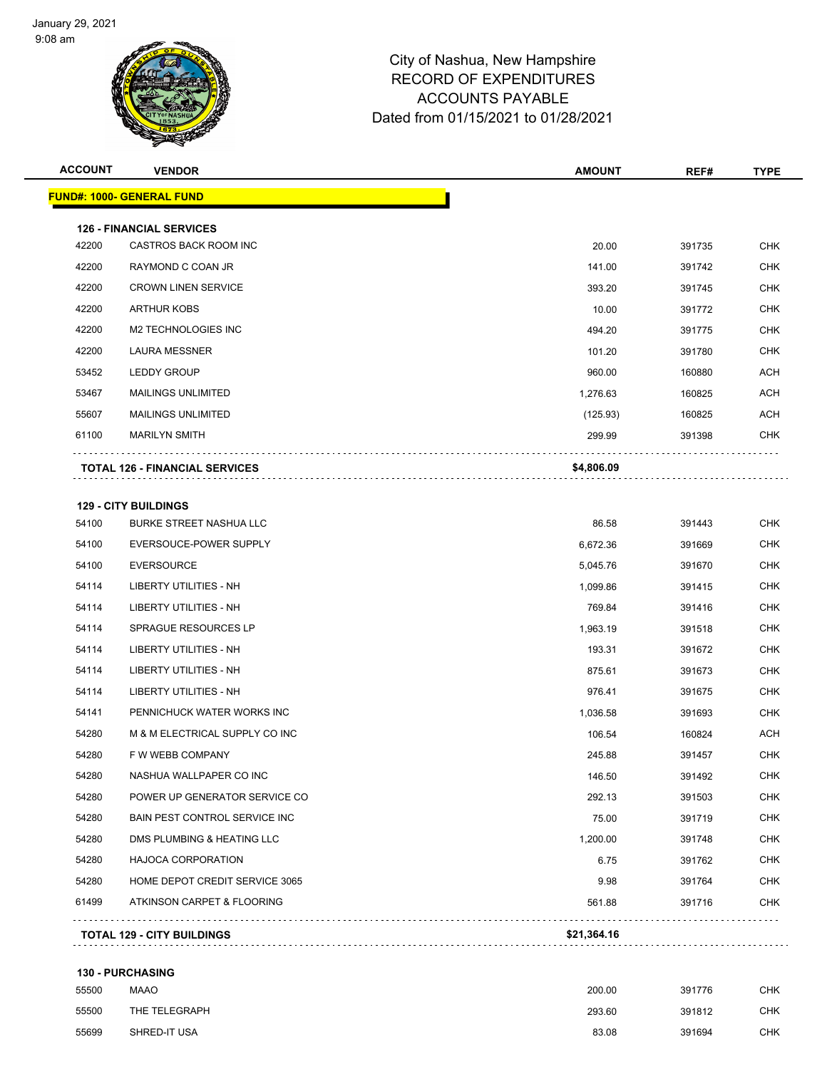

| <b>ACCOUNT</b> | <b>VENDOR</b>                                            | <b>AMOUNT</b> | REF#   | <b>TYPE</b> |
|----------------|----------------------------------------------------------|---------------|--------|-------------|
|                | <b>FUND#: 1000- GENERAL FUND</b>                         |               |        |             |
|                |                                                          |               |        |             |
| 42200          | <b>126 - FINANCIAL SERVICES</b><br>CASTROS BACK ROOM INC | 20.00         | 391735 | <b>CHK</b>  |
| 42200          | RAYMOND C COAN JR                                        | 141.00        | 391742 | <b>CHK</b>  |
| 42200          | <b>CROWN LINEN SERVICE</b>                               | 393.20        | 391745 | <b>CHK</b>  |
| 42200          | <b>ARTHUR KOBS</b>                                       | 10.00         | 391772 | <b>CHK</b>  |
| 42200          | M2 TECHNOLOGIES INC                                      |               |        | <b>CHK</b>  |
|                |                                                          | 494.20        | 391775 |             |
| 42200          | <b>LAURA MESSNER</b>                                     | 101.20        | 391780 | <b>CHK</b>  |
| 53452          | <b>LEDDY GROUP</b>                                       | 960.00        | 160880 | <b>ACH</b>  |
| 53467          | <b>MAILINGS UNLIMITED</b>                                | 1,276.63      | 160825 | <b>ACH</b>  |
| 55607          | <b>MAILINGS UNLIMITED</b>                                | (125.93)      | 160825 | <b>ACH</b>  |
| 61100          | <b>MARILYN SMITH</b>                                     | 299.99        | 391398 | <b>CHK</b>  |
|                | <b>TOTAL 126 - FINANCIAL SERVICES</b>                    | \$4,806.09    |        |             |
|                |                                                          |               |        |             |
|                | <b>129 - CITY BUILDINGS</b>                              |               |        |             |
| 54100          | <b>BURKE STREET NASHUA LLC</b>                           | 86.58         | 391443 | <b>CHK</b>  |
| 54100          | EVERSOUCE-POWER SUPPLY                                   | 6,672.36      | 391669 | <b>CHK</b>  |
| 54100          | <b>EVERSOURCE</b>                                        | 5,045.76      | 391670 | <b>CHK</b>  |
| 54114          | <b>LIBERTY UTILITIES - NH</b>                            | 1,099.86      | 391415 | <b>CHK</b>  |
| 54114          | <b>LIBERTY UTILITIES - NH</b>                            | 769.84        | 391416 | <b>CHK</b>  |
| 54114          | SPRAGUE RESOURCES LP                                     | 1,963.19      | 391518 | <b>CHK</b>  |
| 54114          | <b>LIBERTY UTILITIES - NH</b>                            | 193.31        | 391672 | <b>CHK</b>  |
| 54114          | <b>LIBERTY UTILITIES - NH</b>                            | 875.61        | 391673 | <b>CHK</b>  |
| 54114          | <b>LIBERTY UTILITIES - NH</b>                            | 976.41        | 391675 | <b>CHK</b>  |
| 54141          | PENNICHUCK WATER WORKS INC                               | 1,036.58      | 391693 | <b>CHK</b>  |
| 54280          | M & M ELECTRICAL SUPPLY CO INC                           | 106.54        | 160824 | <b>ACH</b>  |
| 54280          | F W WEBB COMPANY                                         | 245.88        | 391457 | <b>CHK</b>  |
| 54280          | NASHUA WALLPAPER CO INC                                  | 146.50        | 391492 | <b>CHK</b>  |
| 54280          | POWER UP GENERATOR SERVICE CO                            | 292.13        | 391503 | <b>CHK</b>  |
| 54280          | BAIN PEST CONTROL SERVICE INC                            | 75.00         | 391719 | <b>CHK</b>  |

| <b>130 - PURCHASING</b> |      |
|-------------------------|------|
| 55500                   | MAAO |

| 55500 | <b>MAAO</b>   | 200.00 | 391776 | <b>CHK</b> |
|-------|---------------|--------|--------|------------|
| 55500 | THE TELEGRAPH | 293.60 | 391812 | CHK        |
| 55699 | SHRED-IT USA  | 83.08  | 391694 | CHK        |

**TOTAL 129 - CITY BUILDINGS \$21,364.16**

54280 DMS PLUMBING & HEATING LLC **1,200.00** 1,200.00 391748 CHK HAJOCA CORPORATION 6.75 391762 CHK HOME DEPOT CREDIT SERVICE 3065 9.98 391764 CHK ATKINSON CARPET & FLOORING 561.88 391716 CHK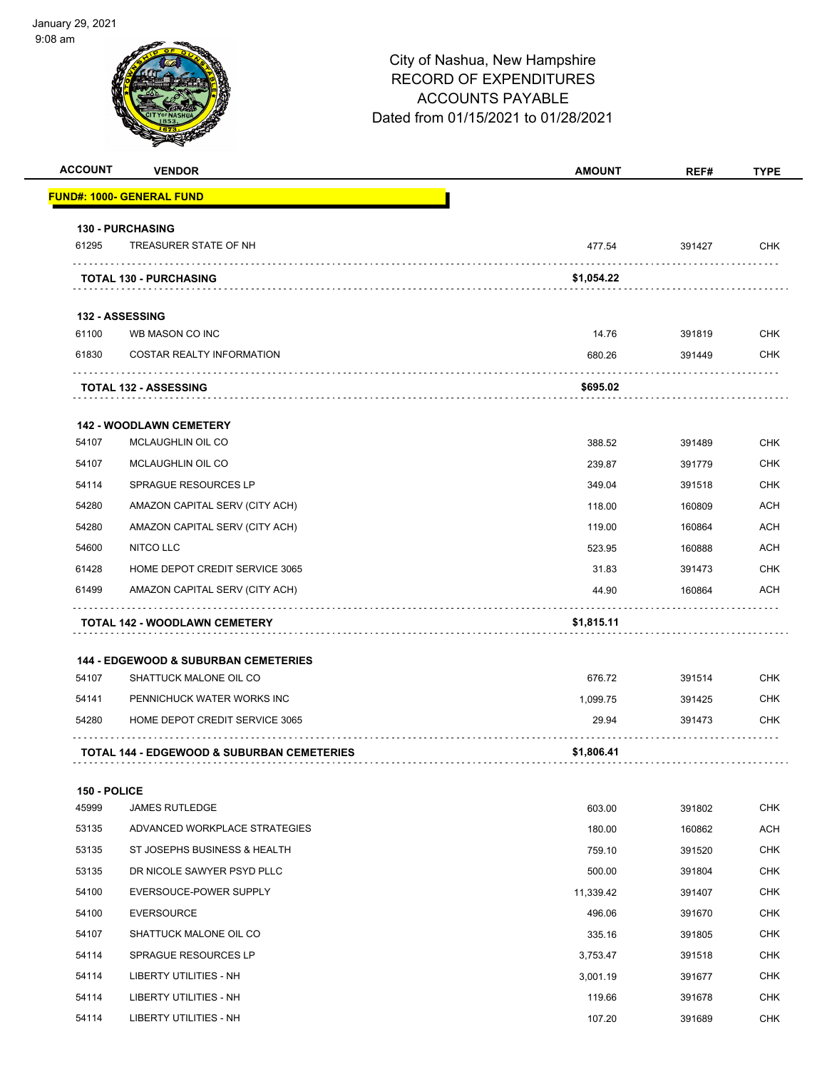

| <b>ACCOUNT</b>        | <b>VENDOR</b>                                                             | <b>AMOUNT</b> | REF#   | <b>TYPE</b> |
|-----------------------|---------------------------------------------------------------------------|---------------|--------|-------------|
|                       | <u> FUND#: 1000- GENERAL FUND</u>                                         |               |        |             |
|                       | <b>130 - PURCHASING</b>                                                   |               |        |             |
| 61295                 | TREASURER STATE OF NH                                                     | 477.54        | 391427 | <b>CHK</b>  |
|                       | .<br><b>TOTAL 130 - PURCHASING</b>                                        | \$1,054.22    |        |             |
|                       | 132 - ASSESSING                                                           |               |        |             |
| 61100                 | WB MASON CO INC                                                           | 14.76         | 391819 | <b>CHK</b>  |
| 61830                 | <b>COSTAR REALTY INFORMATION</b>                                          | 680.26        | 391449 | <b>CHK</b>  |
|                       | <b>TOTAL 132 - ASSESSING</b>                                              | \$695.02      |        |             |
|                       | <b>142 - WOODLAWN CEMETERY</b>                                            |               |        |             |
| 54107                 | MCLAUGHLIN OIL CO                                                         | 388.52        | 391489 | <b>CHK</b>  |
| 54107                 | MCLAUGHLIN OIL CO                                                         | 239.87        | 391779 | <b>CHK</b>  |
| 54114                 | SPRAGUE RESOURCES LP                                                      | 349.04        | 391518 | <b>CHK</b>  |
| 54280                 | AMAZON CAPITAL SERV (CITY ACH)                                            | 118.00        | 160809 | ACH         |
| 54280                 | AMAZON CAPITAL SERV (CITY ACH)                                            | 119.00        | 160864 | <b>ACH</b>  |
| 54600                 | NITCO LLC                                                                 | 523.95        | 160888 | <b>ACH</b>  |
| 61428                 | HOME DEPOT CREDIT SERVICE 3065                                            | 31.83         | 391473 | <b>CHK</b>  |
| 61499                 | AMAZON CAPITAL SERV (CITY ACH)                                            | 44.90         | 160864 | <b>ACH</b>  |
|                       | <b>TOTAL 142 - WOODLAWN CEMETERY</b>                                      | \$1,815.11    |        |             |
|                       |                                                                           |               |        |             |
| 54107                 | <b>144 - EDGEWOOD &amp; SUBURBAN CEMETERIES</b><br>SHATTUCK MALONE OIL CO | 676.72        | 391514 | <b>CHK</b>  |
| 54141                 | PENNICHUCK WATER WORKS INC                                                | 1,099.75      | 391425 | <b>CHK</b>  |
| 54280                 | HOME DEPOT CREDIT SERVICE 3065                                            | 29.94         | 391473 | CHK         |
|                       | <b>TOTAL 144 - EDGEWOOD &amp; SUBURBAN CEMETERIES</b>                     | \$1,806.41    |        |             |
|                       |                                                                           |               |        |             |
| 150 - POLICE<br>45999 | <b>JAMES RUTLEDGE</b>                                                     | 603.00        | 391802 | <b>CHK</b>  |
| 53135                 | ADVANCED WORKPLACE STRATEGIES                                             | 180.00        | 160862 | <b>ACH</b>  |
| 53135                 | ST JOSEPHS BUSINESS & HEALTH                                              | 759.10        | 391520 | <b>CHK</b>  |
| 53135                 | DR NICOLE SAWYER PSYD PLLC                                                | 500.00        | 391804 | <b>CHK</b>  |
| 54100                 | EVERSOUCE-POWER SUPPLY                                                    | 11,339.42     | 391407 | <b>CHK</b>  |
| 54100                 | <b>EVERSOURCE</b>                                                         | 496.06        | 391670 | <b>CHK</b>  |
| 54107                 | SHATTUCK MALONE OIL CO                                                    | 335.16        | 391805 | <b>CHK</b>  |
| 54114                 | SPRAGUE RESOURCES LP                                                      | 3,753.47      | 391518 | <b>CHK</b>  |
| 54114                 | LIBERTY UTILITIES - NH                                                    | 3,001.19      | 391677 | <b>CHK</b>  |
| 54114                 | LIBERTY UTILITIES - NH                                                    | 119.66        | 391678 | <b>CHK</b>  |
| 54114                 | LIBERTY UTILITIES - NH                                                    | 107.20        | 391689 | <b>CHK</b>  |
|                       |                                                                           |               |        |             |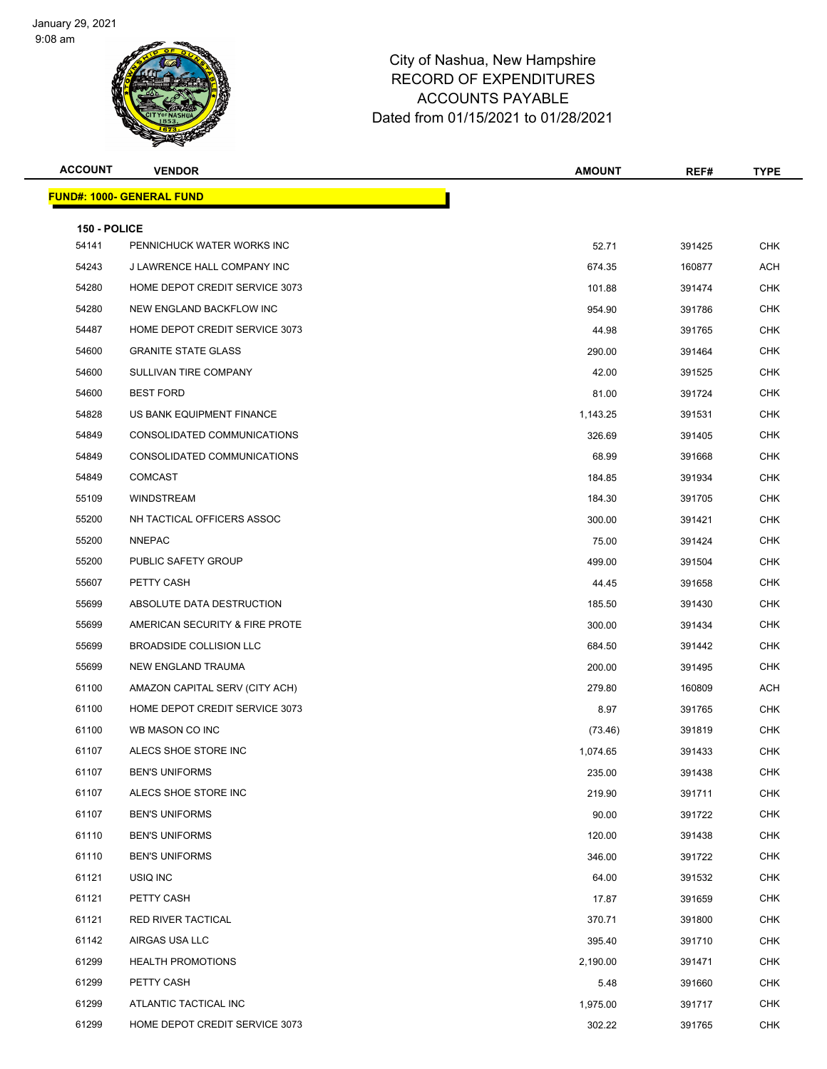

| <b>ACCOUNT</b>        | <b>VENDOR</b>                    | <b>AMOUNT</b> | REF#   | <b>TYPE</b> |
|-----------------------|----------------------------------|---------------|--------|-------------|
|                       | <b>FUND#: 1000- GENERAL FUND</b> |               |        |             |
|                       |                                  |               |        |             |
| 150 - POLICE<br>54141 | PENNICHUCK WATER WORKS INC       | 52.71         | 391425 | <b>CHK</b>  |
| 54243                 | J LAWRENCE HALL COMPANY INC      | 674.35        | 160877 | ACH         |
| 54280                 | HOME DEPOT CREDIT SERVICE 3073   | 101.88        | 391474 | CHK         |
| 54280                 | NEW ENGLAND BACKFLOW INC         | 954.90        | 391786 | <b>CHK</b>  |
| 54487                 | HOME DEPOT CREDIT SERVICE 3073   | 44.98         | 391765 | <b>CHK</b>  |
| 54600                 | <b>GRANITE STATE GLASS</b>       | 290.00        | 391464 | <b>CHK</b>  |
| 54600                 | SULLIVAN TIRE COMPANY            | 42.00         | 391525 | <b>CHK</b>  |
| 54600                 | <b>BEST FORD</b>                 | 81.00         | 391724 | <b>CHK</b>  |
| 54828                 | US BANK EQUIPMENT FINANCE        | 1,143.25      | 391531 | <b>CHK</b>  |
| 54849                 | CONSOLIDATED COMMUNICATIONS      | 326.69        | 391405 | <b>CHK</b>  |
| 54849                 | CONSOLIDATED COMMUNICATIONS      | 68.99         | 391668 | <b>CHK</b>  |
| 54849                 | <b>COMCAST</b>                   | 184.85        | 391934 | <b>CHK</b>  |
| 55109                 | <b>WINDSTREAM</b>                | 184.30        | 391705 | <b>CHK</b>  |
| 55200                 | NH TACTICAL OFFICERS ASSOC       | 300.00        | 391421 | <b>CHK</b>  |
| 55200                 | <b>NNEPAC</b>                    | 75.00         | 391424 | <b>CHK</b>  |
| 55200                 | PUBLIC SAFETY GROUP              | 499.00        | 391504 | <b>CHK</b>  |
| 55607                 | PETTY CASH                       | 44.45         | 391658 | <b>CHK</b>  |
| 55699                 | ABSOLUTE DATA DESTRUCTION        | 185.50        | 391430 | <b>CHK</b>  |
| 55699                 | AMERICAN SECURITY & FIRE PROTE   | 300.00        | 391434 | <b>CHK</b>  |
| 55699                 | <b>BROADSIDE COLLISION LLC</b>   | 684.50        | 391442 | <b>CHK</b>  |
| 55699                 | NEW ENGLAND TRAUMA               | 200.00        | 391495 | <b>CHK</b>  |
| 61100                 | AMAZON CAPITAL SERV (CITY ACH)   | 279.80        | 160809 | ACH         |
| 61100                 | HOME DEPOT CREDIT SERVICE 3073   | 8.97          | 391765 | CHK         |
| 61100                 | WB MASON CO INC                  | (73.46)       | 391819 | <b>CHK</b>  |
| 61107                 | ALECS SHOE STORE INC             | 1,074.65      | 391433 | <b>CHK</b>  |
| 61107                 | <b>BEN'S UNIFORMS</b>            | 235.00        | 391438 | CHK         |
| 61107                 | ALECS SHOE STORE INC             | 219.90        | 391711 | <b>CHK</b>  |
| 61107                 | <b>BEN'S UNIFORMS</b>            | 90.00         | 391722 | <b>CHK</b>  |
| 61110                 | <b>BEN'S UNIFORMS</b>            | 120.00        | 391438 | <b>CHK</b>  |
| 61110                 | <b>BEN'S UNIFORMS</b>            | 346.00        | 391722 | <b>CHK</b>  |
| 61121                 | USIQ INC                         | 64.00         | 391532 | <b>CHK</b>  |
| 61121                 | PETTY CASH                       | 17.87         | 391659 | <b>CHK</b>  |
| 61121                 | RED RIVER TACTICAL               | 370.71        | 391800 | <b>CHK</b>  |
| 61142                 | AIRGAS USA LLC                   | 395.40        | 391710 | <b>CHK</b>  |
| 61299                 | <b>HEALTH PROMOTIONS</b>         | 2,190.00      | 391471 | <b>CHK</b>  |
| 61299                 | PETTY CASH                       | 5.48          | 391660 | <b>CHK</b>  |
| 61299                 | ATLANTIC TACTICAL INC            | 1,975.00      | 391717 | <b>CHK</b>  |
| 61299                 | HOME DEPOT CREDIT SERVICE 3073   | 302.22        | 391765 | <b>CHK</b>  |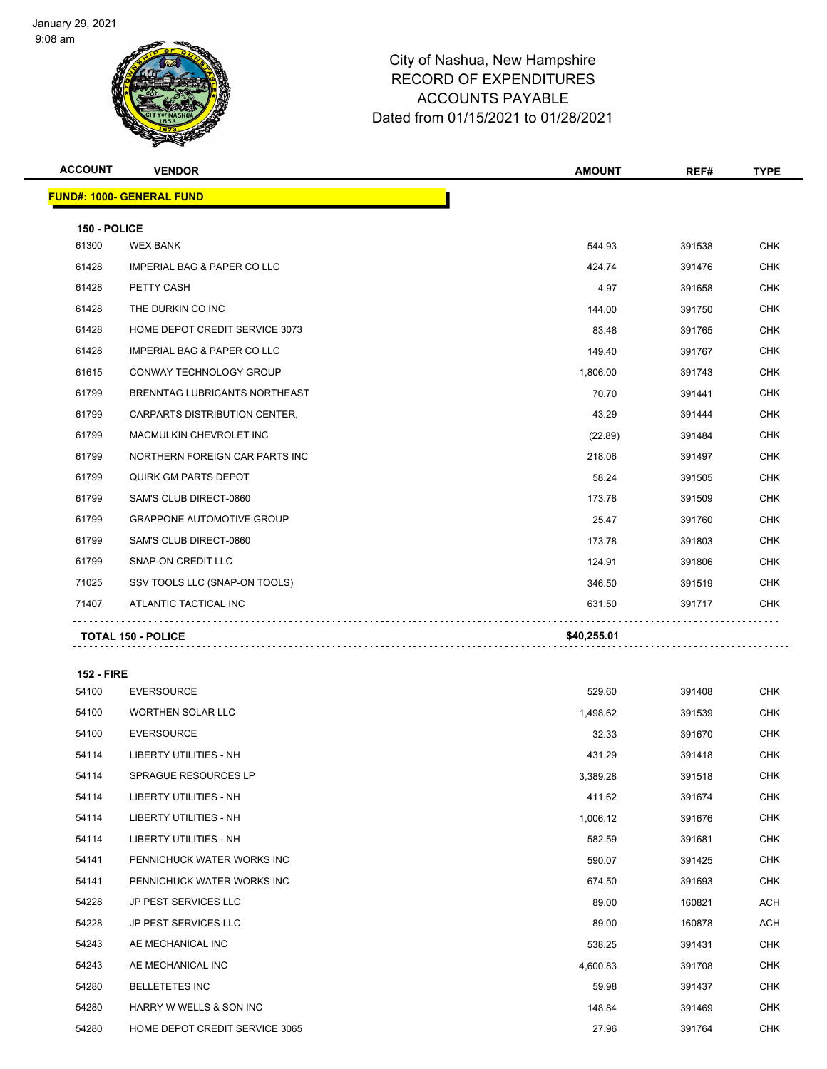

| <b>ACCOUNT</b>    | <b>VENDOR</b>                          | <b>AMOUNT</b> | REF#   | <b>TYPE</b> |
|-------------------|----------------------------------------|---------------|--------|-------------|
|                   | <b>FUND#: 1000- GENERAL FUND</b>       |               |        |             |
| 150 - POLICE      |                                        |               |        |             |
| 61300             | <b>WEX BANK</b>                        | 544.93        | 391538 | <b>CHK</b>  |
| 61428             | <b>IMPERIAL BAG &amp; PAPER CO LLC</b> | 424.74        | 391476 | <b>CHK</b>  |
| 61428             | PETTY CASH                             | 4.97          | 391658 | <b>CHK</b>  |
| 61428             | THE DURKIN CO INC                      | 144.00        | 391750 | <b>CHK</b>  |
| 61428             | HOME DEPOT CREDIT SERVICE 3073         | 83.48         | 391765 | <b>CHK</b>  |
| 61428             | <b>IMPERIAL BAG &amp; PAPER CO LLC</b> | 149.40        | 391767 | <b>CHK</b>  |
| 61615             | CONWAY TECHNOLOGY GROUP                | 1,806.00      | 391743 | <b>CHK</b>  |
| 61799             | BRENNTAG LUBRICANTS NORTHEAST          | 70.70         | 391441 | <b>CHK</b>  |
| 61799             | CARPARTS DISTRIBUTION CENTER,          | 43.29         | 391444 | <b>CHK</b>  |
| 61799             | MACMULKIN CHEVROLET INC                | (22.89)       | 391484 | <b>CHK</b>  |
| 61799             | NORTHERN FOREIGN CAR PARTS INC         | 218.06        | 391497 | <b>CHK</b>  |
| 61799             | <b>QUIRK GM PARTS DEPOT</b>            | 58.24         | 391505 | <b>CHK</b>  |
| 61799             | SAM'S CLUB DIRECT-0860                 | 173.78        | 391509 | <b>CHK</b>  |
| 61799             | <b>GRAPPONE AUTOMOTIVE GROUP</b>       | 25.47         | 391760 | CHK         |
| 61799             | SAM'S CLUB DIRECT-0860                 | 173.78        | 391803 | <b>CHK</b>  |
| 61799             | SNAP-ON CREDIT LLC                     | 124.91        | 391806 | <b>CHK</b>  |
| 71025             | SSV TOOLS LLC (SNAP-ON TOOLS)          | 346.50        | 391519 | <b>CHK</b>  |
| 71407             | ATLANTIC TACTICAL INC                  | 631.50        | 391717 | <b>CHK</b>  |
|                   | <b>TOTAL 150 - POLICE</b>              | \$40,255.01   |        |             |
| <b>152 - FIRE</b> |                                        |               |        |             |
| 54100             | <b>EVERSOURCE</b>                      | 529.60        | 391408 | <b>CHK</b>  |
| 54100             | <b>WORTHEN SOLAR LLC</b>               | 1,498.62      | 391539 | <b>CHK</b>  |
| 54100             | <b>EVERSOURCE</b>                      | 32.33         | 391670 | <b>CHK</b>  |
| 54114             | LIBERTY UTILITIES - NH                 | 431.29        | 391418 | <b>CHK</b>  |
| 54114             | SPRAGUE RESOURCES LP                   | 3,389.28      | 391518 | <b>CHK</b>  |
| 54114             | <b>LIBERTY UTILITIES - NH</b>          | 411.62        | 391674 | <b>CHK</b>  |
| 54114             | <b>LIBERTY UTILITIES - NH</b>          | 1,006.12      | 391676 | <b>CHK</b>  |
| 54114             | LIBERTY UTILITIES - NH                 | 582.59        | 391681 | <b>CHK</b>  |
| 54141             | PENNICHUCK WATER WORKS INC             | 590.07        | 391425 | <b>CHK</b>  |
| 54141             | PENNICHUCK WATER WORKS INC             | 674.50        | 391693 | <b>CHK</b>  |
| 54228             | JP PEST SERVICES LLC                   | 89.00         | 160821 | ACH         |
| 54228             | JP PEST SERVICES LLC                   | 89.00         | 160878 | ACH         |
| 54243             | AE MECHANICAL INC                      | 538.25        | 391431 | <b>CHK</b>  |
| 54243             | AE MECHANICAL INC                      | 4,600.83      | 391708 | CHK         |
| 54280             | <b>BELLETETES INC</b>                  | 59.98         | 391437 | <b>CHK</b>  |
| 54280             | HARRY W WELLS & SON INC                | 148.84        | 391469 | <b>CHK</b>  |

54280 HOME DEPOT CREDIT SERVICE 3065 27.96 27.96 391764 CHK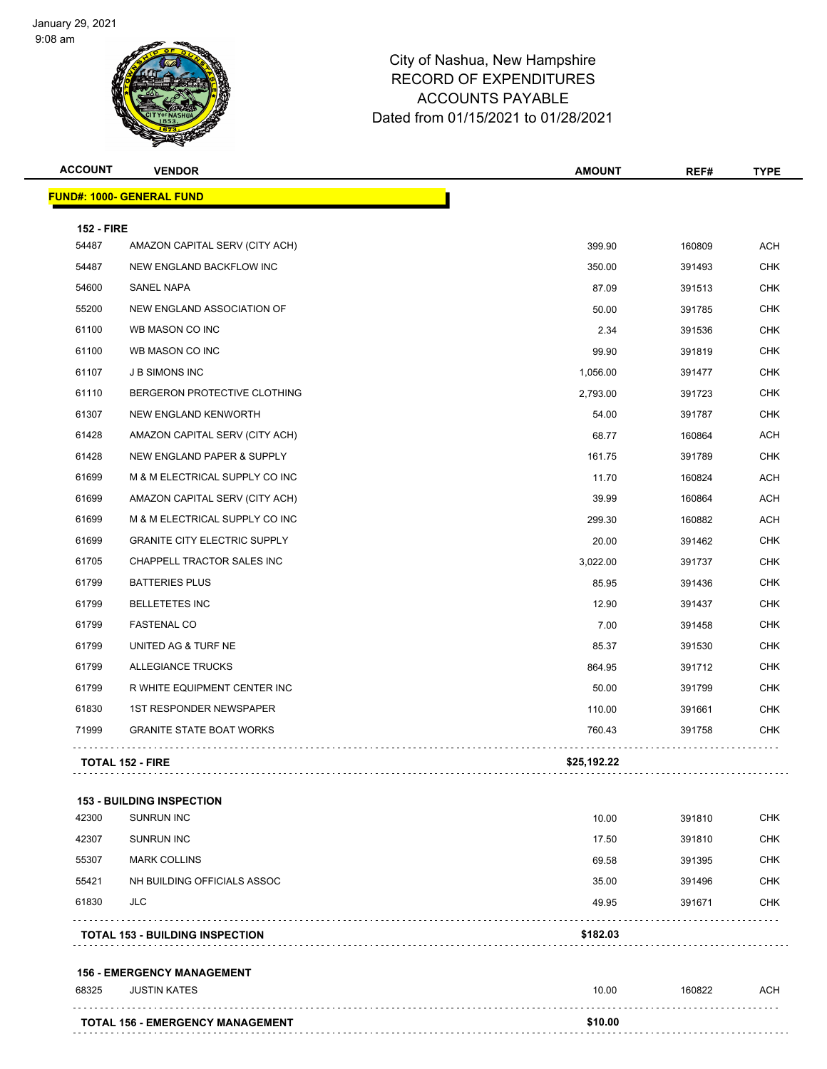

| <b>ACCOUNT</b>    | <b>VENDOR</b>                           | <b>AMOUNT</b> | REF#   | <b>TYPE</b> |
|-------------------|-----------------------------------------|---------------|--------|-------------|
|                   | <b>FUND#: 1000- GENERAL FUND</b>        |               |        |             |
| <b>152 - FIRE</b> |                                         |               |        |             |
| 54487             | AMAZON CAPITAL SERV (CITY ACH)          | 399.90        | 160809 | <b>ACH</b>  |
| 54487             | NEW ENGLAND BACKFLOW INC                | 350.00        | 391493 | <b>CHK</b>  |
| 54600             | SANEL NAPA                              | 87.09         | 391513 | <b>CHK</b>  |
| 55200             | NEW ENGLAND ASSOCIATION OF              | 50.00         | 391785 | <b>CHK</b>  |
| 61100             | WB MASON CO INC                         | 2.34          | 391536 | <b>CHK</b>  |
| 61100             | WB MASON CO INC                         | 99.90         | 391819 | <b>CHK</b>  |
| 61107             | <b>JB SIMONS INC</b>                    | 1,056.00      | 391477 | <b>CHK</b>  |
| 61110             | BERGERON PROTECTIVE CLOTHING            | 2,793.00      | 391723 | <b>CHK</b>  |
| 61307             | NEW ENGLAND KENWORTH                    | 54.00         | 391787 | <b>CHK</b>  |
| 61428             | AMAZON CAPITAL SERV (CITY ACH)          | 68.77         | 160864 | ACH         |
| 61428             | NEW ENGLAND PAPER & SUPPLY              | 161.75        | 391789 | <b>CHK</b>  |
| 61699             | M & M ELECTRICAL SUPPLY CO INC          | 11.70         | 160824 | <b>ACH</b>  |
| 61699             | AMAZON CAPITAL SERV (CITY ACH)          | 39.99         | 160864 | <b>ACH</b>  |
| 61699             | M & M ELECTRICAL SUPPLY CO INC          | 299.30        | 160882 | <b>ACH</b>  |
| 61699             | <b>GRANITE CITY ELECTRIC SUPPLY</b>     | 20.00         | 391462 | <b>CHK</b>  |
| 61705             | CHAPPELL TRACTOR SALES INC              | 3,022.00      | 391737 | <b>CHK</b>  |
| 61799             | <b>BATTERIES PLUS</b>                   | 85.95         | 391436 | <b>CHK</b>  |
| 61799             | <b>BELLETETES INC</b>                   | 12.90         | 391437 | <b>CHK</b>  |
| 61799             | <b>FASTENAL CO</b>                      | 7.00          | 391458 | <b>CHK</b>  |
| 61799             | UNITED AG & TURF NE                     | 85.37         | 391530 | <b>CHK</b>  |
| 61799             | ALLEGIANCE TRUCKS                       | 864.95        | 391712 | <b>CHK</b>  |
| 61799             | R WHITE EQUIPMENT CENTER INC            | 50.00         | 391799 | <b>CHK</b>  |
| 61830             | <b>1ST RESPONDER NEWSPAPER</b>          | 110.00        | 391661 | <b>CHK</b>  |
| 71999             | <b>GRANITE STATE BOAT WORKS</b>         | 760.43        | 391758 | <b>CHK</b>  |
|                   | <b>TOTAL 152 - FIRE</b>                 | \$25,192.22   |        |             |
|                   | <b>153 - BUILDING INSPECTION</b>        |               |        |             |
| 42300             | <b>SUNRUN INC</b>                       | 10.00         | 391810 | <b>CHK</b>  |
| 42307             | <b>SUNRUN INC</b>                       | 17.50         | 391810 | CHK         |
| 55307             | <b>MARK COLLINS</b>                     | 69.58         | 391395 | CHK         |
| 55421             | NH BUILDING OFFICIALS ASSOC             | 35.00         | 391496 | CHK         |
| 61830             | JLC                                     | 49.95         | 391671 | CHK         |
|                   | <b>TOTAL 153 - BUILDING INSPECTION</b>  | \$182.03      |        |             |
|                   | <b>156 - EMERGENCY MANAGEMENT</b>       |               |        |             |
| 68325             | <b>JUSTIN KATES</b>                     | 10.00         | 160822 | <b>ACH</b>  |
|                   | <b>TOTAL 156 - EMERGENCY MANAGEMENT</b> | \$10.00       |        |             |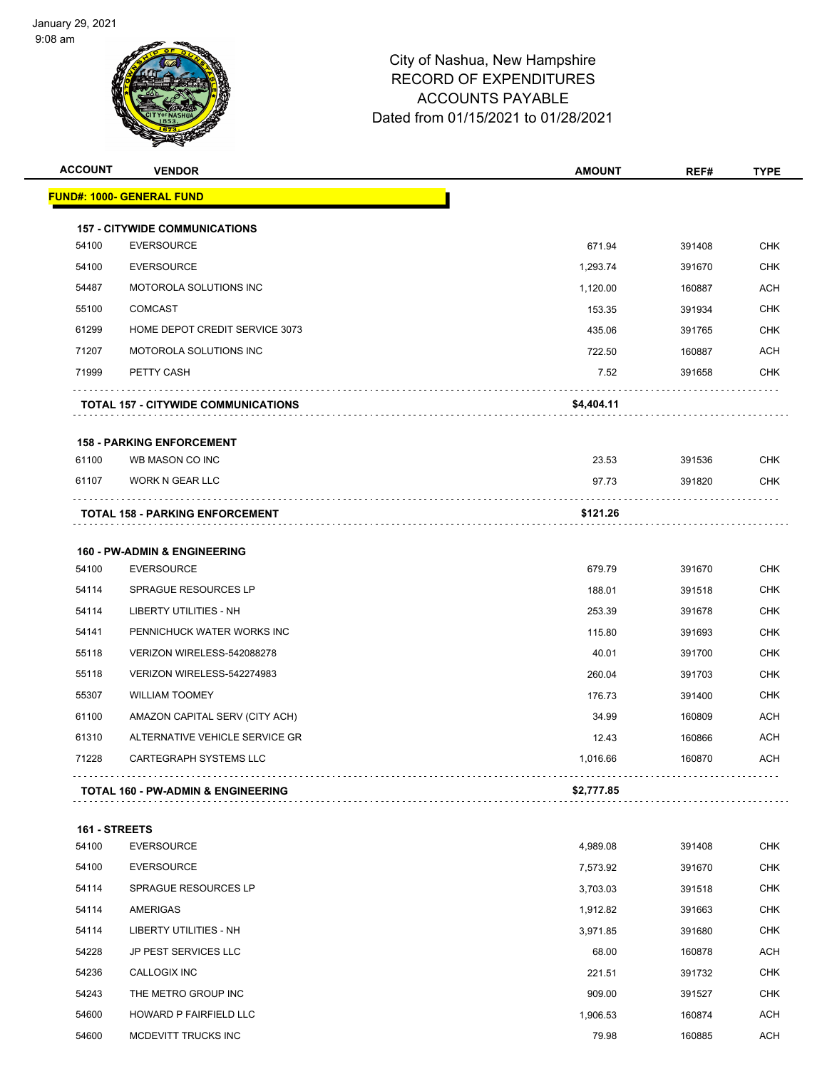

| <b>ACCOUNT</b> | <b>VENDOR</b>                                                    | <b>AMOUNT</b>     | REF#             | <b>TYPE</b>              |
|----------------|------------------------------------------------------------------|-------------------|------------------|--------------------------|
|                | <b>FUND#: 1000- GENERAL FUND</b>                                 |                   |                  |                          |
|                |                                                                  |                   |                  |                          |
| 54100          | <b>157 - CITYWIDE COMMUNICATIONS</b><br><b>EVERSOURCE</b>        | 671.94            | 391408           | <b>CHK</b>               |
| 54100          | <b>EVERSOURCE</b>                                                | 1,293.74          | 391670           | <b>CHK</b>               |
| 54487          | MOTOROLA SOLUTIONS INC                                           | 1,120.00          | 160887           | ACH                      |
| 55100          | <b>COMCAST</b>                                                   | 153.35            | 391934           | <b>CHK</b>               |
| 61299          | HOME DEPOT CREDIT SERVICE 3073                                   | 435.06            | 391765           | <b>CHK</b>               |
| 71207          | MOTOROLA SOLUTIONS INC                                           | 722.50            | 160887           | <b>ACH</b>               |
| 71999          | PETTY CASH                                                       | 7.52              | 391658           | CHK                      |
|                | <b>TOTAL 157 - CITYWIDE COMMUNICATIONS</b>                       | \$4,404.11        |                  |                          |
|                | <b>158 - PARKING ENFORCEMENT</b>                                 |                   |                  |                          |
| 61100          | WB MASON CO INC                                                  | 23.53             | 391536           | <b>CHK</b>               |
| 61107          | <b>WORK N GEAR LLC</b>                                           | 97.73             | 391820           | <b>CHK</b>               |
|                | <b>TOTAL 158 - PARKING ENFORCEMENT</b>                           | \$121.26          |                  |                          |
|                |                                                                  |                   |                  |                          |
|                | <b>160 - PW-ADMIN &amp; ENGINEERING</b>                          |                   |                  |                          |
| 54100          | <b>EVERSOURCE</b>                                                | 679.79            | 391670           | <b>CHK</b>               |
| 54114          | SPRAGUE RESOURCES LP                                             | 188.01            | 391518           | <b>CHK</b>               |
| 54114          | LIBERTY UTILITIES - NH                                           | 253.39            | 391678           | <b>CHK</b>               |
| 54141          | PENNICHUCK WATER WORKS INC                                       | 115.80            | 391693           | <b>CHK</b>               |
| 55118          | VERIZON WIRELESS-542088278                                       | 40.01             | 391700           | <b>CHK</b>               |
| 55118          | VERIZON WIRELESS-542274983<br><b>WILLIAM TOOMEY</b>              | 260.04            | 391703           | <b>CHK</b><br><b>CHK</b> |
| 55307          |                                                                  | 176.73            | 391400           |                          |
| 61100          | AMAZON CAPITAL SERV (CITY ACH)<br>ALTERNATIVE VEHICLE SERVICE GR | 34.99             | 160809           | ACH                      |
| 61310<br>71228 | <b>CARTEGRAPH SYSTEMS LLC</b>                                    | 12.43<br>1,016.66 | 160866<br>160870 | <b>ACH</b><br>ACH        |
|                |                                                                  |                   |                  |                          |
|                | <b>TOTAL 160 - PW-ADMIN &amp; ENGINEERING</b>                    | \$2,777.85        |                  |                          |
| 161 - STREETS  |                                                                  |                   |                  |                          |
| 54100          | <b>EVERSOURCE</b>                                                | 4,989.08          | 391408           | <b>CHK</b>               |
| 54100          | <b>EVERSOURCE</b>                                                | 7,573.92          | 391670           | <b>CHK</b>               |
| 54114          | SPRAGUE RESOURCES LP                                             | 3,703.03          | 391518           | <b>CHK</b>               |
| 54114          | AMERIGAS                                                         | 1,912.82          | 391663           | <b>CHK</b>               |
| 54114          | <b>LIBERTY UTILITIES - NH</b>                                    | 3,971.85          | 391680           | <b>CHK</b>               |
| 54228          | JP PEST SERVICES LLC                                             | 68.00             | 160878           | <b>ACH</b>               |
| 54236          | CALLOGIX INC                                                     | 221.51            | 391732           | <b>CHK</b>               |
| 54243          | THE METRO GROUP INC                                              | 909.00            | 391527           | <b>CHK</b>               |
| 54600          | HOWARD P FAIRFIELD LLC                                           | 1,906.53          | 160874           | <b>ACH</b>               |
| 54600          | MCDEVITT TRUCKS INC                                              | 79.98             | 160885           | <b>ACH</b>               |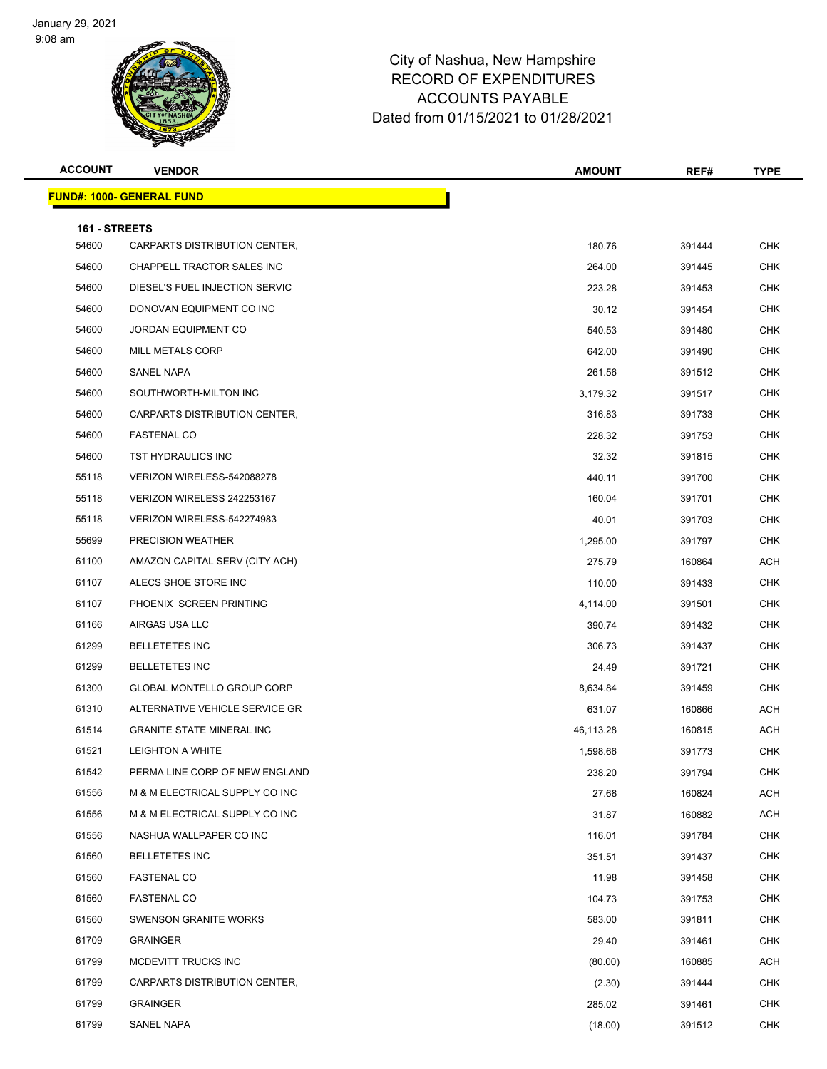

| <b>ACCOUNT</b> | <b>VENDOR</b>                     | <b>AMOUNT</b> | REF#   | <b>TYPE</b> |
|----------------|-----------------------------------|---------------|--------|-------------|
|                | <u> FUND#: 1000- GENERAL FUND</u> |               |        |             |
| 161 - STREETS  |                                   |               |        |             |
| 54600          | CARPARTS DISTRIBUTION CENTER,     | 180.76        | 391444 | <b>CHK</b>  |
| 54600          | CHAPPELL TRACTOR SALES INC        | 264.00        | 391445 | <b>CHK</b>  |
| 54600          | DIESEL'S FUEL INJECTION SERVIC    | 223.28        | 391453 | <b>CHK</b>  |
| 54600          | DONOVAN EQUIPMENT CO INC          | 30.12         | 391454 | <b>CHK</b>  |
| 54600          | JORDAN EQUIPMENT CO               | 540.53        | 391480 | <b>CHK</b>  |
| 54600          | <b>MILL METALS CORP</b>           | 642.00        | 391490 | <b>CHK</b>  |
| 54600          | SANEL NAPA                        | 261.56        | 391512 | <b>CHK</b>  |
| 54600          | SOUTHWORTH-MILTON INC             | 3,179.32      | 391517 | <b>CHK</b>  |
| 54600          | CARPARTS DISTRIBUTION CENTER,     | 316.83        | 391733 | <b>CHK</b>  |
| 54600          | <b>FASTENAL CO</b>                | 228.32        | 391753 | <b>CHK</b>  |
| 54600          | TST HYDRAULICS INC                | 32.32         | 391815 | <b>CHK</b>  |
| 55118          | VERIZON WIRELESS-542088278        | 440.11        | 391700 | <b>CHK</b>  |
| 55118          | VERIZON WIRELESS 242253167        | 160.04        | 391701 | <b>CHK</b>  |
| 55118          | VERIZON WIRELESS-542274983        | 40.01         | 391703 | <b>CHK</b>  |
| 55699          | PRECISION WEATHER                 | 1,295.00      | 391797 | <b>CHK</b>  |
| 61100          | AMAZON CAPITAL SERV (CITY ACH)    | 275.79        | 160864 | <b>ACH</b>  |
| 61107          | ALECS SHOE STORE INC              | 110.00        | 391433 | <b>CHK</b>  |
| 61107          | PHOENIX SCREEN PRINTING           | 4,114.00      | 391501 | <b>CHK</b>  |
| 61166          | AIRGAS USA LLC                    | 390.74        | 391432 | <b>CHK</b>  |
| 61299          | <b>BELLETETES INC</b>             | 306.73        | 391437 | <b>CHK</b>  |
| 61299          | <b>BELLETETES INC</b>             | 24.49         | 391721 | <b>CHK</b>  |
| 61300          | GLOBAL MONTELLO GROUP CORP        | 8,634.84      | 391459 | <b>CHK</b>  |
| 61310          | ALTERNATIVE VEHICLE SERVICE GR    | 631.07        | 160866 | <b>ACH</b>  |
| 61514          | <b>GRANITE STATE MINERAL INC</b>  | 46,113.28     | 160815 | <b>ACH</b>  |
| 61521          | LEIGHTON A WHITE                  | 1,598.66      | 391773 | <b>CHK</b>  |
| 61542          | PERMA LINE CORP OF NEW ENGLAND    | 238.20        | 391794 | <b>CHK</b>  |
| 61556          | M & M ELECTRICAL SUPPLY CO INC    | 27.68         | 160824 | <b>ACH</b>  |
| 61556          | M & M ELECTRICAL SUPPLY CO INC    | 31.87         | 160882 | <b>ACH</b>  |
| 61556          | NASHUA WALLPAPER CO INC           | 116.01        | 391784 | <b>CHK</b>  |
| 61560          | <b>BELLETETES INC</b>             | 351.51        | 391437 | <b>CHK</b>  |
| 61560          | <b>FASTENAL CO</b>                | 11.98         | 391458 | <b>CHK</b>  |
| 61560          | <b>FASTENAL CO</b>                | 104.73        | 391753 | <b>CHK</b>  |
| 61560          | <b>SWENSON GRANITE WORKS</b>      | 583.00        | 391811 | <b>CHK</b>  |
| 61709          | <b>GRAINGER</b>                   | 29.40         | 391461 | <b>CHK</b>  |
| 61799          | MCDEVITT TRUCKS INC               | (80.00)       | 160885 | <b>ACH</b>  |
| 61799          | CARPARTS DISTRIBUTION CENTER,     | (2.30)        | 391444 | <b>CHK</b>  |
| 61799          | <b>GRAINGER</b>                   | 285.02        | 391461 | <b>CHK</b>  |
| 61799          | SANEL NAPA                        | (18.00)       | 391512 | <b>CHK</b>  |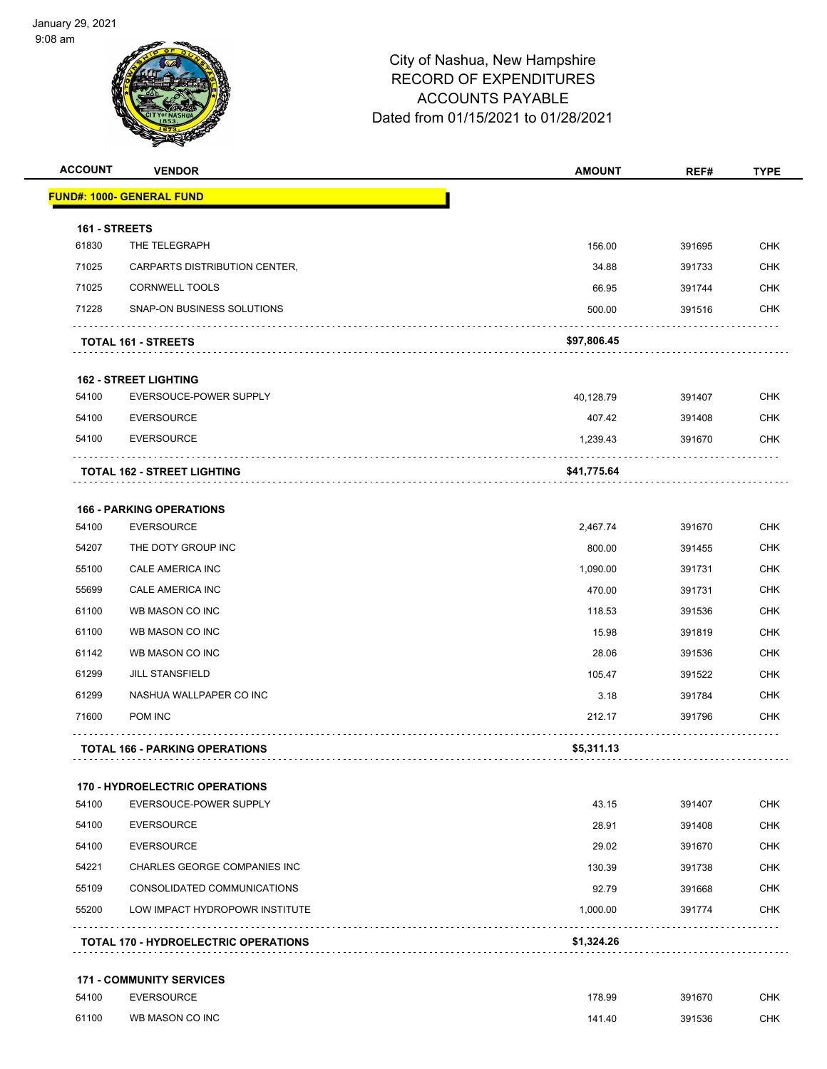

| <b>ACCOUNT</b> | <b>VENDOR</b>                               | <b>AMOUNT</b> | REF#   | <b>TYPE</b> |
|----------------|---------------------------------------------|---------------|--------|-------------|
|                | <u> FUND#: 1000- GENERAL FUND</u>           |               |        |             |
| 161 - STREETS  |                                             |               |        |             |
| 61830          | THE TELEGRAPH                               | 156.00        | 391695 | <b>CHK</b>  |
| 71025          | CARPARTS DISTRIBUTION CENTER,               | 34.88         | 391733 | <b>CHK</b>  |
| 71025          | <b>CORNWELL TOOLS</b>                       | 66.95         | 391744 | <b>CHK</b>  |
| 71228          | SNAP-ON BUSINESS SOLUTIONS                  | 500.00        | 391516 | <b>CHK</b>  |
|                | <b>TOTAL 161 - STREETS</b>                  | \$97,806.45   |        |             |
|                | <b>162 - STREET LIGHTING</b>                |               |        |             |
| 54100          | EVERSOUCE-POWER SUPPLY                      | 40,128.79     | 391407 | <b>CHK</b>  |
| 54100          | <b>EVERSOURCE</b>                           | 407.42        | 391408 | <b>CHK</b>  |
| 54100          | <b>EVERSOURCE</b>                           | 1,239.43      | 391670 | <b>CHK</b>  |
|                | TOTAL 162 - STREET LIGHTING                 | \$41,775.64   |        |             |
|                | <b>166 - PARKING OPERATIONS</b>             |               |        |             |
| 54100          | <b>EVERSOURCE</b>                           | 2,467.74      | 391670 | <b>CHK</b>  |
| 54207          | THE DOTY GROUP INC                          | 800.00        | 391455 | <b>CHK</b>  |
| 55100          | CALE AMERICA INC                            | 1,090.00      | 391731 | <b>CHK</b>  |
| 55699          | CALE AMERICA INC                            | 470.00        | 391731 | <b>CHK</b>  |
| 61100          | WB MASON CO INC                             | 118.53        | 391536 | <b>CHK</b>  |
| 61100          | WB MASON CO INC                             | 15.98         | 391819 | <b>CHK</b>  |
| 61142          | WB MASON CO INC                             | 28.06         | 391536 | <b>CHK</b>  |
| 61299          | <b>JILL STANSFIELD</b>                      | 105.47        | 391522 | <b>CHK</b>  |
| 61299          | NASHUA WALLPAPER CO INC                     | 3.18          | 391784 | <b>CHK</b>  |
| 71600          | POM INC                                     | 212.17        | 391796 | <b>CHK</b>  |
|                | <b>TOTAL 166 - PARKING OPERATIONS</b>       | \$5,311.13    |        |             |
|                | <b>170 - HYDROELECTRIC OPERATIONS</b>       |               |        |             |
| 54100          | EVERSOUCE-POWER SUPPLY                      | 43.15         | 391407 | <b>CHK</b>  |
| 54100          | <b>EVERSOURCE</b>                           | 28.91         | 391408 | <b>CHK</b>  |
| 54100          | <b>EVERSOURCE</b>                           | 29.02         | 391670 | <b>CHK</b>  |
| 54221          | <b>CHARLES GEORGE COMPANIES INC</b>         | 130.39        | 391738 | <b>CHK</b>  |
| 55109          | CONSOLIDATED COMMUNICATIONS                 | 92.79         | 391668 | <b>CHK</b>  |
| 55200          | LOW IMPACT HYDROPOWR INSTITUTE              | 1,000.00      | 391774 | <b>CHK</b>  |
|                | <b>TOTAL 170 - HYDROELECTRIC OPERATIONS</b> | \$1,324.26    |        |             |
|                | <b>171 - COMMUNITY SERVICES</b>             |               |        |             |
| 54100          | <b>EVERSOURCE</b>                           | 178.99        | 391670 | <b>CHK</b>  |
| 61100          | WB MASON CO INC                             | 141.40        | 391536 | <b>CHK</b>  |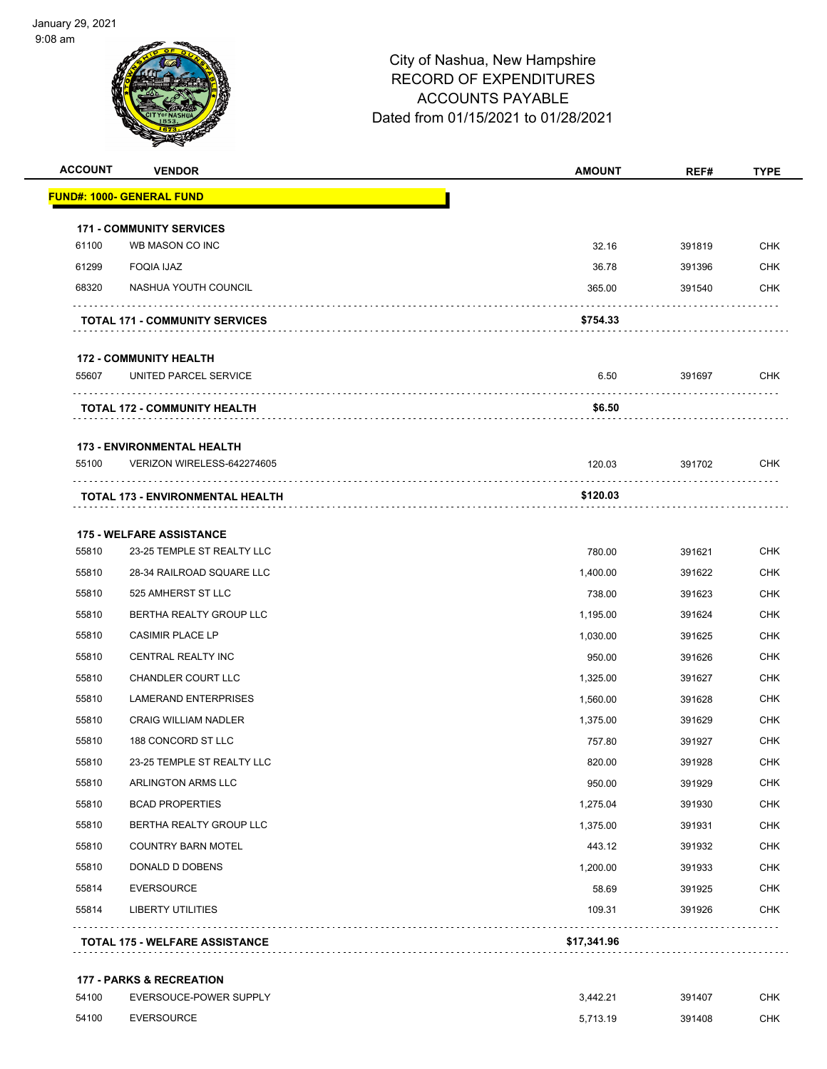

| <b>ACCOUNT</b> | <b>VENDOR</b>                                                 | <b>AMOUNT</b> | REF#   | <b>TYPE</b> |
|----------------|---------------------------------------------------------------|---------------|--------|-------------|
|                | <b>FUND#: 1000- GENERAL FUND</b>                              |               |        |             |
|                | <b>171 - COMMUNITY SERVICES</b>                               |               |        |             |
| 61100          | WB MASON CO INC                                               | 32.16         | 391819 | <b>CHK</b>  |
| 61299          | <b>FOQIA IJAZ</b>                                             | 36.78         | 391396 | <b>CHK</b>  |
| 68320          | NASHUA YOUTH COUNCIL                                          | 365.00        | 391540 | <b>CHK</b>  |
|                | <b>TOTAL 171 - COMMUNITY SERVICES</b>                         | \$754.33      |        |             |
|                | <b>172 - COMMUNITY HEALTH</b>                                 |               |        |             |
| 55607          | UNITED PARCEL SERVICE                                         | 6.50          | 391697 | CHK         |
|                | <b>TOTAL 172 - COMMUNITY HEALTH</b>                           | \$6.50        |        |             |
|                | <b>173 - ENVIRONMENTAL HEALTH</b>                             |               |        |             |
| 55100          | VERIZON WIRELESS-642274605                                    | 120.03        | 391702 | <b>CHK</b>  |
|                | TOTAL 173 - ENVIRONMENTAL HEALTH                              | \$120.03      |        |             |
|                |                                                               |               |        |             |
| 55810          | <b>175 - WELFARE ASSISTANCE</b><br>23-25 TEMPLE ST REALTY LLC | 780.00        | 391621 | <b>CHK</b>  |
| 55810          | 28-34 RAILROAD SQUARE LLC                                     | 1,400.00      | 391622 | <b>CHK</b>  |
| 55810          | 525 AMHERST ST LLC                                            | 738.00        | 391623 | <b>CHK</b>  |
| 55810          | BERTHA REALTY GROUP LLC                                       | 1,195.00      | 391624 | <b>CHK</b>  |
| 55810          | <b>CASIMIR PLACE LP</b>                                       | 1,030.00      | 391625 | <b>CHK</b>  |
| 55810          | CENTRAL REALTY INC                                            | 950.00        | 391626 | <b>CHK</b>  |
| 55810          | CHANDLER COURT LLC                                            | 1,325.00      | 391627 | <b>CHK</b>  |
| 55810          | <b>LAMERAND ENTERPRISES</b>                                   | 1,560.00      | 391628 | <b>CHK</b>  |
| 55810          | <b>CRAIG WILLIAM NADLER</b>                                   | 1,375.00      | 391629 | <b>CHK</b>  |
| 55810          | 188 CONCORD ST LLC                                            | 757.80        | 391927 | CHK         |
| 55810          | 23-25 TEMPLE ST REALTY LLC                                    | 820.00        | 391928 | <b>CHK</b>  |
| 55810          | ARLINGTON ARMS LLC                                            | 950.00        | 391929 | <b>CHK</b>  |
| 55810          | <b>BCAD PROPERTIES</b>                                        | 1,275.04      | 391930 | <b>CHK</b>  |
| 55810          | BERTHA REALTY GROUP LLC                                       | 1,375.00      | 391931 | <b>CHK</b>  |
| 55810          | <b>COUNTRY BARN MOTEL</b>                                     | 443.12        | 391932 | <b>CHK</b>  |
| 55810          | DONALD D DOBENS                                               | 1,200.00      | 391933 | <b>CHK</b>  |
| 55814          | <b>EVERSOURCE</b>                                             | 58.69         | 391925 | <b>CHK</b>  |
| 55814          | <b>LIBERTY UTILITIES</b>                                      | 109.31        | 391926 | <b>CHK</b>  |
|                | <b>TOTAL 175 - WELFARE ASSISTANCE</b>                         | \$17,341.96   |        |             |
|                | <b>177 - PARKS &amp; RECREATION</b>                           |               |        |             |
| 54100          | EVERSOUCE-POWER SUPPLY                                        | 3,442.21      | 391407 | <b>CHK</b>  |
| 54100          | <b>EVERSOURCE</b>                                             | 5,713.19      | 391408 | <b>CHK</b>  |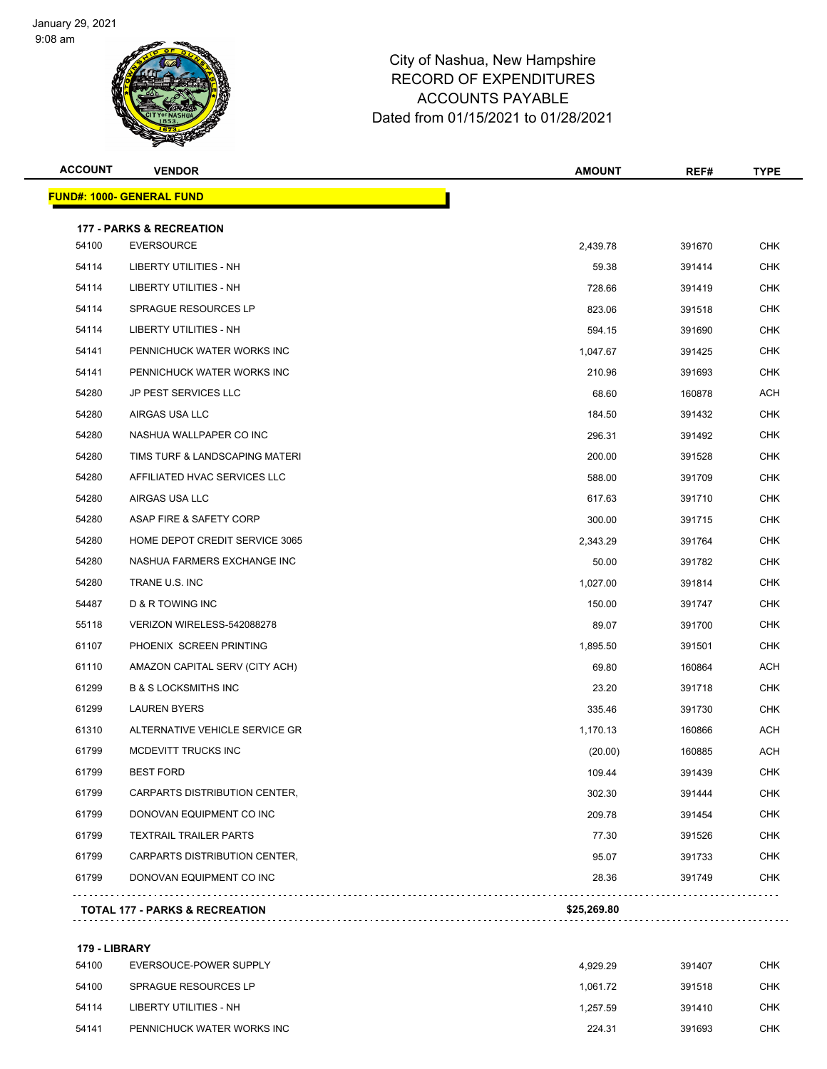

| <b>ACCOUNT</b> | <b>VENDOR</b>                             | <b>AMOUNT</b> | REF#   | <b>TYPE</b> |
|----------------|-------------------------------------------|---------------|--------|-------------|
|                | <b>FUND#: 1000- GENERAL FUND</b>          |               |        |             |
|                | <b>177 - PARKS &amp; RECREATION</b>       |               |        |             |
| 54100          | <b>EVERSOURCE</b>                         | 2,439.78      | 391670 | <b>CHK</b>  |
| 54114          | LIBERTY UTILITIES - NH                    | 59.38         | 391414 | CHK         |
| 54114          | <b>LIBERTY UTILITIES - NH</b>             | 728.66        | 391419 | <b>CHK</b>  |
| 54114          | SPRAGUE RESOURCES LP                      | 823.06        | 391518 | <b>CHK</b>  |
| 54114          | <b>LIBERTY UTILITIES - NH</b>             | 594.15        | 391690 | <b>CHK</b>  |
| 54141          | PENNICHUCK WATER WORKS INC                | 1,047.67      | 391425 | <b>CHK</b>  |
| 54141          | PENNICHUCK WATER WORKS INC                | 210.96        | 391693 | CHK         |
| 54280          | <b>JP PEST SERVICES LLC</b>               | 68.60         | 160878 | <b>ACH</b>  |
| 54280          | AIRGAS USA LLC                            | 184.50        | 391432 | <b>CHK</b>  |
| 54280          | NASHUA WALLPAPER CO INC                   | 296.31        | 391492 | <b>CHK</b>  |
| 54280          | TIMS TURF & LANDSCAPING MATERI            | 200.00        | 391528 | <b>CHK</b>  |
| 54280          | AFFILIATED HVAC SERVICES LLC              | 588.00        | 391709 | CHK         |
| 54280          | AIRGAS USA LLC                            | 617.63        | 391710 | <b>CHK</b>  |
| 54280          | ASAP FIRE & SAFETY CORP                   | 300.00        | 391715 | <b>CHK</b>  |
| 54280          | HOME DEPOT CREDIT SERVICE 3065            | 2,343.29      | 391764 | <b>CHK</b>  |
| 54280          | NASHUA FARMERS EXCHANGE INC               | 50.00         | 391782 | <b>CHK</b>  |
| 54280          | TRANE U.S. INC                            | 1,027.00      | 391814 | CHK         |
| 54487          | <b>D &amp; R TOWING INC</b>               | 150.00        | 391747 | <b>CHK</b>  |
| 55118          | VERIZON WIRELESS-542088278                | 89.07         | 391700 | <b>CHK</b>  |
| 61107          | PHOENIX SCREEN PRINTING                   | 1,895.50      | 391501 | <b>CHK</b>  |
| 61110          | AMAZON CAPITAL SERV (CITY ACH)            | 69.80         | 160864 | ACH         |
| 61299          | <b>B &amp; S LOCKSMITHS INC</b>           | 23.20         | 391718 | CHK         |
| 61299          | <b>LAUREN BYERS</b>                       | 335.46        | 391730 | <b>CHK</b>  |
| 61310          | ALTERNATIVE VEHICLE SERVICE GR            | 1,170.13      | 160866 | ACH         |
| 61799          | MCDEVITT TRUCKS INC                       | (20.00)       | 160885 | ACH         |
| 61799          | <b>BEST FORD</b>                          | 109.44        | 391439 | CHK         |
| 61799          | CARPARTS DISTRIBUTION CENTER,             | 302.30        | 391444 | <b>CHK</b>  |
| 61799          | DONOVAN EQUIPMENT CO INC                  | 209.78        | 391454 | <b>CHK</b>  |
| 61799          | <b>TEXTRAIL TRAILER PARTS</b>             | 77.30         | 391526 | <b>CHK</b>  |
| 61799          | CARPARTS DISTRIBUTION CENTER,             | 95.07         | 391733 | <b>CHK</b>  |
| 61799          | DONOVAN EQUIPMENT CO INC                  | 28.36         | 391749 | CHK         |
|                |                                           | \$25,269.80   |        |             |
|                | <b>TOTAL 177 - PARKS &amp; RECREATION</b> |               |        |             |
|                |                                           |               |        |             |

#### **179 - LIBRARY**

| 54100 | EVERSOUCE-POWER SUPPLY     | 4.929.29 | 391407 | <b>CHK</b> |
|-------|----------------------------|----------|--------|------------|
| 54100 | SPRAGUE RESOURCES LP       | 1.061.72 | 391518 | CHK        |
| 54114 | LIBERTY UTILITIES - NH     | 1.257.59 | 391410 | <b>CHK</b> |
| 54141 | PENNICHUCK WATER WORKS INC | 224.31   | 391693 | <b>CHK</b> |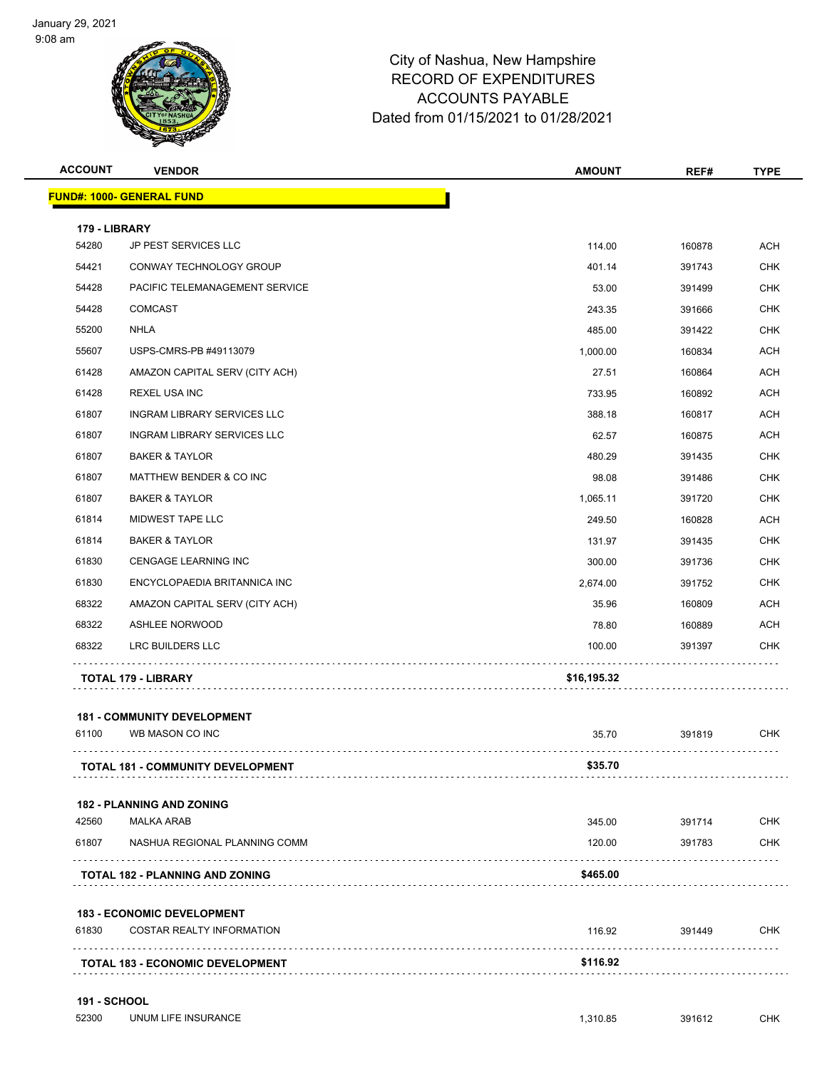

| <b>ACCOUNT</b> | <b>VENDOR</b>                           | <b>AMOUNT</b> | REF#   | <b>TYPE</b> |
|----------------|-----------------------------------------|---------------|--------|-------------|
|                | <b>FUND#: 1000- GENERAL FUND</b>        |               |        |             |
| 179 - LIBRARY  |                                         |               |        |             |
| 54280          | JP PEST SERVICES LLC                    | 114.00        | 160878 | <b>ACH</b>  |
| 54421          | CONWAY TECHNOLOGY GROUP                 | 401.14        | 391743 | <b>CHK</b>  |
| 54428          | PACIFIC TELEMANAGEMENT SERVICE          | 53.00         | 391499 | <b>CHK</b>  |
| 54428          | <b>COMCAST</b>                          | 243.35        | 391666 | <b>CHK</b>  |
| 55200          | NHLA                                    | 485.00        | 391422 | <b>CHK</b>  |
| 55607          | USPS-CMRS-PB #49113079                  | 1,000.00      | 160834 | <b>ACH</b>  |
| 61428          | AMAZON CAPITAL SERV (CITY ACH)          | 27.51         | 160864 | <b>ACH</b>  |
| 61428          | <b>REXEL USA INC</b>                    | 733.95        | 160892 | <b>ACH</b>  |
| 61807          | <b>INGRAM LIBRARY SERVICES LLC</b>      | 388.18        | 160817 | <b>ACH</b>  |
| 61807          | INGRAM LIBRARY SERVICES LLC             | 62.57         | 160875 | <b>ACH</b>  |
| 61807          | <b>BAKER &amp; TAYLOR</b>               | 480.29        | 391435 | <b>CHK</b>  |
| 61807          | MATTHEW BENDER & CO INC                 | 98.08         | 391486 | <b>CHK</b>  |
| 61807          | <b>BAKER &amp; TAYLOR</b>               | 1.065.11      | 391720 | <b>CHK</b>  |
| 61814          | MIDWEST TAPE LLC                        | 249.50        | 160828 | <b>ACH</b>  |
| 61814          | <b>BAKER &amp; TAYLOR</b>               | 131.97        | 391435 | <b>CHK</b>  |
| 61830          | CENGAGE LEARNING INC                    | 300.00        | 391736 | <b>CHK</b>  |
| 61830          | ENCYCLOPAEDIA BRITANNICA INC            | 2,674.00      | 391752 | <b>CHK</b>  |
| 68322          | AMAZON CAPITAL SERV (CITY ACH)          | 35.96         | 160809 | <b>ACH</b>  |
| 68322          | <b>ASHLEE NORWOOD</b>                   | 78.80         | 160889 | <b>ACH</b>  |
| 68322          | LRC BUILDERS LLC                        | 100.00        | 391397 | CHK         |
|                | TOTAL 179 - LIBRARY                     | \$16,195.32   |        |             |
|                | <b>181 - COMMUNITY DEVELOPMENT</b>      |               |        |             |
| 61100          | WB MASON CO INC                         | 35.70         | 391819 | <b>CHK</b>  |
|                | TOTAL 181 - COMMUNITY DEVELOPMENT       | \$35.70       | .      |             |
|                | <b>182 - PLANNING AND ZONING</b>        |               |        |             |
| 42560          | <b>MALKA ARAB</b>                       | 345.00        | 391714 | <b>CHK</b>  |
| 61807          | NASHUA REGIONAL PLANNING COMM           | 120.00        | 391783 | CHK         |
|                | <b>TOTAL 182 - PLANNING AND ZONING</b>  | \$465.00      |        |             |
|                | <b>183 - ECONOMIC DEVELOPMENT</b>       |               |        |             |
| 61830          | <b>COSTAR REALTY INFORMATION</b>        | 116.92        | 391449 | CHK         |
|                | <b>TOTAL 183 - ECONOMIC DEVELOPMENT</b> | \$116.92      |        |             |
|                |                                         |               |        |             |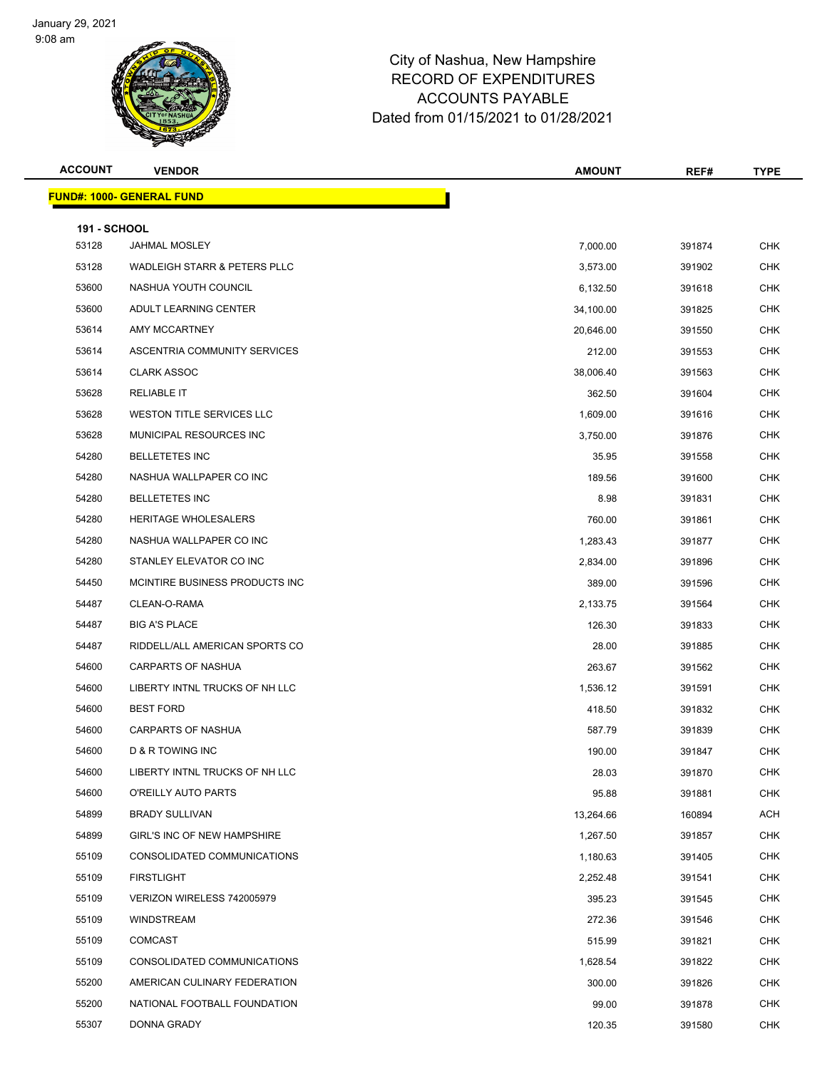

| <b>ACCOUNT</b>               | <b>VENDOR</b>                           | <b>AMOUNT</b> | REF#   | <b>TYPE</b> |
|------------------------------|-----------------------------------------|---------------|--------|-------------|
|                              | <b>FUND#: 1000- GENERAL FUND</b>        |               |        |             |
|                              |                                         |               |        |             |
| <b>191 - SCHOOL</b><br>53128 | <b>JAHMAL MOSLEY</b>                    | 7,000.00      | 391874 | <b>CHK</b>  |
| 53128                        | <b>WADLEIGH STARR &amp; PETERS PLLC</b> | 3,573.00      | 391902 | <b>CHK</b>  |
| 53600                        | NASHUA YOUTH COUNCIL                    | 6,132.50      | 391618 | <b>CHK</b>  |
| 53600                        | ADULT LEARNING CENTER                   | 34,100.00     | 391825 | <b>CHK</b>  |
| 53614                        | AMY MCCARTNEY                           | 20,646.00     | 391550 | <b>CHK</b>  |
| 53614                        | ASCENTRIA COMMUNITY SERVICES            | 212.00        | 391553 | <b>CHK</b>  |
| 53614                        | <b>CLARK ASSOC</b>                      | 38,006.40     | 391563 | <b>CHK</b>  |
| 53628                        | <b>RELIABLE IT</b>                      | 362.50        | 391604 | <b>CHK</b>  |
| 53628                        | WESTON TITLE SERVICES LLC               | 1,609.00      | 391616 | <b>CHK</b>  |
| 53628                        | MUNICIPAL RESOURCES INC                 | 3,750.00      | 391876 | <b>CHK</b>  |
| 54280                        | <b>BELLETETES INC</b>                   | 35.95         | 391558 | <b>CHK</b>  |
| 54280                        | NASHUA WALLPAPER CO INC                 | 189.56        | 391600 | <b>CHK</b>  |
| 54280                        | <b>BELLETETES INC</b>                   | 8.98          | 391831 | <b>CHK</b>  |
| 54280                        | HERITAGE WHOLESALERS                    | 760.00        | 391861 | <b>CHK</b>  |
| 54280                        | NASHUA WALLPAPER CO INC                 | 1,283.43      | 391877 | <b>CHK</b>  |
| 54280                        | STANLEY ELEVATOR CO INC                 | 2,834.00      | 391896 | CHK         |
| 54450                        | MCINTIRE BUSINESS PRODUCTS INC.         | 389.00        | 391596 | <b>CHK</b>  |
| 54487                        | CLEAN-O-RAMA                            | 2,133.75      | 391564 | <b>CHK</b>  |
| 54487                        | <b>BIG A'S PLACE</b>                    | 126.30        | 391833 | <b>CHK</b>  |
| 54487                        | RIDDELL/ALL AMERICAN SPORTS CO          | 28.00         | 391885 | <b>CHK</b>  |
| 54600                        | <b>CARPARTS OF NASHUA</b>               | 263.67        | 391562 | <b>CHK</b>  |
| 54600                        | LIBERTY INTNL TRUCKS OF NH LLC          | 1,536.12      | 391591 | <b>CHK</b>  |
| 54600                        | <b>BEST FORD</b>                        | 418.50        | 391832 | CHK         |
| 54600                        | <b>CARPARTS OF NASHUA</b>               | 587.79        | 391839 | <b>CHK</b>  |
| 54600                        | D & R TOWING INC                        | 190.00        | 391847 | <b>CHK</b>  |
| 54600                        | LIBERTY INTNL TRUCKS OF NH LLC          | 28.03         | 391870 | <b>CHK</b>  |
| 54600                        | O'REILLY AUTO PARTS                     | 95.88         | 391881 | <b>CHK</b>  |
| 54899                        | <b>BRADY SULLIVAN</b>                   | 13,264.66     | 160894 | ACH         |
| 54899                        | GIRL'S INC OF NEW HAMPSHIRE             | 1,267.50      | 391857 | <b>CHK</b>  |
| 55109                        | CONSOLIDATED COMMUNICATIONS             | 1,180.63      | 391405 | <b>CHK</b>  |
| 55109                        | <b>FIRSTLIGHT</b>                       | 2,252.48      | 391541 | CHK         |
| 55109                        | VERIZON WIRELESS 742005979              | 395.23        | 391545 | CHK         |
| 55109                        | <b>WINDSTREAM</b>                       | 272.36        | 391546 | CHK         |
| 55109                        | <b>COMCAST</b>                          | 515.99        | 391821 | <b>CHK</b>  |
| 55109                        | CONSOLIDATED COMMUNICATIONS             | 1,628.54      | 391822 | <b>CHK</b>  |
| 55200                        | AMERICAN CULINARY FEDERATION            | 300.00        | 391826 | CHK         |
| 55200                        | NATIONAL FOOTBALL FOUNDATION            | 99.00         | 391878 | <b>CHK</b>  |
| 55307                        | DONNA GRADY                             | 120.35        | 391580 | <b>CHK</b>  |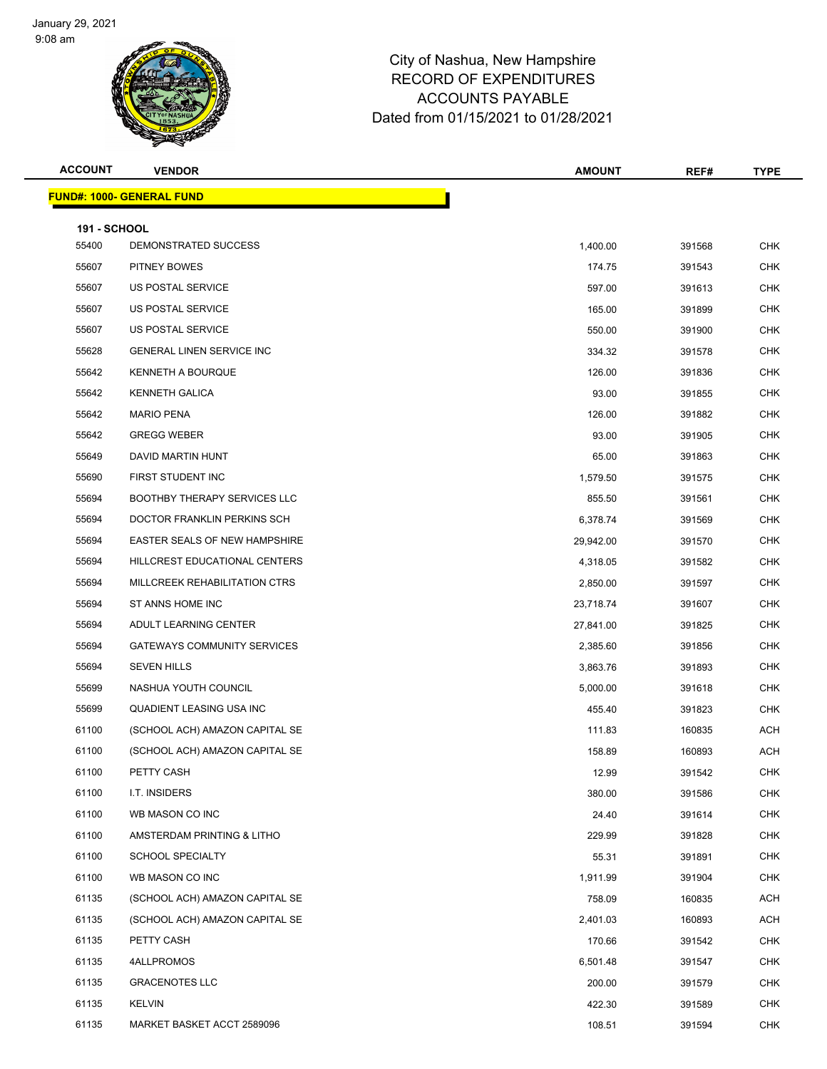

| <b>ACCOUNT</b>      | <b>VENDOR</b>                       | <b>AMOUNT</b> | REF#   | <b>TYPE</b> |
|---------------------|-------------------------------------|---------------|--------|-------------|
|                     | <b>FUND#: 1000- GENERAL FUND</b>    |               |        |             |
| <b>191 - SCHOOL</b> |                                     |               |        |             |
| 55400               | DEMONSTRATED SUCCESS                | 1,400.00      | 391568 | <b>CHK</b>  |
| 55607               | PITNEY BOWES                        | 174.75        | 391543 | <b>CHK</b>  |
| 55607               | US POSTAL SERVICE                   | 597.00        | 391613 | <b>CHK</b>  |
| 55607               | US POSTAL SERVICE                   | 165.00        | 391899 | <b>CHK</b>  |
| 55607               | US POSTAL SERVICE                   | 550.00        | 391900 | <b>CHK</b>  |
| 55628               | <b>GENERAL LINEN SERVICE INC</b>    | 334.32        | 391578 | <b>CHK</b>  |
| 55642               | KENNETH A BOURQUE                   | 126.00        | 391836 | <b>CHK</b>  |
| 55642               | <b>KENNETH GALICA</b>               | 93.00         | 391855 | <b>CHK</b>  |
| 55642               | <b>MARIO PENA</b>                   | 126.00        | 391882 | <b>CHK</b>  |
| 55642               | <b>GREGG WEBER</b>                  | 93.00         | 391905 | <b>CHK</b>  |
| 55649               | DAVID MARTIN HUNT                   | 65.00         | 391863 | <b>CHK</b>  |
| 55690               | FIRST STUDENT INC                   | 1,579.50      | 391575 | <b>CHK</b>  |
| 55694               | <b>BOOTHBY THERAPY SERVICES LLC</b> | 855.50        | 391561 | <b>CHK</b>  |
| 55694               | DOCTOR FRANKLIN PERKINS SCH         | 6,378.74      | 391569 | <b>CHK</b>  |
| 55694               | EASTER SEALS OF NEW HAMPSHIRE       | 29,942.00     | 391570 | <b>CHK</b>  |
| 55694               | HILLCREST EDUCATIONAL CENTERS       | 4,318.05      | 391582 | <b>CHK</b>  |
| 55694               | MILLCREEK REHABILITATION CTRS       | 2,850.00      | 391597 | <b>CHK</b>  |
| 55694               | ST ANNS HOME INC                    | 23,718.74     | 391607 | <b>CHK</b>  |
| 55694               | ADULT LEARNING CENTER               | 27,841.00     | 391825 | <b>CHK</b>  |
| 55694               | <b>GATEWAYS COMMUNITY SERVICES</b>  | 2,385.60      | 391856 | <b>CHK</b>  |
| 55694               | <b>SEVEN HILLS</b>                  | 3,863.76      | 391893 | <b>CHK</b>  |
| 55699               | NASHUA YOUTH COUNCIL                | 5,000.00      | 391618 | <b>CHK</b>  |
| 55699               | QUADIENT LEASING USA INC            | 455.40        | 391823 | <b>CHK</b>  |
| 61100               | (SCHOOL ACH) AMAZON CAPITAL SE      | 111.83        | 160835 | <b>ACH</b>  |
| 61100               | (SCHOOL ACH) AMAZON CAPITAL SE      | 158.89        | 160893 | ACH         |
| 61100               | PETTY CASH                          | 12.99         | 391542 | <b>CHK</b>  |
| 61100               | I.T. INSIDERS                       | 380.00        | 391586 | CHK         |
| 61100               | WB MASON CO INC                     | 24.40         | 391614 | <b>CHK</b>  |
| 61100               | AMSTERDAM PRINTING & LITHO          | 229.99        | 391828 | <b>CHK</b>  |
| 61100               | <b>SCHOOL SPECIALTY</b>             | 55.31         | 391891 | <b>CHK</b>  |
| 61100               | WB MASON CO INC                     | 1,911.99      | 391904 | <b>CHK</b>  |
| 61135               | (SCHOOL ACH) AMAZON CAPITAL SE      | 758.09        | 160835 | ACH         |
| 61135               | (SCHOOL ACH) AMAZON CAPITAL SE      | 2,401.03      | 160893 | <b>ACH</b>  |
| 61135               | PETTY CASH                          | 170.66        | 391542 | <b>CHK</b>  |
| 61135               | 4ALLPROMOS                          | 6,501.48      | 391547 | <b>CHK</b>  |
| 61135               | <b>GRACENOTES LLC</b>               | 200.00        | 391579 | <b>CHK</b>  |
| 61135               | <b>KELVIN</b>                       | 422.30        | 391589 | <b>CHK</b>  |
| 61135               | MARKET BASKET ACCT 2589096          | 108.51        | 391594 | <b>CHK</b>  |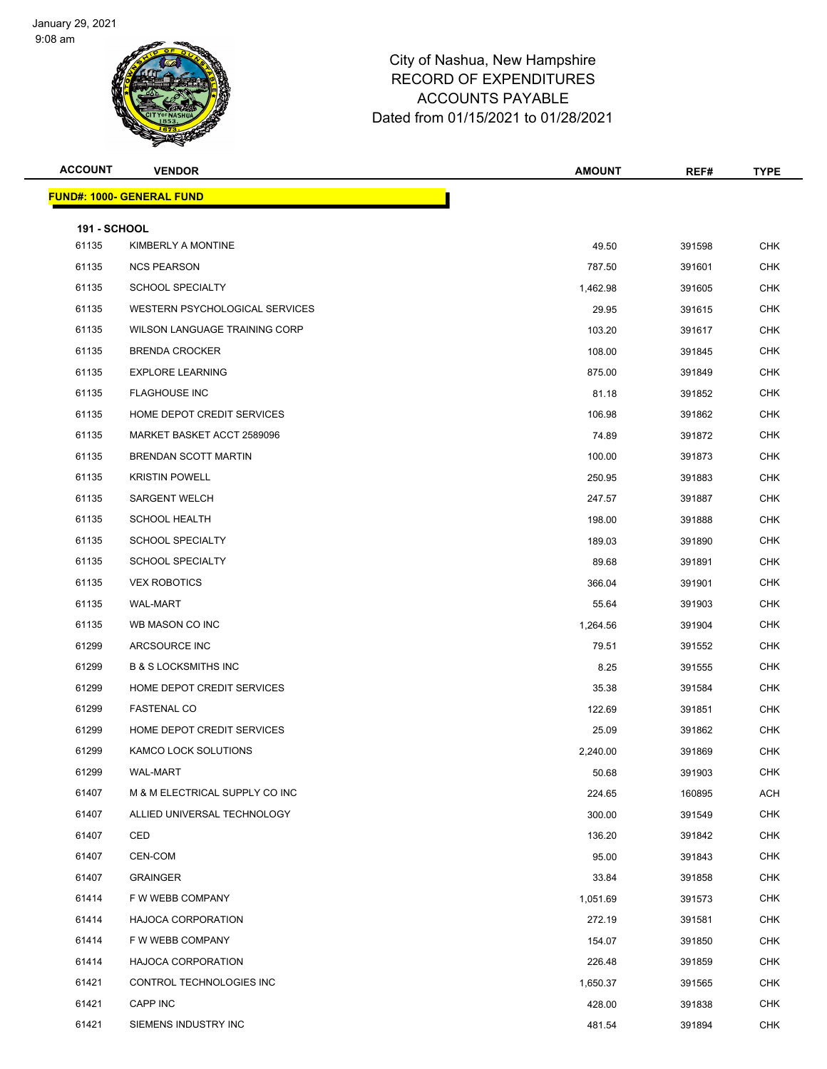

| <b>ACCOUNT</b>               | <b>VENDOR</b>                    | <b>AMOUNT</b> | REF#   | <b>TYPE</b> |
|------------------------------|----------------------------------|---------------|--------|-------------|
|                              | <b>FUND#: 1000- GENERAL FUND</b> |               |        |             |
|                              |                                  |               |        |             |
| <b>191 - SCHOOL</b><br>61135 | KIMBERLY A MONTINE               | 49.50         | 391598 | <b>CHK</b>  |
| 61135                        | <b>NCS PEARSON</b>               | 787.50        | 391601 | <b>CHK</b>  |
| 61135                        | <b>SCHOOL SPECIALTY</b>          | 1,462.98      | 391605 | <b>CHK</b>  |
| 61135                        | WESTERN PSYCHOLOGICAL SERVICES   | 29.95         | 391615 | <b>CHK</b>  |
| 61135                        | WILSON LANGUAGE TRAINING CORP    | 103.20        | 391617 | <b>CHK</b>  |
| 61135                        | <b>BRENDA CROCKER</b>            | 108.00        | 391845 | <b>CHK</b>  |
| 61135                        | <b>EXPLORE LEARNING</b>          | 875.00        | 391849 | <b>CHK</b>  |
| 61135                        | <b>FLAGHOUSE INC</b>             | 81.18         | 391852 | <b>CHK</b>  |
| 61135                        | HOME DEPOT CREDIT SERVICES       | 106.98        | 391862 | <b>CHK</b>  |
| 61135                        | MARKET BASKET ACCT 2589096       | 74.89         | 391872 | CHK         |
| 61135                        | <b>BRENDAN SCOTT MARTIN</b>      | 100.00        | 391873 | <b>CHK</b>  |
| 61135                        | <b>KRISTIN POWELL</b>            | 250.95        | 391883 | <b>CHK</b>  |
| 61135                        | <b>SARGENT WELCH</b>             | 247.57        | 391887 | <b>CHK</b>  |
| 61135                        | <b>SCHOOL HEALTH</b>             | 198.00        | 391888 | <b>CHK</b>  |
| 61135                        | <b>SCHOOL SPECIALTY</b>          | 189.03        | 391890 | <b>CHK</b>  |
| 61135                        | <b>SCHOOL SPECIALTY</b>          | 89.68         | 391891 | <b>CHK</b>  |
| 61135                        | <b>VEX ROBOTICS</b>              | 366.04        | 391901 | <b>CHK</b>  |
| 61135                        | <b>WAL-MART</b>                  | 55.64         | 391903 | <b>CHK</b>  |
| 61135                        | WB MASON CO INC                  | 1,264.56      | 391904 | <b>CHK</b>  |
| 61299                        | ARCSOURCE INC                    | 79.51         | 391552 | CHK         |
| 61299                        | <b>B &amp; S LOCKSMITHS INC</b>  | 8.25          | 391555 | <b>CHK</b>  |
| 61299                        | HOME DEPOT CREDIT SERVICES       | 35.38         | 391584 | <b>CHK</b>  |
| 61299                        | <b>FASTENAL CO</b>               | 122.69        | 391851 | <b>CHK</b>  |
| 61299                        | HOME DEPOT CREDIT SERVICES       | 25.09         | 391862 | <b>CHK</b>  |
| 61299                        | KAMCO LOCK SOLUTIONS             | 2,240.00      | 391869 | <b>CHK</b>  |
| 61299                        | <b>WAL-MART</b>                  | 50.68         | 391903 | <b>CHK</b>  |
| 61407                        | M & M ELECTRICAL SUPPLY CO INC   | 224.65        | 160895 | ACH         |
| 61407                        | ALLIED UNIVERSAL TECHNOLOGY      | 300.00        | 391549 | <b>CHK</b>  |
| 61407                        | CED                              | 136.20        | 391842 | <b>CHK</b>  |
| 61407                        | CEN-COM                          | 95.00         | 391843 | <b>CHK</b>  |
| 61407                        | <b>GRAINGER</b>                  | 33.84         | 391858 | <b>CHK</b>  |
| 61414                        | F W WEBB COMPANY                 | 1,051.69      | 391573 | <b>CHK</b>  |
| 61414                        | <b>HAJOCA CORPORATION</b>        | 272.19        | 391581 | <b>CHK</b>  |
| 61414                        | F W WEBB COMPANY                 | 154.07        | 391850 | <b>CHK</b>  |
| 61414                        | <b>HAJOCA CORPORATION</b>        | 226.48        | 391859 | CHK         |
| 61421                        | CONTROL TECHNOLOGIES INC         | 1,650.37      | 391565 | <b>CHK</b>  |
| 61421                        | CAPP INC                         | 428.00        | 391838 | <b>CHK</b>  |
| 61421                        | SIEMENS INDUSTRY INC             | 481.54        | 391894 | CHK         |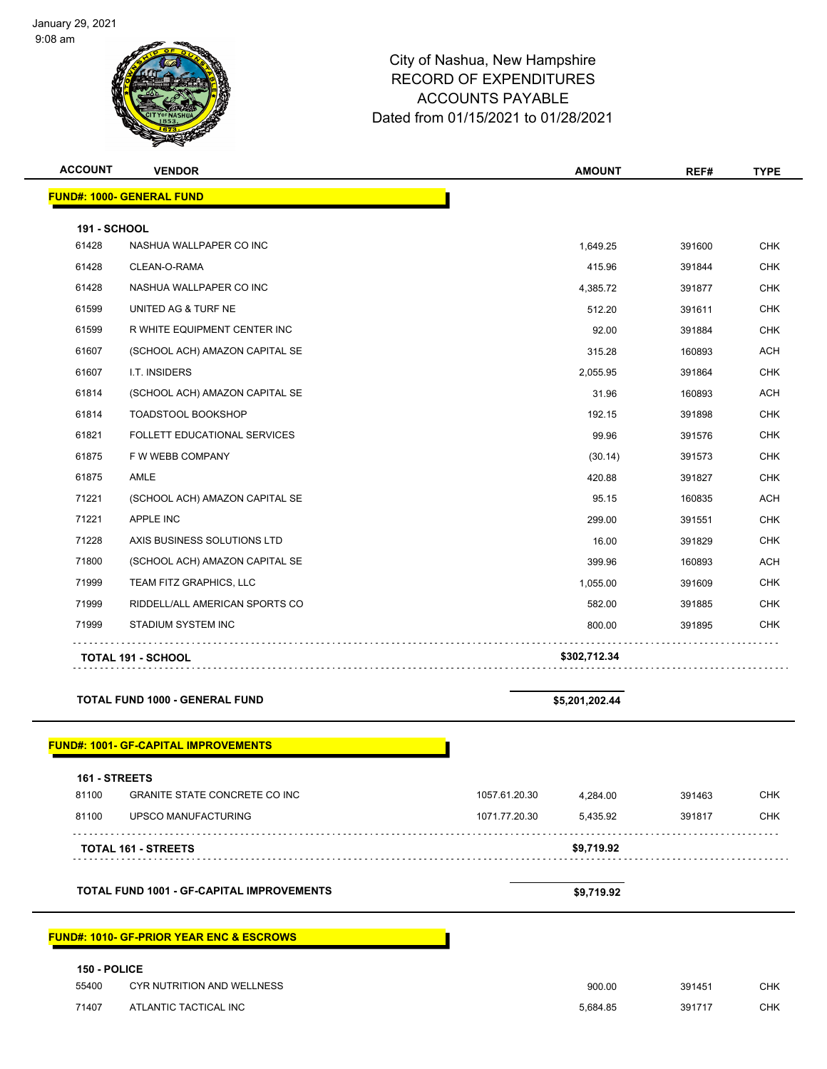

| <b>ACCOUNT</b>        | <b>VENDOR</b>                                       | <b>AMOUNT</b>             | REF#   | <b>TYPE</b> |
|-----------------------|-----------------------------------------------------|---------------------------|--------|-------------|
|                       | <b>FUND#: 1000- GENERAL FUND</b>                    |                           |        |             |
|                       |                                                     |                           |        |             |
| 191 - SCHOOL<br>61428 | NASHUA WALLPAPER CO INC                             | 1,649.25                  | 391600 | <b>CHK</b>  |
| 61428                 | CLEAN-O-RAMA                                        | 415.96                    | 391844 | <b>CHK</b>  |
| 61428                 | NASHUA WALLPAPER CO INC                             | 4,385.72                  | 391877 | <b>CHK</b>  |
| 61599                 | UNITED AG & TURF NE                                 | 512.20                    | 391611 | <b>CHK</b>  |
| 61599                 | R WHITE EQUIPMENT CENTER INC                        | 92.00                     | 391884 | <b>CHK</b>  |
| 61607                 |                                                     | 315.28                    | 160893 | <b>ACH</b>  |
| 61607                 | (SCHOOL ACH) AMAZON CAPITAL SE<br>I.T. INSIDERS     |                           |        | <b>CHK</b>  |
|                       |                                                     | 2,055.95                  | 391864 |             |
| 61814                 | (SCHOOL ACH) AMAZON CAPITAL SE                      | 31.96                     | 160893 | <b>ACH</b>  |
| 61814                 | <b>TOADSTOOL BOOKSHOP</b>                           | 192.15                    | 391898 | <b>CHK</b>  |
| 61821                 | FOLLETT EDUCATIONAL SERVICES                        | 99.96                     | 391576 | <b>CHK</b>  |
| 61875                 | F W WEBB COMPANY                                    | (30.14)                   | 391573 | <b>CHK</b>  |
| 61875                 | AMLE                                                | 420.88                    | 391827 | <b>CHK</b>  |
| 71221                 | (SCHOOL ACH) AMAZON CAPITAL SE                      | 95.15                     | 160835 | <b>ACH</b>  |
| 71221                 | <b>APPLE INC</b>                                    | 299.00                    | 391551 | <b>CHK</b>  |
| 71228                 | AXIS BUSINESS SOLUTIONS LTD                         | 16.00                     | 391829 | <b>CHK</b>  |
| 71800                 | (SCHOOL ACH) AMAZON CAPITAL SE                      | 399.96                    | 160893 | <b>ACH</b>  |
| 71999                 | TEAM FITZ GRAPHICS, LLC                             | 1,055.00                  | 391609 | <b>CHK</b>  |
| 71999                 | RIDDELL/ALL AMERICAN SPORTS CO                      | 582.00                    | 391885 | <b>CHK</b>  |
| 71999                 | STADIUM SYSTEM INC                                  | 800.00                    | 391895 | <b>CHK</b>  |
|                       | <b>TOTAL 191 - SCHOOL</b>                           | \$302,712.34              |        |             |
|                       |                                                     |                           |        |             |
|                       | <b>TOTAL FUND 1000 - GENERAL FUND</b>               | \$5,201,202.44            |        |             |
|                       | <b>FUND#: 1001- GF-CAPITAL IMPROVEMENTS</b>         |                           |        |             |
|                       |                                                     |                           |        |             |
| 161 - STREETS         |                                                     |                           |        |             |
| 81100                 | <b>GRANITE STATE CONCRETE CO INC</b>                | 1057.61.20.30<br>4,284.00 | 391463 | <b>CHK</b>  |
| 81100                 | UPSCO MANUFACTURING                                 | 1071.77.20.30<br>5,435.92 | 391817 | <b>CHK</b>  |
|                       | TOTAL 161 - STREETS                                 | \$9,719.92                |        |             |
|                       | <b>TOTAL FUND 1001 - GF-CAPITAL IMPROVEMENTS</b>    | \$9,719.92                |        |             |
|                       |                                                     |                           |        |             |
|                       | <b>FUND#: 1010- GF-PRIOR YEAR ENC &amp; ESCROWS</b> |                           |        |             |
| 150 - POLICE          |                                                     |                           |        |             |
| 55400                 | <b>CYR NUTRITION AND WELLNESS</b>                   | 900.00                    | 391451 | <b>CHK</b>  |
| 71407                 | ATLANTIC TACTICAL INC                               | 5,684.85                  | 391717 | <b>CHK</b>  |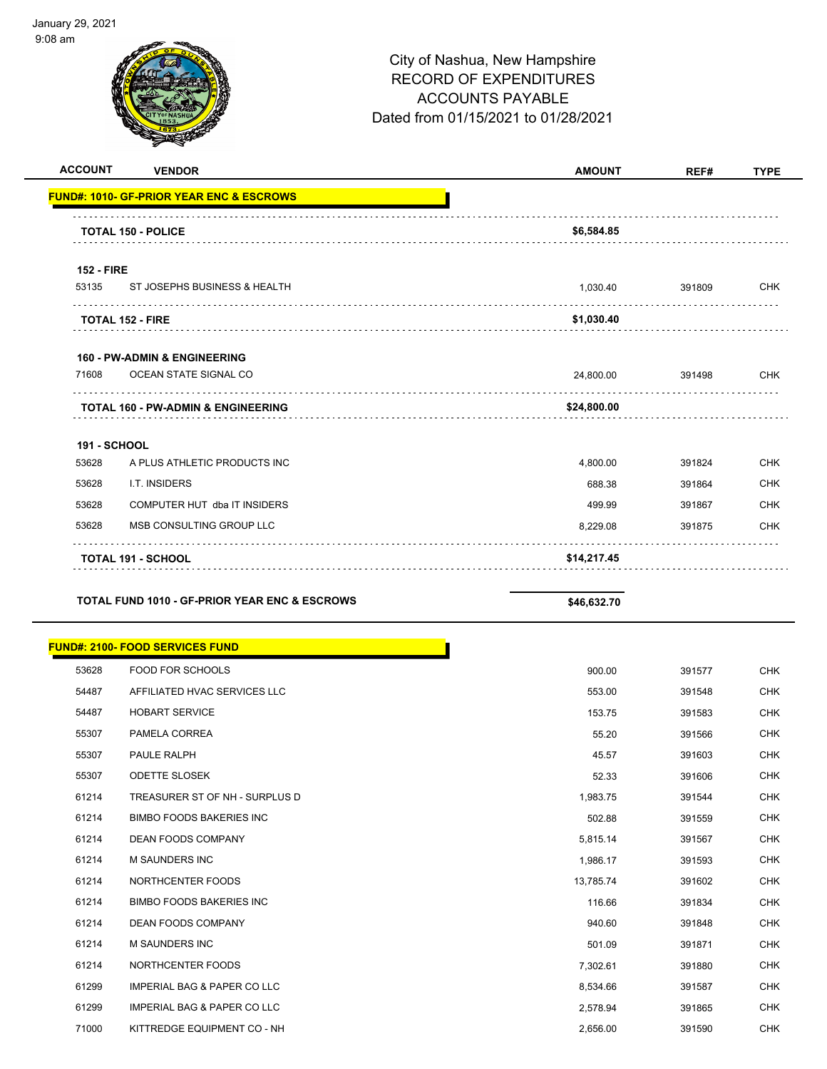

| <b>VENDOR</b>                | <b>AMOUNT</b>                                                                                                                                                                                                                                       | REF#   | <b>TYPE</b> |
|------------------------------|-----------------------------------------------------------------------------------------------------------------------------------------------------------------------------------------------------------------------------------------------------|--------|-------------|
|                              |                                                                                                                                                                                                                                                     |        |             |
|                              | \$6,584.85                                                                                                                                                                                                                                          |        |             |
|                              |                                                                                                                                                                                                                                                     |        |             |
| ST JOSEPHS BUSINESS & HEALTH | 1,030.40                                                                                                                                                                                                                                            | 391809 | <b>CHK</b>  |
|                              | \$1,030.40                                                                                                                                                                                                                                          |        |             |
|                              |                                                                                                                                                                                                                                                     |        |             |
| OCEAN STATE SIGNAL CO        | 24,800.00                                                                                                                                                                                                                                           | 391498 | <b>CHK</b>  |
|                              | \$24,800.00                                                                                                                                                                                                                                         |        |             |
|                              |                                                                                                                                                                                                                                                     |        |             |
| A PLUS ATHLETIC PRODUCTS INC | 4,800.00                                                                                                                                                                                                                                            | 391824 | <b>CHK</b>  |
| I.T. INSIDERS                | 688.38                                                                                                                                                                                                                                              | 391864 | <b>CHK</b>  |
| COMPUTER HUT dba IT INSIDERS | 499.99                                                                                                                                                                                                                                              | 391867 | <b>CHK</b>  |
| MSB CONSULTING GROUP LLC     | 8,229.08                                                                                                                                                                                                                                            | 391875 | <b>CHK</b>  |
| TOTAL 191 - SCHOOL           | \$14,217.45                                                                                                                                                                                                                                         |        |             |
|                              | <b>FUND#: 1010- GF-PRIOR YEAR ENC &amp; ESCROWS</b><br><b>TOTAL 150 - POLICE</b><br><b>152 - FIRE</b><br><b>TOTAL 152 - FIRE</b><br><b>160 - PW-ADMIN &amp; ENGINEERING</b><br><b>TOTAL 160 - PW-ADMIN &amp; ENGINEERING</b><br><b>191 - SCHOOL</b> |        |             |

**TOTAL FUND 1010 - GF-PRIOR YEAR ENC & ESCROWS** \$46,632.70

|       | <b>FUND#: 2100- FOOD SERVICES FUND</b> |           |        |
|-------|----------------------------------------|-----------|--------|
| 53628 | <b>FOOD FOR SCHOOLS</b>                | 900.00    | 391577 |
| 54487 | AFFILIATED HVAC SERVICES LLC           | 553.00    | 391548 |
| 54487 | <b>HOBART SERVICE</b>                  | 153.75    | 391583 |
| 55307 | PAMELA CORREA                          | 55.20     | 391566 |
| 55307 | PAULE RALPH                            | 45.57     | 391603 |
| 55307 | <b>ODETTE SLOSEK</b>                   | 52.33     | 391606 |
| 61214 | TREASURER ST OF NH - SURPLUS D         | 1,983.75  | 391544 |
| 61214 | <b>BIMBO FOODS BAKERIES INC</b>        | 502.88    | 391559 |
| 61214 | <b>DEAN FOODS COMPANY</b>              | 5,815.14  | 391567 |
| 61214 | M SAUNDERS INC                         | 1,986.17  | 391593 |
| 61214 | NORTHCENTER FOODS                      | 13,785.74 | 391602 |
| 61214 | <b>BIMBO FOODS BAKERIES INC</b>        | 116.66    | 391834 |
| 61214 | <b>DEAN FOODS COMPANY</b>              | 940.60    | 391848 |
| 61214 | M SAUNDERS INC                         | 501.09    | 391871 |
| 61214 | NORTHCENTER FOODS                      | 7,302.61  | 391880 |
| 61299 | <b>IMPERIAL BAG &amp; PAPER CO LLC</b> | 8,534.66  | 391587 |
| 61299 | <b>IMPERIAL BAG &amp; PAPER CO LLC</b> | 2,578.94  | 391865 |
| 71000 | KITTREDGE EQUIPMENT CO - NH            | 2,656.00  | 391590 |
|       |                                        |           |        |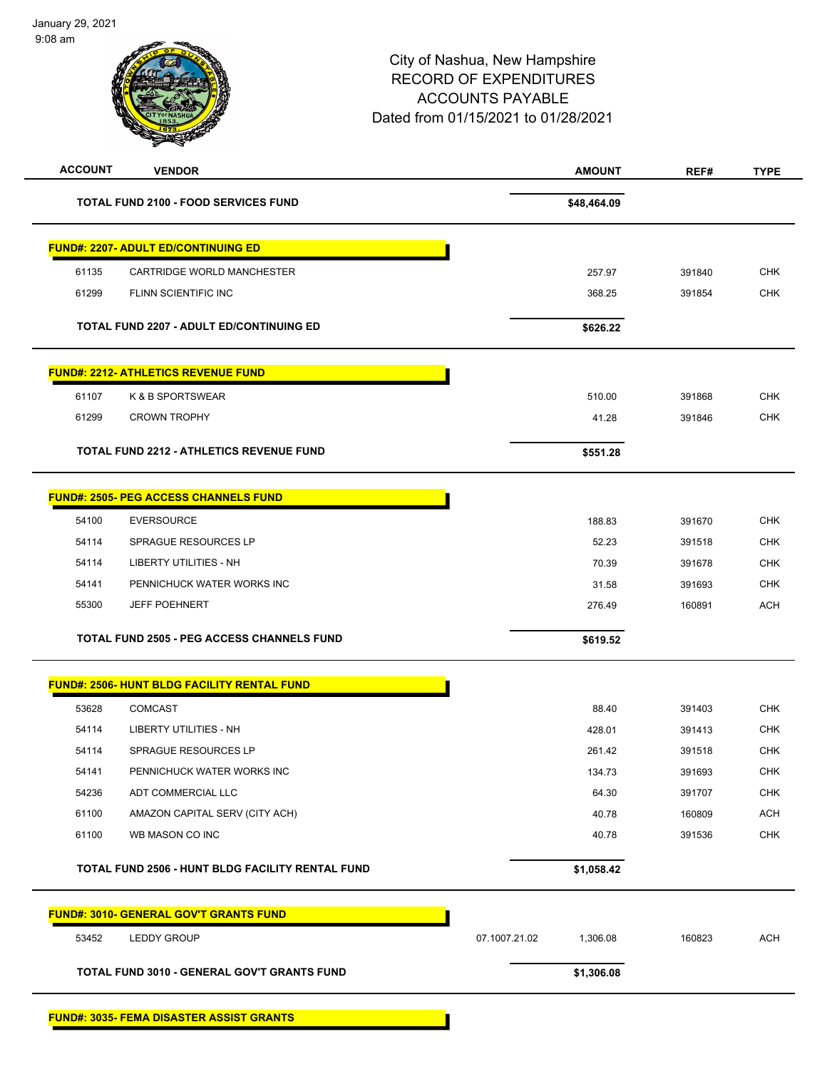| <b>ACCOUNT</b> | <b>VENDOR</b>                                      | <b>AMOUNT</b>             | REF#   | <b>TYPE</b> |
|----------------|----------------------------------------------------|---------------------------|--------|-------------|
|                | <b>TOTAL FUND 2100 - FOOD SERVICES FUND</b>        | \$48,464.09               |        |             |
|                | <b>FUND#: 2207- ADULT ED/CONTINUING ED</b>         |                           |        |             |
| 61135          | CARTRIDGE WORLD MANCHESTER                         | 257.97                    | 391840 | <b>CHK</b>  |
| 61299          | FLINN SCIENTIFIC INC                               | 368.25                    | 391854 | <b>CHK</b>  |
|                | <b>TOTAL FUND 2207 - ADULT ED/CONTINUING ED</b>    | \$626.22                  |        |             |
|                | <b>FUND#: 2212- ATHLETICS REVENUE FUND</b>         |                           |        |             |
| 61107          | K & B SPORTSWEAR                                   | 510.00                    | 391868 | <b>CHK</b>  |
| 61299          | <b>CROWN TROPHY</b>                                | 41.28                     | 391846 | <b>CHK</b>  |
|                | <b>TOTAL FUND 2212 - ATHLETICS REVENUE FUND</b>    | \$551.28                  |        |             |
|                | <b>FUND#: 2505- PEG ACCESS CHANNELS FUND</b>       |                           |        |             |
| 54100          | <b>EVERSOURCE</b>                                  | 188.83                    | 391670 | <b>CHK</b>  |
| 54114          | SPRAGUE RESOURCES LP                               | 52.23                     | 391518 | <b>CHK</b>  |
| 54114          | <b>LIBERTY UTILITIES - NH</b>                      | 70.39                     | 391678 | <b>CHK</b>  |
| 54141          | PENNICHUCK WATER WORKS INC                         | 31.58                     | 391693 | <b>CHK</b>  |
| 55300          | <b>JEFF POEHNERT</b>                               | 276.49                    | 160891 | <b>ACH</b>  |
|                | <b>TOTAL FUND 2505 - PEG ACCESS CHANNELS FUND</b>  | \$619.52                  |        |             |
|                | <b>FUND#: 2506- HUNT BLDG FACILITY RENTAL FUND</b> |                           |        |             |
| 53628          | <b>COMCAST</b>                                     | 88.40                     | 391403 | <b>CHK</b>  |
| 54114          | <b>LIBERTY UTILITIES - NH</b>                      | 428.01                    | 391413 | CHK         |
| 54114          | SPRAGUE RESOURCES LP                               | 261.42                    | 391518 | <b>CHK</b>  |
| 54141          | PENNICHUCK WATER WORKS INC                         | 134.73                    | 391693 | CHK         |
| 54236          | ADT COMMERCIAL LLC                                 | 64.30                     | 391707 | <b>CHK</b>  |
| 61100          | AMAZON CAPITAL SERV (CITY ACH)                     | 40.78                     | 160809 | <b>ACH</b>  |
| 61100          | WB MASON CO INC                                    | 40.78                     | 391536 | <b>CHK</b>  |
|                | TOTAL FUND 2506 - HUNT BLDG FACILITY RENTAL FUND   | \$1,058.42                |        |             |
|                | <b>FUND#: 3010- GENERAL GOV'T GRANTS FUND</b>      |                           |        |             |
| 53452          | <b>LEDDY GROUP</b>                                 | 07.1007.21.02<br>1,306.08 | 160823 | <b>ACH</b>  |
|                | TOTAL FUND 3010 - GENERAL GOV'T GRANTS FUND        | \$1,306.08                |        |             |
|                | <b>FUND#: 3035- FEMA DISASTER ASSIST GRANTS</b>    |                           |        |             |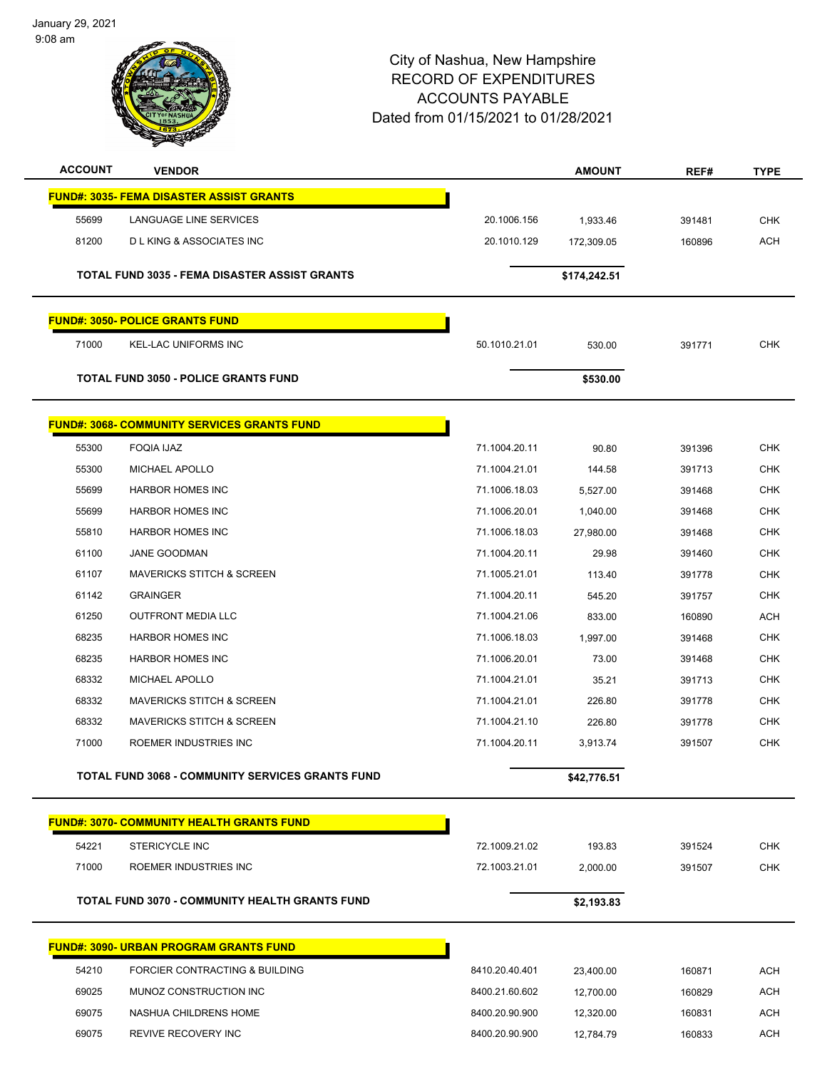January 29, 2021 9:08 am



| <b>ACCOUNT</b> | <b>VENDOR</b>                                           |                | <b>AMOUNT</b> | REF#   | <b>TYPE</b> |
|----------------|---------------------------------------------------------|----------------|---------------|--------|-------------|
|                | <b>FUND#: 3035- FEMA DISASTER ASSIST GRANTS</b>         |                |               |        |             |
| 55699          | LANGUAGE LINE SERVICES                                  | 20.1006.156    | 1,933.46      | 391481 | <b>CHK</b>  |
| 81200          | <b>DLKING &amp; ASSOCIATES INC</b>                      | 20.1010.129    | 172,309.05    | 160896 | <b>ACH</b>  |
|                |                                                         |                |               |        |             |
|                | TOTAL FUND 3035 - FEMA DISASTER ASSIST GRANTS           |                | \$174,242.51  |        |             |
|                | <b>FUND#: 3050- POLICE GRANTS FUND</b>                  |                |               |        |             |
| 71000          | <b>KEL-LAC UNIFORMS INC</b>                             | 50.1010.21.01  | 530.00        | 391771 | <b>CHK</b>  |
|                | <b>TOTAL FUND 3050 - POLICE GRANTS FUND</b>             |                | \$530.00      |        |             |
|                | <u> FUND#: 3068- COMMUNITY SERVICES GRANTS FUND</u>     |                |               |        |             |
| 55300          | <b>FOQIA IJAZ</b>                                       | 71.1004.20.11  | 90.80         | 391396 | <b>CHK</b>  |
| 55300          | <b>MICHAEL APOLLO</b>                                   | 71.1004.21.01  | 144.58        | 391713 | <b>CHK</b>  |
| 55699          | <b>HARBOR HOMES INC</b>                                 | 71.1006.18.03  | 5,527.00      | 391468 | <b>CHK</b>  |
| 55699          | <b>HARBOR HOMES INC</b>                                 | 71.1006.20.01  | 1,040.00      | 391468 | <b>CHK</b>  |
| 55810          | <b>HARBOR HOMES INC</b>                                 | 71.1006.18.03  | 27,980.00     | 391468 | <b>CHK</b>  |
| 61100          | <b>JANE GOODMAN</b>                                     | 71.1004.20.11  | 29.98         | 391460 | <b>CHK</b>  |
| 61107          | <b>MAVERICKS STITCH &amp; SCREEN</b>                    | 71.1005.21.01  | 113.40        | 391778 | <b>CHK</b>  |
| 61142          | <b>GRAINGER</b>                                         | 71.1004.20.11  | 545.20        | 391757 | <b>CHK</b>  |
| 61250          | <b>OUTFRONT MEDIA LLC</b>                               | 71.1004.21.06  | 833.00        | 160890 | <b>ACH</b>  |
| 68235          | <b>HARBOR HOMES INC</b>                                 | 71.1006.18.03  | 1,997.00      | 391468 | CHK         |
| 68235          | <b>HARBOR HOMES INC</b>                                 | 71.1006.20.01  | 73.00         | 391468 | <b>CHK</b>  |
| 68332          | <b>MICHAEL APOLLO</b>                                   | 71.1004.21.01  | 35.21         | 391713 | <b>CHK</b>  |
| 68332          | <b>MAVERICKS STITCH &amp; SCREEN</b>                    | 71.1004.21.01  | 226.80        | 391778 | <b>CHK</b>  |
| 68332          | <b>MAVERICKS STITCH &amp; SCREEN</b>                    | 71.1004.21.10  | 226.80        | 391778 | <b>CHK</b>  |
| 71000          | ROEMER INDUSTRIES INC                                   | 71.1004.20.11  | 3,913.74      | 391507 | <b>CHK</b>  |
|                | <b>TOTAL FUND 3068 - COMMUNITY SERVICES GRANTS FUND</b> |                | \$42,776.51   |        |             |
|                | <b>FUND#: 3070- COMMUNITY HEALTH GRANTS FUND</b>        |                |               |        |             |
| 54221          | <b>STERICYCLE INC</b>                                   | 72.1009.21.02  | 193.83        | 391524 | CHK         |
| 71000          | ROEMER INDUSTRIES INC                                   | 72.1003.21.01  | 2,000.00      | 391507 | <b>CHK</b>  |
|                |                                                         |                |               |        |             |
|                | <b>TOTAL FUND 3070 - COMMUNITY HEALTH GRANTS FUND</b>   |                | \$2,193.83    |        |             |
|                | <b>FUND#: 3090- URBAN PROGRAM GRANTS FUND</b>           |                |               |        |             |
| 54210          | FORCIER CONTRACTING & BUILDING                          | 8410.20.40.401 | 23,400.00     | 160871 | <b>ACH</b>  |
| 69025          | MUNOZ CONSTRUCTION INC                                  | 8400.21.60.602 | 12,700.00     | 160829 | <b>ACH</b>  |
| 69075          | NASHUA CHILDRENS HOME                                   | 8400.20.90.900 | 12,320.00     | 160831 | <b>ACH</b>  |
| 69075          | REVIVE RECOVERY INC                                     | 8400.20.90.900 | 12,784.79     | 160833 | <b>ACH</b>  |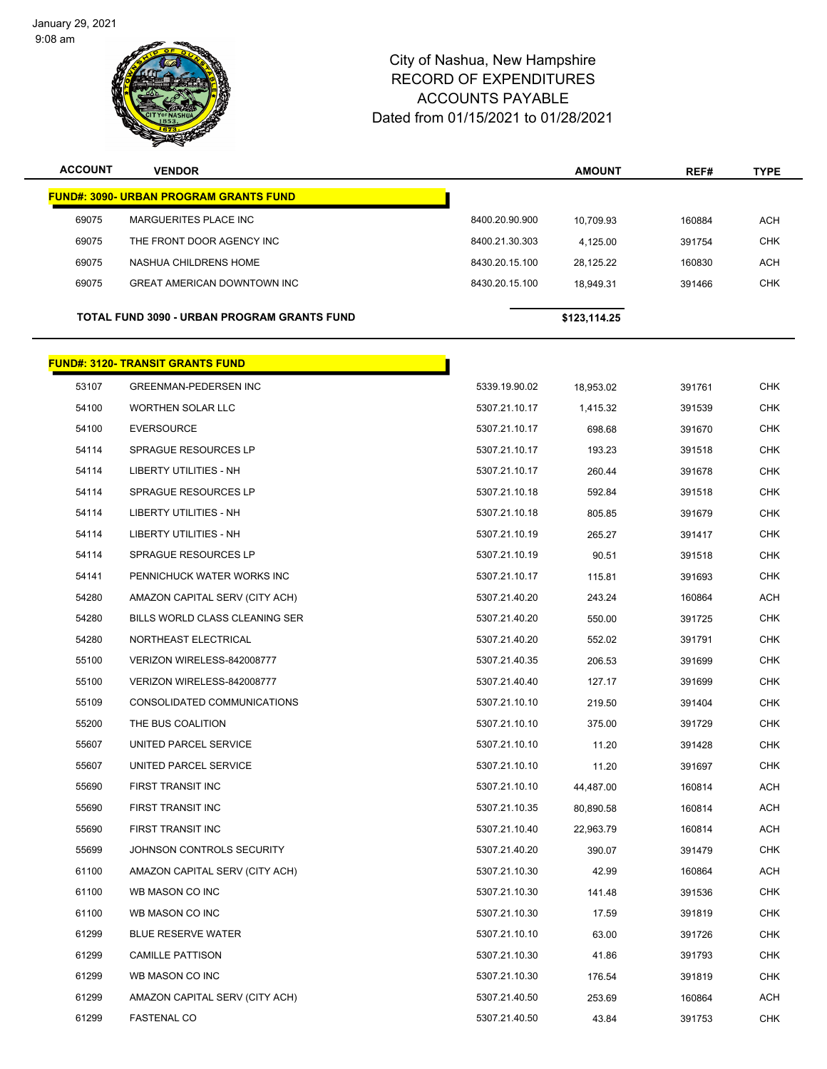January 29, 2021 9:08 am

 $\overline{\phantom{0}}$ 



| <b>ACCOUNT</b>                                     | <b>VENDOR</b>                                 |                | <b>AMOUNT</b> | REF#   | <b>TYPE</b> |
|----------------------------------------------------|-----------------------------------------------|----------------|---------------|--------|-------------|
|                                                    | <b>FUND#: 3090- URBAN PROGRAM GRANTS FUND</b> |                |               |        |             |
| 69075                                              | MARGUERITES PLACE INC                         | 8400.20.90.900 | 10.709.93     | 160884 | <b>ACH</b>  |
| 69075                                              | THE FRONT DOOR AGENCY INC                     | 8400.21.30.303 | 4,125.00      | 391754 | <b>CHK</b>  |
| 69075                                              | NASHUA CHILDRENS HOME                         | 8430.20.15.100 | 28,125.22     | 160830 | <b>ACH</b>  |
| 69075                                              | <b>GREAT AMERICAN DOWNTOWN INC</b>            | 8430.20.15.100 | 18,949.31     | 391466 | <b>CHK</b>  |
| <b>TOTAL FUND 3090 - URBAN PROGRAM GRANTS FUND</b> |                                               |                | \$123,114.25  |        |             |
|                                                    | <b>FUND#: 3120- TRANSIT GRANTS FUND</b>       |                |               |        |             |
| 53107                                              | <b>GREENMAN-PEDERSEN INC</b>                  | 5339.19.90.02  | 18,953.02     | 391761 | <b>CHK</b>  |
| 54100                                              | <b>WORTHEN SOLAR LLC</b>                      | 5307.21.10.17  | 1,415.32      | 391539 | <b>CHK</b>  |

| 54100 | <b>EVERSOURCE</b>              | 5307.21.10.17 | 698.68    | 391670 | <b>CHK</b> |
|-------|--------------------------------|---------------|-----------|--------|------------|
| 54114 | SPRAGUE RESOURCES LP           | 5307.21.10.17 | 193.23    | 391518 | <b>CHK</b> |
| 54114 | LIBERTY UTILITIES - NH         | 5307.21.10.17 | 260.44    | 391678 | <b>CHK</b> |
| 54114 | SPRAGUE RESOURCES LP           | 5307.21.10.18 | 592.84    | 391518 | <b>CHK</b> |
| 54114 | <b>LIBERTY UTILITIES - NH</b>  | 5307.21.10.18 | 805.85    | 391679 | <b>CHK</b> |
| 54114 | <b>LIBERTY UTILITIES - NH</b>  | 5307.21.10.19 | 265.27    | 391417 | <b>CHK</b> |
| 54114 | SPRAGUE RESOURCES LP           | 5307.21.10.19 | 90.51     | 391518 | <b>CHK</b> |
| 54141 | PENNICHUCK WATER WORKS INC     | 5307.21.10.17 | 115.81    | 391693 | <b>CHK</b> |
| 54280 | AMAZON CAPITAL SERV (CITY ACH) | 5307.21.40.20 | 243.24    | 160864 | ACH        |
| 54280 | BILLS WORLD CLASS CLEANING SER | 5307.21.40.20 | 550.00    | 391725 | <b>CHK</b> |
| 54280 | NORTHEAST ELECTRICAL           | 5307.21.40.20 | 552.02    | 391791 | <b>CHK</b> |
| 55100 | VERIZON WIRELESS-842008777     | 5307.21.40.35 | 206.53    | 391699 | <b>CHK</b> |
| 55100 | VERIZON WIRELESS-842008777     | 5307.21.40.40 | 127.17    | 391699 | <b>CHK</b> |
| 55109 | CONSOLIDATED COMMUNICATIONS    | 5307.21.10.10 | 219.50    | 391404 | <b>CHK</b> |
| 55200 | THE BUS COALITION              | 5307.21.10.10 | 375.00    | 391729 | <b>CHK</b> |
| 55607 | UNITED PARCEL SERVICE          | 5307.21.10.10 | 11.20     | 391428 | <b>CHK</b> |
| 55607 | UNITED PARCEL SERVICE          | 5307.21.10.10 | 11.20     | 391697 | <b>CHK</b> |
| 55690 | FIRST TRANSIT INC              | 5307.21.10.10 | 44,487.00 | 160814 | ACH        |
| 55690 | FIRST TRANSIT INC              | 5307.21.10.35 | 80,890.58 | 160814 | ACH        |
| 55690 | FIRST TRANSIT INC              | 5307.21.10.40 | 22,963.79 | 160814 | ACH        |
| 55699 | JOHNSON CONTROLS SECURITY      | 5307.21.40.20 | 390.07    | 391479 | <b>CHK</b> |
| 61100 | AMAZON CAPITAL SERV (CITY ACH) | 5307.21.10.30 | 42.99     | 160864 | ACH        |
| 61100 | WB MASON CO INC                | 5307.21.10.30 | 141.48    | 391536 | <b>CHK</b> |
| 61100 | WB MASON CO INC                | 5307.21.10.30 | 17.59     | 391819 | <b>CHK</b> |
| 61299 | <b>BLUE RESERVE WATER</b>      | 5307.21.10.10 | 63.00     | 391726 | <b>CHK</b> |
| 61299 | <b>CAMILLE PATTISON</b>        | 5307.21.10.30 | 41.86     | 391793 | <b>CHK</b> |
| 61299 | WB MASON CO INC                | 5307.21.10.30 | 176.54    | 391819 | <b>CHK</b> |
| 61299 | AMAZON CAPITAL SERV (CITY ACH) | 5307.21.40.50 | 253.69    | 160864 | ACH        |
| 61299 | <b>FASTENAL CO</b>             | 5307.21.40.50 | 43.84     | 391753 | <b>CHK</b> |
|       |                                |               |           |        |            |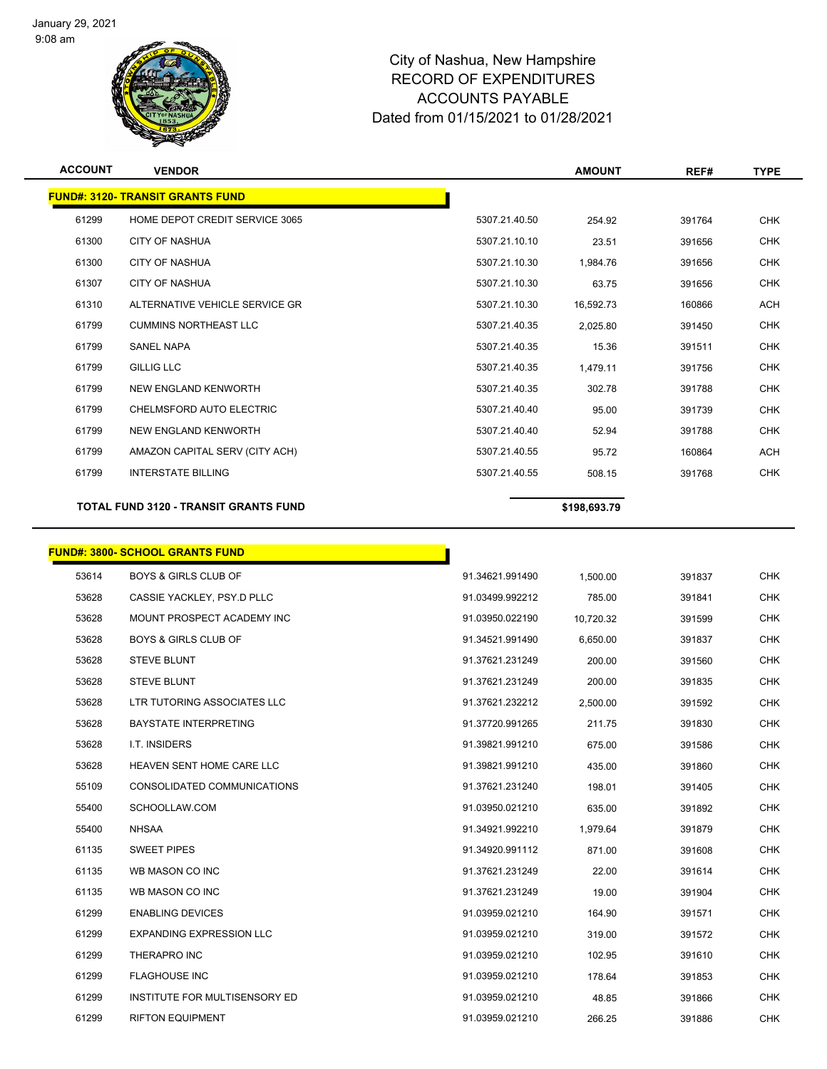

| <b>ACCOUNT</b> | <b>VENDOR</b>                                |               | <b>AMOUNT</b> | REF#   | <b>TYPE</b> |
|----------------|----------------------------------------------|---------------|---------------|--------|-------------|
|                | <b>FUND#: 3120- TRANSIT GRANTS FUND</b>      |               |               |        |             |
| 61299          | HOME DEPOT CREDIT SERVICE 3065               | 5307.21.40.50 | 254.92        | 391764 | <b>CHK</b>  |
| 61300          | <b>CITY OF NASHUA</b>                        | 5307.21.10.10 | 23.51         | 391656 | <b>CHK</b>  |
| 61300          | <b>CITY OF NASHUA</b>                        | 5307.21.10.30 | 1,984.76      | 391656 | <b>CHK</b>  |
| 61307          | <b>CITY OF NASHUA</b>                        | 5307.21.10.30 | 63.75         | 391656 | <b>CHK</b>  |
| 61310          | ALTERNATIVE VEHICLE SERVICE GR               | 5307.21.10.30 | 16.592.73     | 160866 | <b>ACH</b>  |
| 61799          | <b>CUMMINS NORTHEAST LLC</b>                 | 5307.21.40.35 | 2,025.80      | 391450 | <b>CHK</b>  |
| 61799          | <b>SANEL NAPA</b>                            | 5307.21.40.35 | 15.36         | 391511 | <b>CHK</b>  |
| 61799          | <b>GILLIG LLC</b>                            | 5307.21.40.35 | 1,479.11      | 391756 | <b>CHK</b>  |
| 61799          | NEW ENGLAND KENWORTH                         | 5307.21.40.35 | 302.78        | 391788 | <b>CHK</b>  |
| 61799          | CHELMSFORD AUTO ELECTRIC                     | 5307.21.40.40 | 95.00         | 391739 | <b>CHK</b>  |
| 61799          | NEW ENGLAND KENWORTH                         | 5307.21.40.40 | 52.94         | 391788 | <b>CHK</b>  |
| 61799          | AMAZON CAPITAL SERV (CITY ACH)               | 5307.21.40.55 | 95.72         | 160864 | <b>ACH</b>  |
| 61799          | <b>INTERSTATE BILLING</b>                    | 5307.21.40.55 | 508.15        | 391768 | <b>CHK</b>  |
|                | <b>TOTAL FUND 3120 - TRANSIT GRANTS FUND</b> |               | \$198,693.79  |        |             |
|                |                                              |               |               |        |             |

|       | <b>FUND#: 3800- SCHOOL GRANTS FUND</b> |                 |           |        |            |
|-------|----------------------------------------|-----------------|-----------|--------|------------|
| 53614 | <b>BOYS &amp; GIRLS CLUB OF</b>        | 91.34621.991490 | 1,500.00  | 391837 | <b>CHK</b> |
| 53628 | CASSIE YACKLEY, PSY.D PLLC             | 91.03499.992212 | 785.00    | 391841 | <b>CHK</b> |
| 53628 | MOUNT PROSPECT ACADEMY INC             | 91.03950.022190 | 10,720.32 | 391599 | <b>CHK</b> |
| 53628 | <b>BOYS &amp; GIRLS CLUB OF</b>        | 91.34521.991490 | 6,650.00  | 391837 | <b>CHK</b> |
| 53628 | <b>STEVE BLUNT</b>                     | 91.37621.231249 | 200.00    | 391560 | <b>CHK</b> |
| 53628 | <b>STEVE BLUNT</b>                     | 91.37621.231249 | 200.00    | 391835 | <b>CHK</b> |
| 53628 | LTR TUTORING ASSOCIATES LLC            | 91.37621.232212 | 2,500.00  | 391592 | <b>CHK</b> |
| 53628 | <b>BAYSTATE INTERPRETING</b>           | 91.37720.991265 | 211.75    | 391830 | <b>CHK</b> |
| 53628 | I.T. INSIDERS                          | 91.39821.991210 | 675.00    | 391586 | <b>CHK</b> |
| 53628 | HEAVEN SENT HOME CARE LLC              | 91.39821.991210 | 435.00    | 391860 | <b>CHK</b> |
| 55109 | CONSOLIDATED COMMUNICATIONS            | 91.37621.231240 | 198.01    | 391405 | <b>CHK</b> |
| 55400 | SCHOOLLAW.COM                          | 91.03950.021210 | 635.00    | 391892 | <b>CHK</b> |
| 55400 | <b>NHSAA</b>                           | 91.34921.992210 | 1,979.64  | 391879 | <b>CHK</b> |
| 61135 | <b>SWEET PIPES</b>                     | 91.34920.991112 | 871.00    | 391608 | CHK        |
| 61135 | WB MASON CO INC                        | 91.37621.231249 | 22.00     | 391614 | <b>CHK</b> |
| 61135 | WB MASON CO INC                        | 91.37621.231249 | 19.00     | 391904 | <b>CHK</b> |
| 61299 | <b>ENABLING DEVICES</b>                | 91.03959.021210 | 164.90    | 391571 | <b>CHK</b> |
| 61299 | <b>EXPANDING EXPRESSION LLC</b>        | 91.03959.021210 | 319.00    | 391572 | <b>CHK</b> |
| 61299 | <b>THERAPRO INC</b>                    | 91.03959.021210 | 102.95    | 391610 | <b>CHK</b> |
| 61299 | <b>FLAGHOUSE INC</b>                   | 91.03959.021210 | 178.64    | 391853 | <b>CHK</b> |
| 61299 | INSTITUTE FOR MULTISENSORY ED          | 91.03959.021210 | 48.85     | 391866 | <b>CHK</b> |
| 61299 | <b>RIFTON EQUIPMENT</b>                | 91.03959.021210 | 266.25    | 391886 | <b>CHK</b> |
|       |                                        |                 |           |        |            |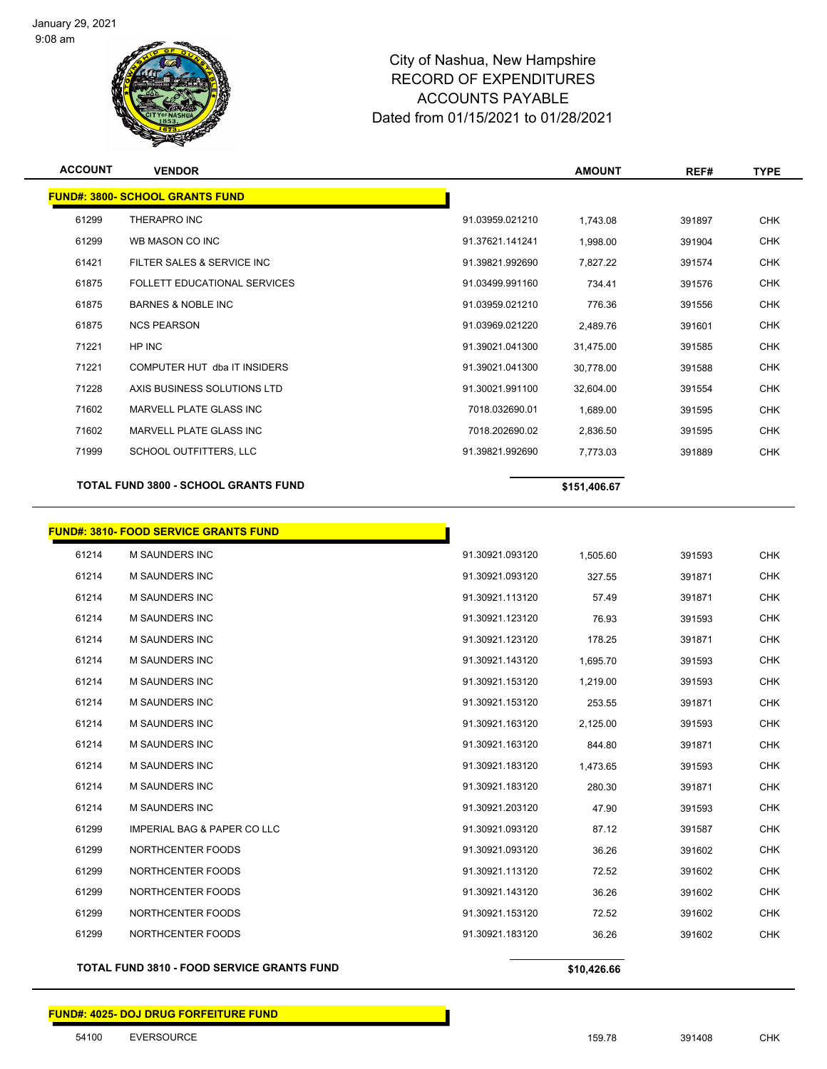

| <b>ACCOUNT</b> | <b>VENDOR</b>                                |                 | <b>AMOUNT</b> | REF#   | <b>TYPE</b> |
|----------------|----------------------------------------------|-----------------|---------------|--------|-------------|
|                | <b>FUND#: 3800- SCHOOL GRANTS FUND</b>       |                 |               |        |             |
| 61299          | THERAPRO INC                                 | 91.03959.021210 | 1,743.08      | 391897 | <b>CHK</b>  |
| 61299          | WB MASON CO INC                              | 91.37621.141241 | 1,998.00      | 391904 | <b>CHK</b>  |
| 61421          | FILTER SALES & SERVICE INC                   | 91.39821.992690 | 7,827.22      | 391574 | <b>CHK</b>  |
| 61875          | FOLLETT EDUCATIONAL SERVICES                 | 91.03499.991160 | 734.41        | 391576 | <b>CHK</b>  |
| 61875          | <b>BARNES &amp; NOBLE INC</b>                | 91.03959.021210 | 776.36        | 391556 | <b>CHK</b>  |
| 61875          | <b>NCS PEARSON</b>                           | 91.03969.021220 | 2,489.76      | 391601 | <b>CHK</b>  |
| 71221          | HP INC                                       | 91.39021.041300 | 31,475.00     | 391585 | <b>CHK</b>  |
| 71221          | COMPUTER HUT dba IT INSIDERS                 | 91.39021.041300 | 30,778.00     | 391588 | <b>CHK</b>  |
| 71228          | AXIS BUSINESS SOLUTIONS LTD                  | 91.30021.991100 | 32,604.00     | 391554 | <b>CHK</b>  |
| 71602          | MARVELL PLATE GLASS INC                      | 7018.032690.01  | 1,689.00      | 391595 | <b>CHK</b>  |
| 71602          | MARVELL PLATE GLASS INC                      | 7018.202690.02  | 2,836.50      | 391595 | <b>CHK</b>  |
| 71999          | SCHOOL OUTFITTERS, LLC                       | 91.39821.992690 | 7,773.03      | 391889 | <b>CHK</b>  |
|                | <b>TOTAL FUND 3800 - SCHOOL GRANTS FUND</b>  |                 | \$151,406.67  |        |             |
|                |                                              |                 |               |        |             |
|                | <b>FUND#: 3810- FOOD SERVICE GRANTS FUND</b> |                 |               |        |             |
| 61214          | M SAUNDERS INC                               | 91.30921.093120 | 1,505.60      | 391593 | <b>CHK</b>  |
| 61214          | M SAUNDERS INC                               | 91.30921.093120 | 327.55        | 391871 | <b>CHK</b>  |
| 61214          | <b>M SAUNDERS INC</b>                        | 91.30921.113120 | 57.49         | 391871 | <b>CHK</b>  |
| 61214          | M SAUNDERS INC                               | 91.30921.123120 | 76.93         | 391593 | <b>CHK</b>  |
| 61214          | M SAUNDERS INC                               | 91.30921.123120 | 178.25        | 391871 | <b>CHK</b>  |
| 61214          | M SAUNDERS INC                               | 91.30921.143120 | 1,695.70      | 391593 | <b>CHK</b>  |
| 61214          | M SAUNDERS INC                               | 91.30921.153120 | 1,219.00      | 391593 | <b>CHK</b>  |
| 61214          | M SAUNDERS INC                               | 91.30921.153120 | 253.55        | 391871 | <b>CHK</b>  |
| 61214          | M SAUNDERS INC                               | 91.30921.163120 | 2,125.00      | 391593 | <b>CHK</b>  |
| 61214          | M SAUNDERS INC                               | 91.30921.163120 | 844.80        | 391871 | <b>CHK</b>  |
| 61214          | M SAUNDERS INC                               | 91.30921.183120 | 1,473.65      | 391593 | CHK         |
| 61214          | M SAUNDERS INC                               | 91.30921.183120 | 280.30        | 391871 | <b>CHK</b>  |
| 61214          | M SAUNDERS INC                               | 91.30921.203120 | 47.90         | 391593 | <b>CHK</b>  |
| 61299          | <b>IMPERIAL BAG &amp; PAPER CO LLC</b>       | 91.30921.093120 | 87.12         | 391587 | <b>CHK</b>  |
| 61299          | NORTHCENTER FOODS                            | 91.30921.093120 | 36.26         | 391602 | <b>CHK</b>  |
| 61299          | NORTHCENTER FOODS                            | 91.30921.113120 | 72.52         | 391602 | <b>CHK</b>  |
| 61299          | NORTHCENTER FOODS                            | 91.30921.143120 | 36.26         | 391602 | <b>CHK</b>  |
| 61299          | NORTHCENTER FOODS                            | 91.30921.153120 | 72.52         | 391602 | <b>CHK</b>  |
| 61299          | NORTHCENTER FOODS                            | 91.30921.183120 | 36.26         | 391602 | <b>CHK</b>  |

**TOTAL FUND 3810 - FOOD SERVICE GRANTS FUND \$10,426.66**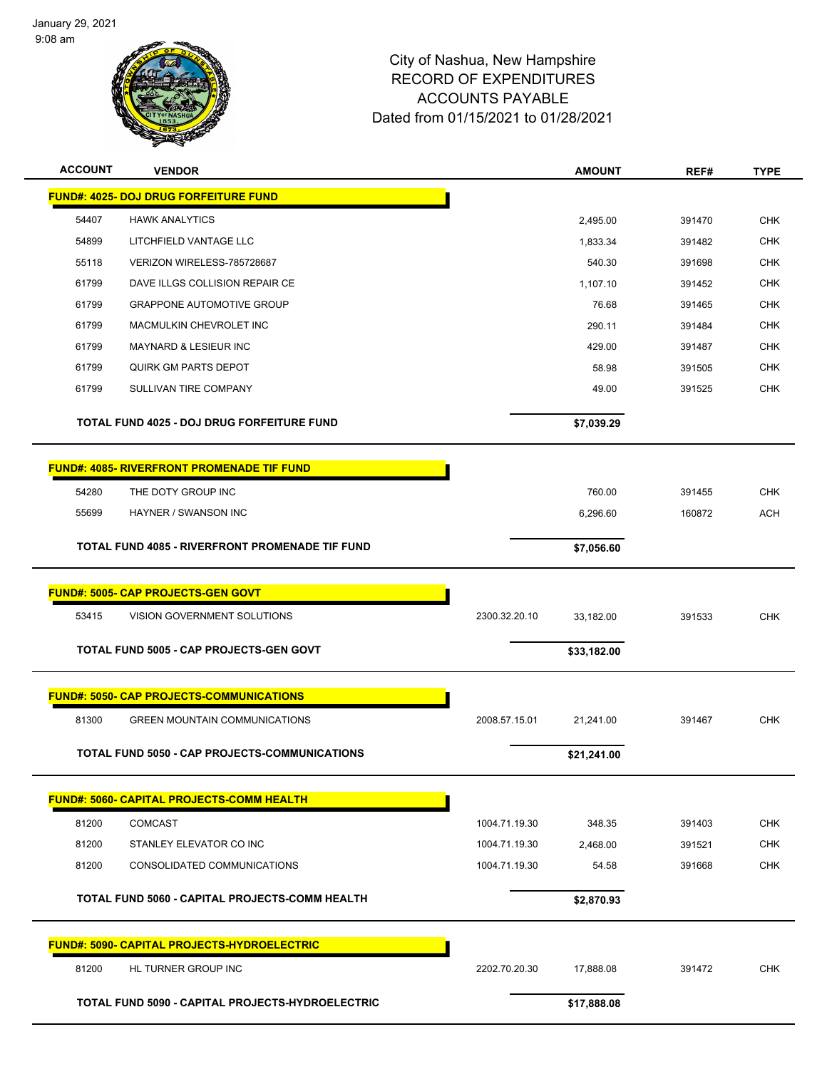

| <b>ACCOUNT</b> | <b>VENDOR</b>                                       |               | <b>AMOUNT</b> | REF#   | <b>TYPE</b> |
|----------------|-----------------------------------------------------|---------------|---------------|--------|-------------|
|                | <b>FUND#: 4025- DOJ DRUG FORFEITURE FUND</b>        |               |               |        |             |
| 54407          | <b>HAWK ANALYTICS</b>                               |               | 2,495.00      | 391470 | <b>CHK</b>  |
| 54899          | LITCHFIELD VANTAGE LLC                              |               | 1,833.34      | 391482 | <b>CHK</b>  |
| 55118          | VERIZON WIRELESS-785728687                          |               | 540.30        | 391698 | <b>CHK</b>  |
| 61799          | DAVE ILLGS COLLISION REPAIR CE                      |               | 1,107.10      | 391452 | <b>CHK</b>  |
| 61799          | <b>GRAPPONE AUTOMOTIVE GROUP</b>                    |               | 76.68         | 391465 | <b>CHK</b>  |
| 61799          | <b>MACMULKIN CHEVROLET INC</b>                      |               | 290.11        | 391484 | <b>CHK</b>  |
| 61799          | <b>MAYNARD &amp; LESIEUR INC</b>                    |               | 429.00        | 391487 | <b>CHK</b>  |
| 61799          | <b>QUIRK GM PARTS DEPOT</b>                         |               | 58.98         | 391505 | <b>CHK</b>  |
| 61799          | SULLIVAN TIRE COMPANY                               |               | 49.00         | 391525 | <b>CHK</b>  |
|                | <b>TOTAL FUND 4025 - DOJ DRUG FORFEITURE FUND</b>   |               | \$7,039.29    |        |             |
|                |                                                     |               |               |        |             |
|                | <b>FUND#: 4085- RIVERFRONT PROMENADE TIF FUND</b>   |               |               |        |             |
| 54280          | THE DOTY GROUP INC                                  |               | 760.00        | 391455 | <b>CHK</b>  |
| 55699          | HAYNER / SWANSON INC                                |               | 6,296.60      | 160872 | <b>ACH</b>  |
|                | TOTAL FUND 4085 - RIVERFRONT PROMENADE TIF FUND     |               | \$7,056.60    |        |             |
|                |                                                     |               |               |        |             |
|                | <b>FUND#: 5005- CAP PROJECTS-GEN GOVT</b>           |               |               |        |             |
| 53415          | VISION GOVERNMENT SOLUTIONS                         | 2300.32.20.10 | 33,182.00     | 391533 | <b>CHK</b>  |
|                |                                                     |               |               |        |             |
|                | <b>TOTAL FUND 5005 - CAP PROJECTS-GEN GOVT</b>      |               | \$33,182.00   |        |             |
|                | <b>FUND#: 5050- CAP PROJECTS-COMMUNICATIONS</b>     |               |               |        |             |
| 81300          | <b>GREEN MOUNTAIN COMMUNICATIONS</b>                | 2008.57.15.01 | 21,241.00     | 391467 | <b>CHK</b>  |
|                |                                                     |               |               |        |             |
|                | TOTAL FUND 5050 - CAP PROJECTS-COMMUNICATIONS       |               | \$21,241.00   |        |             |
|                | <b>FUND#: 5060- CAPITAL PROJECTS-COMM HEALTH</b>    |               |               |        |             |
| 81200          | <b>COMCAST</b>                                      | 1004.71.19.30 | 348.35        | 391403 | <b>CHK</b>  |
| 81200          | STANLEY ELEVATOR CO INC                             | 1004.71.19.30 | 2,468.00      | 391521 | <b>CHK</b>  |
| 81200          | CONSOLIDATED COMMUNICATIONS                         | 1004.71.19.30 | 54.58         | 391668 | <b>CHK</b>  |
|                |                                                     |               |               |        |             |
|                | TOTAL FUND 5060 - CAPITAL PROJECTS-COMM HEALTH      |               | \$2,870.93    |        |             |
|                | <u> FUND#: 5090- CAPITAL PROJECTS-HYDROELECTRIC</u> |               |               |        |             |
| 81200          | HL TURNER GROUP INC                                 | 2202.70.20.30 | 17,888.08     | 391472 | <b>CHK</b>  |
|                | TOTAL FUND 5090 - CAPITAL PROJECTS-HYDROELECTRIC    |               | \$17,888.08   |        |             |
|                |                                                     |               |               |        |             |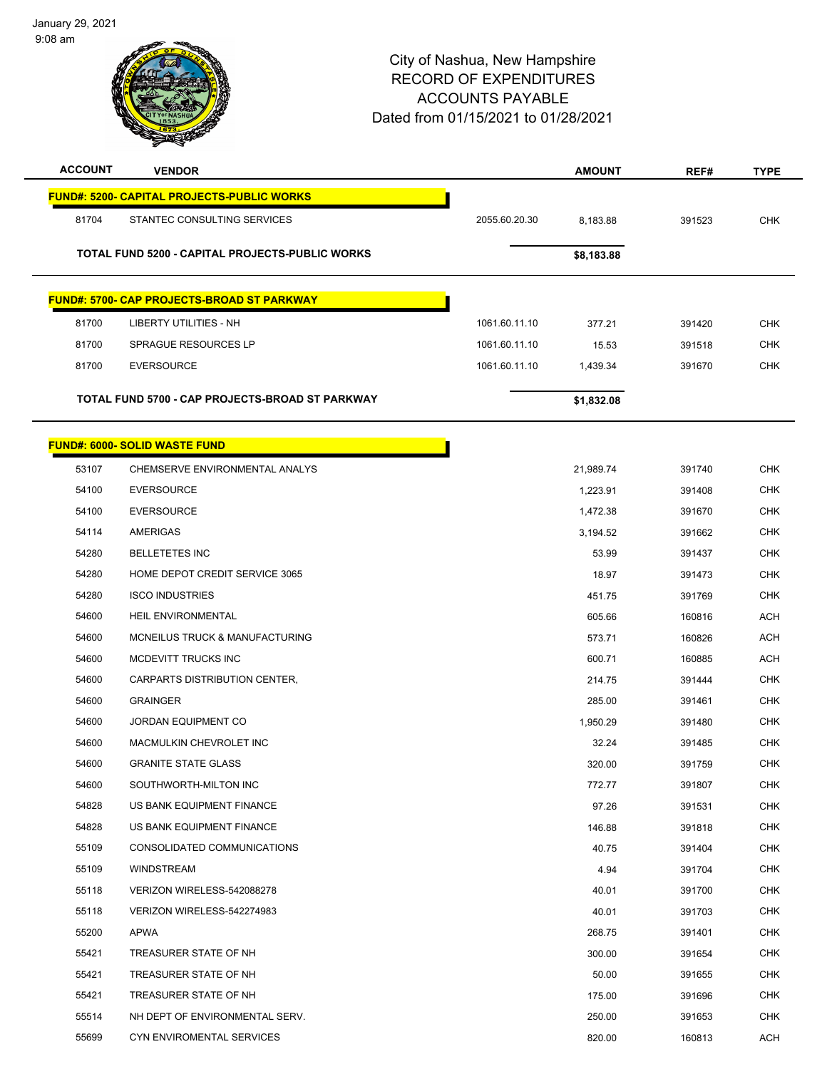January 29, 2021 9:08 am



| <b>ACCOUNT</b> | <b>VENDOR</b>                                          |               | <b>AMOUNT</b> | REF#   | <b>TYPE</b> |
|----------------|--------------------------------------------------------|---------------|---------------|--------|-------------|
|                | <b>FUND#: 5200- CAPITAL PROJECTS-PUBLIC WORKS</b>      |               |               |        |             |
| 81704          | STANTEC CONSULTING SERVICES                            | 2055.60.20.30 | 8,183.88      | 391523 | <b>CHK</b>  |
|                | <b>TOTAL FUND 5200 - CAPITAL PROJECTS-PUBLIC WORKS</b> |               | \$8,183.88    |        |             |
|                | <b>FUND#: 5700- CAP PROJECTS-BROAD ST PARKWAY</b>      |               |               |        |             |
| 81700          | <b>LIBERTY UTILITIES - NH</b>                          | 1061.60.11.10 | 377.21        | 391420 | <b>CHK</b>  |
| 81700          | <b>SPRAGUE RESOURCES LP</b>                            | 1061.60.11.10 | 15.53         | 391518 | <b>CHK</b>  |
| 81700          | <b>EVERSOURCE</b>                                      | 1061.60.11.10 | 1,439.34      | 391670 | <b>CHK</b>  |
|                | TOTAL FUND 5700 - CAP PROJECTS-BROAD ST PARKWAY        |               | \$1,832.08    |        |             |
|                | <b>FUND#: 6000- SOLID WASTE FUND</b>                   |               |               |        |             |
| 53107          | CHEMSERVE ENVIRONMENTAL ANALYS                         |               | 21,989.74     | 391740 | <b>CHK</b>  |
| 54100          | <b>EVERSOURCE</b>                                      |               | 1,223.91      | 391408 | <b>CHK</b>  |
| 54100          | <b>EVERSOURCE</b>                                      |               | 1,472.38      | 391670 | <b>CHK</b>  |
| 54114          | AMERIGAS                                               |               | 3,194.52      | 391662 | <b>CHK</b>  |
| 54280          | <b>BELLETETES INC</b>                                  |               | 53.99         | 391437 | <b>CHK</b>  |
| 54280          | HOME DEPOT CREDIT SERVICE 3065                         |               | 18.97         | 391473 | <b>CHK</b>  |
| 54280          | <b>ISCO INDUSTRIES</b>                                 |               | 451.75        | 391769 | <b>CHK</b>  |
| 54600          | HEIL ENVIRONMENTAL                                     |               | 605.66        | 160816 | <b>ACH</b>  |
| 54600          | MCNEILUS TRUCK & MANUFACTURING                         |               | 573.71        | 160826 | <b>ACH</b>  |
| 54600          | MCDEVITT TRUCKS INC                                    |               | 600.71        | 160885 | <b>ACH</b>  |
| 54600          | CARPARTS DISTRIBUTION CENTER,                          |               | 214.75        | 391444 | <b>CHK</b>  |
| 54600          | <b>GRAINGER</b>                                        |               | 285.00        | 391461 | <b>CHK</b>  |
| 54600          | JORDAN EQUIPMENT CO                                    |               | 1,950.29      | 391480 | <b>CHK</b>  |
| 54600          | MACMULKIN CHEVROLET INC                                |               | 32.24         | 391485 | <b>CHK</b>  |
| 54600          | <b>GRANITE STATE GLASS</b>                             |               | 320.00        | 391759 | CHK         |
| 54600          | SOUTHWORTH-MILTON INC                                  |               | 772.77        | 391807 | <b>CHK</b>  |
| 54828          | US BANK EQUIPMENT FINANCE                              |               | 97.26         | 391531 | <b>CHK</b>  |
| 54828          | US BANK EQUIPMENT FINANCE                              |               | 146.88        | 391818 | <b>CHK</b>  |
| 55109          | CONSOLIDATED COMMUNICATIONS                            |               | 40.75         | 391404 | <b>CHK</b>  |
| 55109          | <b>WINDSTREAM</b>                                      |               | 4.94          | 391704 | <b>CHK</b>  |
| 55118          | VERIZON WIRELESS-542088278                             |               | 40.01         | 391700 | <b>CHK</b>  |
| 55118          | VERIZON WIRELESS-542274983                             |               | 40.01         | 391703 | <b>CHK</b>  |
| 55200          | APWA                                                   |               | 268.75        | 391401 | <b>CHK</b>  |
| 55421          | TREASURER STATE OF NH                                  |               | 300.00        | 391654 | <b>CHK</b>  |
| 55421          | TREASURER STATE OF NH                                  |               | 50.00         | 391655 | CHK         |
| 55421          | TREASURER STATE OF NH                                  |               | 175.00        | 391696 | <b>CHK</b>  |
| 55514          | NH DEPT OF ENVIRONMENTAL SERV.                         |               | 250.00        | 391653 | <b>CHK</b>  |
| 55699          | CYN ENVIROMENTAL SERVICES                              |               | 820.00        | 160813 | <b>ACH</b>  |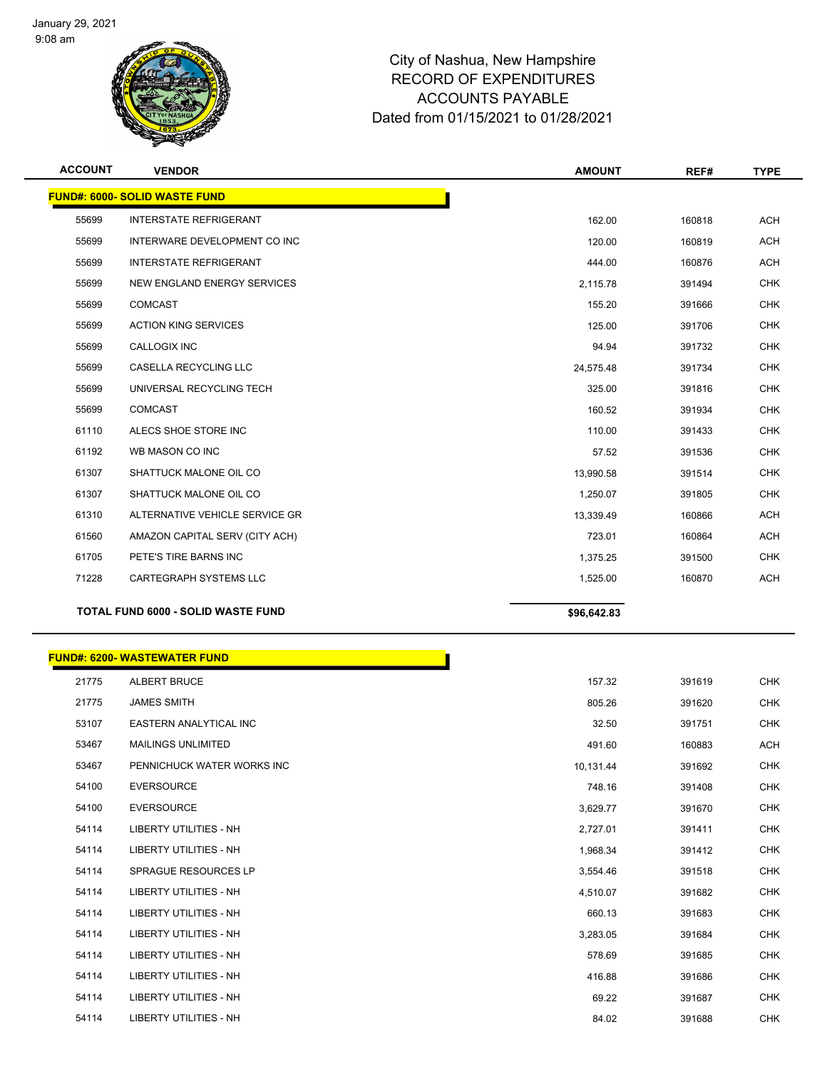

| <b>ACCOUNT</b> | <b>VENDOR</b>                             | <b>AMOUNT</b> | REF#   | <b>TYPE</b> |
|----------------|-------------------------------------------|---------------|--------|-------------|
|                | <b>FUND#: 6000- SOLID WASTE FUND</b>      |               |        |             |
| 55699          | <b>INTERSTATE REFRIGERANT</b>             | 162.00        | 160818 | <b>ACH</b>  |
| 55699          | INTERWARE DEVELOPMENT CO INC              | 120.00        | 160819 | <b>ACH</b>  |
| 55699          | <b>INTERSTATE REFRIGERANT</b>             | 444.00        | 160876 | <b>ACH</b>  |
| 55699          | NEW ENGLAND ENERGY SERVICES               | 2,115.78      | 391494 | <b>CHK</b>  |
| 55699          | <b>COMCAST</b>                            | 155.20        | 391666 | <b>CHK</b>  |
| 55699          | <b>ACTION KING SERVICES</b>               | 125.00        | 391706 | <b>CHK</b>  |
| 55699          | <b>CALLOGIX INC</b>                       | 94.94         | 391732 | <b>CHK</b>  |
| 55699          | CASELLA RECYCLING LLC                     | 24,575.48     | 391734 | <b>CHK</b>  |
| 55699          | UNIVERSAL RECYCLING TECH                  | 325.00        | 391816 | <b>CHK</b>  |
| 55699          | <b>COMCAST</b>                            | 160.52        | 391934 | <b>CHK</b>  |
| 61110          | ALECS SHOE STORE INC                      | 110.00        | 391433 | <b>CHK</b>  |
| 61192          | WB MASON CO INC                           | 57.52         | 391536 | <b>CHK</b>  |
| 61307          | SHATTUCK MALONE OIL CO                    | 13,990.58     | 391514 | <b>CHK</b>  |
| 61307          | SHATTUCK MALONE OIL CO                    | 1,250.07      | 391805 | <b>CHK</b>  |
| 61310          | ALTERNATIVE VEHICLE SERVICE GR            | 13,339.49     | 160866 | <b>ACH</b>  |
| 61560          | AMAZON CAPITAL SERV (CITY ACH)            | 723.01        | 160864 | <b>ACH</b>  |
| 61705          | PETE'S TIRE BARNS INC                     | 1,375.25      | 391500 | <b>CHK</b>  |
| 71228          | <b>CARTEGRAPH SYSTEMS LLC</b>             | 1,525.00      | 160870 | <b>ACH</b>  |
|                | <b>TOTAL FUND 6000 - SOLID WASTE FUND</b> | \$96,642.83   |        |             |

|       | <b>FUND#: 6200- WASTEWATER FUND</b> |           |        |            |
|-------|-------------------------------------|-----------|--------|------------|
| 21775 | <b>ALBERT BRUCE</b>                 | 157.32    | 391619 | <b>CHK</b> |
| 21775 | <b>JAMES SMITH</b>                  | 805.26    | 391620 | <b>CHK</b> |
| 53107 | EASTERN ANALYTICAL INC              | 32.50     | 391751 | <b>CHK</b> |
| 53467 | <b>MAILINGS UNLIMITED</b>           | 491.60    | 160883 | ACH        |
| 53467 | PENNICHUCK WATER WORKS INC          | 10,131.44 | 391692 | <b>CHK</b> |
| 54100 | <b>EVERSOURCE</b>                   | 748.16    | 391408 | <b>CHK</b> |
| 54100 | <b>EVERSOURCE</b>                   | 3,629.77  | 391670 | <b>CHK</b> |
| 54114 | <b>LIBERTY UTILITIES - NH</b>       | 2,727.01  | 391411 | <b>CHK</b> |
| 54114 | <b>LIBERTY UTILITIES - NH</b>       | 1,968.34  | 391412 | <b>CHK</b> |
| 54114 | <b>SPRAGUE RESOURCES LP</b>         | 3,554.46  | 391518 | <b>CHK</b> |
| 54114 | <b>LIBERTY UTILITIES - NH</b>       | 4,510.07  | 391682 | <b>CHK</b> |
| 54114 | <b>LIBERTY UTILITIES - NH</b>       | 660.13    | 391683 | <b>CHK</b> |
| 54114 | <b>LIBERTY UTILITIES - NH</b>       | 3,283.05  | 391684 | <b>CHK</b> |
| 54114 | <b>LIBERTY UTILITIES - NH</b>       | 578.69    | 391685 | <b>CHK</b> |
| 54114 | <b>LIBERTY UTILITIES - NH</b>       | 416.88    | 391686 | <b>CHK</b> |
| 54114 | <b>LIBERTY UTILITIES - NH</b>       | 69.22     | 391687 | <b>CHK</b> |
| 54114 | <b>LIBERTY UTILITIES - NH</b>       | 84.02     | 391688 | <b>CHK</b> |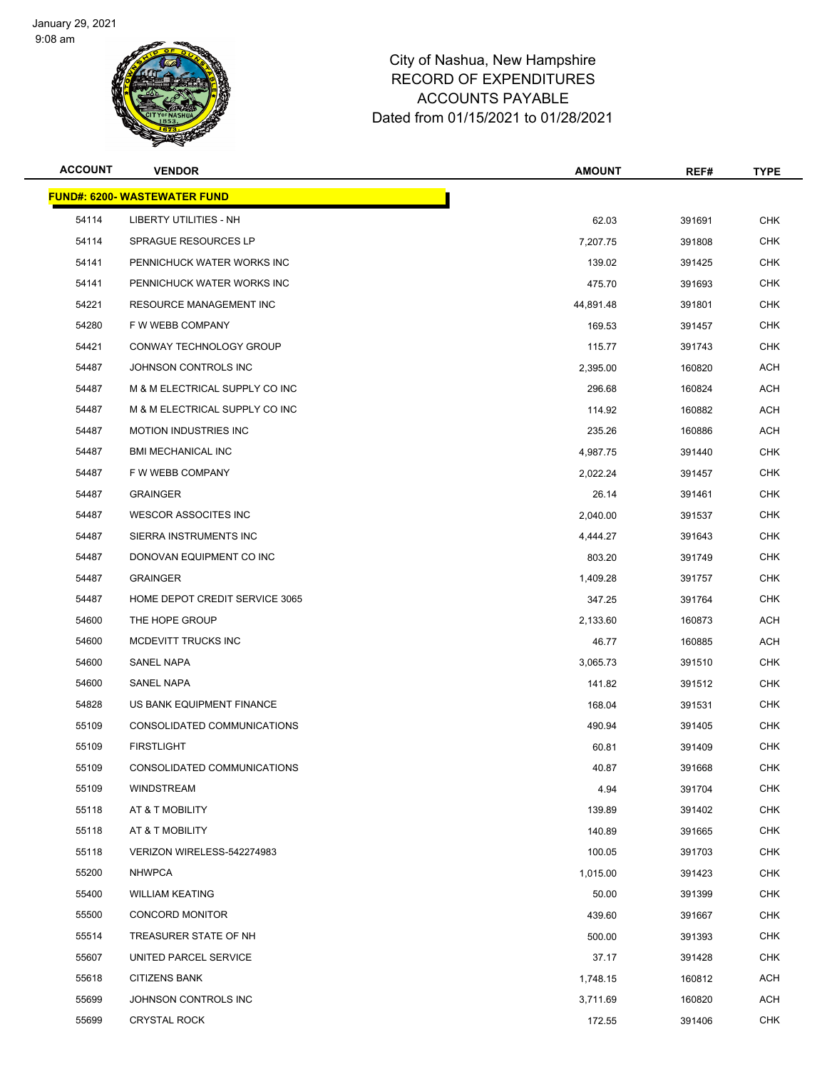

| <b>ACCOUNT</b> | <b>VENDOR</b>                       | <b>AMOUNT</b> | REF#   | <b>TYPE</b> |
|----------------|-------------------------------------|---------------|--------|-------------|
|                | <b>FUND#: 6200- WASTEWATER FUND</b> |               |        |             |
| 54114          | LIBERTY UTILITIES - NH              | 62.03         | 391691 | <b>CHK</b>  |
| 54114          | SPRAGUE RESOURCES LP                | 7,207.75      | 391808 | <b>CHK</b>  |
| 54141          | PENNICHUCK WATER WORKS INC          | 139.02        | 391425 | <b>CHK</b>  |
| 54141          | PENNICHUCK WATER WORKS INC          | 475.70        | 391693 | <b>CHK</b>  |
| 54221          | <b>RESOURCE MANAGEMENT INC</b>      | 44,891.48     | 391801 | <b>CHK</b>  |
| 54280          | F W WEBB COMPANY                    | 169.53        | 391457 | <b>CHK</b>  |
| 54421          | CONWAY TECHNOLOGY GROUP             | 115.77        | 391743 | <b>CHK</b>  |
| 54487          | JOHNSON CONTROLS INC                | 2,395.00      | 160820 | <b>ACH</b>  |
| 54487          | M & M ELECTRICAL SUPPLY CO INC      | 296.68        | 160824 | ACH         |
| 54487          | M & M ELECTRICAL SUPPLY CO INC      | 114.92        | 160882 | <b>ACH</b>  |
| 54487          | <b>MOTION INDUSTRIES INC</b>        | 235.26        | 160886 | ACH         |
| 54487          | <b>BMI MECHANICAL INC</b>           | 4,987.75      | 391440 | <b>CHK</b>  |
| 54487          | F W WEBB COMPANY                    | 2,022.24      | 391457 | <b>CHK</b>  |
| 54487          | <b>GRAINGER</b>                     | 26.14         | 391461 | <b>CHK</b>  |
| 54487          | <b>WESCOR ASSOCITES INC</b>         | 2,040.00      | 391537 | <b>CHK</b>  |
| 54487          | SIERRA INSTRUMENTS INC              | 4,444.27      | 391643 | <b>CHK</b>  |
| 54487          | DONOVAN EQUIPMENT CO INC            | 803.20        | 391749 | <b>CHK</b>  |
| 54487          | <b>GRAINGER</b>                     | 1,409.28      | 391757 | <b>CHK</b>  |
| 54487          | HOME DEPOT CREDIT SERVICE 3065      | 347.25        | 391764 | <b>CHK</b>  |
| 54600          | THE HOPE GROUP                      | 2,133.60      | 160873 | <b>ACH</b>  |
| 54600          | MCDEVITT TRUCKS INC                 | 46.77         | 160885 | ACH         |
| 54600          | SANEL NAPA                          | 3,065.73      | 391510 | <b>CHK</b>  |
| 54600          | SANEL NAPA                          | 141.82        | 391512 | <b>CHK</b>  |
| 54828          | US BANK EQUIPMENT FINANCE           | 168.04        | 391531 | <b>CHK</b>  |
| 55109          | CONSOLIDATED COMMUNICATIONS         | 490.94        | 391405 | <b>CHK</b>  |
| 55109          | <b>FIRSTLIGHT</b>                   | 60.81         | 391409 | <b>CHK</b>  |
| 55109          | CONSOLIDATED COMMUNICATIONS         | 40.87         | 391668 | CHK         |
| 55109          | WINDSTREAM                          | 4.94          | 391704 | <b>CHK</b>  |
| 55118          | AT & T MOBILITY                     | 139.89        | 391402 | <b>CHK</b>  |
| 55118          | AT & T MOBILITY                     | 140.89        | 391665 | <b>CHK</b>  |
| 55118          | VERIZON WIRELESS-542274983          | 100.05        | 391703 | <b>CHK</b>  |
| 55200          | <b>NHWPCA</b>                       | 1,015.00      | 391423 | CHK         |
| 55400          | <b>WILLIAM KEATING</b>              | 50.00         | 391399 | <b>CHK</b>  |
| 55500          | <b>CONCORD MONITOR</b>              | 439.60        | 391667 | <b>CHK</b>  |
| 55514          | TREASURER STATE OF NH               | 500.00        | 391393 | <b>CHK</b>  |
| 55607          | UNITED PARCEL SERVICE               | 37.17         | 391428 | <b>CHK</b>  |
| 55618          | <b>CITIZENS BANK</b>                | 1,748.15      | 160812 | ACH         |
| 55699          | JOHNSON CONTROLS INC                | 3,711.69      | 160820 | ACH         |
| 55699          | <b>CRYSTAL ROCK</b>                 | 172.55        | 391406 | <b>CHK</b>  |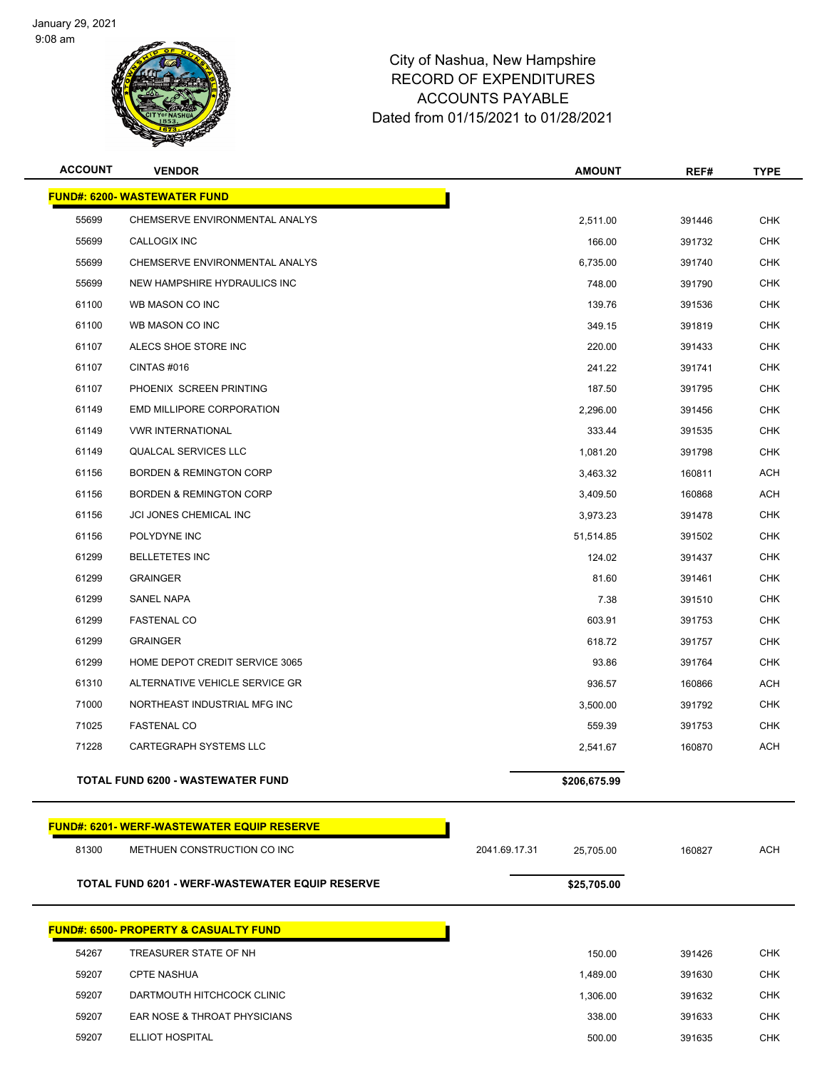

| <b>ACCOUNT</b> | <b>VENDOR</b>                                          | <b>AMOUNT</b>              | REF#   | <b>TYPE</b> |
|----------------|--------------------------------------------------------|----------------------------|--------|-------------|
|                | <b>FUND#: 6200- WASTEWATER FUND</b>                    |                            |        |             |
| 55699          | CHEMSERVE ENVIRONMENTAL ANALYS                         | 2,511.00                   | 391446 | <b>CHK</b>  |
| 55699          | CALLOGIX INC                                           | 166.00                     | 391732 | <b>CHK</b>  |
| 55699          | CHEMSERVE ENVIRONMENTAL ANALYS                         | 6,735.00                   | 391740 | CHK         |
| 55699          | NEW HAMPSHIRE HYDRAULICS INC                           | 748.00                     | 391790 | <b>CHK</b>  |
| 61100          | WB MASON CO INC                                        | 139.76                     | 391536 | <b>CHK</b>  |
| 61100          | WB MASON CO INC                                        | 349.15                     | 391819 | <b>CHK</b>  |
| 61107          | ALECS SHOE STORE INC                                   | 220.00                     | 391433 | <b>CHK</b>  |
| 61107          | CINTAS #016                                            | 241.22                     | 391741 | CHK         |
| 61107          | PHOENIX SCREEN PRINTING                                | 187.50                     | 391795 | <b>CHK</b>  |
| 61149          | EMD MILLIPORE CORPORATION                              | 2,296.00                   | 391456 | <b>CHK</b>  |
| 61149          | <b>VWR INTERNATIONAL</b>                               | 333.44                     | 391535 | <b>CHK</b>  |
| 61149          | <b>QUALCAL SERVICES LLC</b>                            | 1,081.20                   | 391798 | <b>CHK</b>  |
| 61156          | <b>BORDEN &amp; REMINGTON CORP</b>                     | 3,463.32                   | 160811 | ACH         |
| 61156          | <b>BORDEN &amp; REMINGTON CORP</b>                     | 3,409.50                   | 160868 | <b>ACH</b>  |
| 61156          | JCI JONES CHEMICAL INC                                 | 3,973.23                   | 391478 | <b>CHK</b>  |
| 61156          | POLYDYNE INC                                           | 51,514.85                  | 391502 | <b>CHK</b>  |
| 61299          | <b>BELLETETES INC</b>                                  | 124.02                     | 391437 | <b>CHK</b>  |
| 61299          | <b>GRAINGER</b>                                        | 81.60                      | 391461 | CHK         |
| 61299          | SANEL NAPA                                             | 7.38                       | 391510 | <b>CHK</b>  |
| 61299          | <b>FASTENAL CO</b>                                     | 603.91                     | 391753 | <b>CHK</b>  |
| 61299          | <b>GRAINGER</b>                                        | 618.72                     | 391757 | <b>CHK</b>  |
| 61299          | HOME DEPOT CREDIT SERVICE 3065                         | 93.86                      | 391764 | <b>CHK</b>  |
| 61310          | ALTERNATIVE VEHICLE SERVICE GR                         | 936.57                     | 160866 | ACH         |
| 71000          | NORTHEAST INDUSTRIAL MFG INC                           | 3,500.00                   | 391792 | <b>CHK</b>  |
| 71025          | <b>FASTENAL CO</b>                                     | 559.39                     | 391753 | CHK         |
| 71228          | CARTEGRAPH SYSTEMS LLC                                 | 2,541.67                   | 160870 | <b>ACH</b>  |
|                | <b>TOTAL FUND 6200 - WASTEWATER FUND</b>               | \$206,675.99               |        |             |
|                | <b>FUND#: 6201-WERF-WASTEWATER EQUIP RESERVE</b>       |                            |        |             |
| 81300          | METHUEN CONSTRUCTION CO INC                            | 2041.69.17.31<br>25,705.00 | 160827 | <b>ACH</b>  |
|                | <b>TOTAL FUND 6201 - WERF-WASTEWATER EQUIP RESERVE</b> | \$25,705.00                |        |             |
|                | <u>FUND#: 6500- PROPERTY &amp; CASUALTY FUND</u>       |                            |        |             |
| 54267          | TREASURER STATE OF NH                                  | 150.00                     | 391426 | <b>CHK</b>  |
| 59207          | <b>CPTE NASHUA</b>                                     | 1,489.00                   | 391630 | <b>CHK</b>  |
| 59207          | DARTMOUTH HITCHCOCK CLINIC                             | 1,306.00                   | 391632 | <b>CHK</b>  |
| 59207          | EAR NOSE & THROAT PHYSICIANS                           | 338.00                     | 391633 | <b>CHK</b>  |
| 59207          | ELLIOT HOSPITAL                                        | 500.00                     | 391635 | <b>CHK</b>  |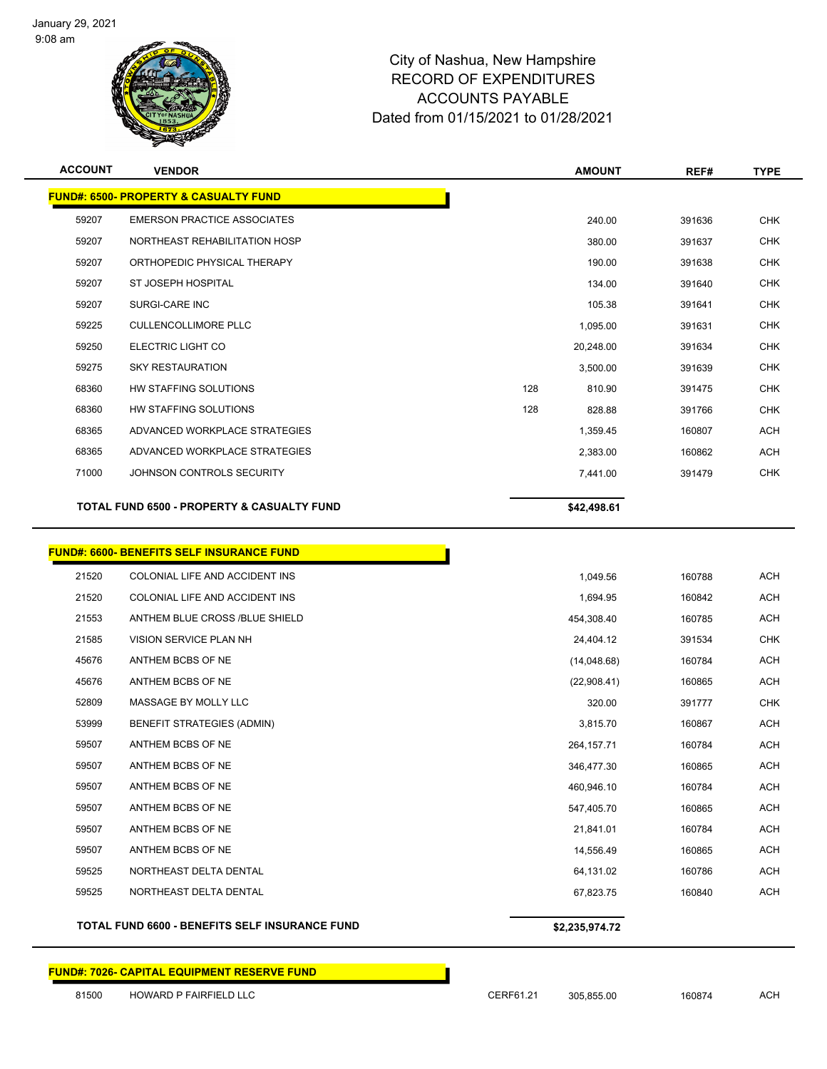

| <b>ACCOUNT</b> | <b>VENDOR</b>                                         |     | <b>AMOUNT</b> | REF#   | <b>TYPE</b> |
|----------------|-------------------------------------------------------|-----|---------------|--------|-------------|
|                | <b>FUND#: 6500- PROPERTY &amp; CASUALTY FUND</b>      |     |               |        |             |
| 59207          | <b>EMERSON PRACTICE ASSOCIATES</b>                    |     | 240.00        | 391636 | <b>CHK</b>  |
| 59207          | NORTHEAST REHABILITATION HOSP                         |     | 380.00        | 391637 | <b>CHK</b>  |
| 59207          | ORTHOPEDIC PHYSICAL THERAPY                           |     | 190.00        | 391638 | <b>CHK</b>  |
| 59207          | ST JOSEPH HOSPITAL                                    |     | 134.00        | 391640 | <b>CHK</b>  |
| 59207          | SURGI-CARE INC                                        |     | 105.38        | 391641 | <b>CHK</b>  |
| 59225          | <b>CULLENCOLLIMORE PLLC</b>                           |     | 1,095.00      | 391631 | <b>CHK</b>  |
| 59250          | ELECTRIC LIGHT CO                                     |     | 20,248.00     | 391634 | <b>CHK</b>  |
| 59275          | <b>SKY RESTAURATION</b>                               |     | 3,500.00      | 391639 | <b>CHK</b>  |
| 68360          | HW STAFFING SOLUTIONS                                 | 128 | 810.90        | 391475 | <b>CHK</b>  |
| 68360          | HW STAFFING SOLUTIONS                                 | 128 | 828.88        | 391766 | <b>CHK</b>  |
| 68365          | ADVANCED WORKPLACE STRATEGIES                         |     | 1,359.45      | 160807 | <b>ACH</b>  |
| 68365          | ADVANCED WORKPLACE STRATEGIES                         |     | 2,383.00      | 160862 | <b>ACH</b>  |
| 71000          | JOHNSON CONTROLS SECURITY                             |     | 7,441.00      | 391479 | <b>CHK</b>  |
|                | <b>TOTAL FUND 6500 - PROPERTY &amp; CASUALTY FUND</b> |     | \$42,498.61   |        |             |
|                |                                                       |     |               |        |             |

|       | <b>FUND#: 6600- BENEFITS SELF INSURANCE FUND</b>      |                |        |            |
|-------|-------------------------------------------------------|----------------|--------|------------|
| 21520 | COLONIAL LIFE AND ACCIDENT INS                        | 1,049.56       | 160788 | <b>ACH</b> |
| 21520 | COLONIAL LIFE AND ACCIDENT INS                        | 1,694.95       | 160842 | <b>ACH</b> |
| 21553 | ANTHEM BLUE CROSS /BLUE SHIELD                        | 454,308.40     | 160785 | <b>ACH</b> |
| 21585 | <b>VISION SERVICE PLAN NH</b>                         | 24,404.12      | 391534 | <b>CHK</b> |
| 45676 | ANTHEM BCBS OF NE                                     | (14,048.68)    | 160784 | <b>ACH</b> |
| 45676 | ANTHEM BCBS OF NE                                     | (22,908.41)    | 160865 | <b>ACH</b> |
| 52809 | MASSAGE BY MOLLY LLC                                  | 320.00         | 391777 | <b>CHK</b> |
| 53999 | <b>BENEFIT STRATEGIES (ADMIN)</b>                     | 3,815.70       | 160867 | <b>ACH</b> |
| 59507 | ANTHEM BCBS OF NE                                     | 264, 157. 71   | 160784 | <b>ACH</b> |
| 59507 | ANTHEM BCBS OF NE                                     | 346,477.30     | 160865 | <b>ACH</b> |
| 59507 | ANTHEM BCBS OF NE                                     | 460,946.10     | 160784 | <b>ACH</b> |
| 59507 | ANTHEM BCBS OF NE                                     | 547,405.70     | 160865 | <b>ACH</b> |
| 59507 | ANTHEM BCBS OF NE                                     | 21,841.01      | 160784 | <b>ACH</b> |
| 59507 | ANTHEM BCBS OF NE                                     | 14,556.49      | 160865 | <b>ACH</b> |
| 59525 | NORTHEAST DELTA DENTAL                                | 64,131.02      | 160786 | <b>ACH</b> |
| 59525 | NORTHEAST DELTA DENTAL                                | 67,823.75      | 160840 | <b>ACH</b> |
|       | <b>TOTAL FUND 6600 - BENEFITS SELF INSURANCE FUND</b> | \$2,235,974.72 |        |            |

**FUND#: 7026- CAPITAL EQUIPMENT RESERVE FUND**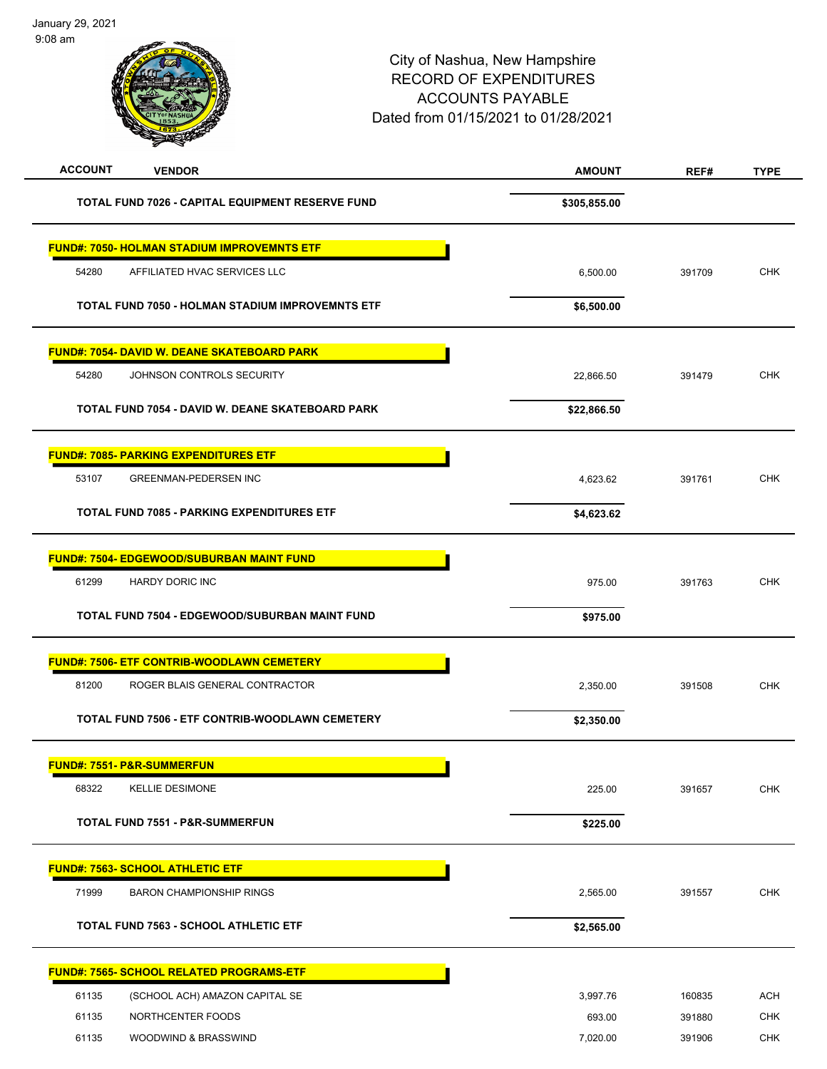| <b>ACCOUNT</b><br><b>VENDOR</b>                    | <b>AMOUNT</b> | REF#   | <b>TYPE</b> |
|----------------------------------------------------|---------------|--------|-------------|
| TOTAL FUND 7026 - CAPITAL EQUIPMENT RESERVE FUND   | \$305,855.00  |        |             |
| <b>FUND#: 7050- HOLMAN STADIUM IMPROVEMNTS ETF</b> |               |        |             |
| 54280<br>AFFILIATED HVAC SERVICES LLC              | 6,500.00      | 391709 | <b>CHK</b>  |
| TOTAL FUND 7050 - HOLMAN STADIUM IMPROVEMNTS ETF   | \$6,500.00    |        |             |
| <b>FUND#: 7054- DAVID W. DEANE SKATEBOARD PARK</b> |               |        |             |
| 54280<br>JOHNSON CONTROLS SECURITY                 | 22,866.50     | 391479 | <b>CHK</b>  |
| TOTAL FUND 7054 - DAVID W. DEANE SKATEBOARD PARK   | \$22,866.50   |        |             |
| <b>FUND#: 7085- PARKING EXPENDITURES ETF</b>       |               |        |             |
| 53107<br><b>GREENMAN-PEDERSEN INC</b>              | 4,623.62      | 391761 | <b>CHK</b>  |
| <b>TOTAL FUND 7085 - PARKING EXPENDITURES ETF</b>  | \$4,623.62    |        |             |
| <b>FUND#: 7504- EDGEWOOD/SUBURBAN MAINT FUND</b>   |               |        |             |
| 61299<br>HARDY DORIC INC                           | 975.00        | 391763 | <b>CHK</b>  |
| TOTAL FUND 7504 - EDGEWOOD/SUBURBAN MAINT FUND     | \$975.00      |        |             |
| <b>FUND#: 7506- ETF CONTRIB-WOODLAWN CEMETERY</b>  |               |        |             |
| 81200<br>ROGER BLAIS GENERAL CONTRACTOR            | 2,350.00      | 391508 | <b>CHK</b>  |
| TOTAL FUND 7506 - ETF CONTRIB-WOODLAWN CEMETERY    | \$2,350.00    |        |             |
| FUND#: 7551- P&R-SUMMERFUN                         |               |        |             |
| 68322<br><b>KELLIE DESIMONE</b>                    | 225.00        | 391657 | <b>CHK</b>  |
| TOTAL FUND 7551 - P&R-SUMMERFUN                    | \$225.00      |        |             |
| <b>FUND#: 7563- SCHOOL ATHLETIC ETF</b>            |               |        |             |
| 71999<br><b>BARON CHAMPIONSHIP RINGS</b>           | 2,565.00      | 391557 | <b>CHK</b>  |
| <b>TOTAL FUND 7563 - SCHOOL ATHLETIC ETF</b>       | \$2,565.00    |        |             |
| <b>FUND#: 7565- SCHOOL RELATED PROGRAMS-ETF</b>    |               |        |             |
| 61135<br>(SCHOOL ACH) AMAZON CAPITAL SE            | 3,997.76      | 160835 | <b>ACH</b>  |
| 61135<br>NORTHCENTER FOODS                         | 693.00        | 391880 | CHK         |
| 61135<br>WOODWIND & BRASSWIND                      | 7,020.00      | 391906 | <b>CHK</b>  |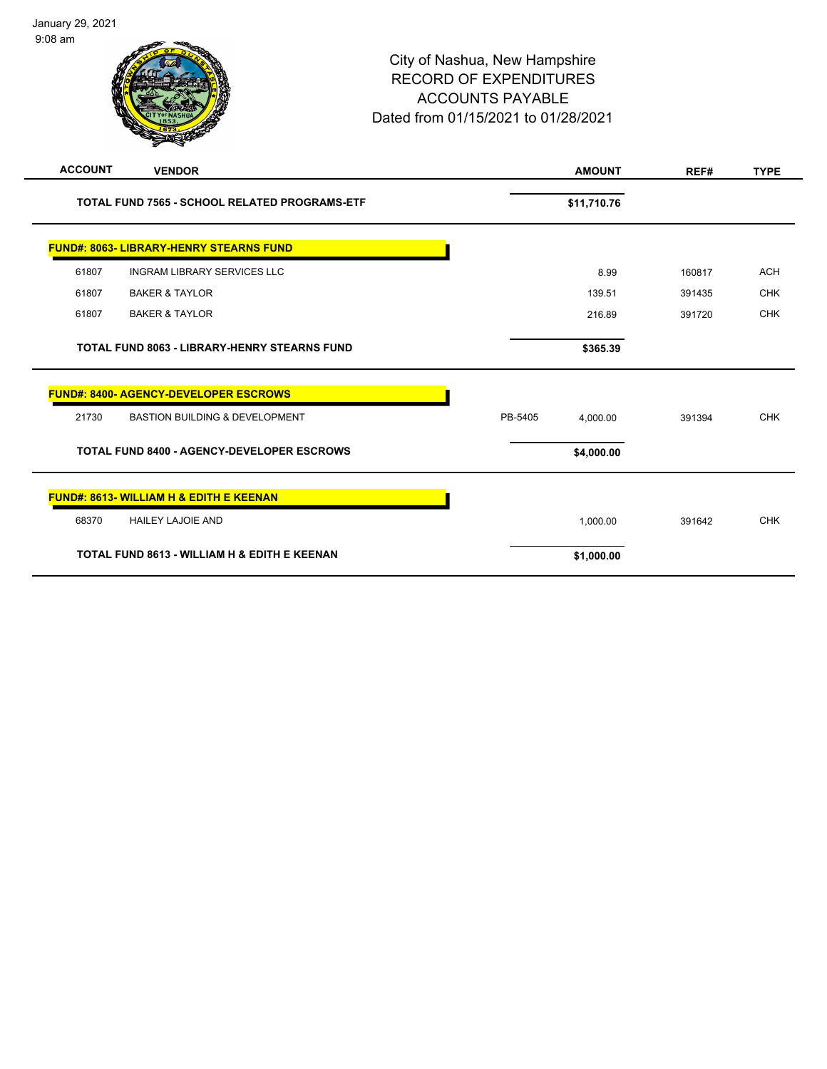| <b>ACCOUNT</b> | <b>VENDOR</b>                                       |         | <b>AMOUNT</b> | REF#   | <b>TYPE</b> |
|----------------|-----------------------------------------------------|---------|---------------|--------|-------------|
|                | TOTAL FUND 7565 - SCHOOL RELATED PROGRAMS-ETF       |         | \$11,710.76   |        |             |
|                | <b>FUND#: 8063- LIBRARY-HENRY STEARNS FUND</b>      |         |               |        |             |
| 61807          | <b>INGRAM LIBRARY SERVICES LLC</b>                  |         | 8.99          | 160817 | <b>ACH</b>  |
| 61807          | <b>BAKER &amp; TAYLOR</b>                           |         | 139.51        | 391435 | <b>CHK</b>  |
| 61807          | <b>BAKER &amp; TAYLOR</b>                           |         | 216.89        | 391720 | <b>CHK</b>  |
|                | <b>TOTAL FUND 8063 - LIBRARY-HENRY STEARNS FUND</b> |         | \$365.39      |        |             |
|                | <b>FUND#: 8400- AGENCY-DEVELOPER ESCROWS</b>        |         |               |        |             |
| 21730          | <b>BASTION BUILDING &amp; DEVELOPMENT</b>           | PB-5405 | 4.000.00      | 391394 | <b>CHK</b>  |
|                | <b>TOTAL FUND 8400 - AGENCY-DEVELOPER ESCROWS</b>   |         | \$4,000.00    |        |             |
|                | <b>FUND#: 8613- WILLIAM H &amp; EDITH E KEENAN</b>  |         |               |        |             |
| 68370          | <b>HAILEY LAJOIE AND</b>                            |         | 1,000.00      | 391642 | <b>CHK</b>  |
|                | TOTAL FUND 8613 - WILLIAM H & EDITH E KEENAN        |         | \$1,000.00    |        |             |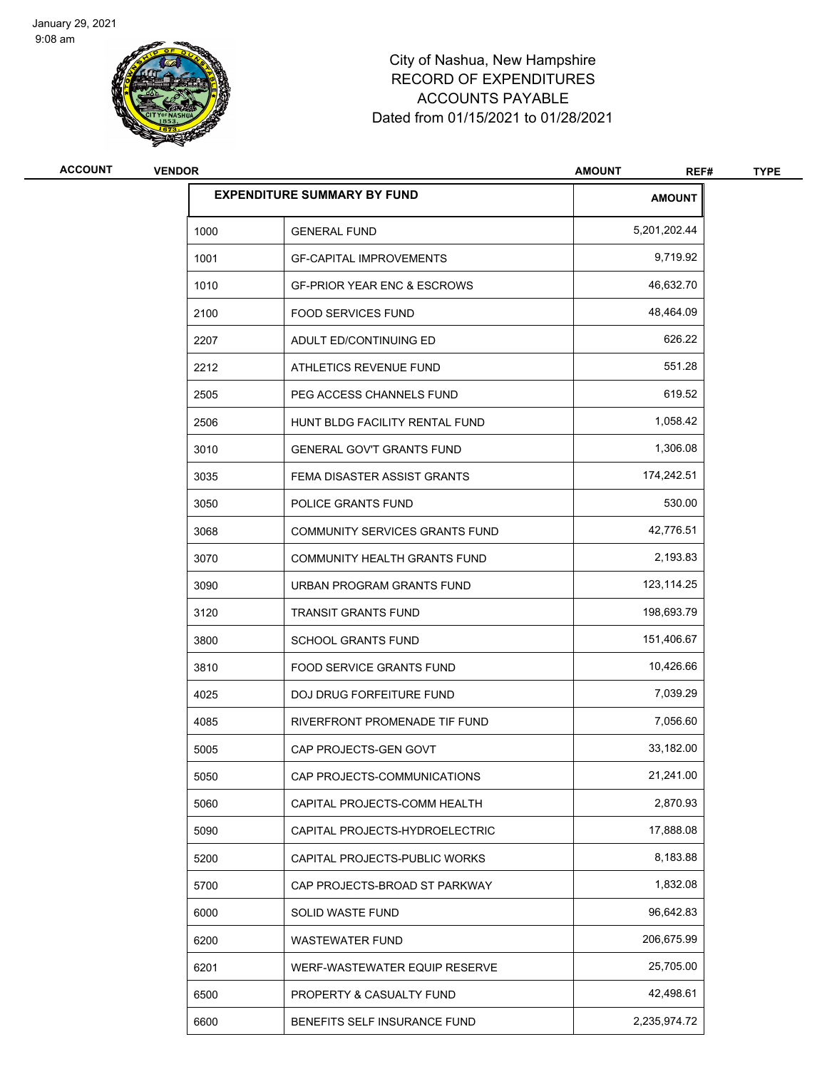

| <b>ACCOUNT</b> | <b>VENDOR</b> |                                        | <b>AMOUNT</b><br>REF# | <b>TYPE</b> |
|----------------|---------------|----------------------------------------|-----------------------|-------------|
|                |               | <b>EXPENDITURE SUMMARY BY FUND</b>     | <b>AMOUNT</b>         |             |
|                | 1000          | <b>GENERAL FUND</b>                    | 5,201,202.44          |             |
|                | 1001          | <b>GF-CAPITAL IMPROVEMENTS</b>         | 9,719.92              |             |
|                | 1010          | <b>GF-PRIOR YEAR ENC &amp; ESCROWS</b> | 46,632.70             |             |
|                | 2100          | <b>FOOD SERVICES FUND</b>              | 48,464.09             |             |
|                | 2207          | ADULT ED/CONTINUING ED                 | 626.22                |             |
|                | 2212          | ATHLETICS REVENUE FUND                 | 551.28                |             |
|                | 2505          | PEG ACCESS CHANNELS FUND               | 619.52                |             |
|                | 2506          | HUNT BLDG FACILITY RENTAL FUND         | 1,058.42              |             |
|                | 3010          | <b>GENERAL GOV'T GRANTS FUND</b>       | 1,306.08              |             |
|                | 3035          | FEMA DISASTER ASSIST GRANTS            | 174,242.51            |             |
|                | 3050          | POLICE GRANTS FUND                     | 530.00                |             |
|                | 3068          | COMMUNITY SERVICES GRANTS FUND         | 42,776.51             |             |
|                | 3070          | COMMUNITY HEALTH GRANTS FUND           | 2,193.83              |             |
|                | 3090          | URBAN PROGRAM GRANTS FUND              | 123,114.25            |             |
|                | 3120          | <b>TRANSIT GRANTS FUND</b>             | 198,693.79            |             |
|                | 3800          | <b>SCHOOL GRANTS FUND</b>              | 151,406.67            |             |
|                | 3810          | <b>FOOD SERVICE GRANTS FUND</b>        | 10,426.66             |             |
|                | 4025          | <b>DOJ DRUG FORFEITURE FUND</b>        | 7,039.29              |             |
|                | 4085          | RIVERFRONT PROMENADE TIF FUND          | 7,056.60              |             |
|                | 5005          | CAP PROJECTS-GEN GOVT                  | 33,182.00             |             |
|                | 5050          | CAP PROJECTS-COMMUNICATIONS            | 21,241.00             |             |
|                | 5060          | CAPITAL PROJECTS-COMM HEALTH           | 2,870.93              |             |
|                | 5090          | CAPITAL PROJECTS-HYDROELECTRIC         | 17,888.08             |             |
|                | 5200          | CAPITAL PROJECTS-PUBLIC WORKS          | 8,183.88              |             |
|                | 5700          | CAP PROJECTS-BROAD ST PARKWAY          | 1,832.08              |             |
|                | 6000          | SOLID WASTE FUND                       | 96,642.83             |             |
|                | 6200          | WASTEWATER FUND                        | 206,675.99            |             |
|                | 6201          | WERF-WASTEWATER EQUIP RESERVE          | 25,705.00             |             |
|                | 6500          | PROPERTY & CASUALTY FUND               | 42,498.61             |             |
|                | 6600          | BENEFITS SELF INSURANCE FUND           | 2,235,974.72          |             |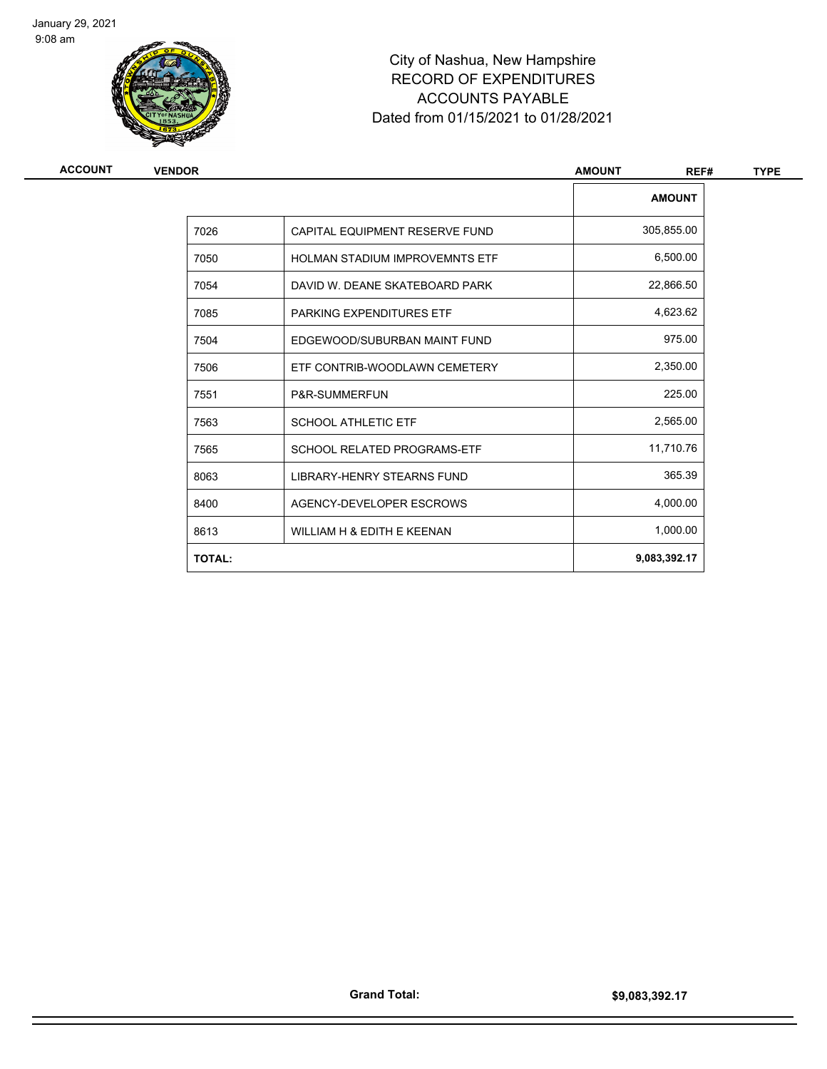

| ACCOUNT | <b>VENDOR</b> | <b>AMOUNT</b>                         |               | <b>TYPE</b> |
|---------|---------------|---------------------------------------|---------------|-------------|
|         |               |                                       | <b>AMOUNT</b> |             |
|         | 7026          | CAPITAL EQUIPMENT RESERVE FUND        | 305,855.00    |             |
|         | 7050          | <b>HOLMAN STADIUM IMPROVEMNTS ETF</b> | 6,500.00      |             |
|         | 7054          | DAVID W. DEANE SKATEBOARD PARK        | 22,866.50     |             |
|         | 7085          | PARKING EXPENDITURES ETF              | 4,623.62      |             |
|         | 7504          | EDGEWOOD/SUBURBAN MAINT FUND          | 975.00        |             |
|         | 7506          | ETF CONTRIB-WOODLAWN CEMETERY         | 2,350.00      |             |
|         | 7551          | P&R-SUMMERFUN                         | 225.00        |             |
|         | 7563          | <b>SCHOOL ATHLETIC ETF</b>            | 2,565.00      |             |
|         | 7565          | <b>SCHOOL RELATED PROGRAMS-ETF</b>    | 11,710.76     |             |
|         | 8063          | LIBRARY-HENRY STEARNS FUND            | 365.39        |             |
|         | 8400          | AGENCY-DEVELOPER ESCROWS              | 4,000.00      |             |
|         | 8613          | WILLIAM H & EDITH E KEENAN            | 1,000.00      |             |
|         | <b>TOTAL:</b> |                                       | 9,083,392.17  |             |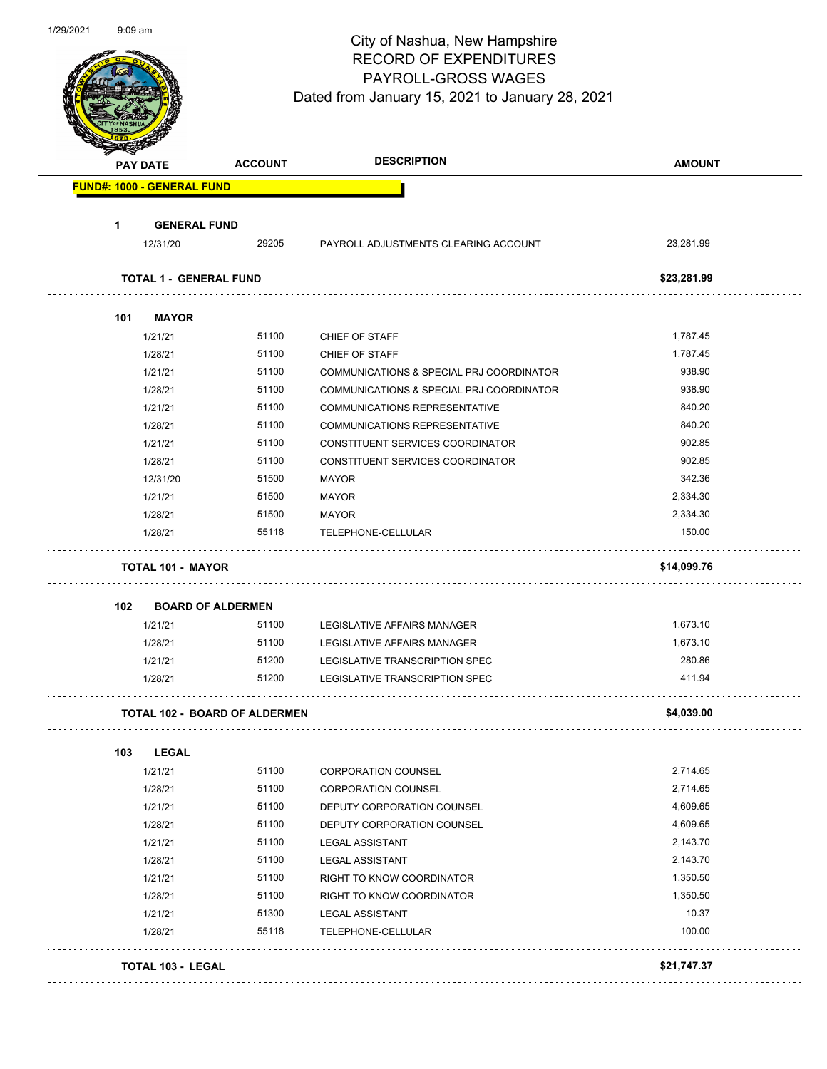| 1/29/2021 | $9:09$ am |                                      |                | City of Nashua, New Hampshire<br><b>RECORD OF EXPENDITURES</b><br>PAYROLL-GROSS WAGES<br>Dated from January 15, 2021 to January 28, 2021 |               |
|-----------|-----------|--------------------------------------|----------------|------------------------------------------------------------------------------------------------------------------------------------------|---------------|
|           |           | <b>PAY DATE</b>                      | <b>ACCOUNT</b> | <b>DESCRIPTION</b>                                                                                                                       | <b>AMOUNT</b> |
|           |           | <b>FUND#: 1000 - GENERAL FUND</b>    |                |                                                                                                                                          |               |
|           | 1         | <b>GENERAL FUND</b>                  |                |                                                                                                                                          |               |
|           |           | 12/31/20                             | 29205          | PAYROLL ADJUSTMENTS CLEARING ACCOUNT                                                                                                     | 23,281.99     |
|           |           | <b>TOTAL 1 - GENERAL FUND</b>        |                |                                                                                                                                          | \$23,281.99   |
|           |           |                                      |                |                                                                                                                                          |               |
|           | 101       | <b>MAYOR</b>                         |                |                                                                                                                                          |               |
|           |           | 1/21/21                              | 51100          | CHIEF OF STAFF                                                                                                                           | 1,787.45      |
|           |           | 1/28/21                              | 51100          | CHIEF OF STAFF                                                                                                                           | 1,787.45      |
|           |           | 1/21/21                              | 51100          | COMMUNICATIONS & SPECIAL PRJ COORDINATOR                                                                                                 | 938.90        |
|           |           | 1/28/21                              | 51100          | COMMUNICATIONS & SPECIAL PRJ COORDINATOR                                                                                                 | 938.90        |
|           |           | 1/21/21                              | 51100          | <b>COMMUNICATIONS REPRESENTATIVE</b>                                                                                                     | 840.20        |
|           |           | 1/28/21                              | 51100          | <b>COMMUNICATIONS REPRESENTATIVE</b>                                                                                                     | 840.20        |
|           |           | 1/21/21                              | 51100          | CONSTITUENT SERVICES COORDINATOR                                                                                                         | 902.85        |
|           |           | 1/28/21                              | 51100          | CONSTITUENT SERVICES COORDINATOR                                                                                                         | 902.85        |
|           |           | 12/31/20                             | 51500          | <b>MAYOR</b>                                                                                                                             | 342.36        |
|           |           | 1/21/21                              | 51500          | <b>MAYOR</b>                                                                                                                             | 2,334.30      |
|           |           | 1/28/21                              | 51500          | <b>MAYOR</b>                                                                                                                             | 2,334.30      |
|           |           | 1/28/21                              | 55118          | TELEPHONE-CELLULAR                                                                                                                       | 150.00        |
|           |           | <b>TOTAL 101 - MAYOR</b>             |                |                                                                                                                                          | \$14,099.76   |
|           |           |                                      |                |                                                                                                                                          |               |
|           | 102       | <b>BOARD OF ALDERMEN</b><br>1/21/21  | 51100          | LEGISLATIVE AFFAIRS MANAGER                                                                                                              | 1,673.10      |
|           |           | 1/28/21                              | 51100          | <b>LEGISLATIVE AFFAIRS MANAGER</b>                                                                                                       | 1,673.10      |
|           |           | 1/21/21                              | 51200          | LEGISLATIVE TRANSCRIPTION SPEC                                                                                                           | 280.86        |
|           |           | 1/28/21                              | 51200          | LEGISLATIVE TRANSCRIPTION SPEC                                                                                                           | 411.94        |
|           |           | <b>TOTAL 102 - BOARD OF ALDERMEN</b> |                |                                                                                                                                          | \$4,039.00    |
|           |           |                                      |                |                                                                                                                                          |               |
|           | 103       | <b>LEGAL</b>                         |                |                                                                                                                                          |               |
|           |           | 1/21/21                              | 51100          | <b>CORPORATION COUNSEL</b>                                                                                                               | 2,714.65      |
|           |           | 1/28/21                              | 51100          | <b>CORPORATION COUNSEL</b>                                                                                                               | 2,714.65      |
|           |           | 1/21/21                              | 51100          | DEPUTY CORPORATION COUNSEL                                                                                                               | 4,609.65      |
|           |           | 1/28/21                              | 51100          | DEPUTY CORPORATION COUNSEL                                                                                                               | 4,609.65      |
|           |           | 1/21/21                              | 51100          | <b>LEGAL ASSISTANT</b>                                                                                                                   | 2,143.70      |
|           |           | 1/28/21                              | 51100          | <b>LEGAL ASSISTANT</b>                                                                                                                   | 2,143.70      |
|           |           | 1/21/21                              | 51100          | RIGHT TO KNOW COORDINATOR                                                                                                                | 1,350.50      |
|           |           | 1/28/21                              | 51100          | RIGHT TO KNOW COORDINATOR                                                                                                                | 1,350.50      |
|           |           | 1/21/21                              | 51300          | <b>LEGAL ASSISTANT</b>                                                                                                                   | 10.37         |
|           |           | 1/28/21                              | 55118          | TELEPHONE-CELLULAR                                                                                                                       | 100.00        |
|           |           | TOTAL 103 - LEGAL                    |                |                                                                                                                                          | \$21,747.37   |
|           |           |                                      |                |                                                                                                                                          |               |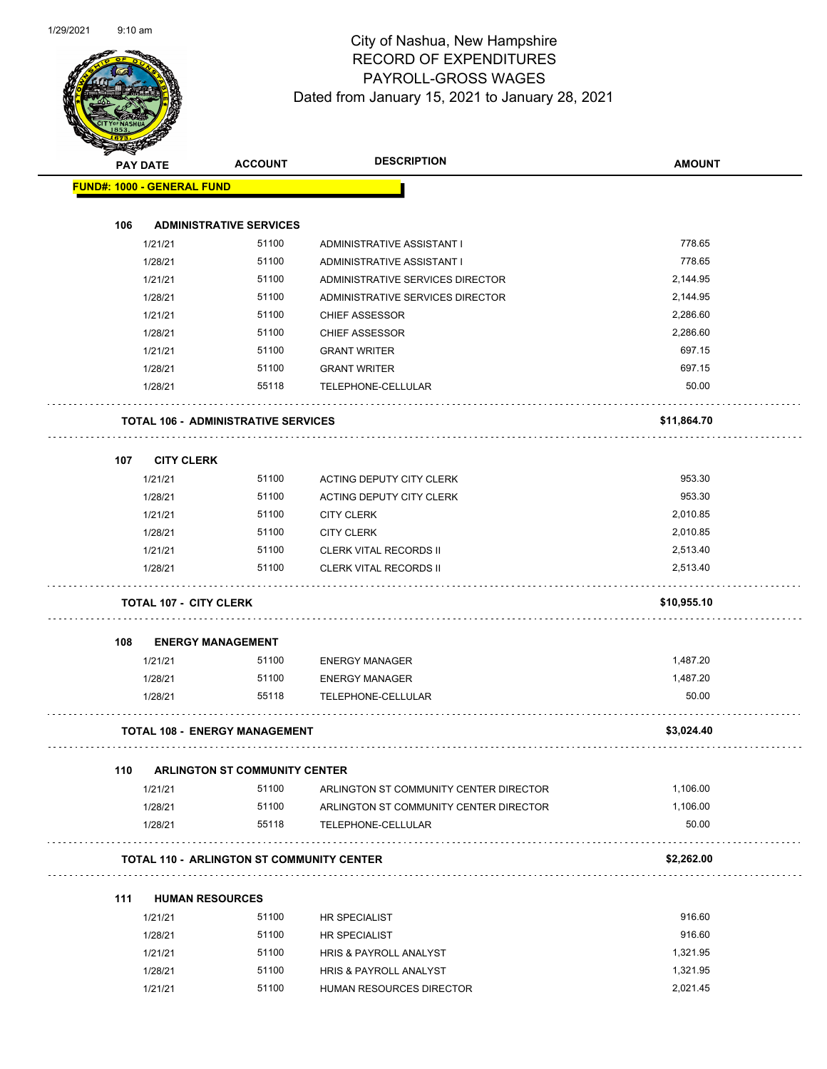

|     | <b>PAY DATE</b>                                  | <b>ACCOUNT</b>                       | <b>DESCRIPTION</b>                     | <b>AMOUNT</b> |
|-----|--------------------------------------------------|--------------------------------------|----------------------------------------|---------------|
|     | <b>FUND#: 1000 - GENERAL FUND</b>                |                                      |                                        |               |
|     |                                                  |                                      |                                        |               |
| 106 |                                                  | <b>ADMINISTRATIVE SERVICES</b>       |                                        |               |
|     | 1/21/21                                          | 51100                                | ADMINISTRATIVE ASSISTANT I             | 778.65        |
|     | 1/28/21                                          | 51100                                | ADMINISTRATIVE ASSISTANT I             | 778.65        |
|     | 1/21/21                                          | 51100                                | ADMINISTRATIVE SERVICES DIRECTOR       | 2,144.95      |
|     | 1/28/21                                          | 51100                                | ADMINISTRATIVE SERVICES DIRECTOR       | 2,144.95      |
|     | 1/21/21                                          | 51100                                | <b>CHIEF ASSESSOR</b>                  | 2,286.60      |
|     | 1/28/21                                          | 51100                                | <b>CHIEF ASSESSOR</b>                  | 2,286.60      |
|     | 1/21/21                                          | 51100                                | <b>GRANT WRITER</b>                    | 697.15        |
|     | 1/28/21                                          | 51100                                | <b>GRANT WRITER</b>                    | 697.15        |
|     | 1/28/21                                          | 55118                                | TELEPHONE-CELLULAR                     | 50.00         |
|     | <b>TOTAL 106 - ADMINISTRATIVE SERVICES</b>       |                                      |                                        | \$11,864.70   |
| 107 | <b>CITY CLERK</b>                                |                                      |                                        |               |
|     | 1/21/21                                          | 51100                                | ACTING DEPUTY CITY CLERK               | 953.30        |
|     | 1/28/21                                          | 51100                                | ACTING DEPUTY CITY CLERK               | 953.30        |
|     | 1/21/21                                          | 51100                                | <b>CITY CLERK</b>                      | 2,010.85      |
|     | 1/28/21                                          | 51100                                | <b>CITY CLERK</b>                      | 2,010.85      |
|     | 1/21/21                                          | 51100                                | CLERK VITAL RECORDS II                 | 2,513.40      |
|     | 1/28/21                                          | 51100                                | <b>CLERK VITAL RECORDS II</b>          | 2,513.40      |
|     | <b>TOTAL 107 - CITY CLERK</b>                    |                                      |                                        | \$10,955.10   |
| 108 | <b>ENERGY MANAGEMENT</b>                         |                                      |                                        |               |
|     | 1/21/21                                          | 51100                                | <b>ENERGY MANAGER</b>                  | 1,487.20      |
|     | 1/28/21                                          | 51100                                | <b>ENERGY MANAGER</b>                  | 1,487.20      |
|     | 1/28/21                                          | 55118                                | TELEPHONE-CELLULAR                     | 50.00         |
|     | <b>TOTAL 108 - ENERGY MANAGEMENT</b>             |                                      |                                        | \$3,024.40    |
| 110 |                                                  | <b>ARLINGTON ST COMMUNITY CENTER</b> |                                        |               |
|     | 1/21/21                                          | 51100                                | ARLINGTON ST COMMUNITY CENTER DIRECTOR | 1,106.00      |
|     | 1/28/21                                          | 51100                                | ARLINGTON ST COMMUNITY CENTER DIRECTOR | 1,106.00      |
|     | 1/28/21                                          | 55118                                | TELEPHONE-CELLULAR                     | 50.00         |
|     | <b>TOTAL 110 - ARLINGTON ST COMMUNITY CENTER</b> |                                      |                                        | \$2,262.00    |
| 111 | <b>HUMAN RESOURCES</b>                           |                                      |                                        |               |
|     | 1/21/21                                          | 51100                                | HR SPECIALIST                          | 916.60        |
|     | 1/28/21                                          | 51100                                | <b>HR SPECIALIST</b>                   | 916.60        |

| 51100<br>1/21/21<br><b>HRIS &amp; PAYROLL ANALYST</b><br>51100<br>1/28/21<br><b>HRIS &amp; PAYROLL ANALYST</b><br>51100<br>1/21/21<br>HUMAN RESOURCES DIRECTOR | 1/28/21 | <b>PULLE</b> | HR SPECIALIST | 910.OU   |
|----------------------------------------------------------------------------------------------------------------------------------------------------------------|---------|--------------|---------------|----------|
|                                                                                                                                                                |         |              |               | 1.321.95 |
|                                                                                                                                                                |         |              |               | 1.321.95 |
|                                                                                                                                                                |         |              |               | 2.021.45 |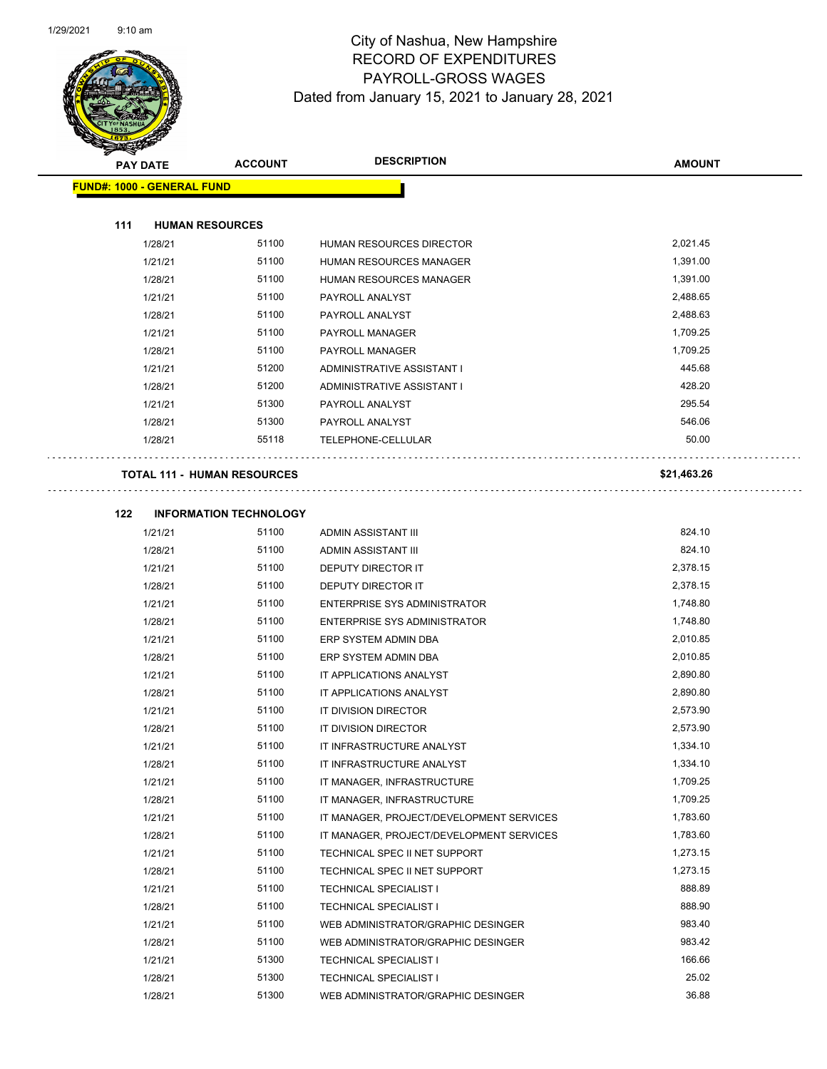

| B.                                 |                               |                                          |               |  |
|------------------------------------|-------------------------------|------------------------------------------|---------------|--|
| <b>PAY DATE</b>                    | <b>ACCOUNT</b>                | <b>DESCRIPTION</b>                       | <b>AMOUNT</b> |  |
| <b>FUND#: 1000 - GENERAL FUND</b>  |                               |                                          |               |  |
|                                    |                               |                                          |               |  |
| 111<br><b>HUMAN RESOURCES</b>      |                               |                                          |               |  |
| 1/28/21                            | 51100                         | <b>HUMAN RESOURCES DIRECTOR</b>          | 2,021.45      |  |
| 1/21/21                            | 51100                         | <b>HUMAN RESOURCES MANAGER</b>           | 1,391.00      |  |
| 1/28/21                            | 51100                         | HUMAN RESOURCES MANAGER                  | 1,391.00      |  |
| 1/21/21                            | 51100                         | PAYROLL ANALYST                          | 2,488.65      |  |
| 1/28/21                            | 51100                         | PAYROLL ANALYST                          | 2,488.63      |  |
| 1/21/21                            | 51100                         | PAYROLL MANAGER                          | 1,709.25      |  |
| 1/28/21                            | 51100                         | PAYROLL MANAGER                          | 1,709.25      |  |
| 1/21/21                            | 51200                         | ADMINISTRATIVE ASSISTANT I               | 445.68        |  |
| 1/28/21                            | 51200                         | ADMINISTRATIVE ASSISTANT I               | 428.20        |  |
| 1/21/21                            | 51300                         | PAYROLL ANALYST                          | 295.54        |  |
| 1/28/21                            | 51300                         | PAYROLL ANALYST                          | 546.06        |  |
| 1/28/21                            | 55118                         | TELEPHONE-CELLULAR                       | 50.00         |  |
|                                    |                               |                                          |               |  |
| <b>TOTAL 111 - HUMAN RESOURCES</b> |                               |                                          | \$21,463.26   |  |
|                                    |                               |                                          |               |  |
| 122                                | <b>INFORMATION TECHNOLOGY</b> |                                          |               |  |
| 1/21/21                            | 51100                         | ADMIN ASSISTANT III                      | 824.10        |  |
| 1/28/21                            | 51100                         | ADMIN ASSISTANT III                      | 824.10        |  |
| 1/21/21                            | 51100                         | DEPUTY DIRECTOR IT                       | 2,378.15      |  |
| 1/28/21                            | 51100                         | DEPUTY DIRECTOR IT                       | 2,378.15      |  |
| 1/21/21                            | 51100                         | <b>ENTERPRISE SYS ADMINISTRATOR</b>      | 1,748.80      |  |
| 1/28/21                            | 51100                         | <b>ENTERPRISE SYS ADMINISTRATOR</b>      | 1,748.80      |  |
| 1/21/21                            | 51100                         | ERP SYSTEM ADMIN DBA                     | 2,010.85      |  |
| 1/28/21                            | 51100                         | ERP SYSTEM ADMIN DBA                     | 2,010.85      |  |
| 1/21/21                            | 51100                         | IT APPLICATIONS ANALYST                  | 2,890.80      |  |
| 1/28/21                            | 51100                         | IT APPLICATIONS ANALYST                  | 2,890.80      |  |
| 1/21/21                            | 51100                         | IT DIVISION DIRECTOR                     | 2,573.90      |  |
| 1/28/21                            | 51100                         | IT DIVISION DIRECTOR                     | 2,573.90      |  |
| 1/21/21                            | 51100                         | IT INFRASTRUCTURE ANALYST                | 1,334.10      |  |
| 1/28/21                            | 51100                         | IT INFRASTRUCTURE ANALYST                | 1,334.10      |  |
| 1/21/21                            | 51100                         | IT MANAGER, INFRASTRUCTURE               | 1,709.25      |  |
| 1/28/21                            | 51100                         | IT MANAGER, INFRASTRUCTURE               | 1,709.25      |  |
| 1/21/21                            | 51100                         | IT MANAGER, PROJECT/DEVELOPMENT SERVICES | 1,783.60      |  |
| 1/28/21                            | 51100                         | IT MANAGER, PROJECT/DEVELOPMENT SERVICES | 1,783.60      |  |
| 1/21/21                            | 51100                         | TECHNICAL SPEC II NET SUPPORT            | 1,273.15      |  |
| 1/28/21                            | 51100                         | TECHNICAL SPEC II NET SUPPORT            | 1,273.15      |  |
| 1/21/21                            | 51100                         | <b>TECHNICAL SPECIALIST I</b>            | 888.89        |  |
| 1/28/21                            | 51100                         | <b>TECHNICAL SPECIALIST I</b>            | 888.90        |  |
| 1/21/21                            | 51100                         | WEB ADMINISTRATOR/GRAPHIC DESINGER       | 983.40        |  |
| 1/28/21                            | 51100                         | WEB ADMINISTRATOR/GRAPHIC DESINGER       | 983.42        |  |
| 1/21/21                            | 51300                         | <b>TECHNICAL SPECIALIST I</b>            | 166.66        |  |
| 1/28/21                            | 51300                         | <b>TECHNICAL SPECIALIST I</b>            | 25.02         |  |
| 1/28/21                            | 51300                         | WEB ADMINISTRATOR/GRAPHIC DESINGER       | 36.88         |  |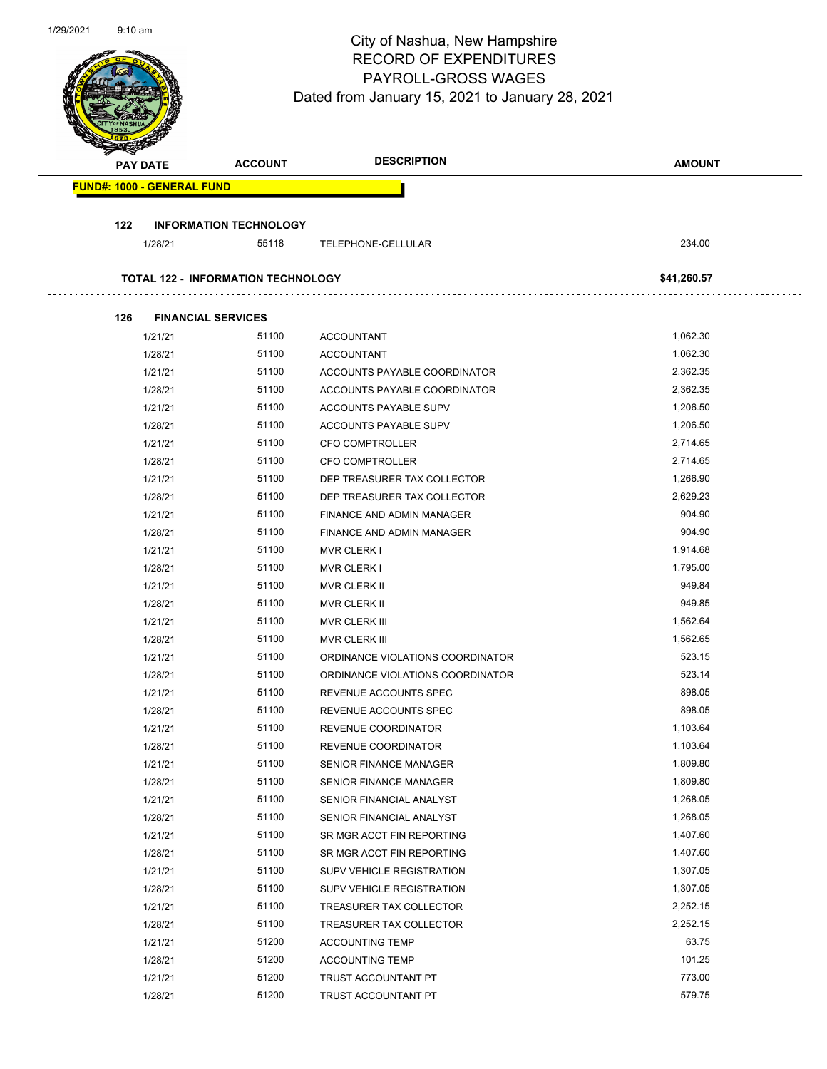|     |                                   |                                           | City of Nashua, New Hampshire                   |               |
|-----|-----------------------------------|-------------------------------------------|-------------------------------------------------|---------------|
|     |                                   |                                           | <b>RECORD OF EXPENDITURES</b>                   |               |
|     |                                   |                                           | PAYROLL-GROSS WAGES                             |               |
|     |                                   |                                           | Dated from January 15, 2021 to January 28, 2021 |               |
|     |                                   |                                           |                                                 |               |
|     |                                   |                                           |                                                 |               |
|     |                                   |                                           |                                                 |               |
|     | <b>PAY DATE</b>                   | <b>ACCOUNT</b>                            | <b>DESCRIPTION</b>                              | <b>AMOUNT</b> |
|     | <b>FUND#: 1000 - GENERAL FUND</b> |                                           |                                                 |               |
|     |                                   |                                           |                                                 |               |
| 122 |                                   | <b>INFORMATION TECHNOLOGY</b>             |                                                 |               |
|     | 1/28/21                           | 55118                                     | TELEPHONE-CELLULAR                              | 234.00        |
|     |                                   | <b>TOTAL 122 - INFORMATION TECHNOLOGY</b> |                                                 | \$41,260.57   |
|     |                                   |                                           |                                                 |               |
| 126 |                                   | <b>FINANCIAL SERVICES</b>                 |                                                 |               |
|     | 1/21/21                           | 51100                                     | <b>ACCOUNTANT</b>                               | 1,062.30      |
|     | 1/28/21                           | 51100                                     | <b>ACCOUNTANT</b>                               | 1,062.30      |
|     | 1/21/21                           | 51100                                     | ACCOUNTS PAYABLE COORDINATOR                    | 2,362.35      |
|     | 1/28/21                           | 51100                                     | ACCOUNTS PAYABLE COORDINATOR                    | 2,362.35      |
|     | 1/21/21                           | 51100                                     | ACCOUNTS PAYABLE SUPV                           | 1,206.50      |
|     | 1/28/21                           | 51100                                     | ACCOUNTS PAYABLE SUPV                           | 1,206.50      |
|     | 1/21/21                           | 51100                                     | CFO COMPTROLLER                                 | 2,714.65      |
|     | 1/28/21                           | 51100                                     | <b>CFO COMPTROLLER</b>                          | 2,714.65      |
|     | 1/21/21                           | 51100                                     | DEP TREASURER TAX COLLECTOR                     | 1,266.90      |
|     | 1/28/21                           | 51100                                     | DEP TREASURER TAX COLLECTOR                     | 2,629.23      |
|     | 1/21/21                           | 51100                                     | FINANCE AND ADMIN MANAGER                       | 904.90        |
|     | 1/28/21                           | 51100                                     | FINANCE AND ADMIN MANAGER                       | 904.90        |
|     | 1/21/21                           | 51100                                     | <b>MVR CLERK I</b>                              | 1,914.68      |
|     | 1/28/21                           | 51100                                     | <b>MVR CLERK I</b>                              | 1,795.00      |
|     | 1/21/21                           | 51100                                     | MVR CLERK II                                    | 949.84        |
|     | 1/28/21                           | 51100                                     | <b>MVR CLERK II</b>                             | 949.85        |
|     | 1/21/21                           | 51100                                     | MVR CLERK III                                   | 1,562.64      |
|     | 1/28/21                           | 51100                                     | MVR CLERK III                                   | 1,562.65      |
|     | 1/21/21                           | 51100                                     | ORDINANCE VIOLATIONS COORDINATOR                | 523.15        |
|     | 1/28/21                           | 51100                                     | ORDINANCE VIOLATIONS COORDINATOR                | 523.14        |
|     | 1/21/21                           | 51100                                     | REVENUE ACCOUNTS SPEC                           | 898.05        |
|     | 1/28/21                           | 51100                                     | REVENUE ACCOUNTS SPEC                           | 898.05        |
|     | 1/21/21                           | 51100                                     | REVENUE COORDINATOR                             | 1,103.64      |
|     | 1/28/21                           | 51100                                     | REVENUE COORDINATOR                             | 1,103.64      |
|     | 1/21/21                           | 51100                                     | <b>SENIOR FINANCE MANAGER</b>                   | 1,809.80      |
|     | 1/28/21                           | 51100                                     | <b>SENIOR FINANCE MANAGER</b>                   | 1,809.80      |
|     | 1/21/21                           | 51100                                     | SENIOR FINANCIAL ANALYST                        | 1,268.05      |
|     | 1/28/21                           | 51100                                     | SENIOR FINANCIAL ANALYST                        | 1,268.05      |
|     | 1/21/21                           | 51100                                     | SR MGR ACCT FIN REPORTING                       | 1,407.60      |
|     | 1/28/21                           | 51100                                     | SR MGR ACCT FIN REPORTING                       | 1,407.60      |
|     | 1/21/21                           | 51100                                     | SUPV VEHICLE REGISTRATION                       | 1,307.05      |
|     | 1/28/21                           | 51100                                     | SUPV VEHICLE REGISTRATION                       | 1,307.05      |
|     | 1/21/21                           | 51100                                     | TREASURER TAX COLLECTOR                         | 2,252.15      |
|     | 1/28/21                           | 51100                                     | TREASURER TAX COLLECTOR                         | 2,252.15      |
|     | 1/21/21                           | 51200                                     | <b>ACCOUNTING TEMP</b>                          | 63.75         |
|     | 1/28/21                           | 51200                                     | <b>ACCOUNTING TEMP</b>                          | 101.25        |
|     | 1/21/21                           | 51200                                     | TRUST ACCOUNTANT PT                             | 773.00        |
|     | 1/28/21                           | 51200                                     | TRUST ACCOUNTANT PT                             | 579.75        |

1/29/2021 9:10 am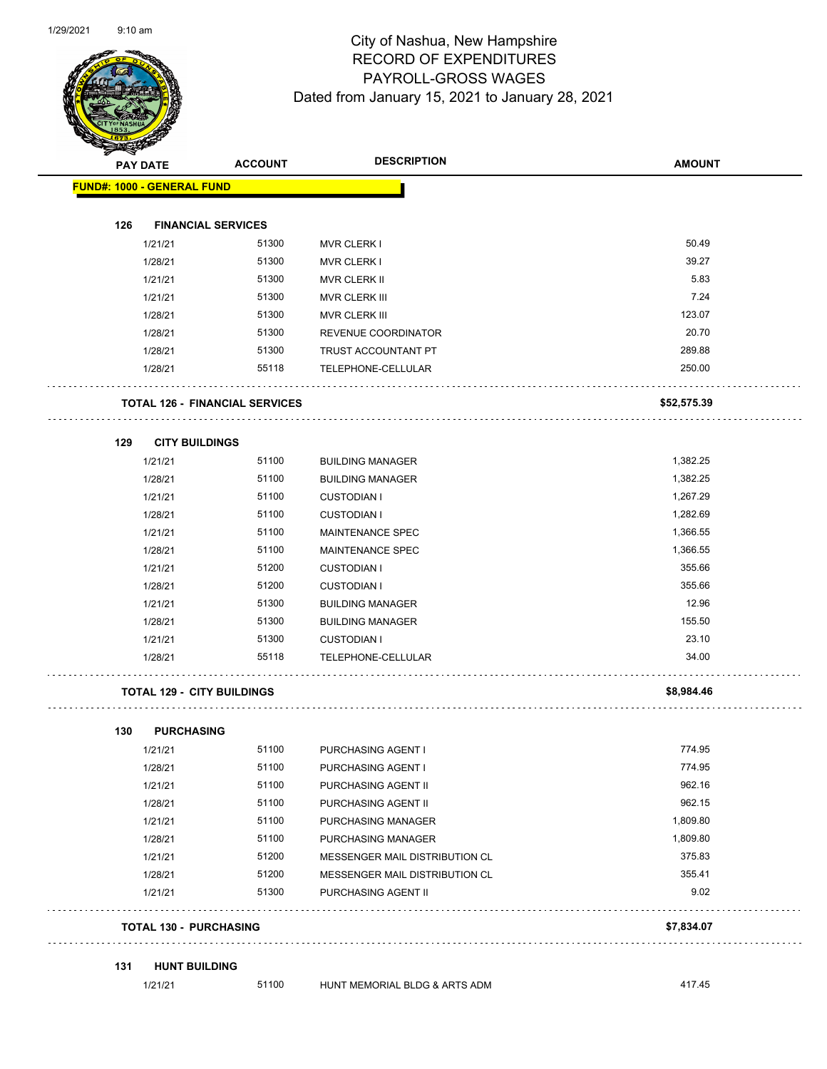

| $\tilde{\phantom{a}}$             | <b>PAY DATE</b> | <b>ACCOUNT</b>                        | <b>DESCRIPTION</b>             | <b>AMOUNT</b> |
|-----------------------------------|-----------------|---------------------------------------|--------------------------------|---------------|
| <b>FUND#: 1000 - GENERAL FUND</b> |                 |                                       |                                |               |
|                                   |                 |                                       |                                |               |
| 126                               |                 | <b>FINANCIAL SERVICES</b>             |                                |               |
|                                   | 1/21/21         | 51300                                 | <b>MVR CLERK I</b>             | 50.49         |
|                                   | 1/28/21         | 51300                                 | <b>MVR CLERK I</b>             | 39.27         |
|                                   | 1/21/21         | 51300                                 | MVR CLERK II                   | 5.83          |
|                                   | 1/21/21         | 51300                                 | MVR CLERK III                  | 7.24          |
|                                   | 1/28/21         | 51300                                 | MVR CLERK III                  | 123.07        |
|                                   | 1/28/21         | 51300                                 | REVENUE COORDINATOR            | 20.70         |
|                                   | 1/28/21         | 51300                                 | TRUST ACCOUNTANT PT            | 289.88        |
|                                   | 1/28/21         | 55118                                 | TELEPHONE-CELLULAR             | 250.00        |
|                                   |                 | <b>TOTAL 126 - FINANCIAL SERVICES</b> |                                | \$52,575.39   |
| 129                               |                 | <b>CITY BUILDINGS</b>                 |                                |               |
|                                   | 1/21/21         | 51100                                 | <b>BUILDING MANAGER</b>        | 1,382.25      |
|                                   | 1/28/21         | 51100                                 | <b>BUILDING MANAGER</b>        | 1,382.25      |
|                                   | 1/21/21         | 51100                                 | <b>CUSTODIAN I</b>             | 1,267.29      |
|                                   | 1/28/21         | 51100                                 | <b>CUSTODIAN I</b>             | 1,282.69      |
|                                   | 1/21/21         | 51100                                 | <b>MAINTENANCE SPEC</b>        | 1,366.55      |
|                                   | 1/28/21         | 51100                                 | MAINTENANCE SPEC               | 1,366.55      |
|                                   | 1/21/21         | 51200                                 | <b>CUSTODIAN I</b>             | 355.66        |
|                                   | 1/28/21         | 51200                                 | <b>CUSTODIAN I</b>             | 355.66        |
|                                   | 1/21/21         | 51300                                 | <b>BUILDING MANAGER</b>        | 12.96         |
|                                   | 1/28/21         | 51300                                 | <b>BUILDING MANAGER</b>        | 155.50        |
|                                   | 1/21/21         | 51300                                 | <b>CUSTODIAN I</b>             | 23.10         |
|                                   | 1/28/21         | 55118                                 | TELEPHONE-CELLULAR             | 34.00         |
|                                   |                 | <b>TOTAL 129 - CITY BUILDINGS</b>     |                                | \$8,984.46    |
| 130                               |                 | <b>PURCHASING</b>                     |                                |               |
|                                   | 1/21/21         | 51100                                 | PURCHASING AGENT I             | 774.95        |
|                                   | 1/28/21         | 51100                                 | PURCHASING AGENT I             | 774.95        |
|                                   | 1/21/21         | 51100                                 | PURCHASING AGENT II            | 962.16        |
|                                   | 1/28/21         | 51100                                 | PURCHASING AGENT II            | 962.15        |
|                                   | 1/21/21         | 51100                                 | PURCHASING MANAGER             | 1,809.80      |
|                                   | 1/28/21         | 51100                                 | PURCHASING MANAGER             | 1,809.80      |
|                                   | 1/21/21         | 51200                                 | MESSENGER MAIL DISTRIBUTION CL | 375.83        |
|                                   | 1/28/21         | 51200                                 | MESSENGER MAIL DISTRIBUTION CL | 355.41        |
|                                   | 1/21/21         | 51300                                 | PURCHASING AGENT II            | 9.02          |
|                                   |                 | <b>TOTAL 130 - PURCHASING</b>         |                                | \$7,834.07    |
| 131                               |                 | <b>HUNT BUILDING</b>                  |                                |               |
|                                   | 1/21/21         | 51100                                 | HUNT MEMORIAL BLDG & ARTS ADM  | 417.45        |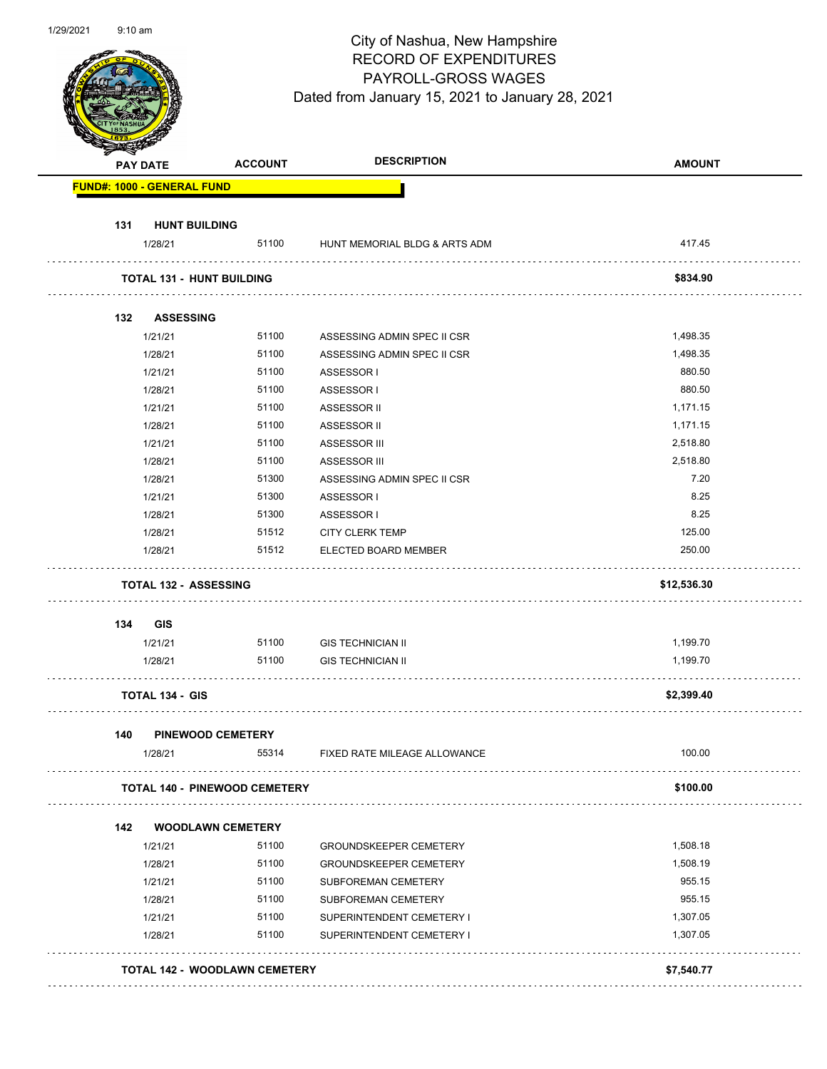|                                   |                                      | <b>RECORD OF EXPENDITURES</b><br>PAYROLL-GROSS WAGES<br>Dated from January 15, 2021 to January 28, 2021 |               |
|-----------------------------------|--------------------------------------|---------------------------------------------------------------------------------------------------------|---------------|
| <b>PAY DATE</b>                   | <b>ACCOUNT</b>                       | <b>DESCRIPTION</b>                                                                                      | <b>AMOUNT</b> |
| <b>FUND#: 1000 - GENERAL FUND</b> |                                      |                                                                                                         |               |
| 131                               | <b>HUNT BUILDING</b>                 |                                                                                                         |               |
| 1/28/21                           |                                      | 51100 HUNT MEMORIAL BLDG & ARTS ADM                                                                     | 417.45        |
|                                   | <b>TOTAL 131 - HUNT BUILDING</b>     |                                                                                                         | \$834.90      |
| 132                               | <b>ASSESSING</b>                     |                                                                                                         |               |
| 1/21/21                           | 51100                                | ASSESSING ADMIN SPEC II CSR                                                                             | 1,498.35      |
| 1/28/21                           | 51100                                | ASSESSING ADMIN SPEC II CSR                                                                             | 1,498.35      |
| 1/21/21                           | 51100                                | ASSESSOR I                                                                                              | 880.50        |
| 1/28/21                           | 51100                                | ASSESSOR I                                                                                              | 880.50        |
| 1/21/21                           | 51100                                | ASSESSOR II                                                                                             | 1,171.15      |
| 1/28/21                           | 51100                                | ASSESSOR II                                                                                             | 1,171.15      |
| 1/21/21                           | 51100                                | <b>ASSESSOR III</b>                                                                                     | 2,518.80      |
| 1/28/21                           | 51100                                | <b>ASSESSOR III</b>                                                                                     | 2,518.80      |
| 1/28/21                           | 51300                                | ASSESSING ADMIN SPEC II CSR                                                                             | 7.20          |
| 1/21/21                           | 51300                                | ASSESSOR I                                                                                              | 8.25          |
| 1/28/21                           | 51300                                | ASSESSOR I                                                                                              | 8.25          |
| 1/28/21                           | 51512                                | <b>CITY CLERK TEMP</b>                                                                                  | 125.00        |
| 1/28/21                           | 51512                                | ELECTED BOARD MEMBER                                                                                    | 250.00        |
|                                   | <b>TOTAL 132 - ASSESSING</b>         |                                                                                                         | \$12,536.30   |
| 134<br>GIS                        |                                      |                                                                                                         |               |
| 1/21/21                           |                                      | 51100 GIS TECHNICIAN II                                                                                 | 1,199.70      |
| 1/28/21                           | 51100                                | <b>GIS TECHNICIAN II</b>                                                                                | 1,199.70      |
| <b>TOTAL 134 - GIS</b>            |                                      |                                                                                                         | \$2,399.40    |
| 140                               | <b>PINEWOOD CEMETERY</b>             |                                                                                                         |               |
| 1/28/21                           | 55314                                | FIXED RATE MILEAGE ALLOWANCE                                                                            | 100.00        |
|                                   | <b>TOTAL 140 - PINEWOOD CEMETERY</b> |                                                                                                         | \$100.00      |
| 142                               | <b>WOODLAWN CEMETERY</b>             |                                                                                                         |               |
| 1/21/21                           | 51100                                | <b>GROUNDSKEEPER CEMETERY</b>                                                                           | 1,508.18      |
| 1/28/21                           | 51100                                | <b>GROUNDSKEEPER CEMETERY</b>                                                                           | 1,508.19      |
|                                   |                                      |                                                                                                         |               |

1/28/21 51100 SUBFOREMAN CEMETERY 955.15 1/21/21 51100 SUPERINTENDENT CEMETERY I 51/21/21 1,307.05

1/28/21 51100 SUPERINTENDENT CEMETERY I 1,307.05 **TOTAL 142 - WOODLAWN CEMETERY \$7,540.77**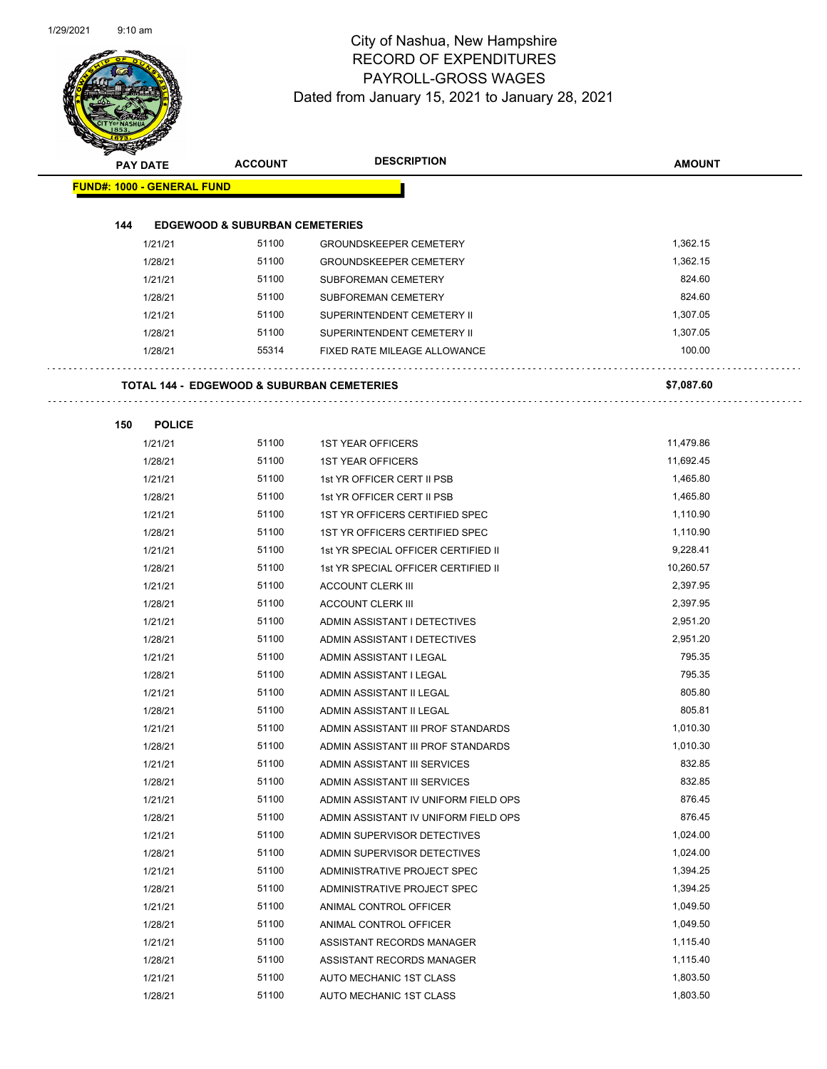$\sim$   $\sim$ 

 $\sim$  .



| <b>Contraction</b>                                    | <b>ACCOUNT</b>                            | <b>DESCRIPTION</b>                   | <b>AMOUNT</b> |
|-------------------------------------------------------|-------------------------------------------|--------------------------------------|---------------|
| <b>PAY DATE</b>                                       |                                           |                                      |               |
| <b>FUND#: 1000 - GENERAL FUND</b>                     |                                           |                                      |               |
|                                                       |                                           |                                      |               |
| 144                                                   | <b>EDGEWOOD &amp; SUBURBAN CEMETERIES</b> |                                      |               |
| 1/21/21                                               | 51100                                     | <b>GROUNDSKEEPER CEMETERY</b>        | 1,362.15      |
| 1/28/21                                               | 51100                                     | <b>GROUNDSKEEPER CEMETERY</b>        | 1,362.15      |
| 1/21/21                                               | 51100                                     | SUBFOREMAN CEMETERY                  | 824.60        |
| 1/28/21                                               | 51100                                     | <b>SUBFOREMAN CEMETERY</b>           | 824.60        |
| 1/21/21                                               | 51100                                     | SUPERINTENDENT CEMETERY II           | 1,307.05      |
| 1/28/21                                               | 51100                                     | SUPERINTENDENT CEMETERY II           | 1,307.05      |
| 1/28/21                                               | 55314                                     | FIXED RATE MILEAGE ALLOWANCE         | 100.00        |
| <b>TOTAL 144 - EDGEWOOD &amp; SUBURBAN CEMETERIES</b> |                                           |                                      | \$7,087.60    |
| 150<br><b>POLICE</b>                                  |                                           |                                      |               |
| 1/21/21                                               | 51100                                     | <b>1ST YEAR OFFICERS</b>             | 11,479.86     |
| 1/28/21                                               | 51100                                     | <b>1ST YEAR OFFICERS</b>             | 11,692.45     |
| 1/21/21                                               | 51100                                     | 1st YR OFFICER CERT II PSB           | 1,465.80      |
| 1/28/21                                               | 51100                                     | 1st YR OFFICER CERT II PSB           | 1,465.80      |
| 1/21/21                                               | 51100                                     | 1ST YR OFFICERS CERTIFIED SPEC       | 1,110.90      |
| 1/28/21                                               | 51100                                     | 1ST YR OFFICERS CERTIFIED SPEC       | 1,110.90      |
| 1/21/21                                               | 51100                                     | 1st YR SPECIAL OFFICER CERTIFIED II  | 9,228.41      |
| 1/28/21                                               | 51100                                     | 1st YR SPECIAL OFFICER CERTIFIED II  | 10,260.57     |
| 1/21/21                                               | 51100                                     | <b>ACCOUNT CLERK III</b>             | 2,397.95      |
| 1/28/21                                               | 51100                                     | <b>ACCOUNT CLERK III</b>             | 2,397.95      |
| 1/21/21                                               | 51100                                     | ADMIN ASSISTANT I DETECTIVES         | 2,951.20      |
| 1/28/21                                               | 51100                                     | ADMIN ASSISTANT I DETECTIVES         | 2,951.20      |
| 1/21/21                                               | 51100                                     | ADMIN ASSISTANT I LEGAL              | 795.35        |
| 1/28/21                                               | 51100                                     | ADMIN ASSISTANT I LEGAL              | 795.35        |
| 1/21/21                                               | 51100                                     | ADMIN ASSISTANT II LEGAL             | 805.80        |
| 1/28/21                                               | 51100                                     | ADMIN ASSISTANT II LEGAL             | 805.81        |
| 1/21/21                                               | 51100                                     | ADMIN ASSISTANT III PROF STANDARDS   | 1,010.30      |
| 1/28/21                                               | 51100                                     | ADMIN ASSISTANT III PROF STANDARDS   | 1,010.30      |
| 1/21/21                                               | 51100                                     | ADMIN ASSISTANT III SERVICES         | 832.85        |
| 1/28/21                                               | 51100                                     | ADMIN ASSISTANT III SERVICES         | 832.85        |
| 1/21/21                                               | 51100                                     | ADMIN ASSISTANT IV UNIFORM FIELD OPS | 876.45        |
| 1/28/21                                               | 51100                                     | ADMIN ASSISTANT IV UNIFORM FIELD OPS | 876.45        |
| 1/21/21                                               | 51100                                     | ADMIN SUPERVISOR DETECTIVES          | 1,024.00      |
| 1/28/21                                               | 51100                                     | ADMIN SUPERVISOR DETECTIVES          | 1,024.00      |
| 1/21/21                                               | 51100                                     | ADMINISTRATIVE PROJECT SPEC          | 1,394.25      |
| 1/28/21                                               | 51100                                     | ADMINISTRATIVE PROJECT SPEC          | 1,394.25      |
| 1/21/21                                               | 51100                                     | ANIMAL CONTROL OFFICER               | 1,049.50      |
| 1/28/21                                               | 51100                                     | ANIMAL CONTROL OFFICER               | 1,049.50      |
| 1/21/21                                               | 51100                                     | ASSISTANT RECORDS MANAGER            | 1,115.40      |
| 1/28/21                                               | 51100                                     | ASSISTANT RECORDS MANAGER            | 1,115.40      |
| 1/21/21                                               | 51100                                     | AUTO MECHANIC 1ST CLASS              | 1,803.50      |
| 1/28/21                                               | 51100                                     | AUTO MECHANIC 1ST CLASS              | 1,803.50      |
|                                                       |                                           |                                      |               |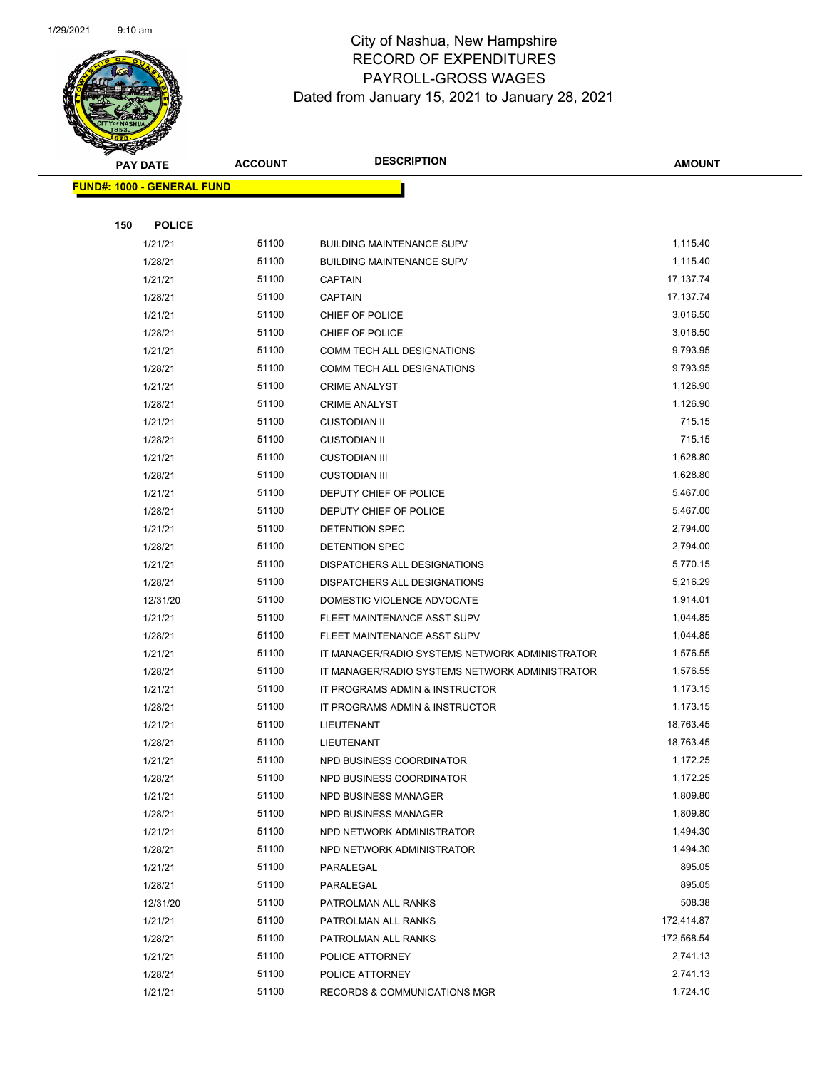

|     | <b>PAY DATE</b>                   | <b>ACCOUNT</b> | <b>DESCRIPTION</b>                             | <b>AMOUNT</b> |
|-----|-----------------------------------|----------------|------------------------------------------------|---------------|
|     | <b>FUND#: 1000 - GENERAL FUND</b> |                |                                                |               |
|     |                                   |                |                                                |               |
| 150 | <b>POLICE</b>                     |                |                                                |               |
|     | 1/21/21                           | 51100          | <b>BUILDING MAINTENANCE SUPV</b>               | 1,115.40      |
|     | 1/28/21                           | 51100          | <b>BUILDING MAINTENANCE SUPV</b>               | 1,115.40      |
|     | 1/21/21                           | 51100          | <b>CAPTAIN</b>                                 | 17, 137. 74   |
|     | 1/28/21                           | 51100          | <b>CAPTAIN</b>                                 | 17, 137. 74   |
|     | 1/21/21                           | 51100          | CHIEF OF POLICE                                | 3,016.50      |
|     | 1/28/21                           | 51100          | CHIEF OF POLICE                                | 3,016.50      |
|     | 1/21/21                           | 51100          | COMM TECH ALL DESIGNATIONS                     | 9,793.95      |
|     | 1/28/21                           | 51100          | COMM TECH ALL DESIGNATIONS                     | 9,793.95      |
|     | 1/21/21                           | 51100          | <b>CRIME ANALYST</b>                           | 1,126.90      |
|     | 1/28/21                           | 51100          | <b>CRIME ANALYST</b>                           | 1,126.90      |
|     | 1/21/21                           | 51100          | <b>CUSTODIAN II</b>                            | 715.15        |
|     | 1/28/21                           | 51100          | <b>CUSTODIAN II</b>                            | 715.15        |
|     | 1/21/21                           | 51100          | <b>CUSTODIAN III</b>                           | 1,628.80      |
|     | 1/28/21                           | 51100          | <b>CUSTODIAN III</b>                           | 1,628.80      |
|     | 1/21/21                           | 51100          | DEPUTY CHIEF OF POLICE                         | 5,467.00      |
|     | 1/28/21                           | 51100          | DEPUTY CHIEF OF POLICE                         | 5,467.00      |
|     | 1/21/21                           | 51100          | DETENTION SPEC                                 | 2,794.00      |
|     | 1/28/21                           | 51100          | DETENTION SPEC                                 | 2,794.00      |
|     | 1/21/21                           | 51100          | DISPATCHERS ALL DESIGNATIONS                   | 5,770.15      |
|     | 1/28/21                           | 51100          | DISPATCHERS ALL DESIGNATIONS                   | 5,216.29      |
|     | 12/31/20                          | 51100          | DOMESTIC VIOLENCE ADVOCATE                     | 1,914.01      |
|     | 1/21/21                           | 51100          | FLEET MAINTENANCE ASST SUPV                    | 1,044.85      |
|     | 1/28/21                           | 51100          | FLEET MAINTENANCE ASST SUPV                    | 1,044.85      |
|     | 1/21/21                           | 51100          | IT MANAGER/RADIO SYSTEMS NETWORK ADMINISTRATOR | 1,576.55      |
|     | 1/28/21                           | 51100          | IT MANAGER/RADIO SYSTEMS NETWORK ADMINISTRATOR | 1,576.55      |
|     | 1/21/21                           | 51100          | IT PROGRAMS ADMIN & INSTRUCTOR                 | 1,173.15      |
|     | 1/28/21                           | 51100          | IT PROGRAMS ADMIN & INSTRUCTOR                 | 1,173.15      |
|     | 1/21/21                           | 51100          | LIEUTENANT                                     | 18,763.45     |
|     | 1/28/21                           | 51100          | LIEUTENANT                                     | 18,763.45     |
|     | 1/21/21                           | 51100          | NPD BUSINESS COORDINATOR                       | 1,172.25      |
|     | 1/28/21                           | 51100          | NPD BUSINESS COORDINATOR                       | 1,172.25      |
|     | 1/21/21                           | 51100          | NPD BUSINESS MANAGER                           | 1,809.80      |
|     | 1/28/21                           | 51100          | NPD BUSINESS MANAGER                           | 1,809.80      |
|     | 1/21/21                           | 51100          | NPD NETWORK ADMINISTRATOR                      | 1,494.30      |
|     | 1/28/21                           | 51100          | NPD NETWORK ADMINISTRATOR                      | 1,494.30      |
|     | 1/21/21                           | 51100          | PARALEGAL                                      | 895.05        |
|     | 1/28/21                           | 51100          | PARALEGAL                                      | 895.05        |
|     | 12/31/20                          | 51100          | PATROLMAN ALL RANKS                            | 508.38        |
|     | 1/21/21                           | 51100          | PATROLMAN ALL RANKS                            | 172,414.87    |
|     | 1/28/21                           | 51100          | PATROLMAN ALL RANKS                            | 172,568.54    |
|     | 1/21/21                           | 51100          | POLICE ATTORNEY                                | 2,741.13      |
|     | 1/28/21                           | 51100          | POLICE ATTORNEY                                | 2,741.13      |
|     | 1/21/21                           | 51100          | RECORDS & COMMUNICATIONS MGR                   | 1,724.10      |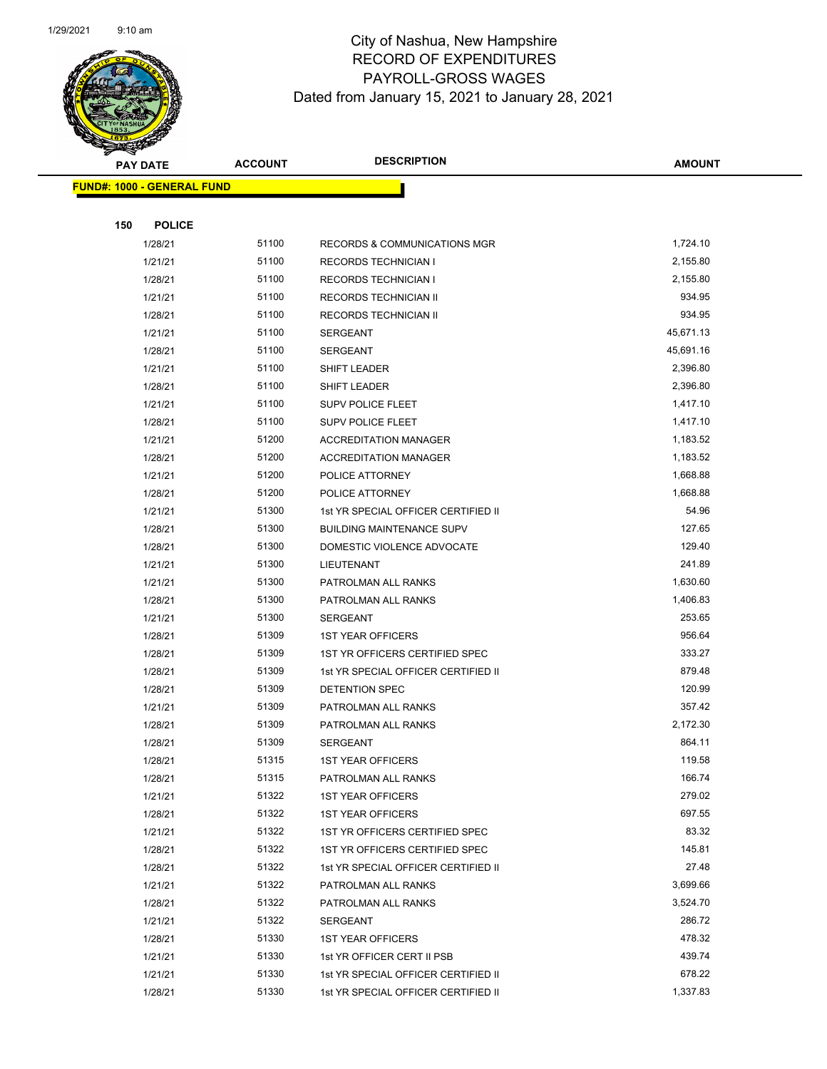

| Ð<br>$\blacktriangleleft$ .<br><b>PAY DATE</b> |               | <b>ACCOUNT</b> | <b>DESCRIPTION</b>                  | <b>AMOUNT</b> |
|------------------------------------------------|---------------|----------------|-------------------------------------|---------------|
| <b>FUND#: 1000 - GENERAL FUND</b>              |               |                |                                     |               |
|                                                |               |                |                                     |               |
| 150                                            | <b>POLICE</b> |                |                                     |               |
|                                                | 1/28/21       | 51100          | RECORDS & COMMUNICATIONS MGR        | 1,724.10      |
|                                                | 1/21/21       | 51100          | <b>RECORDS TECHNICIAN I</b>         | 2,155.80      |
|                                                | 1/28/21       | 51100          | <b>RECORDS TECHNICIAN I</b>         | 2,155.80      |
|                                                | 1/21/21       | 51100          | RECORDS TECHNICIAN II               | 934.95        |
|                                                | 1/28/21       | 51100          | RECORDS TECHNICIAN II               | 934.95        |
|                                                | 1/21/21       | 51100          | <b>SERGEANT</b>                     | 45,671.13     |
|                                                | 1/28/21       | 51100          | SERGEANT                            | 45,691.16     |
|                                                | 1/21/21       | 51100          | SHIFT LEADER                        | 2,396.80      |
|                                                | 1/28/21       | 51100          | SHIFT LEADER                        | 2,396.80      |
|                                                | 1/21/21       | 51100          | SUPV POLICE FLEET                   | 1,417.10      |
|                                                | 1/28/21       | 51100          | SUPV POLICE FLEET                   | 1,417.10      |
|                                                | 1/21/21       | 51200          | <b>ACCREDITATION MANAGER</b>        | 1,183.52      |
|                                                | 1/28/21       | 51200          | <b>ACCREDITATION MANAGER</b>        | 1,183.52      |
|                                                | 1/21/21       | 51200          | POLICE ATTORNEY                     | 1,668.88      |
|                                                | 1/28/21       | 51200          | POLICE ATTORNEY                     | 1,668.88      |
|                                                | 1/21/21       | 51300          | 1st YR SPECIAL OFFICER CERTIFIED II | 54.96         |
|                                                | 1/28/21       | 51300          | <b>BUILDING MAINTENANCE SUPV</b>    | 127.65        |
|                                                | 1/28/21       | 51300          | DOMESTIC VIOLENCE ADVOCATE          | 129.40        |
|                                                | 1/21/21       | 51300          | LIEUTENANT                          | 241.89        |
|                                                | 1/21/21       | 51300          | PATROLMAN ALL RANKS                 | 1,630.60      |
|                                                | 1/28/21       | 51300          | PATROLMAN ALL RANKS                 | 1,406.83      |
|                                                | 1/21/21       | 51300          | SERGEANT                            | 253.65        |
|                                                | 1/28/21       | 51309          | <b>1ST YEAR OFFICERS</b>            | 956.64        |
|                                                | 1/28/21       | 51309          | 1ST YR OFFICERS CERTIFIED SPEC      | 333.27        |
|                                                | 1/28/21       | 51309          | 1st YR SPECIAL OFFICER CERTIFIED II | 879.48        |
|                                                | 1/28/21       | 51309          | DETENTION SPEC                      | 120.99        |
|                                                | 1/21/21       | 51309          | PATROLMAN ALL RANKS                 | 357.42        |
|                                                | 1/28/21       | 51309          | PATROLMAN ALL RANKS                 | 2,172.30      |
|                                                | 1/28/21       | 51309          | SERGEANT                            | 864.11        |
|                                                | 1/28/21       | 51315          | <b>1ST YEAR OFFICERS</b>            | 119.58        |
|                                                | 1/28/21       | 51315          | PATROLMAN ALL RANKS                 | 166.74        |
|                                                | 1/21/21       | 51322          | <b>1ST YEAR OFFICERS</b>            | 279.02        |
|                                                | 1/28/21       | 51322          | <b>1ST YEAR OFFICERS</b>            | 697.55        |
|                                                | 1/21/21       | 51322          | 1ST YR OFFICERS CERTIFIED SPEC      | 83.32         |
|                                                | 1/28/21       | 51322          | 1ST YR OFFICERS CERTIFIED SPEC      | 145.81        |
|                                                | 1/28/21       | 51322          | 1st YR SPECIAL OFFICER CERTIFIED II | 27.48         |
|                                                | 1/21/21       | 51322          | PATROLMAN ALL RANKS                 | 3,699.66      |
|                                                | 1/28/21       | 51322          | PATROLMAN ALL RANKS                 | 3,524.70      |
|                                                | 1/21/21       | 51322          | SERGEANT                            | 286.72        |
|                                                | 1/28/21       | 51330          | <b>1ST YEAR OFFICERS</b>            | 478.32        |
|                                                | 1/21/21       | 51330          | 1st YR OFFICER CERT II PSB          | 439.74        |
|                                                | 1/21/21       | 51330          | 1st YR SPECIAL OFFICER CERTIFIED II | 678.22        |
|                                                | 1/28/21       | 51330          | 1st YR SPECIAL OFFICER CERTIFIED II | 1,337.83      |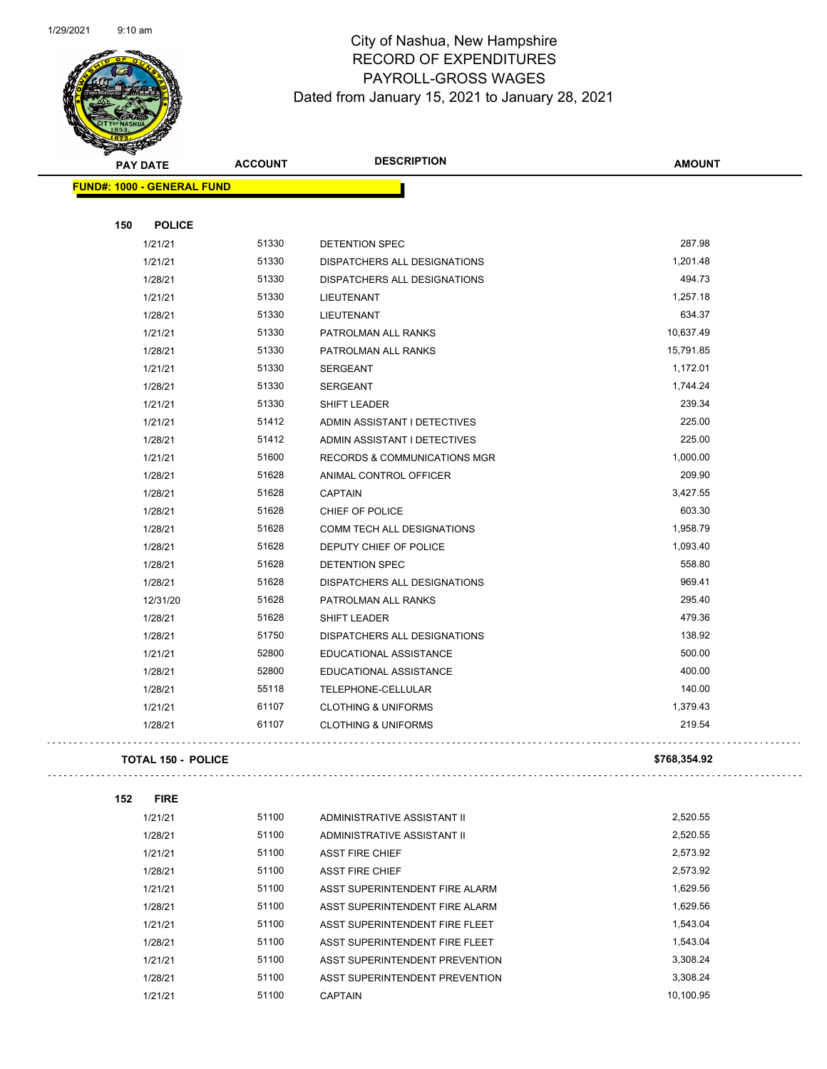$\sim$  .

 $\bar{\mathcal{L}}$  .



| æ.                                |                           |                                         |               |
|-----------------------------------|---------------------------|-----------------------------------------|---------------|
| <b>PAY DATE</b>                   | <b>ACCOUNT</b>            | <b>DESCRIPTION</b>                      | <b>AMOUNT</b> |
| <b>FUND#: 1000 - GENERAL FUND</b> |                           |                                         |               |
|                                   |                           |                                         |               |
| 150                               | <b>POLICE</b>             |                                         |               |
| 1/21/21                           | 51330                     | DETENTION SPEC                          | 287.98        |
| 1/21/21                           | 51330                     | DISPATCHERS ALL DESIGNATIONS            | 1,201.48      |
| 1/28/21                           | 51330                     | DISPATCHERS ALL DESIGNATIONS            | 494.73        |
| 1/21/21                           | 51330                     | <b>LIEUTENANT</b>                       | 1,257.18      |
| 1/28/21                           | 51330                     | LIEUTENANT                              | 634.37        |
| 1/21/21                           | 51330                     | PATROLMAN ALL RANKS                     | 10,637.49     |
| 1/28/21                           | 51330                     | PATROLMAN ALL RANKS                     | 15,791.85     |
| 1/21/21                           | 51330                     | <b>SERGEANT</b>                         | 1,172.01      |
| 1/28/21                           | 51330                     | SERGEANT                                | 1,744.24      |
| 1/21/21                           | 51330                     | SHIFT LEADER                            | 239.34        |
| 1/21/21                           | 51412                     | ADMIN ASSISTANT I DETECTIVES            | 225.00        |
| 1/28/21                           | 51412                     | ADMIN ASSISTANT I DETECTIVES            | 225.00        |
| 1/21/21                           | 51600                     | <b>RECORDS &amp; COMMUNICATIONS MGR</b> | 1,000.00      |
| 1/28/21                           | 51628                     | ANIMAL CONTROL OFFICER                  | 209.90        |
| 1/28/21                           | 51628                     | <b>CAPTAIN</b>                          | 3,427.55      |
| 1/28/21                           | 51628                     | CHIEF OF POLICE                         | 603.30        |
| 1/28/21                           | 51628                     | COMM TECH ALL DESIGNATIONS              | 1,958.79      |
| 1/28/21                           | 51628                     | DEPUTY CHIEF OF POLICE                  | 1,093.40      |
| 1/28/21                           | 51628                     | DETENTION SPEC                          | 558.80        |
| 1/28/21                           | 51628                     | DISPATCHERS ALL DESIGNATIONS            | 969.41        |
| 12/31/20                          | 51628                     | PATROLMAN ALL RANKS                     | 295.40        |
| 1/28/21                           | 51628                     | SHIFT LEADER                            | 479.36        |
| 1/28/21                           | 51750                     | DISPATCHERS ALL DESIGNATIONS            | 138.92        |
| 1/21/21                           | 52800                     | EDUCATIONAL ASSISTANCE                  | 500.00        |
| 1/28/21                           | 52800                     | EDUCATIONAL ASSISTANCE                  | 400.00        |
| 1/28/21                           | 55118                     | TELEPHONE-CELLULAR                      | 140.00        |
| 1/21/21                           | 61107                     | <b>CLOTHING &amp; UNIFORMS</b>          | 1,379.43      |
| 1/28/21                           | 61107                     | <b>CLOTHING &amp; UNIFORMS</b>          | 219.54        |
|                                   |                           |                                         |               |
|                                   | <b>TOTAL 150 - POLICE</b> |                                         | \$768,354.92  |
| 152<br><b>FIRE</b>                |                           |                                         |               |
| 1/21/21                           | 51100                     | ADMINISTRATIVE ASSISTANT II             | 2,520.55      |
|                                   |                           |                                         |               |

| 1/21/21 | 51100 | ADMINISTRATIVE ASSISTANT II    | 2,520.55  |
|---------|-------|--------------------------------|-----------|
| 1/28/21 | 51100 | ADMINISTRATIVE ASSISTANT II    | 2.520.55  |
| 1/21/21 | 51100 | <b>ASST FIRE CHIEF</b>         | 2.573.92  |
| 1/28/21 | 51100 | <b>ASST FIRE CHIEF</b>         | 2.573.92  |
| 1/21/21 | 51100 | ASST SUPERINTENDENT FIRE ALARM | 1,629.56  |
| 1/28/21 | 51100 | ASST SUPERINTENDENT FIRE ALARM | 1.629.56  |
| 1/21/21 | 51100 | ASST SUPERINTENDENT FIRE FLEET | 1.543.04  |
| 1/28/21 | 51100 | ASST SUPERINTENDENT FIRE FLEET | 1.543.04  |
| 1/21/21 | 51100 | ASST SUPERINTENDENT PREVENTION | 3.308.24  |
| 1/28/21 | 51100 | ASST SUPERINTENDENT PREVENTION | 3.308.24  |
| 1/21/21 | 51100 | <b>CAPTAIN</b>                 | 10.100.95 |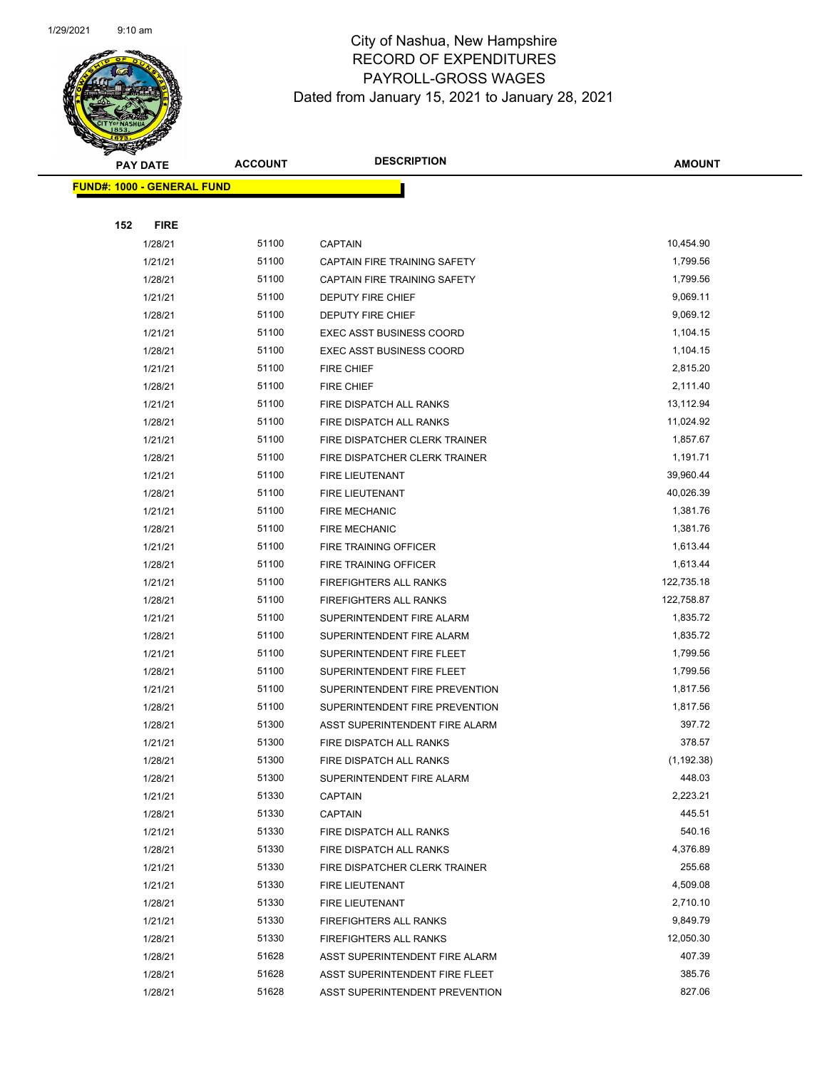

|     | <b>PAY DATE</b>                   | <b>ACCOUNT</b> | <b>DESCRIPTION</b>              | <b>AMOUNT</b> |
|-----|-----------------------------------|----------------|---------------------------------|---------------|
|     | <b>FUND#: 1000 - GENERAL FUND</b> |                |                                 |               |
|     |                                   |                |                                 |               |
| 152 | <b>FIRE</b>                       |                |                                 |               |
|     | 1/28/21                           | 51100          | <b>CAPTAIN</b>                  | 10,454.90     |
|     | 1/21/21                           | 51100          | CAPTAIN FIRE TRAINING SAFETY    | 1,799.56      |
|     | 1/28/21                           | 51100          | CAPTAIN FIRE TRAINING SAFETY    | 1,799.56      |
|     | 1/21/21                           | 51100          | DEPUTY FIRE CHIEF               | 9,069.11      |
|     | 1/28/21                           | 51100          | DEPUTY FIRE CHIEF               | 9,069.12      |
|     | 1/21/21                           | 51100          | <b>EXEC ASST BUSINESS COORD</b> | 1,104.15      |
|     | 1/28/21                           | 51100          | <b>EXEC ASST BUSINESS COORD</b> | 1,104.15      |
|     | 1/21/21                           | 51100          | FIRE CHIEF                      | 2,815.20      |
|     | 1/28/21                           | 51100          | <b>FIRE CHIEF</b>               | 2,111.40      |
|     | 1/21/21                           | 51100          | FIRE DISPATCH ALL RANKS         | 13,112.94     |
|     | 1/28/21                           | 51100          | FIRE DISPATCH ALL RANKS         | 11,024.92     |
|     | 1/21/21                           | 51100          | FIRE DISPATCHER CLERK TRAINER   | 1,857.67      |
|     | 1/28/21                           | 51100          | FIRE DISPATCHER CLERK TRAINER   | 1,191.71      |
|     | 1/21/21                           | 51100          | FIRE LIEUTENANT                 | 39,960.44     |
|     | 1/28/21                           | 51100          | FIRE LIEUTENANT                 | 40,026.39     |
|     | 1/21/21                           | 51100          | <b>FIRE MECHANIC</b>            | 1,381.76      |
|     | 1/28/21                           | 51100          | <b>FIRE MECHANIC</b>            | 1,381.76      |
|     | 1/21/21                           | 51100          | FIRE TRAINING OFFICER           | 1,613.44      |
|     | 1/28/21                           | 51100          | FIRE TRAINING OFFICER           | 1,613.44      |
|     | 1/21/21                           | 51100          | <b>FIREFIGHTERS ALL RANKS</b>   | 122,735.18    |
|     | 1/28/21                           | 51100          | <b>FIREFIGHTERS ALL RANKS</b>   | 122,758.87    |
|     | 1/21/21                           | 51100          | SUPERINTENDENT FIRE ALARM       | 1,835.72      |
|     | 1/28/21                           | 51100          | SUPERINTENDENT FIRE ALARM       | 1,835.72      |
|     | 1/21/21                           | 51100          | SUPERINTENDENT FIRE FLEET       | 1,799.56      |
|     | 1/28/21                           | 51100          | SUPERINTENDENT FIRE FLEET       | 1,799.56      |
|     | 1/21/21                           | 51100          | SUPERINTENDENT FIRE PREVENTION  | 1,817.56      |
|     | 1/28/21                           | 51100          | SUPERINTENDENT FIRE PREVENTION  | 1,817.56      |
|     | 1/28/21                           | 51300          | ASST SUPERINTENDENT FIRE ALARM  | 397.72        |
|     | 1/21/21                           | 51300          | FIRE DISPATCH ALL RANKS         | 378.57        |
|     | 1/28/21                           | 51300          | FIRE DISPATCH ALL RANKS         | (1, 192.38)   |
|     | 1/28/21                           | 51300          | SUPERINTENDENT FIRE ALARM       | 448.03        |
|     | 1/21/21                           | 51330          | CAPTAIN                         | 2,223.21      |
|     | 1/28/21                           | 51330          | CAPTAIN                         | 445.51        |
|     | 1/21/21                           | 51330          | FIRE DISPATCH ALL RANKS         | 540.16        |
|     | 1/28/21                           | 51330          | FIRE DISPATCH ALL RANKS         | 4,376.89      |
|     | 1/21/21                           | 51330          | FIRE DISPATCHER CLERK TRAINER   | 255.68        |
|     | 1/21/21                           | 51330          | <b>FIRE LIEUTENANT</b>          | 4,509.08      |
|     | 1/28/21                           | 51330          | FIRE LIEUTENANT                 | 2,710.10      |
|     | 1/21/21                           | 51330          | <b>FIREFIGHTERS ALL RANKS</b>   | 9,849.79      |
|     | 1/28/21                           | 51330          | <b>FIREFIGHTERS ALL RANKS</b>   | 12,050.30     |
|     | 1/28/21                           | 51628          | ASST SUPERINTENDENT FIRE ALARM  | 407.39        |
|     | 1/28/21                           | 51628          | ASST SUPERINTENDENT FIRE FLEET  | 385.76        |
|     | 1/28/21                           | 51628          | ASST SUPERINTENDENT PREVENTION  | 827.06        |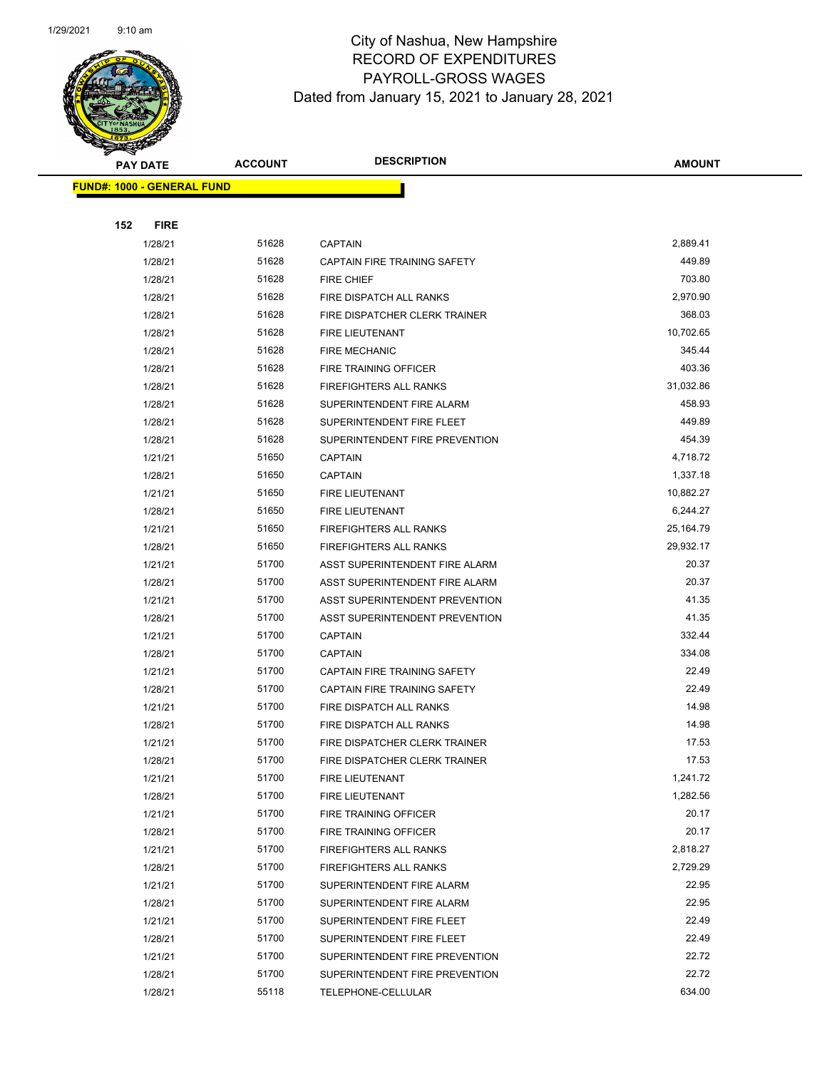

|                                   | <b>PAY DATE</b> | <b>ACCOUNT</b> | <b>DESCRIPTION</b>             | AMOUNT         |
|-----------------------------------|-----------------|----------------|--------------------------------|----------------|
| <b>FUND#: 1000 - GENERAL FUND</b> |                 |                |                                |                |
|                                   |                 |                |                                |                |
| 152                               | <b>FIRE</b>     |                |                                |                |
|                                   | 1/28/21         | 51628          | <b>CAPTAIN</b>                 | 2,889.41       |
|                                   | 1/28/21         | 51628          | CAPTAIN FIRE TRAINING SAFETY   | 449.89         |
|                                   | 1/28/21         | 51628          | FIRE CHIEF                     | 703.80         |
|                                   | 1/28/21         | 51628          | FIRE DISPATCH ALL RANKS        | 2,970.90       |
|                                   | 1/28/21         | 51628          | FIRE DISPATCHER CLERK TRAINER  | 368.03         |
|                                   | 1/28/21         | 51628          | FIRE LIEUTENANT                | 10,702.65      |
|                                   | 1/28/21         | 51628          | <b>FIRE MECHANIC</b>           | 345.44         |
|                                   | 1/28/21         | 51628          | FIRE TRAINING OFFICER          | 403.36         |
|                                   | 1/28/21         | 51628          | <b>FIREFIGHTERS ALL RANKS</b>  | 31,032.86      |
|                                   | 1/28/21         | 51628          | SUPERINTENDENT FIRE ALARM      | 458.93         |
|                                   | 1/28/21         | 51628          | SUPERINTENDENT FIRE FLEET      | 449.89         |
|                                   | 1/28/21         | 51628          | SUPERINTENDENT FIRE PREVENTION | 454.39         |
|                                   | 1/21/21         | 51650          | <b>CAPTAIN</b>                 | 4,718.72       |
|                                   | 1/28/21         | 51650          | <b>CAPTAIN</b>                 | 1,337.18       |
|                                   | 1/21/21         | 51650          | FIRE LIEUTENANT                | 10,882.27      |
|                                   | 1/28/21         | 51650          | FIRE LIEUTENANT                | 6,244.27       |
|                                   | 1/21/21         | 51650          | <b>FIREFIGHTERS ALL RANKS</b>  | 25,164.79      |
|                                   | 1/28/21         | 51650          | FIREFIGHTERS ALL RANKS         | 29,932.17      |
|                                   | 1/21/21         | 51700          | ASST SUPERINTENDENT FIRE ALARM | 20.37          |
|                                   | 1/28/21         | 51700          | ASST SUPERINTENDENT FIRE ALARM | 20.37          |
|                                   | 1/21/21         | 51700          | ASST SUPERINTENDENT PREVENTION | 41.35          |
|                                   | 1/28/21         | 51700          | ASST SUPERINTENDENT PREVENTION | 41.35          |
|                                   | 1/21/21         | 51700          | <b>CAPTAIN</b>                 | 332.44         |
|                                   | 1/28/21         | 51700          | <b>CAPTAIN</b>                 | 334.08         |
|                                   | 1/21/21         | 51700          | CAPTAIN FIRE TRAINING SAFETY   | 22.49          |
|                                   | 1/28/21         | 51700          | CAPTAIN FIRE TRAINING SAFETY   | 22.49          |
|                                   | 1/21/21         | 51700          | FIRE DISPATCH ALL RANKS        | 14.98          |
|                                   | 1/28/21         | 51700          | FIRE DISPATCH ALL RANKS        | 14.98          |
|                                   | 1/21/21         | 51700          | FIRE DISPATCHER CLERK TRAINER  | 17.53          |
|                                   | 1/28/21         | 51700          | FIRE DISPATCHER CLERK TRAINER  | 17.53          |
|                                   | 1/21/21         | 51700          | FIRE LIEUTENANT                | 1,241.72       |
|                                   | 1/28/21         | 51700          | FIRE LIEUTENANT                | 1,282.56       |
|                                   | 1/21/21         | 51700          | <b>FIRE TRAINING OFFICER</b>   | 20.17          |
|                                   | 1/28/21         | 51700          | FIRE TRAINING OFFICER          | 20.17          |
|                                   | 1/21/21         | 51700          | FIREFIGHTERS ALL RANKS         | 2,818.27       |
|                                   | 1/28/21         | 51700          | FIREFIGHTERS ALL RANKS         | 2,729.29       |
|                                   | 1/21/21         | 51700          | SUPERINTENDENT FIRE ALARM      | 22.95          |
|                                   | 1/28/21         | 51700          | SUPERINTENDENT FIRE ALARM      | 22.95          |
|                                   | 1/21/21         | 51700          | SUPERINTENDENT FIRE FLEET      | 22.49<br>22.49 |
|                                   | 1/28/21         | 51700          | SUPERINTENDENT FIRE FLEET      | 22.72          |
|                                   | 1/21/21         | 51700          | SUPERINTENDENT FIRE PREVENTION | 22.72          |
|                                   | 1/28/21         | 51700          | SUPERINTENDENT FIRE PREVENTION |                |
|                                   | 1/28/21         | 55118          | TELEPHONE-CELLULAR             | 634.00         |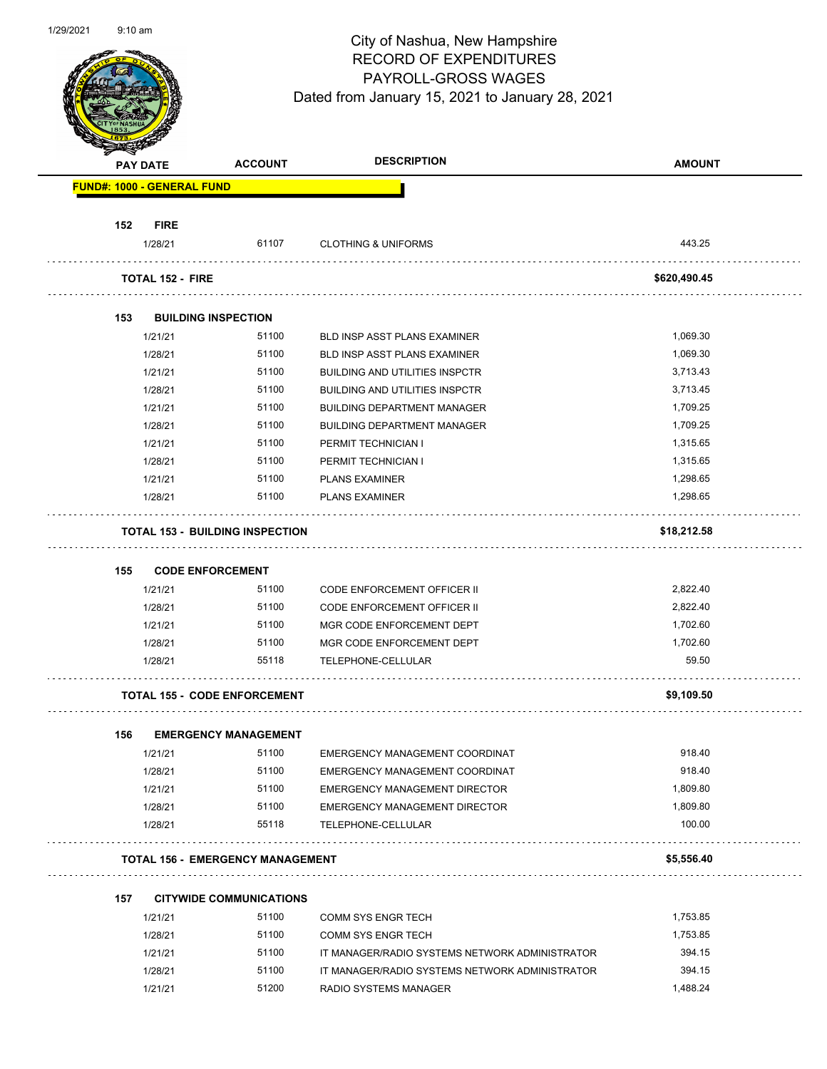

|     |                                   |                                         | <b>DESCRIPTION</b>                             |               |
|-----|-----------------------------------|-----------------------------------------|------------------------------------------------|---------------|
|     | <b>PAY DATE</b>                   | <b>ACCOUNT</b>                          |                                                | <b>AMOUNT</b> |
|     | <b>FUND#: 1000 - GENERAL FUND</b> |                                         |                                                |               |
| 152 | <b>FIRE</b>                       |                                         |                                                |               |
|     | 1/28/21                           | 61107                                   | <b>CLOTHING &amp; UNIFORMS</b>                 | 443.25        |
|     | <b>TOTAL 152 - FIRE</b>           |                                         |                                                | \$620,490.45  |
| 153 |                                   | <b>BUILDING INSPECTION</b>              |                                                |               |
|     | 1/21/21                           | 51100                                   | BLD INSP ASST PLANS EXAMINER                   | 1,069.30      |
|     | 1/28/21                           | 51100                                   | BLD INSP ASST PLANS EXAMINER                   | 1,069.30      |
|     | 1/21/21                           | 51100                                   | <b>BUILDING AND UTILITIES INSPCTR</b>          | 3,713.43      |
|     | 1/28/21                           | 51100                                   | <b>BUILDING AND UTILITIES INSPCTR</b>          | 3,713.45      |
|     | 1/21/21                           | 51100                                   | <b>BUILDING DEPARTMENT MANAGER</b>             | 1,709.25      |
|     | 1/28/21                           | 51100                                   | <b>BUILDING DEPARTMENT MANAGER</b>             | 1,709.25      |
|     | 1/21/21                           | 51100                                   | PERMIT TECHNICIAN I                            | 1,315.65      |
|     | 1/28/21                           | 51100                                   | PERMIT TECHNICIAN I                            | 1,315.65      |
|     | 1/21/21                           | 51100                                   | <b>PLANS EXAMINER</b>                          | 1,298.65      |
|     | 1/28/21                           | 51100                                   | <b>PLANS EXAMINER</b>                          | 1,298.65      |
|     |                                   | <b>TOTAL 153 - BUILDING INSPECTION</b>  |                                                | \$18,212.58   |
| 155 |                                   | <b>CODE ENFORCEMENT</b>                 |                                                |               |
|     | 1/21/21                           | 51100                                   | <b>CODE ENFORCEMENT OFFICER II</b>             | 2,822.40      |
|     | 1/28/21                           | 51100                                   | <b>CODE ENFORCEMENT OFFICER II</b>             | 2,822.40      |
|     | 1/21/21                           | 51100                                   | MGR CODE ENFORCEMENT DEPT                      | 1,702.60      |
|     | 1/28/21                           | 51100                                   | MGR CODE ENFORCEMENT DEPT                      | 1,702.60      |
|     | 1/28/21                           | 55118                                   | TELEPHONE-CELLULAR                             | 59.50         |
|     |                                   | <b>TOTAL 155 - CODE ENFORCEMENT</b>     |                                                | \$9,109.50    |
| 156 |                                   | <b>EMERGENCY MANAGEMENT</b>             |                                                |               |
|     | 1/21/21                           | 51100                                   | EMERGENCY MANAGEMENT COORDINAT                 | 918.40        |
|     | 1/28/21                           | 51100                                   | EMERGENCY MANAGEMENT COORDINAT                 | 918.40        |
|     | 1/21/21                           | 51100                                   | EMERGENCY MANAGEMENT DIRECTOR                  | 1,809.80      |
|     | 1/28/21                           | 51100                                   | EMERGENCY MANAGEMENT DIRECTOR                  | 1,809.80      |
|     | 1/28/21                           | 55118                                   | TELEPHONE-CELLULAR                             | 100.00        |
|     |                                   | <b>TOTAL 156 - EMERGENCY MANAGEMENT</b> |                                                | \$5,556.40    |
| 157 |                                   | <b>CITYWIDE COMMUNICATIONS</b>          |                                                |               |
|     | 1/21/21                           | 51100                                   | <b>COMM SYS ENGR TECH</b>                      | 1,753.85      |
|     | 1/28/21                           | 51100                                   | <b>COMM SYS ENGR TECH</b>                      | 1,753.85      |
|     | 1/21/21                           | 51100                                   | IT MANAGER/RADIO SYSTEMS NETWORK ADMINISTRATOR | 394.15        |
|     | 1/28/21                           | 51100                                   | IT MANAGER/RADIO SYSTEMS NETWORK ADMINISTRATOR | 394.15        |

1/21/21 51200 RADIO SYSTEMS MANAGER 1/21/21 1,488.24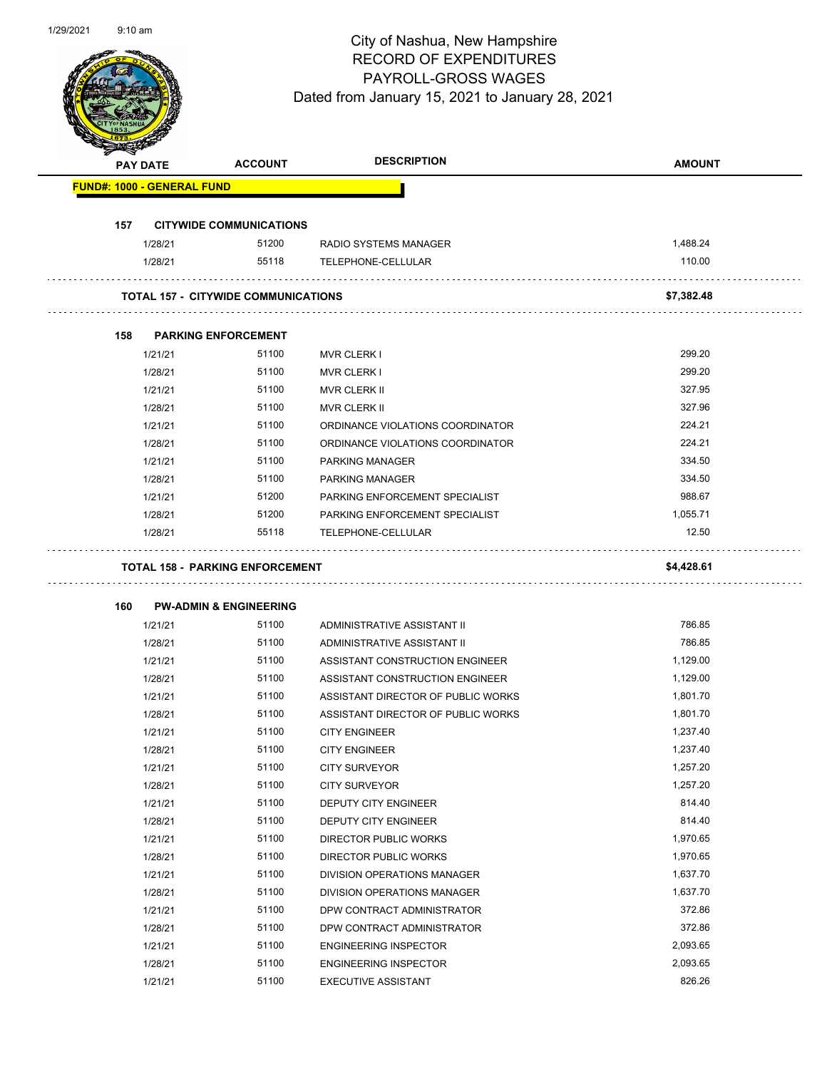

| <b>PAY DATE</b>                   | <b>ACCOUNT</b>                             | <b>DESCRIPTION</b>                                                 | <b>AMOUNT</b>        |
|-----------------------------------|--------------------------------------------|--------------------------------------------------------------------|----------------------|
| <b>FUND#: 1000 - GENERAL FUND</b> |                                            |                                                                    |                      |
| 157                               | <b>CITYWIDE COMMUNICATIONS</b>             |                                                                    |                      |
| 1/28/21                           | 51200                                      | RADIO SYSTEMS MANAGER                                              | 1,488.24             |
| 1/28/21                           | 55118                                      | TELEPHONE-CELLULAR                                                 | 110.00               |
|                                   | <b>TOTAL 157 - CITYWIDE COMMUNICATIONS</b> |                                                                    | \$7,382.48           |
|                                   |                                            |                                                                    |                      |
| 158                               | <b>PARKING ENFORCEMENT</b><br>51100        |                                                                    | 299.20               |
| 1/21/21                           |                                            | <b>MVR CLERK I</b>                                                 | 299.20               |
| 1/28/21                           | 51100                                      | <b>MVR CLERK I</b>                                                 |                      |
| 1/21/21                           | 51100                                      | <b>MVR CLERK II</b>                                                | 327.95               |
| 1/28/21                           | 51100<br>51100                             | <b>MVR CLERK II</b>                                                | 327.96<br>224.21     |
| 1/21/21                           | 51100                                      | ORDINANCE VIOLATIONS COORDINATOR                                   | 224.21               |
| 1/28/21                           |                                            | ORDINANCE VIOLATIONS COORDINATOR                                   |                      |
| 1/21/21                           | 51100                                      | PARKING MANAGER                                                    | 334.50               |
| 1/28/21                           | 51100                                      | <b>PARKING MANAGER</b>                                             | 334.50               |
| 1/21/21                           | 51200                                      | PARKING ENFORCEMENT SPECIALIST                                     | 988.67               |
| 1/28/21                           | 51200<br>55118                             | PARKING ENFORCEMENT SPECIALIST                                     | 1,055.71<br>12.50    |
| 1/28/21                           |                                            | TELEPHONE-CELLULAR                                                 |                      |
| 160                               | <b>PW-ADMIN &amp; ENGINEERING</b>          |                                                                    | \$4,428.61           |
| 1/21/21                           | 51100                                      | ADMINISTRATIVE ASSISTANT II                                        | 786.85               |
| 1/28/21                           | 51100                                      |                                                                    |                      |
|                                   |                                            |                                                                    | 786.85               |
|                                   | 51100                                      | ADMINISTRATIVE ASSISTANT II                                        |                      |
| 1/21/21                           | 51100                                      | ASSISTANT CONSTRUCTION ENGINEER<br>ASSISTANT CONSTRUCTION ENGINEER | 1,129.00<br>1,129.00 |
| 1/28/21<br>1/21/21                | 51100                                      | ASSISTANT DIRECTOR OF PUBLIC WORKS                                 | 1,801.70             |
| 1/28/21                           | 51100                                      | ASSISTANT DIRECTOR OF PUBLIC WORKS                                 | 1,801.70             |
| 1/21/21                           | 51100                                      | <b>CITY ENGINEER</b>                                               | 1,237.40             |
|                                   | 51100                                      |                                                                    | 1,237.40             |
| 1/28/21                           | 51100                                      | <b>CITY ENGINEER</b><br><b>CITY SURVEYOR</b>                       | 1,257.20             |
| 1/21/21                           | 51100                                      |                                                                    | 1,257.20             |
| 1/28/21<br>1/21/21                | 51100                                      | <b>CITY SURVEYOR</b><br>DEPUTY CITY ENGINEER                       | 814.40               |
| 1/28/21                           | 51100                                      | DEPUTY CITY ENGINEER                                               | 814.40               |
|                                   | 51100                                      |                                                                    | 1,970.65             |
| 1/21/21<br>1/28/21                | 51100                                      | DIRECTOR PUBLIC WORKS<br>DIRECTOR PUBLIC WORKS                     | 1,970.65             |
| 1/21/21                           | 51100                                      | DIVISION OPERATIONS MANAGER                                        | 1,637.70             |
| 1/28/21                           | 51100                                      | DIVISION OPERATIONS MANAGER                                        | 1,637.70             |
| 1/21/21                           | 51100                                      | DPW CONTRACT ADMINISTRATOR                                         | 372.86               |
| 1/28/21                           | 51100                                      | DPW CONTRACT ADMINISTRATOR                                         | 372.86               |
| 1/21/21                           | 51100                                      | <b>ENGINEERING INSPECTOR</b>                                       | 2,093.65             |
| 1/28/21                           | 51100                                      | <b>ENGINEERING INSPECTOR</b>                                       | 2,093.65             |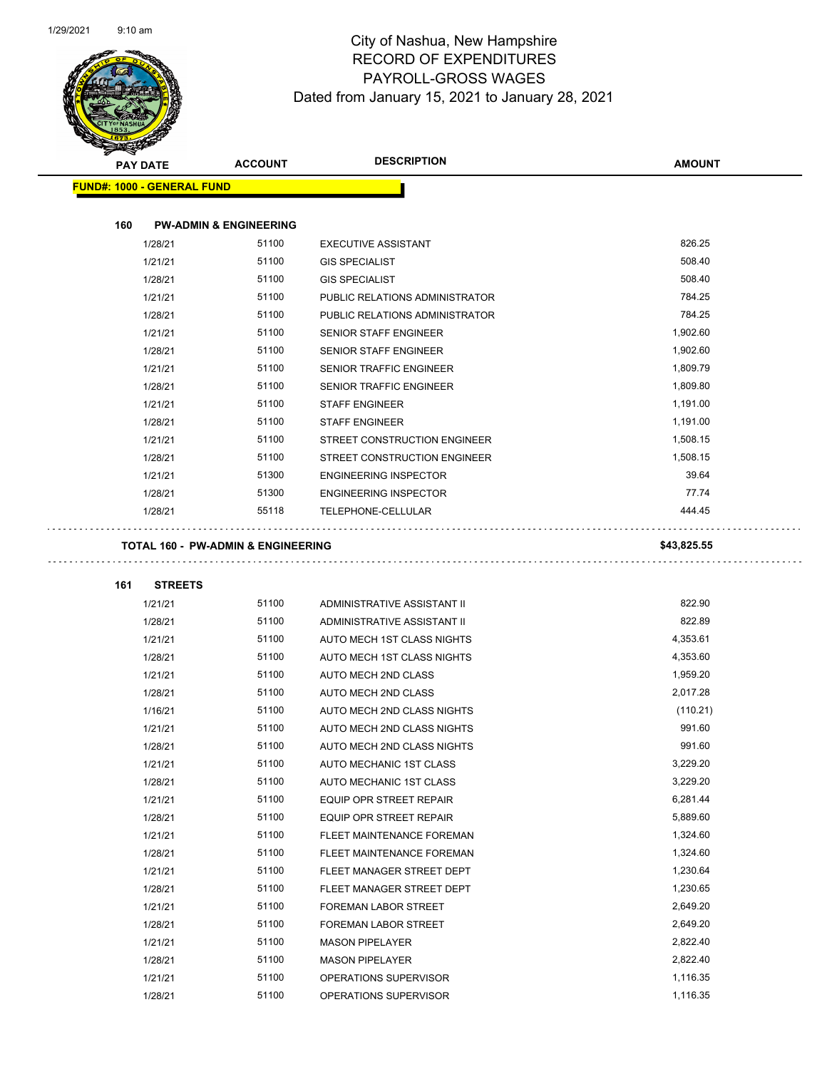

| <b>PAY DATE</b>                   | <b>ACCOUNT</b>                     | <b>DESCRIPTION</b>             | <b>AMOUNT</b> |
|-----------------------------------|------------------------------------|--------------------------------|---------------|
| <b>FUND#: 1000 - GENERAL FUND</b> |                                    |                                |               |
|                                   |                                    |                                |               |
| 160                               | <b>PW-ADMIN &amp; ENGINEERING</b>  |                                |               |
| 1/28/21                           | 51100                              | <b>EXECUTIVE ASSISTANT</b>     | 826.25        |
| 1/21/21                           | 51100                              | <b>GIS SPECIALIST</b>          | 508.40        |
| 1/28/21                           | 51100                              | <b>GIS SPECIALIST</b>          | 508.40        |
| 1/21/21                           | 51100                              | PUBLIC RELATIONS ADMINISTRATOR | 784.25        |
| 1/28/21                           | 51100                              | PUBLIC RELATIONS ADMINISTRATOR | 784.25        |
| 1/21/21                           | 51100                              | SENIOR STAFF ENGINEER          | 1,902.60      |
| 1/28/21                           | 51100                              | SENIOR STAFF ENGINEER          | 1,902.60      |
| 1/21/21                           | 51100                              | SENIOR TRAFFIC ENGINEER        | 1,809.79      |
| 1/28/21                           | 51100                              | SENIOR TRAFFIC ENGINEER        | 1,809.80      |
| 1/21/21                           | 51100                              | <b>STAFF ENGINEER</b>          | 1,191.00      |
| 1/28/21                           | 51100                              | <b>STAFF ENGINEER</b>          | 1,191.00      |
| 1/21/21                           | 51100                              | STREET CONSTRUCTION ENGINEER   | 1,508.15      |
| 1/28/21                           | 51100                              | STREET CONSTRUCTION ENGINEER   | 1,508.15      |
| 1/21/21                           | 51300                              | <b>ENGINEERING INSPECTOR</b>   | 39.64         |
| 1/28/21                           | 51300                              | <b>ENGINEERING INSPECTOR</b>   | 77.74         |
| 1/28/21                           | 55118                              | TELEPHONE-CELLULAR             | 444.45        |
|                                   |                                    |                                |               |
|                                   | TOTAL 160 - PW-ADMIN & ENGINEERING |                                | \$43,825.55   |
| <b>STREETS</b><br>161             |                                    |                                |               |
| 1/21/21                           | 51100                              | ADMINISTRATIVE ASSISTANT II    | 822.90        |
| 1/28/21                           | 51100                              | ADMINISTRATIVE ASSISTANT II    | 822.89        |
| 1/21/21                           | 51100                              | AUTO MECH 1ST CLASS NIGHTS     | 4,353.61      |
| 1/28/21                           | 51100                              | AUTO MECH 1ST CLASS NIGHTS     | 4,353.60      |
| 1/21/21                           | 51100                              | AUTO MECH 2ND CLASS            | 1,959.20      |
| 1/28/21                           | 51100                              | AUTO MECH 2ND CLASS            | 2,017.28      |
| 1/16/21                           | 51100                              | AUTO MECH 2ND CLASS NIGHTS     | (110.21)      |
| 1/21/21                           | 51100                              | AUTO MECH 2ND CLASS NIGHTS     | 991.60        |
| 1/28/21                           | 51100                              | AUTO MECH 2ND CLASS NIGHTS     | 991.60        |
| 1/21/21                           | 51100                              | AUTO MECHANIC 1ST CLASS        | 3,229.20      |
| 1/28/21                           | 51100                              | AUTO MECHANIC 1ST CLASS        | 3,229.20      |
| 1/21/21                           | 51100                              | EQUIP OPR STREET REPAIR        | 6,281.44      |
| 1/28/21                           | 51100                              | EQUIP OPR STREET REPAIR        | 5,889.60      |
| 1/21/21                           | 51100                              | FLEET MAINTENANCE FOREMAN      | 1,324.60      |
| 1/28/21                           | 51100                              | FLEET MAINTENANCE FOREMAN      | 1,324.60      |
| 1/21/21                           | 51100                              | FLEET MANAGER STREET DEPT      | 1,230.64      |
| 1/28/21                           | 51100                              | FLEET MANAGER STREET DEPT      | 1,230.65      |
| 1/21/21                           | 51100                              | FOREMAN LABOR STREET           | 2,649.20      |
| 1/28/21                           | 51100                              | FOREMAN LABOR STREET           | 2,649.20      |
| 1/21/21                           | 51100                              | <b>MASON PIPELAYER</b>         | 2,822.40      |
| 1/28/21                           | 51100                              | <b>MASON PIPELAYER</b>         | 2,822.40      |
| 1/21/21                           | 51100                              | OPERATIONS SUPERVISOR          | 1,116.35      |
| 1/28/21                           | 51100                              | OPERATIONS SUPERVISOR          | 1,116.35      |
|                                   |                                    |                                |               |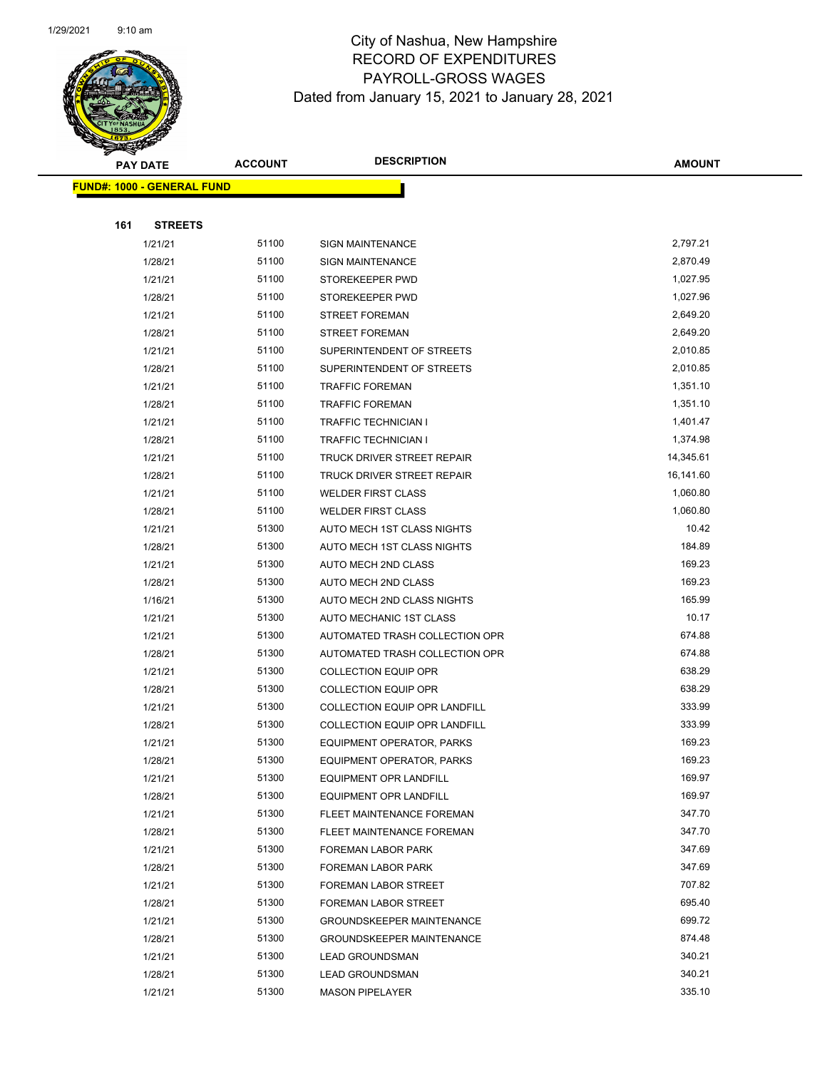

|     | <b>PAY DATE</b>                   | <b>ACCOUNT</b> | <b>DESCRIPTION</b>               | <b>AMOUNT</b>    |
|-----|-----------------------------------|----------------|----------------------------------|------------------|
|     | <b>FUND#: 1000 - GENERAL FUND</b> |                |                                  |                  |
|     |                                   |                |                                  |                  |
| 161 | <b>STREETS</b>                    |                |                                  |                  |
|     | 1/21/21                           | 51100          | <b>SIGN MAINTENANCE</b>          | 2,797.21         |
|     | 1/28/21                           | 51100          | <b>SIGN MAINTENANCE</b>          | 2,870.49         |
|     | 1/21/21                           | 51100          | STOREKEEPER PWD                  | 1,027.95         |
|     | 1/28/21                           | 51100          | STOREKEEPER PWD                  | 1,027.96         |
|     | 1/21/21                           | 51100          | <b>STREET FOREMAN</b>            | 2,649.20         |
|     | 1/28/21                           | 51100          | <b>STREET FOREMAN</b>            | 2,649.20         |
|     | 1/21/21                           | 51100          | SUPERINTENDENT OF STREETS        | 2,010.85         |
|     | 1/28/21                           | 51100          | SUPERINTENDENT OF STREETS        | 2,010.85         |
|     | 1/21/21                           | 51100          | <b>TRAFFIC FOREMAN</b>           | 1,351.10         |
|     | 1/28/21                           | 51100          | <b>TRAFFIC FOREMAN</b>           | 1,351.10         |
|     | 1/21/21                           | 51100          | <b>TRAFFIC TECHNICIAN I</b>      | 1,401.47         |
|     | 1/28/21                           | 51100          | <b>TRAFFIC TECHNICIAN I</b>      | 1,374.98         |
|     | 1/21/21                           | 51100          | TRUCK DRIVER STREET REPAIR       | 14,345.61        |
|     | 1/28/21                           | 51100          | TRUCK DRIVER STREET REPAIR       | 16,141.60        |
|     | 1/21/21                           | 51100          | <b>WELDER FIRST CLASS</b>        | 1,060.80         |
|     | 1/28/21                           | 51100          | <b>WELDER FIRST CLASS</b>        | 1,060.80         |
|     | 1/21/21                           | 51300          | AUTO MECH 1ST CLASS NIGHTS       | 10.42            |
|     | 1/28/21                           | 51300          | AUTO MECH 1ST CLASS NIGHTS       | 184.89           |
|     | 1/21/21                           | 51300          | AUTO MECH 2ND CLASS              | 169.23           |
|     | 1/28/21                           | 51300          | AUTO MECH 2ND CLASS              | 169.23           |
|     | 1/16/21                           | 51300          | AUTO MECH 2ND CLASS NIGHTS       | 165.99           |
|     | 1/21/21                           | 51300          | AUTO MECHANIC 1ST CLASS          | 10.17            |
|     | 1/21/21                           | 51300          | AUTOMATED TRASH COLLECTION OPR   | 674.88           |
|     | 1/28/21                           | 51300          | AUTOMATED TRASH COLLECTION OPR   | 674.88           |
|     | 1/21/21                           | 51300          | <b>COLLECTION EQUIP OPR</b>      | 638.29           |
|     | 1/28/21                           | 51300          | <b>COLLECTION EQUIP OPR</b>      | 638.29           |
|     | 1/21/21                           | 51300          | COLLECTION EQUIP OPR LANDFILL    | 333.99           |
|     | 1/28/21                           | 51300          | COLLECTION EQUIP OPR LANDFILL    | 333.99           |
|     | 1/21/21                           | 51300          | EQUIPMENT OPERATOR, PARKS        | 169.23           |
|     | 1/28/21                           | 51300          | EQUIPMENT OPERATOR, PARKS        | 169.23           |
|     | 1/21/21                           | 51300          | EQUIPMENT OPR LANDFILL           | 169.97           |
|     | 1/28/21                           | 51300          | EQUIPMENT OPR LANDFILL           | 169.97           |
|     | 1/21/21                           | 51300          | FLEET MAINTENANCE FOREMAN        | 347.70           |
|     | 1/28/21                           | 51300          | FLEET MAINTENANCE FOREMAN        | 347.70           |
|     | 1/21/21                           | 51300          | FOREMAN LABOR PARK               | 347.69           |
|     | 1/28/21                           | 51300          | <b>FOREMAN LABOR PARK</b>        | 347.69           |
|     | 1/21/21                           | 51300          | <b>FOREMAN LABOR STREET</b>      | 707.82           |
|     | 1/28/21                           | 51300          | FOREMAN LABOR STREET             | 695.40           |
|     | 1/21/21                           | 51300          | <b>GROUNDSKEEPER MAINTENANCE</b> | 699.72<br>874.48 |
|     | 1/28/21                           | 51300          | <b>GROUNDSKEEPER MAINTENANCE</b> | 340.21           |
|     | 1/21/21                           | 51300<br>51300 | <b>LEAD GROUNDSMAN</b>           | 340.21           |
|     | 1/28/21                           |                | <b>LEAD GROUNDSMAN</b>           |                  |
|     | 1/21/21                           | 51300          | <b>MASON PIPELAYER</b>           | 335.10           |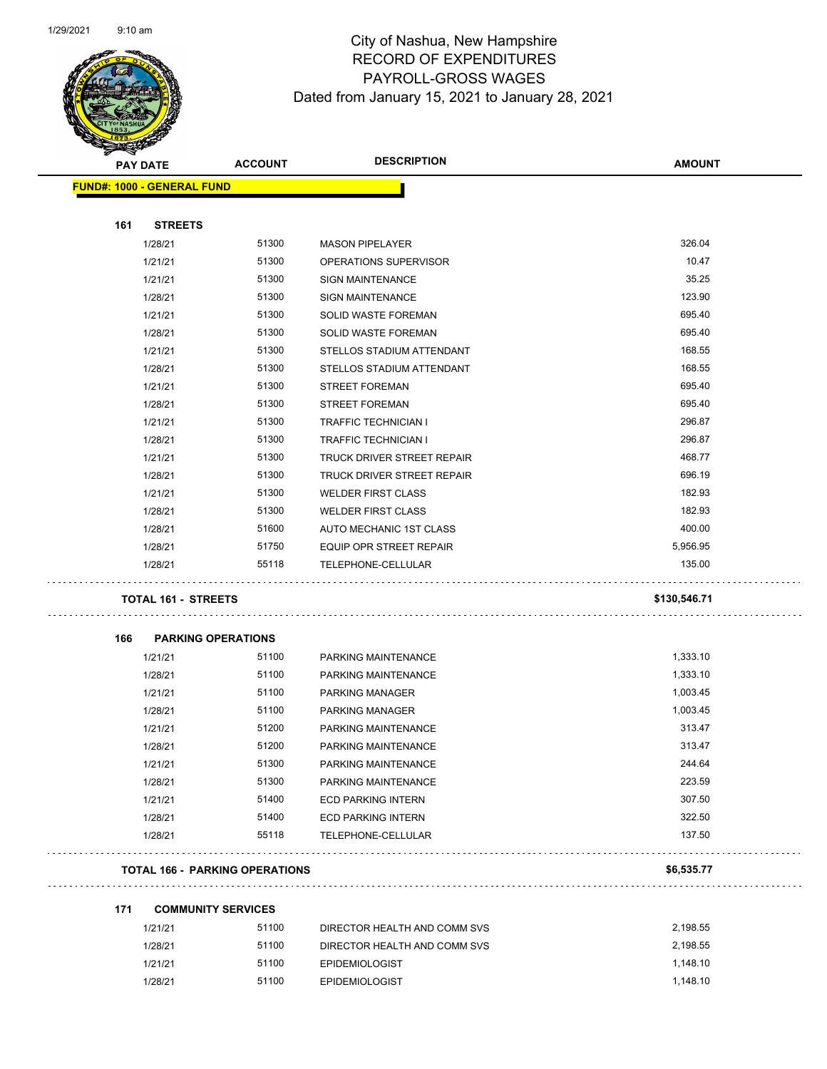

| <b>Andrew</b><br><b>PAY DATE</b>  | <b>ACCOUNT</b>                        | <b>DESCRIPTION</b>           | <b>AMOUNT</b> |
|-----------------------------------|---------------------------------------|------------------------------|---------------|
| <b>FUND#: 1000 - GENERAL FUND</b> |                                       |                              |               |
|                                   |                                       |                              |               |
| 161<br><b>STREETS</b>             |                                       |                              |               |
| 1/28/21                           | 51300                                 | <b>MASON PIPELAYER</b>       | 326.04        |
| 1/21/21                           | 51300                                 | OPERATIONS SUPERVISOR        | 10.47         |
| 1/21/21                           | 51300                                 | <b>SIGN MAINTENANCE</b>      | 35.25         |
| 1/28/21                           | 51300                                 | <b>SIGN MAINTENANCE</b>      | 123.90        |
| 1/21/21                           | 51300                                 | SOLID WASTE FOREMAN          | 695.40        |
| 1/28/21                           | 51300                                 | SOLID WASTE FOREMAN          | 695.40        |
| 1/21/21                           | 51300                                 | STELLOS STADIUM ATTENDANT    | 168.55        |
| 1/28/21                           | 51300                                 | STELLOS STADIUM ATTENDANT    | 168.55        |
| 1/21/21                           | 51300                                 | <b>STREET FOREMAN</b>        | 695.40        |
| 1/28/21                           | 51300                                 | <b>STREET FOREMAN</b>        | 695.40        |
| 1/21/21                           | 51300                                 | <b>TRAFFIC TECHNICIAN I</b>  | 296.87        |
| 1/28/21                           | 51300                                 | <b>TRAFFIC TECHNICIAN I</b>  | 296.87        |
| 1/21/21                           | 51300                                 | TRUCK DRIVER STREET REPAIR   | 468.77        |
| 1/28/21                           | 51300                                 | TRUCK DRIVER STREET REPAIR   | 696.19        |
| 1/21/21                           | 51300                                 | <b>WELDER FIRST CLASS</b>    | 182.93        |
| 1/28/21                           | 51300                                 | <b>WELDER FIRST CLASS</b>    | 182.93        |
| 1/28/21                           | 51600                                 | AUTO MECHANIC 1ST CLASS      | 400.00        |
| 1/28/21                           | 51750                                 | EQUIP OPR STREET REPAIR      | 5,956.95      |
| 1/28/21                           | 55118                                 | TELEPHONE-CELLULAR           | 135.00        |
| TOTAL 161 - STREETS               |                                       |                              | \$130,546.71  |
| 166                               | <b>PARKING OPERATIONS</b>             |                              |               |
| 1/21/21                           | 51100                                 | PARKING MAINTENANCE          | 1,333.10      |
| 1/28/21                           | 51100                                 | PARKING MAINTENANCE          | 1,333.10      |
| 1/21/21                           | 51100                                 | <b>PARKING MANAGER</b>       | 1,003.45      |
| 1/28/21                           | 51100                                 | PARKING MANAGER              | 1,003.45      |
| 1/21/21                           | 51200                                 | PARKING MAINTENANCE          | 313.47        |
| 1/28/21                           | 51200                                 | PARKING MAINTENANCE          | 313.47        |
| 1/21/21                           | 51300                                 | PARKING MAINTENANCE          | 244.64        |
| 1/28/21                           | 51300                                 | PARKING MAINTENANCE          | 223.59        |
| 1/21/21                           | 51400                                 | <b>ECD PARKING INTERN</b>    | 307.50        |
| 1/28/21                           | 51400                                 | <b>ECD PARKING INTERN</b>    | 322.50        |
| 1/28/21                           | 55118                                 | TELEPHONE-CELLULAR           | 137.50        |
|                                   | <b>TOTAL 166 - PARKING OPERATIONS</b> |                              | \$6,535.77    |
| 171                               | <b>COMMUNITY SERVICES</b>             |                              |               |
| 1/21/21                           | 51100                                 | DIRECTOR HEALTH AND COMM SVS | 2,198.55      |

| 1/21/21 | 51100 | DIRECTOR HEALTH AND COMM SVS | 2.198.55 |
|---------|-------|------------------------------|----------|
| 1/28/21 | 51100 | DIRECTOR HEALTH AND COMM SVS | 2.198.55 |
| 1/21/21 | 51100 | <b>EPIDEMIOLOGIST</b>        | 1.148.10 |
| 1/28/21 | 51100 | <b>EPIDEMIOLOGIST</b>        | 1.148.10 |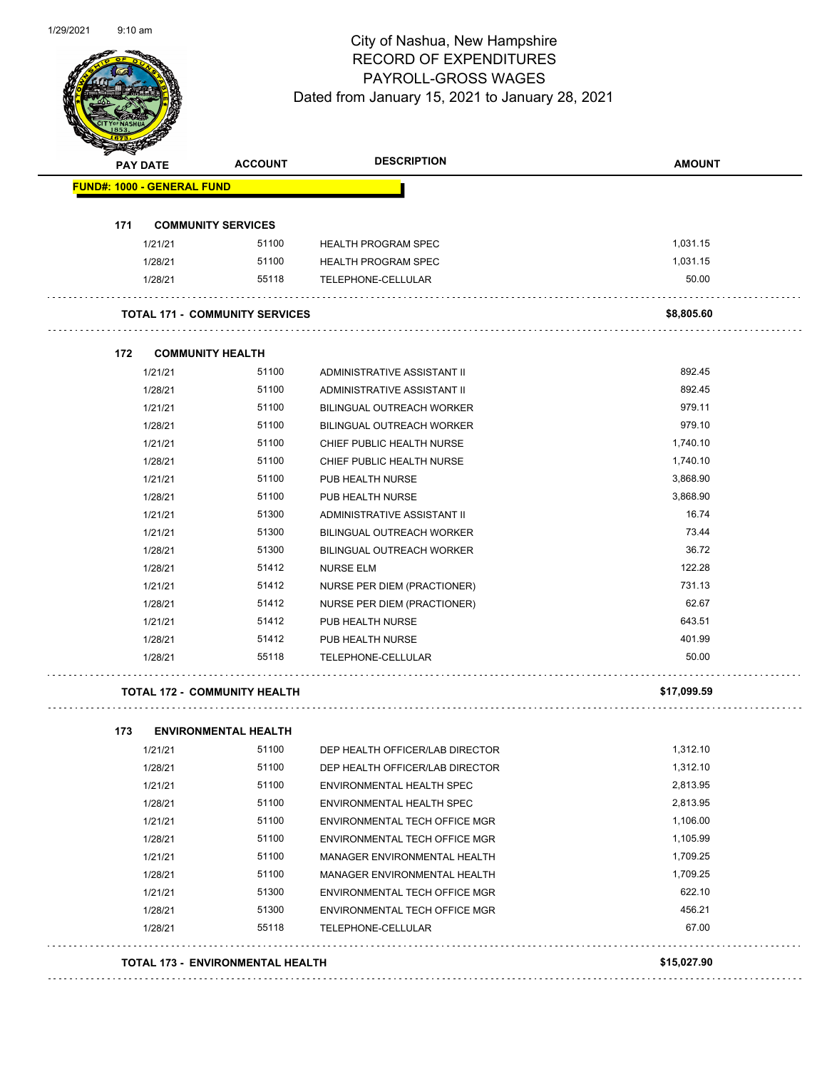

| <b>PAY DATE</b>                   | <b>ACCOUNT</b>                        | <b>DESCRIPTION</b>               | <b>AMOUNT</b> |
|-----------------------------------|---------------------------------------|----------------------------------|---------------|
| <b>FUND#: 1000 - GENERAL FUND</b> |                                       |                                  |               |
| 171                               | <b>COMMUNITY SERVICES</b>             |                                  |               |
| 1/21/21                           | 51100                                 | <b>HEALTH PROGRAM SPEC</b>       | 1,031.15      |
| 1/28/21                           | 51100                                 | <b>HEALTH PROGRAM SPEC</b>       | 1,031.15      |
| 1/28/21                           | 55118                                 | TELEPHONE-CELLULAR               | 50.00         |
|                                   | <b>TOTAL 171 - COMMUNITY SERVICES</b> |                                  | \$8,805.60    |
| 172                               | <b>COMMUNITY HEALTH</b>               |                                  |               |
| 1/21/21                           | 51100                                 | ADMINISTRATIVE ASSISTANT II      | 892.45        |
| 1/28/21                           | 51100                                 | ADMINISTRATIVE ASSISTANT II      | 892.45        |
| 1/21/21                           | 51100                                 | <b>BILINGUAL OUTREACH WORKER</b> | 979.11        |
| 1/28/21                           | 51100                                 | <b>BILINGUAL OUTREACH WORKER</b> | 979.10        |
| 1/21/21                           | 51100                                 | CHIEF PUBLIC HEALTH NURSE        | 1,740.10      |
| 1/28/21                           | 51100                                 | CHIEF PUBLIC HEALTH NURSE        | 1,740.10      |
| 1/21/21                           | 51100                                 | PUB HEALTH NURSE                 | 3,868.90      |
| 1/28/21                           | 51100                                 | PUB HEALTH NURSE                 | 3,868.90      |
| 1/21/21                           | 51300                                 | ADMINISTRATIVE ASSISTANT II      | 16.74         |
| 1/21/21                           | 51300                                 | <b>BILINGUAL OUTREACH WORKER</b> | 73.44         |
| 1/28/21                           | 51300                                 | <b>BILINGUAL OUTREACH WORKER</b> | 36.72         |
| 1/28/21                           | 51412                                 | <b>NURSE ELM</b>                 | 122.28        |
| 1/21/21                           | 51412                                 | NURSE PER DIEM (PRACTIONER)      | 731.13        |
| 1/28/21                           | 51412                                 | NURSE PER DIEM (PRACTIONER)      | 62.67         |
| 1/21/21                           | 51412                                 | PUB HEALTH NURSE                 | 643.51        |
| 1/28/21                           | 51412                                 | PUB HEALTH NURSE                 | 401.99        |
| 1/28/21                           | 55118                                 | TELEPHONE-CELLULAR               | 50.00         |
|                                   | <b>TOTAL 172 - COMMUNITY HEALTH</b>   |                                  | \$17,099.59   |
| 173                               | <b>ENVIRONMENTAL HEALTH</b>           |                                  |               |
| 1/21/21                           | 51100                                 | DEP HEALTH OFFICER/LAB DIRECTOR  | 1,312.10      |
| 1/28/21                           | 51100                                 | DEP HEALTH OFFICER/LAB DIRECTOR  | 1,312.10      |
| 1/21/21                           | 51100                                 | ENVIRONMENTAL HEALTH SPEC        | 2,813.95      |
| 1/28/21                           | 51100                                 | ENVIRONMENTAL HEALTH SPEC        | 2,813.95      |
| 1/21/21                           | 51100                                 | ENVIRONMENTAL TECH OFFICE MGR    | 1,106.00      |
| 1/28/21                           | 51100                                 | ENVIRONMENTAL TECH OFFICE MGR    | 1,105.99      |
| 1/21/21                           | 51100                                 | MANAGER ENVIRONMENTAL HEALTH     | 1,709.25      |
| 1/28/21                           | 51100                                 | MANAGER ENVIRONMENTAL HEALTH     | 1,709.25      |
| 1/21/21                           | 51300                                 | ENVIRONMENTAL TECH OFFICE MGR    | 622.10        |
| 1/28/21                           | 51300                                 | ENVIRONMENTAL TECH OFFICE MGR    | 456.21        |
| 1/28/21                           | 55118                                 | TELEPHONE-CELLULAR               | 67.00         |
|                                   | TOTAL 173 - ENVIRONMENTAL HEALTH      |                                  | \$15,027.90   |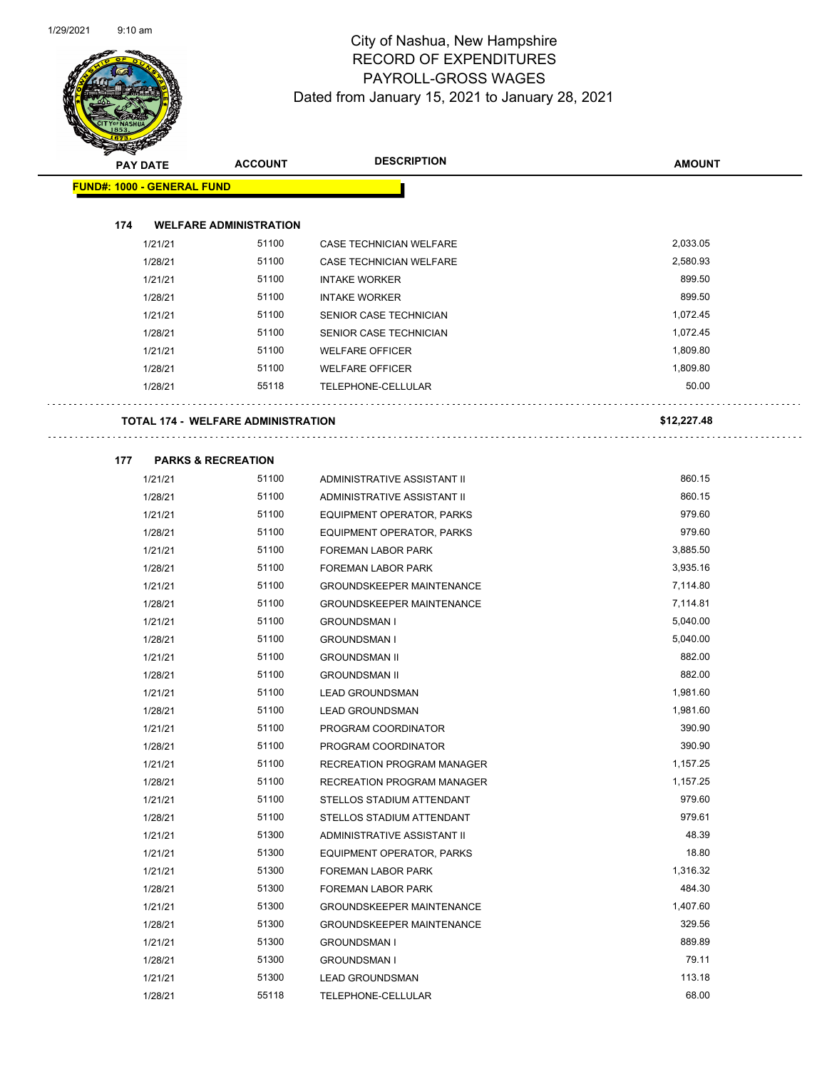

| <b>MÉRICA</b> |                                           |                               |                                    |               |
|---------------|-------------------------------------------|-------------------------------|------------------------------------|---------------|
|               | <b>PAY DATE</b>                           | <b>ACCOUNT</b>                | <b>DESCRIPTION</b>                 | <b>AMOUNT</b> |
|               | <b>FUND#: 1000 - GENERAL FUND</b>         |                               |                                    |               |
|               |                                           |                               |                                    |               |
| 174           |                                           | <b>WELFARE ADMINISTRATION</b> |                                    |               |
|               | 1/21/21                                   | 51100                         | <b>CASE TECHNICIAN WELFARE</b>     | 2,033.05      |
|               | 1/28/21                                   | 51100                         | <b>CASE TECHNICIAN WELFARE</b>     | 2,580.93      |
|               | 1/21/21                                   | 51100                         | <b>INTAKE WORKER</b>               | 899.50        |
|               | 1/28/21                                   | 51100                         | <b>INTAKE WORKER</b>               | 899.50        |
|               | 1/21/21                                   | 51100                         | SENIOR CASE TECHNICIAN             | 1,072.45      |
|               | 1/28/21                                   | 51100                         | SENIOR CASE TECHNICIAN             | 1,072.45      |
|               | 1/21/21                                   | 51100                         | <b>WELFARE OFFICER</b>             | 1,809.80      |
|               | 1/28/21                                   | 51100                         | <b>WELFARE OFFICER</b>             | 1,809.80      |
|               | 1/28/21                                   | 55118                         | TELEPHONE-CELLULAR                 | 50.00         |
|               |                                           |                               |                                    |               |
|               | <b>TOTAL 174 - WELFARE ADMINISTRATION</b> |                               |                                    | \$12,227.48   |
|               |                                           |                               |                                    |               |
| 177           | <b>PARKS &amp; RECREATION</b>             |                               |                                    |               |
|               | 1/21/21                                   | 51100                         | ADMINISTRATIVE ASSISTANT II        | 860.15        |
|               | 1/28/21                                   | 51100                         | <b>ADMINISTRATIVE ASSISTANT II</b> | 860.15        |
|               | 1/21/21                                   | 51100                         | EQUIPMENT OPERATOR, PARKS          | 979.60        |
|               | 1/28/21                                   | 51100                         | EQUIPMENT OPERATOR, PARKS          | 979.60        |
|               | 1/21/21                                   | 51100                         | FOREMAN LABOR PARK                 | 3,885.50      |
|               | 1/28/21                                   | 51100                         | FOREMAN LABOR PARK                 | 3,935.16      |
|               | 1/21/21                                   | 51100                         | <b>GROUNDSKEEPER MAINTENANCE</b>   | 7,114.80      |
|               | 1/28/21                                   | 51100                         | <b>GROUNDSKEEPER MAINTENANCE</b>   | 7,114.81      |
|               | 1/21/21                                   | 51100                         | <b>GROUNDSMAN I</b>                | 5,040.00      |
|               | 1/28/21                                   | 51100                         | <b>GROUNDSMAN I</b>                | 5,040.00      |
|               | 1/21/21                                   | 51100                         | <b>GROUNDSMAN II</b>               | 882.00        |
|               | 1/28/21                                   | 51100                         | <b>GROUNDSMAN II</b>               | 882.00        |
|               | 1/21/21                                   | 51100                         | <b>LEAD GROUNDSMAN</b>             | 1,981.60      |
|               | 1/28/21                                   | 51100                         | <b>LEAD GROUNDSMAN</b>             | 1,981.60      |
|               | 1/21/21                                   | 51100                         | PROGRAM COORDINATOR                | 390.90        |
|               | 1/28/21                                   | 51100                         | PROGRAM COORDINATOR                | 390.90        |
|               | 1/21/21                                   | 51100                         | RECREATION PROGRAM MANAGER         | 1,157.25      |
|               | 1/28/21                                   | 51100                         | RECREATION PROGRAM MANAGER         | 1,157.25      |
|               | 1/21/21                                   | 51100                         | STELLOS STADIUM ATTENDANT          | 979.60        |
|               | 1/28/21                                   | 51100                         | STELLOS STADIUM ATTENDANT          | 979.61        |
|               | 1/21/21                                   | 51300                         | ADMINISTRATIVE ASSISTANT II        | 48.39         |
|               | 1/21/21                                   | 51300                         | EQUIPMENT OPERATOR, PARKS          | 18.80         |
|               | 1/21/21                                   | 51300                         | FOREMAN LABOR PARK                 | 1,316.32      |
|               | 1/28/21                                   | 51300                         | FOREMAN LABOR PARK                 | 484.30        |
|               | 1/21/21                                   | 51300                         | GROUNDSKEEPER MAINTENANCE          | 1,407.60      |
|               | 1/28/21                                   | 51300                         | <b>GROUNDSKEEPER MAINTENANCE</b>   | 329.56        |
|               | 1/21/21                                   | 51300                         | <b>GROUNDSMAN I</b>                | 889.89        |
|               | 1/28/21                                   | 51300                         | <b>GROUNDSMAN I</b>                | 79.11         |
|               | 1/21/21                                   | 51300                         | <b>LEAD GROUNDSMAN</b>             | 113.18        |
|               | 1/28/21                                   | 55118                         | TELEPHONE-CELLULAR                 | 68.00         |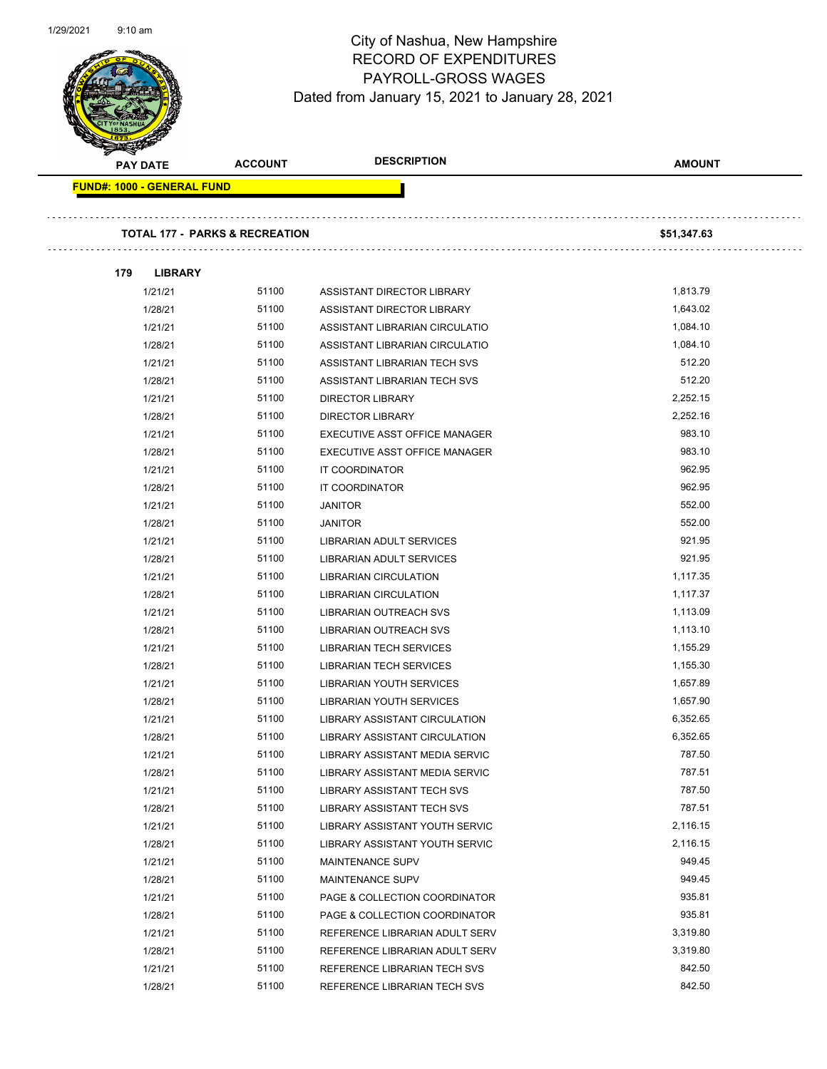

| <b>Second Contract Contract Contract Contract Contract Contract Contract Contract Contract Contract Contract Contract Contract Contract Contract Contract Contract Contract Contract Contract Contract Contract Contract Contrac</b><br><b>PAY DATE</b> | <b>ACCOUNT</b>                            | <b>DESCRIPTION</b>                                               | <b>AMOUNT</b>        |
|---------------------------------------------------------------------------------------------------------------------------------------------------------------------------------------------------------------------------------------------------------|-------------------------------------------|------------------------------------------------------------------|----------------------|
| <b>FUND#: 1000 - GENERAL FUND</b>                                                                                                                                                                                                                       |                                           |                                                                  |                      |
|                                                                                                                                                                                                                                                         |                                           |                                                                  |                      |
|                                                                                                                                                                                                                                                         | <b>TOTAL 177 - PARKS &amp; RECREATION</b> |                                                                  | \$51,347.63          |
| 179<br><b>LIBRARY</b>                                                                                                                                                                                                                                   |                                           |                                                                  |                      |
| 1/21/21                                                                                                                                                                                                                                                 | 51100                                     | ASSISTANT DIRECTOR LIBRARY                                       | 1,813.79             |
| 1/28/21                                                                                                                                                                                                                                                 | 51100                                     | ASSISTANT DIRECTOR LIBRARY                                       | 1,643.02             |
| 1/21/21                                                                                                                                                                                                                                                 | 51100                                     | ASSISTANT LIBRARIAN CIRCULATIO                                   | 1,084.10             |
| 1/28/21                                                                                                                                                                                                                                                 | 51100                                     | ASSISTANT LIBRARIAN CIRCULATIO                                   | 1,084.10             |
| 1/21/21                                                                                                                                                                                                                                                 | 51100                                     | ASSISTANT LIBRARIAN TECH SVS                                     | 512.20               |
| 1/28/21                                                                                                                                                                                                                                                 | 51100                                     | ASSISTANT LIBRARIAN TECH SVS                                     | 512.20               |
| 1/21/21                                                                                                                                                                                                                                                 | 51100                                     | <b>DIRECTOR LIBRARY</b>                                          | 2,252.15             |
| 1/28/21                                                                                                                                                                                                                                                 | 51100                                     | <b>DIRECTOR LIBRARY</b>                                          | 2,252.16             |
| 1/21/21                                                                                                                                                                                                                                                 | 51100                                     | EXECUTIVE ASST OFFICE MANAGER                                    | 983.10               |
| 1/28/21                                                                                                                                                                                                                                                 | 51100                                     | EXECUTIVE ASST OFFICE MANAGER                                    | 983.10               |
| 1/21/21                                                                                                                                                                                                                                                 | 51100                                     | IT COORDINATOR                                                   | 962.95               |
| 1/28/21                                                                                                                                                                                                                                                 | 51100                                     | IT COORDINATOR                                                   | 962.95               |
| 1/21/21                                                                                                                                                                                                                                                 | 51100                                     | <b>JANITOR</b>                                                   | 552.00               |
| 1/28/21                                                                                                                                                                                                                                                 | 51100                                     | <b>JANITOR</b>                                                   | 552.00               |
| 1/21/21                                                                                                                                                                                                                                                 | 51100                                     | LIBRARIAN ADULT SERVICES                                         | 921.95               |
| 1/28/21                                                                                                                                                                                                                                                 | 51100                                     | LIBRARIAN ADULT SERVICES                                         | 921.95               |
| 1/21/21                                                                                                                                                                                                                                                 | 51100                                     | <b>LIBRARIAN CIRCULATION</b>                                     | 1,117.35             |
| 1/28/21                                                                                                                                                                                                                                                 | 51100                                     | <b>LIBRARIAN CIRCULATION</b>                                     | 1,117.37             |
| 1/21/21                                                                                                                                                                                                                                                 | 51100                                     | <b>LIBRARIAN OUTREACH SVS</b>                                    | 1,113.09             |
| 1/28/21                                                                                                                                                                                                                                                 | 51100                                     | <b>LIBRARIAN OUTREACH SVS</b>                                    | 1,113.10             |
| 1/21/21                                                                                                                                                                                                                                                 | 51100                                     | <b>LIBRARIAN TECH SERVICES</b>                                   | 1,155.29             |
| 1/28/21                                                                                                                                                                                                                                                 | 51100                                     | <b>LIBRARIAN TECH SERVICES</b>                                   | 1,155.30             |
| 1/21/21                                                                                                                                                                                                                                                 | 51100<br>51100                            | <b>LIBRARIAN YOUTH SERVICES</b>                                  | 1,657.89<br>1,657.90 |
| 1/28/21<br>1/21/21                                                                                                                                                                                                                                      | 51100                                     | LIBRARIAN YOUTH SERVICES<br><b>LIBRARY ASSISTANT CIRCULATION</b> | 6,352.65             |
| 1/28/21                                                                                                                                                                                                                                                 | 51100                                     | <b>LIBRARY ASSISTANT CIRCULATION</b>                             | 6,352.65             |
| 1/21/21                                                                                                                                                                                                                                                 | 51100                                     | LIBRARY ASSISTANT MEDIA SERVIC                                   | 787.50               |
| 1/28/21                                                                                                                                                                                                                                                 | 51100                                     | LIBRARY ASSISTANT MEDIA SERVIC                                   | 787.51               |
| 1/21/21                                                                                                                                                                                                                                                 | 51100                                     | LIBRARY ASSISTANT TECH SVS                                       | 787.50               |
| 1/28/21                                                                                                                                                                                                                                                 | 51100                                     | LIBRARY ASSISTANT TECH SVS                                       | 787.51               |
| 1/21/21                                                                                                                                                                                                                                                 | 51100                                     | LIBRARY ASSISTANT YOUTH SERVIC                                   | 2,116.15             |
| 1/28/21                                                                                                                                                                                                                                                 | 51100                                     | LIBRARY ASSISTANT YOUTH SERVIC                                   | 2,116.15             |
| 1/21/21                                                                                                                                                                                                                                                 | 51100                                     | MAINTENANCE SUPV                                                 | 949.45               |
| 1/28/21                                                                                                                                                                                                                                                 | 51100                                     | MAINTENANCE SUPV                                                 | 949.45               |
| 1/21/21                                                                                                                                                                                                                                                 | 51100                                     | PAGE & COLLECTION COORDINATOR                                    | 935.81               |
| 1/28/21                                                                                                                                                                                                                                                 | 51100                                     | PAGE & COLLECTION COORDINATOR                                    | 935.81               |
| 1/21/21                                                                                                                                                                                                                                                 | 51100                                     | REFERENCE LIBRARIAN ADULT SERV                                   | 3,319.80             |
| 1/28/21                                                                                                                                                                                                                                                 | 51100                                     | REFERENCE LIBRARIAN ADULT SERV                                   | 3,319.80             |
| 1/21/21                                                                                                                                                                                                                                                 | 51100                                     | REFERENCE LIBRARIAN TECH SVS                                     | 842.50               |
| 1/28/21                                                                                                                                                                                                                                                 | 51100                                     | REFERENCE LIBRARIAN TECH SVS                                     | 842.50               |
|                                                                                                                                                                                                                                                         |                                           |                                                                  |                      |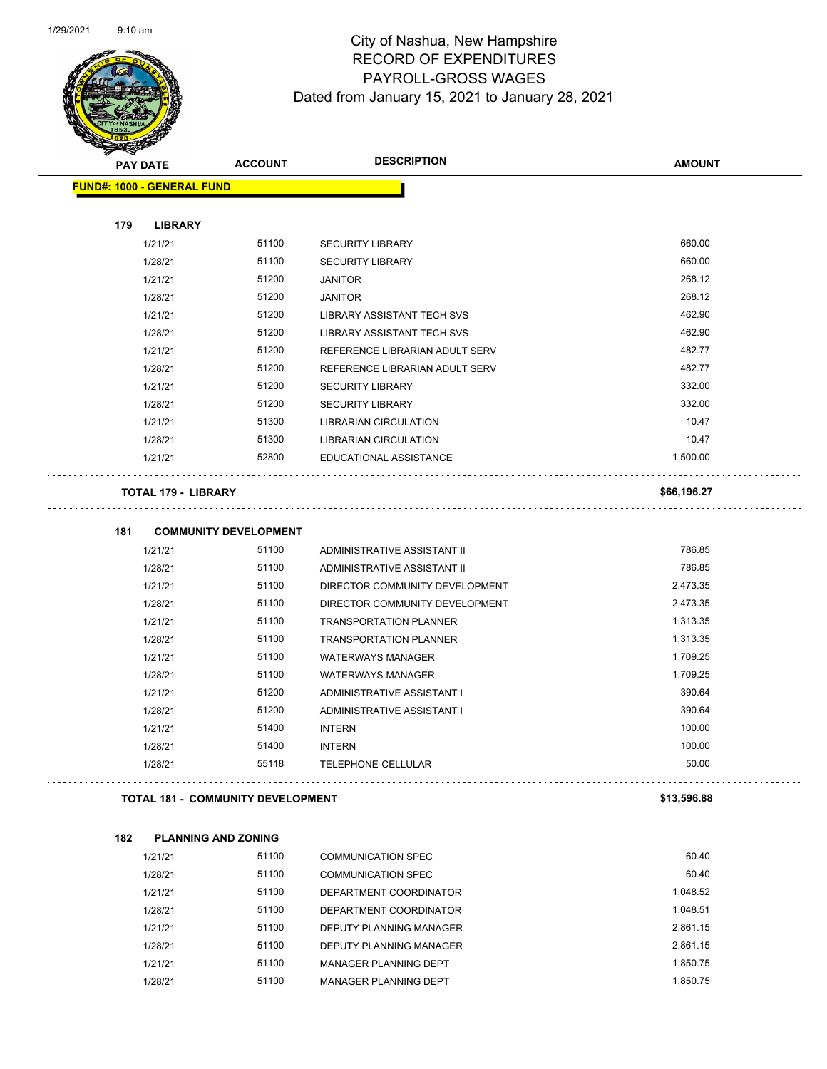

| <b>STARSHIP</b>                   |                                          |                                |               |
|-----------------------------------|------------------------------------------|--------------------------------|---------------|
| <b>PAY DATE</b>                   | <b>ACCOUNT</b>                           | <b>DESCRIPTION</b>             | <b>AMOUNT</b> |
| <b>FUND#: 1000 - GENERAL FUND</b> |                                          |                                |               |
|                                   |                                          |                                |               |
| 179<br>1/21/21                    | <b>LIBRARY</b><br>51100                  | <b>SECURITY LIBRARY</b>        | 660.00        |
| 1/28/21                           | 51100                                    | <b>SECURITY LIBRARY</b>        | 660.00        |
| 1/21/21                           | 51200                                    |                                | 268.12        |
|                                   | 51200                                    | <b>JANITOR</b>                 | 268.12        |
| 1/28/21                           | 51200                                    | <b>JANITOR</b>                 | 462.90        |
| 1/21/21                           | 51200                                    | LIBRARY ASSISTANT TECH SVS     | 462.90        |
| 1/28/21                           | 51200                                    | LIBRARY ASSISTANT TECH SVS     | 482.77        |
| 1/21/21                           |                                          | REFERENCE LIBRARIAN ADULT SERV |               |
| 1/28/21                           | 51200                                    | REFERENCE LIBRARIAN ADULT SERV | 482.77        |
| 1/21/21                           | 51200                                    | <b>SECURITY LIBRARY</b>        | 332.00        |
| 1/28/21                           | 51200                                    | <b>SECURITY LIBRARY</b>        | 332.00        |
| 1/21/21                           | 51300                                    | LIBRARIAN CIRCULATION          | 10.47         |
| 1/28/21                           | 51300                                    | <b>LIBRARIAN CIRCULATION</b>   | 10.47         |
| 1/21/21                           | 52800                                    | EDUCATIONAL ASSISTANCE         | 1,500.00      |
|                                   | <b>TOTAL 179 - LIBRARY</b>               |                                | \$66,196.27   |
| 181                               | <b>COMMUNITY DEVELOPMENT</b>             |                                |               |
| 1/21/21                           | 51100                                    | ADMINISTRATIVE ASSISTANT II    | 786.85        |
| 1/28/21                           | 51100                                    | ADMINISTRATIVE ASSISTANT II    | 786.85        |
| 1/21/21                           | 51100                                    | DIRECTOR COMMUNITY DEVELOPMENT | 2,473.35      |
| 1/28/21                           | 51100                                    | DIRECTOR COMMUNITY DEVELOPMENT | 2,473.35      |
| 1/21/21                           | 51100                                    | <b>TRANSPORTATION PLANNER</b>  | 1,313.35      |
| 1/28/21                           | 51100                                    | <b>TRANSPORTATION PLANNER</b>  | 1,313.35      |
| 1/21/21                           | 51100                                    | <b>WATERWAYS MANAGER</b>       | 1,709.25      |
| 1/28/21                           | 51100                                    | <b>WATERWAYS MANAGER</b>       | 1,709.25      |
| 1/21/21                           | 51200                                    | ADMINISTRATIVE ASSISTANT I     | 390.64        |
| 1/28/21                           | 51200                                    | ADMINISTRATIVE ASSISTANT I     | 390.64        |
| 1/21/21                           | 51400                                    | <b>INTERN</b>                  | 100.00        |
| 1/28/21                           | 51400                                    | <b>INTERN</b>                  | 100.00        |
| 1/28/21                           | 55118                                    | TELEPHONE-CELLULAR             | 50.00         |
|                                   | <b>TOTAL 181 - COMMUNITY DEVELOPMENT</b> |                                | \$13,596.88   |
|                                   |                                          |                                |               |
| 182                               | <b>PLANNING AND ZONING</b><br>51100      |                                | 60.40         |
| 1/21/21                           |                                          | <b>COMMUNICATION SPEC</b>      |               |
| 1/28/21                           | 51100                                    | <b>COMMUNICATION SPEC</b>      | 60.40         |
| 1/21/21                           | 51100                                    | DEPARTMENT COORDINATOR         | 1,048.52      |
| 1/28/21                           | 51100                                    | DEPARTMENT COORDINATOR         | 1,048.51      |
| 1/21/21                           | 51100                                    | DEPUTY PLANNING MANAGER        | 2,861.15      |

1/28/21 51100 DEPUTY PLANNING MANAGER 2,861.15 1/21/21 51100 MANAGER PLANNING DEPT 1,850.75 1/28/21 51100 MANAGER PLANNING DEPT 1,850.75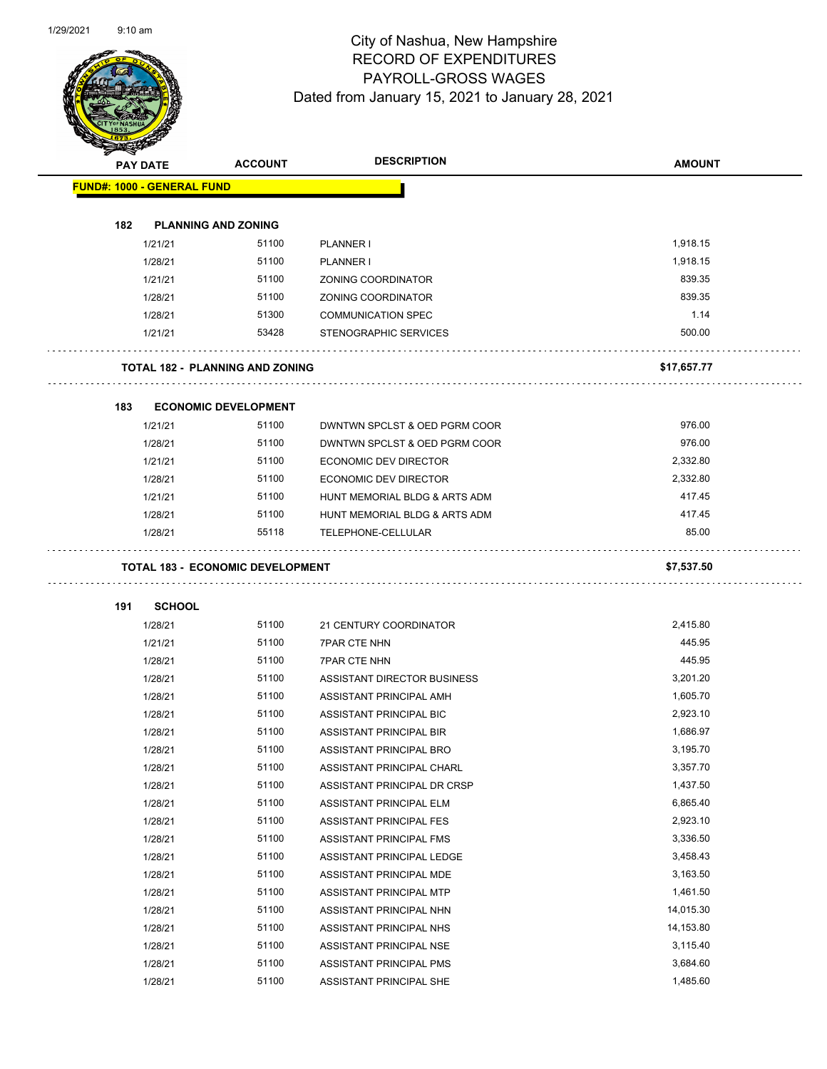$\overline{\phantom{0}}$ 



| <b>SANGRAD</b>                    |                 |                                         |                               |               |
|-----------------------------------|-----------------|-----------------------------------------|-------------------------------|---------------|
|                                   | <b>PAY DATE</b> | <b>ACCOUNT</b>                          | <b>DESCRIPTION</b>            | <b>AMOUNT</b> |
| <b>FUND#: 1000 - GENERAL FUND</b> |                 |                                         |                               |               |
|                                   |                 |                                         |                               |               |
| 182                               |                 | <b>PLANNING AND ZONING</b>              |                               |               |
|                                   | 1/21/21         | 51100                                   | PLANNER I                     | 1,918.15      |
|                                   | 1/28/21         | 51100                                   | PLANNER I                     | 1,918.15      |
|                                   | 1/21/21         | 51100                                   | ZONING COORDINATOR            | 839.35        |
|                                   | 1/28/21         | 51100                                   | <b>ZONING COORDINATOR</b>     | 839.35        |
|                                   | 1/28/21         | 51300                                   | <b>COMMUNICATION SPEC</b>     | 1.14          |
|                                   | 1/21/21         | 53428                                   | STENOGRAPHIC SERVICES         | 500.00        |
|                                   |                 | <b>TOTAL 182 - PLANNING AND ZONING</b>  |                               | \$17,657.77   |
| 183                               |                 | <b>ECONOMIC DEVELOPMENT</b>             |                               |               |
|                                   | 1/21/21         | 51100                                   | DWNTWN SPCLST & OED PGRM COOR | 976.00        |
|                                   | 1/28/21         | 51100                                   | DWNTWN SPCLST & OED PGRM COOR | 976.00        |
|                                   | 1/21/21         | 51100                                   | ECONOMIC DEV DIRECTOR         | 2,332.80      |
|                                   | 1/28/21         | 51100                                   | ECONOMIC DEV DIRECTOR         | 2,332.80      |
|                                   | 1/21/21         | 51100                                   | HUNT MEMORIAL BLDG & ARTS ADM | 417.45        |
|                                   | 1/28/21         | 51100                                   | HUNT MEMORIAL BLDG & ARTS ADM | 417.45        |
|                                   | 1/28/21         | 55118                                   | TELEPHONE-CELLULAR            | 85.00         |
|                                   |                 |                                         |                               |               |
|                                   |                 | <b>TOTAL 183 - ECONOMIC DEVELOPMENT</b> |                               | \$7,537.50    |
| 191                               | <b>SCHOOL</b>   |                                         |                               |               |
|                                   | 1/28/21         | 51100                                   | 21 CENTURY COORDINATOR        | 2,415.80      |
|                                   | 1/21/21         | 51100                                   | <b>7PAR CTE NHN</b>           | 445.95        |
|                                   | 1/28/21         | 51100                                   | <b>7PAR CTE NHN</b>           | 445.95        |
|                                   | 1/28/21         | 51100                                   | ASSISTANT DIRECTOR BUSINESS   | 3,201.20      |
|                                   | 1/28/21         | 51100                                   | ASSISTANT PRINCIPAL AMH       | 1,605.70      |
|                                   | 1/28/21         | 51100                                   | ASSISTANT PRINCIPAL BIC       | 2,923.10      |
|                                   | 1/28/21         | 51100                                   | ASSISTANT PRINCIPAL BIR       | 1,686.97      |
|                                   | 1/28/21         | 51100                                   | ASSISTANT PRINCIPAL BRO       | 3,195.70      |
|                                   | 1/28/21         | 51100                                   | ASSISTANT PRINCIPAL CHARL     | 3,357.70      |
|                                   | 1/28/21         | 51100                                   | ASSISTANT PRINCIPAL DR CRSP   | 1,437.50      |
|                                   | 1/28/21         | 51100                                   | ASSISTANT PRINCIPAL ELM       | 6,865.40      |
|                                   | 1/28/21         | 51100                                   | ASSISTANT PRINCIPAL FES       | 2,923.10      |
|                                   | 1/28/21         | 51100                                   | ASSISTANT PRINCIPAL FMS       | 3,336.50      |
|                                   | 1/28/21         | 51100                                   | ASSISTANT PRINCIPAL LEDGE     | 3,458.43      |
|                                   | 1/28/21         | 51100                                   | ASSISTANT PRINCIPAL MDE       | 3,163.50      |
|                                   | 1/28/21         | 51100                                   | ASSISTANT PRINCIPAL MTP       | 1,461.50      |
|                                   | 1/28/21         | 51100                                   | ASSISTANT PRINCIPAL NHN       | 14,015.30     |
|                                   | 1/28/21         | 51100                                   |                               | 14,153.80     |
|                                   |                 | 51100                                   | ASSISTANT PRINCIPAL NHS       | 3,115.40      |
|                                   | 1/28/21         | 51100                                   | ASSISTANT PRINCIPAL NSE       | 3,684.60      |
|                                   | 1/28/21         |                                         | ASSISTANT PRINCIPAL PMS       | 1,485.60      |
|                                   | 1/28/21         | 51100                                   | ASSISTANT PRINCIPAL SHE       |               |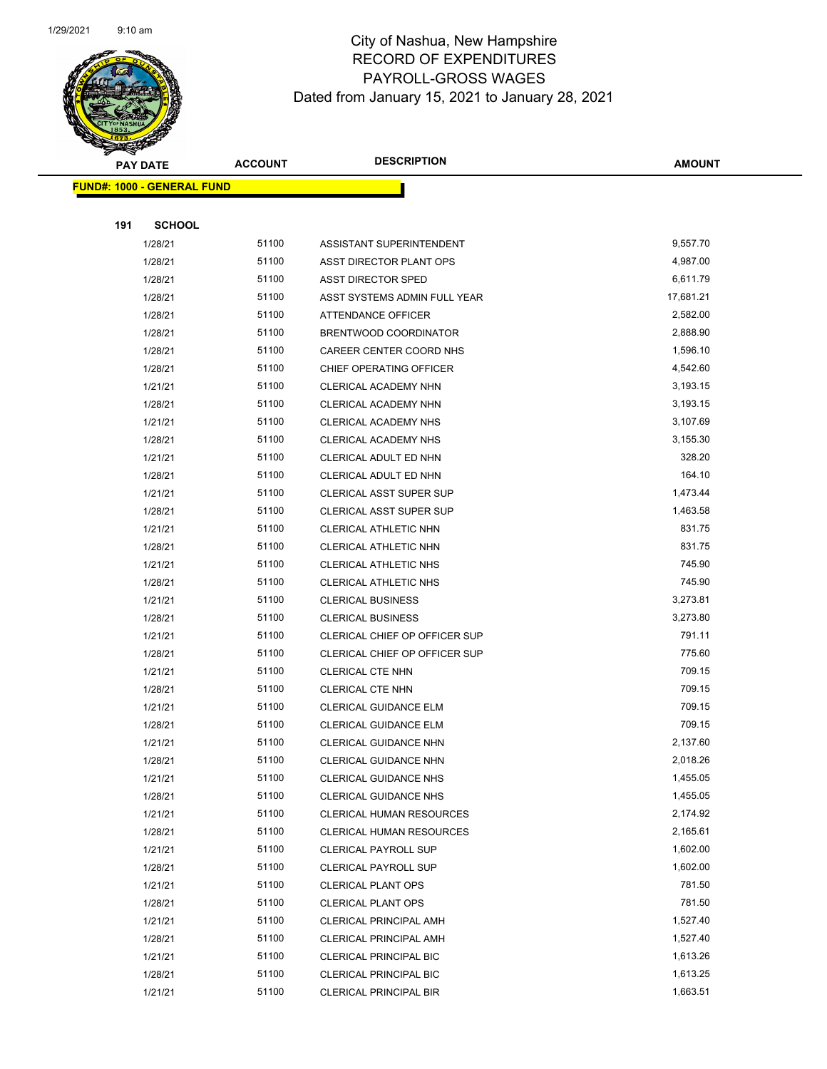

|     | <b>PAY DATE</b>                   | <b>ACCOUNT</b> | <b>DESCRIPTION</b>              | <b>AMOUNT</b> |  |  |
|-----|-----------------------------------|----------------|---------------------------------|---------------|--|--|
|     | <b>FUND#: 1000 - GENERAL FUND</b> |                |                                 |               |  |  |
|     |                                   |                |                                 |               |  |  |
| 191 | <b>SCHOOL</b>                     |                |                                 |               |  |  |
|     | 1/28/21                           | 51100          | ASSISTANT SUPERINTENDENT        | 9,557.70      |  |  |
|     | 1/28/21                           | 51100          | ASST DIRECTOR PLANT OPS         | 4,987.00      |  |  |
|     | 1/28/21                           | 51100          | <b>ASST DIRECTOR SPED</b>       | 6,611.79      |  |  |
|     | 1/28/21                           | 51100          | ASST SYSTEMS ADMIN FULL YEAR    | 17,681.21     |  |  |
|     | 1/28/21                           | 51100          | ATTENDANCE OFFICER              | 2,582.00      |  |  |
|     | 1/28/21                           | 51100          | BRENTWOOD COORDINATOR           | 2,888.90      |  |  |
|     | 1/28/21                           | 51100          | CAREER CENTER COORD NHS         | 1,596.10      |  |  |
|     | 1/28/21                           | 51100          | CHIEF OPERATING OFFICER         | 4,542.60      |  |  |
|     | 1/21/21                           | 51100          | CLERICAL ACADEMY NHN            | 3,193.15      |  |  |
|     | 1/28/21                           | 51100          | CLERICAL ACADEMY NHN            | 3,193.15      |  |  |
|     | 1/21/21                           | 51100          | CLERICAL ACADEMY NHS            | 3,107.69      |  |  |
|     | 1/28/21                           | 51100          | <b>CLERICAL ACADEMY NHS</b>     | 3,155.30      |  |  |
|     | 1/21/21                           | 51100          | CLERICAL ADULT ED NHN           | 328.20        |  |  |
|     | 1/28/21                           | 51100          | CLERICAL ADULT ED NHN           | 164.10        |  |  |
|     | 1/21/21                           | 51100          | CLERICAL ASST SUPER SUP         | 1,473.44      |  |  |
|     | 1/28/21                           | 51100          | CLERICAL ASST SUPER SUP         | 1,463.58      |  |  |
|     | 1/21/21                           | 51100          | CLERICAL ATHLETIC NHN           | 831.75        |  |  |
|     | 1/28/21                           | 51100          | CLERICAL ATHLETIC NHN           | 831.75        |  |  |
|     | 1/21/21                           | 51100          | CLERICAL ATHLETIC NHS           | 745.90        |  |  |
|     | 1/28/21                           | 51100          | CLERICAL ATHLETIC NHS           | 745.90        |  |  |
|     | 1/21/21                           | 51100          | <b>CLERICAL BUSINESS</b>        | 3,273.81      |  |  |
|     | 1/28/21                           | 51100          | <b>CLERICAL BUSINESS</b>        | 3,273.80      |  |  |
|     | 1/21/21                           | 51100          | CLERICAL CHIEF OP OFFICER SUP   | 791.11        |  |  |
|     | 1/28/21                           | 51100          | CLERICAL CHIEF OP OFFICER SUP   | 775.60        |  |  |
|     | 1/21/21                           | 51100          | <b>CLERICAL CTE NHN</b>         | 709.15        |  |  |
|     | 1/28/21                           | 51100          | <b>CLERICAL CTE NHN</b>         | 709.15        |  |  |
|     | 1/21/21                           | 51100          | CLERICAL GUIDANCE ELM           | 709.15        |  |  |
|     | 1/28/21                           | 51100          | CLERICAL GUIDANCE ELM           | 709.15        |  |  |
|     | 1/21/21                           | 51100          | <b>CLERICAL GUIDANCE NHN</b>    | 2,137.60      |  |  |
|     | 1/28/21                           | 51100          | CLERICAL GUIDANCE NHN           | 2,018.26      |  |  |
|     | 1/21/21                           | 51100          | <b>CLERICAL GUIDANCE NHS</b>    | 1,455.05      |  |  |
|     | 1/28/21                           | 51100          | <b>CLERICAL GUIDANCE NHS</b>    | 1,455.05      |  |  |
|     | 1/21/21                           | 51100          | <b>CLERICAL HUMAN RESOURCES</b> | 2,174.92      |  |  |
|     | 1/28/21                           | 51100          | CLERICAL HUMAN RESOURCES        | 2,165.61      |  |  |
|     | 1/21/21                           | 51100          | <b>CLERICAL PAYROLL SUP</b>     | 1,602.00      |  |  |
|     | 1/28/21                           | 51100          | <b>CLERICAL PAYROLL SUP</b>     | 1,602.00      |  |  |
|     | 1/21/21                           | 51100          | <b>CLERICAL PLANT OPS</b>       | 781.50        |  |  |
|     | 1/28/21                           | 51100          | <b>CLERICAL PLANT OPS</b>       | 781.50        |  |  |
|     | 1/21/21                           | 51100          | <b>CLERICAL PRINCIPAL AMH</b>   | 1,527.40      |  |  |
|     | 1/28/21                           | 51100          | <b>CLERICAL PRINCIPAL AMH</b>   | 1,527.40      |  |  |
|     | 1/21/21                           | 51100          | <b>CLERICAL PRINCIPAL BIC</b>   | 1,613.26      |  |  |
|     | 1/28/21                           | 51100          | CLERICAL PRINCIPAL BIC          | 1,613.25      |  |  |
|     | 1/21/21                           | 51100          | <b>CLERICAL PRINCIPAL BIR</b>   | 1,663.51      |  |  |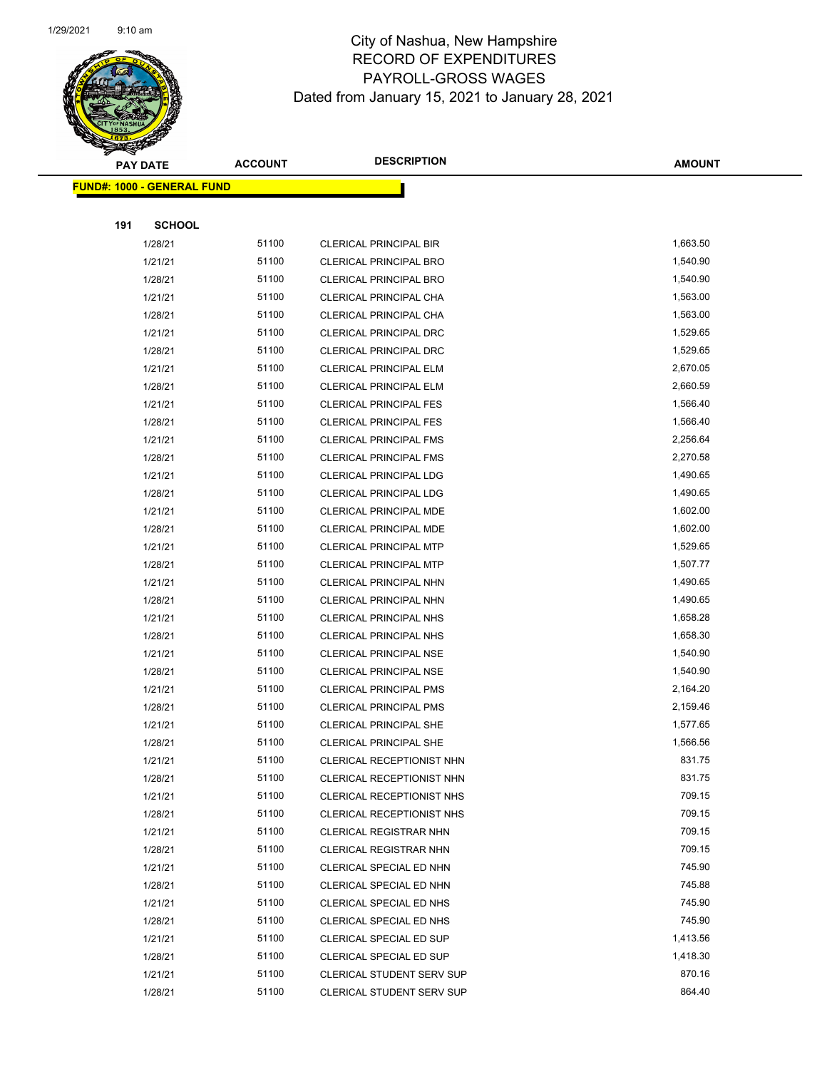

|     | <b>PAY DATE</b>            | <b>ACCOUNT</b> | <b>DESCRIPTION</b>               | <b>AMOUNT</b> |
|-----|----------------------------|----------------|----------------------------------|---------------|
|     | FUND#: 1000 - GENERAL FUND |                |                                  |               |
|     |                            |                |                                  |               |
| 191 | <b>SCHOOL</b>              |                |                                  |               |
|     | 1/28/21                    | 51100          | <b>CLERICAL PRINCIPAL BIR</b>    | 1,663.50      |
|     | 1/21/21                    | 51100          | <b>CLERICAL PRINCIPAL BRO</b>    | 1,540.90      |
|     | 1/28/21                    | 51100          | CLERICAL PRINCIPAL BRO           | 1,540.90      |
|     | 1/21/21                    | 51100          | CLERICAL PRINCIPAL CHA           | 1,563.00      |
|     | 1/28/21                    | 51100          | CLERICAL PRINCIPAL CHA           | 1,563.00      |
|     | 1/21/21                    | 51100          | CLERICAL PRINCIPAL DRC           | 1,529.65      |
|     | 1/28/21                    | 51100          | <b>CLERICAL PRINCIPAL DRC</b>    | 1,529.65      |
|     | 1/21/21                    | 51100          | CLERICAL PRINCIPAL ELM           | 2,670.05      |
|     | 1/28/21                    | 51100          | <b>CLERICAL PRINCIPAL ELM</b>    | 2,660.59      |
|     | 1/21/21                    | 51100          | <b>CLERICAL PRINCIPAL FES</b>    | 1,566.40      |
|     | 1/28/21                    | 51100          | <b>CLERICAL PRINCIPAL FES</b>    | 1,566.40      |
|     | 1/21/21                    | 51100          | <b>CLERICAL PRINCIPAL FMS</b>    | 2,256.64      |
|     | 1/28/21                    | 51100          | <b>CLERICAL PRINCIPAL FMS</b>    | 2,270.58      |
|     | 1/21/21                    | 51100          | <b>CLERICAL PRINCIPAL LDG</b>    | 1,490.65      |
|     | 1/28/21                    | 51100          | CLERICAL PRINCIPAL LDG           | 1,490.65      |
|     | 1/21/21                    | 51100          | CLERICAL PRINCIPAL MDE           | 1,602.00      |
|     | 1/28/21                    | 51100          | CLERICAL PRINCIPAL MDE           | 1,602.00      |
|     | 1/21/21                    | 51100          | <b>CLERICAL PRINCIPAL MTP</b>    | 1,529.65      |
|     | 1/28/21                    | 51100          | <b>CLERICAL PRINCIPAL MTP</b>    | 1,507.77      |
|     | 1/21/21                    | 51100          | <b>CLERICAL PRINCIPAL NHN</b>    | 1,490.65      |
|     | 1/28/21                    | 51100          | CLERICAL PRINCIPAL NHN           | 1,490.65      |
|     | 1/21/21                    | 51100          | <b>CLERICAL PRINCIPAL NHS</b>    | 1,658.28      |
|     | 1/28/21                    | 51100          | CLERICAL PRINCIPAL NHS           | 1,658.30      |
|     | 1/21/21                    | 51100          | <b>CLERICAL PRINCIPAL NSE</b>    | 1,540.90      |
|     | 1/28/21                    | 51100          | CLERICAL PRINCIPAL NSE           | 1,540.90      |
|     | 1/21/21                    | 51100          | <b>CLERICAL PRINCIPAL PMS</b>    | 2,164.20      |
|     | 1/28/21                    | 51100          | <b>CLERICAL PRINCIPAL PMS</b>    | 2,159.46      |
|     | 1/21/21                    | 51100          | <b>CLERICAL PRINCIPAL SHE</b>    | 1,577.65      |
|     | 1/28/21                    | 51100          | <b>CLERICAL PRINCIPAL SHE</b>    | 1,566.56      |
|     | 1/21/21                    | 51100          | CLERICAL RECEPTIONIST NHN        | 831.75        |
|     | 1/28/21                    | 51100          | CLERICAL RECEPTIONIST NHN        | 831.75        |
|     | 1/21/21                    | 51100          | CLERICAL RECEPTIONIST NHS        | 709.15        |
|     | 1/28/21                    | 51100          | CLERICAL RECEPTIONIST NHS        | 709.15        |
|     | 1/21/21                    | 51100          | <b>CLERICAL REGISTRAR NHN</b>    | 709.15        |
|     | 1/28/21                    | 51100          | <b>CLERICAL REGISTRAR NHN</b>    | 709.15        |
|     | 1/21/21                    | 51100          | CLERICAL SPECIAL ED NHN          | 745.90        |
|     | 1/28/21                    | 51100          | CLERICAL SPECIAL ED NHN          | 745.88        |
|     | 1/21/21                    | 51100          | CLERICAL SPECIAL ED NHS          | 745.90        |
|     | 1/28/21                    | 51100          | CLERICAL SPECIAL ED NHS          | 745.90        |
|     | 1/21/21                    | 51100          | CLERICAL SPECIAL ED SUP          | 1,413.56      |
|     | 1/28/21                    | 51100          | CLERICAL SPECIAL ED SUP          | 1,418.30      |
|     | 1/21/21                    | 51100          | <b>CLERICAL STUDENT SERV SUP</b> | 870.16        |
|     | 1/28/21                    | 51100          | CLERICAL STUDENT SERV SUP        | 864.40        |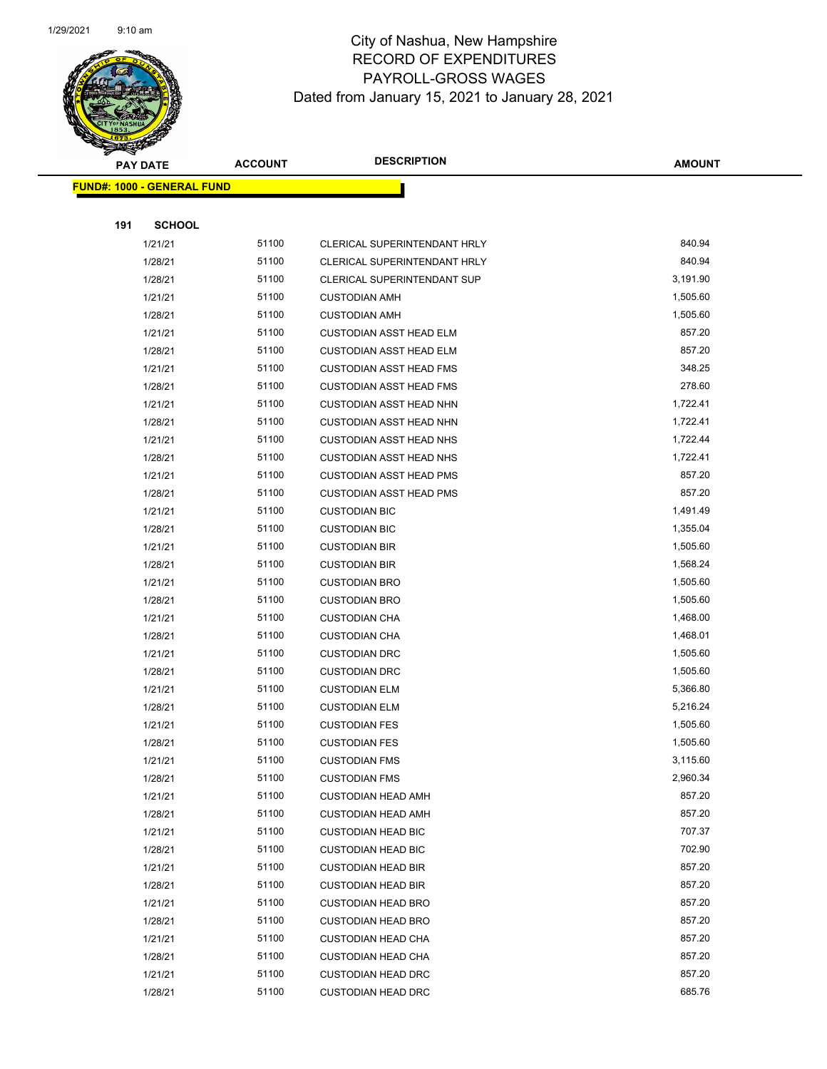

| s<br>$\tilde{\phantom{a}}$ | <b>PAY DATE</b>                   | <b>ACCOUNT</b> | <b>DESCRIPTION</b>             | <b>AMOUNT</b> |
|----------------------------|-----------------------------------|----------------|--------------------------------|---------------|
|                            | <b>FUND#: 1000 - GENERAL FUND</b> |                |                                |               |
|                            |                                   |                |                                |               |
| 191                        | <b>SCHOOL</b>                     |                |                                |               |
|                            | 1/21/21                           | 51100          | CLERICAL SUPERINTENDANT HRLY   | 840.94        |
|                            | 1/28/21                           | 51100          | CLERICAL SUPERINTENDANT HRLY   | 840.94        |
|                            | 1/28/21                           | 51100          | CLERICAL SUPERINTENDANT SUP    | 3,191.90      |
|                            | 1/21/21                           | 51100          | <b>CUSTODIAN AMH</b>           | 1,505.60      |
|                            | 1/28/21                           | 51100          | <b>CUSTODIAN AMH</b>           | 1,505.60      |
|                            | 1/21/21                           | 51100          | <b>CUSTODIAN ASST HEAD ELM</b> | 857.20        |
|                            | 1/28/21                           | 51100          | <b>CUSTODIAN ASST HEAD ELM</b> | 857.20        |
|                            | 1/21/21                           | 51100          | <b>CUSTODIAN ASST HEAD FMS</b> | 348.25        |
|                            | 1/28/21                           | 51100          | <b>CUSTODIAN ASST HEAD FMS</b> | 278.60        |
|                            | 1/21/21                           | 51100          | <b>CUSTODIAN ASST HEAD NHN</b> | 1,722.41      |
|                            | 1/28/21                           | 51100          | CUSTODIAN ASST HEAD NHN        | 1,722.41      |
|                            | 1/21/21                           | 51100          | <b>CUSTODIAN ASST HEAD NHS</b> | 1,722.44      |
|                            | 1/28/21                           | 51100          | <b>CUSTODIAN ASST HEAD NHS</b> | 1,722.41      |
|                            | 1/21/21                           | 51100          | <b>CUSTODIAN ASST HEAD PMS</b> | 857.20        |
|                            | 1/28/21                           | 51100          | <b>CUSTODIAN ASST HEAD PMS</b> | 857.20        |
|                            | 1/21/21                           | 51100          | <b>CUSTODIAN BIC</b>           | 1,491.49      |
|                            | 1/28/21                           | 51100          | <b>CUSTODIAN BIC</b>           | 1,355.04      |
|                            | 1/21/21                           | 51100          | <b>CUSTODIAN BIR</b>           | 1,505.60      |
|                            | 1/28/21                           | 51100          | <b>CUSTODIAN BIR</b>           | 1,568.24      |
|                            | 1/21/21                           | 51100          | <b>CUSTODIAN BRO</b>           | 1,505.60      |
|                            | 1/28/21                           | 51100          | <b>CUSTODIAN BRO</b>           | 1,505.60      |
|                            | 1/21/21                           | 51100          | <b>CUSTODIAN CHA</b>           | 1,468.00      |
|                            | 1/28/21                           | 51100          | <b>CUSTODIAN CHA</b>           | 1,468.01      |
|                            | 1/21/21                           | 51100          | <b>CUSTODIAN DRC</b>           | 1,505.60      |
|                            | 1/28/21                           | 51100          | <b>CUSTODIAN DRC</b>           | 1,505.60      |
|                            | 1/21/21                           | 51100          | <b>CUSTODIAN ELM</b>           | 5,366.80      |
|                            | 1/28/21                           | 51100          | <b>CUSTODIAN ELM</b>           | 5,216.24      |
|                            | 1/21/21                           | 51100          | <b>CUSTODIAN FES</b>           | 1,505.60      |
|                            | 1/28/21                           | 51100          | <b>CUSTODIAN FES</b>           | 1,505.60      |
|                            | 1/21/21                           | 51100          | <b>CUSTODIAN FMS</b>           | 3,115.60      |
|                            | 1/28/21                           | 51100          | <b>CUSTODIAN FMS</b>           | 2,960.34      |
|                            | 1/21/21                           | 51100          | <b>CUSTODIAN HEAD AMH</b>      | 857.20        |
|                            | 1/28/21                           | 51100          | <b>CUSTODIAN HEAD AMH</b>      | 857.20        |
|                            | 1/21/21                           | 51100          | <b>CUSTODIAN HEAD BIC</b>      | 707.37        |
|                            | 1/28/21                           | 51100          | <b>CUSTODIAN HEAD BIC</b>      | 702.90        |
|                            | 1/21/21                           | 51100          | <b>CUSTODIAN HEAD BIR</b>      | 857.20        |
|                            | 1/28/21                           | 51100          | <b>CUSTODIAN HEAD BIR</b>      | 857.20        |
|                            | 1/21/21                           | 51100          | <b>CUSTODIAN HEAD BRO</b>      | 857.20        |
|                            | 1/28/21                           | 51100          | <b>CUSTODIAN HEAD BRO</b>      | 857.20        |
|                            | 1/21/21                           | 51100          | <b>CUSTODIAN HEAD CHA</b>      | 857.20        |
|                            | 1/28/21                           | 51100          | <b>CUSTODIAN HEAD CHA</b>      | 857.20        |
|                            | 1/21/21                           | 51100          | <b>CUSTODIAN HEAD DRC</b>      | 857.20        |
|                            | 1/28/21                           | 51100          | <b>CUSTODIAN HEAD DRC</b>      | 685.76        |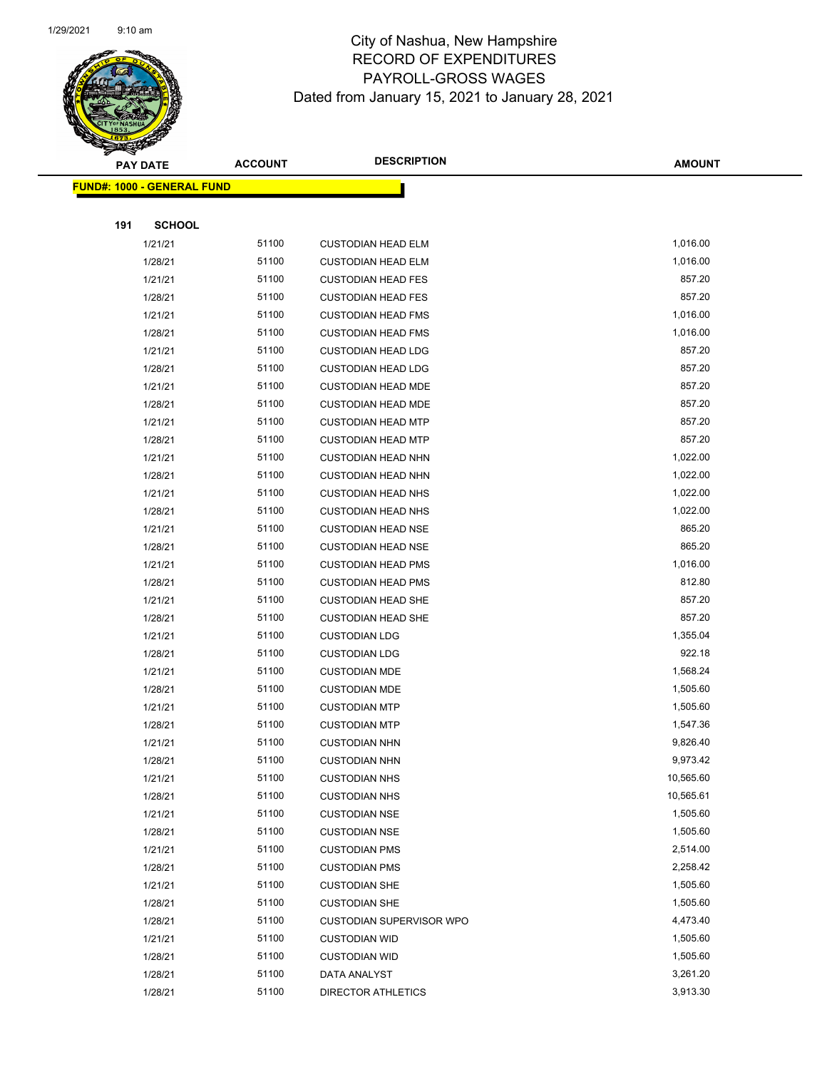

|     | <b>PAY DATE</b>                   | <b>ACCOUNT</b> | <b>DESCRIPTION</b>              | <b>AMOUNT</b>        |
|-----|-----------------------------------|----------------|---------------------------------|----------------------|
|     | <b>FUND#: 1000 - GENERAL FUND</b> |                |                                 |                      |
|     |                                   |                |                                 |                      |
| 191 | <b>SCHOOL</b>                     |                |                                 |                      |
|     | 1/21/21                           | 51100          | <b>CUSTODIAN HEAD ELM</b>       | 1,016.00             |
|     | 1/28/21                           | 51100          | <b>CUSTODIAN HEAD ELM</b>       | 1,016.00             |
|     | 1/21/21                           | 51100          | <b>CUSTODIAN HEAD FES</b>       | 857.20               |
|     | 1/28/21                           | 51100          | <b>CUSTODIAN HEAD FES</b>       | 857.20               |
|     | 1/21/21                           | 51100          | <b>CUSTODIAN HEAD FMS</b>       | 1,016.00             |
|     | 1/28/21                           | 51100          | <b>CUSTODIAN HEAD FMS</b>       | 1,016.00             |
|     | 1/21/21                           | 51100          | <b>CUSTODIAN HEAD LDG</b>       | 857.20               |
|     | 1/28/21                           | 51100          | <b>CUSTODIAN HEAD LDG</b>       | 857.20               |
|     | 1/21/21                           | 51100          | <b>CUSTODIAN HEAD MDE</b>       | 857.20               |
|     | 1/28/21                           | 51100          | <b>CUSTODIAN HEAD MDE</b>       | 857.20               |
|     | 1/21/21                           | 51100          | <b>CUSTODIAN HEAD MTP</b>       | 857.20               |
|     | 1/28/21                           | 51100          | <b>CUSTODIAN HEAD MTP</b>       | 857.20               |
|     | 1/21/21                           | 51100          | <b>CUSTODIAN HEAD NHN</b>       | 1,022.00             |
|     | 1/28/21                           | 51100          | <b>CUSTODIAN HEAD NHN</b>       | 1,022.00             |
|     | 1/21/21                           | 51100          | <b>CUSTODIAN HEAD NHS</b>       | 1,022.00             |
|     | 1/28/21                           | 51100          | <b>CUSTODIAN HEAD NHS</b>       | 1,022.00             |
|     | 1/21/21                           | 51100          | <b>CUSTODIAN HEAD NSE</b>       | 865.20               |
|     | 1/28/21                           | 51100          | <b>CUSTODIAN HEAD NSE</b>       | 865.20               |
|     | 1/21/21                           | 51100          | <b>CUSTODIAN HEAD PMS</b>       | 1,016.00             |
|     | 1/28/21                           | 51100          | <b>CUSTODIAN HEAD PMS</b>       | 812.80               |
|     | 1/21/21                           | 51100          | <b>CUSTODIAN HEAD SHE</b>       | 857.20               |
|     | 1/28/21                           | 51100          | <b>CUSTODIAN HEAD SHE</b>       | 857.20               |
|     | 1/21/21                           | 51100          | <b>CUSTODIAN LDG</b>            | 1,355.04             |
|     | 1/28/21                           | 51100          | <b>CUSTODIAN LDG</b>            | 922.18               |
|     | 1/21/21                           | 51100          | <b>CUSTODIAN MDE</b>            | 1,568.24             |
|     | 1/28/21                           | 51100          | <b>CUSTODIAN MDE</b>            | 1,505.60             |
|     | 1/21/21                           | 51100          | <b>CUSTODIAN MTP</b>            | 1,505.60             |
|     | 1/28/21                           | 51100          | <b>CUSTODIAN MTP</b>            | 1,547.36             |
|     | 1/21/21                           | 51100          | <b>CUSTODIAN NHN</b>            | 9,826.40             |
|     | 1/28/21                           | 51100          | <b>CUSTODIAN NHN</b>            | 9,973.42             |
|     | 1/21/21                           | 51100          | <b>CUSTODIAN NHS</b>            | 10,565.60            |
|     | 1/28/21                           | 51100          | <b>CUSTODIAN NHS</b>            | 10,565.61            |
|     | 1/21/21                           | 51100          | <b>CUSTODIAN NSE</b>            | 1,505.60             |
|     | 1/28/21                           | 51100          | <b>CUSTODIAN NSE</b>            | 1,505.60             |
|     | 1/21/21                           | 51100          | <b>CUSTODIAN PMS</b>            | 2,514.00             |
|     | 1/28/21                           | 51100<br>51100 | <b>CUSTODIAN PMS</b>            | 2,258.42<br>1,505.60 |
|     | 1/21/21                           |                | <b>CUSTODIAN SHE</b>            |                      |
|     | 1/28/21                           | 51100          | <b>CUSTODIAN SHE</b>            | 1,505.60<br>4,473.40 |
|     | 1/28/21                           | 51100<br>51100 | <b>CUSTODIAN SUPERVISOR WPO</b> | 1,505.60             |
|     | 1/21/21                           | 51100          | <b>CUSTODIAN WID</b>            | 1,505.60             |
|     | 1/28/21                           | 51100          | <b>CUSTODIAN WID</b>            | 3,261.20             |
|     | 1/28/21                           | 51100          | DATA ANALYST                    | 3,913.30             |
|     | 1/28/21                           |                | <b>DIRECTOR ATHLETICS</b>       |                      |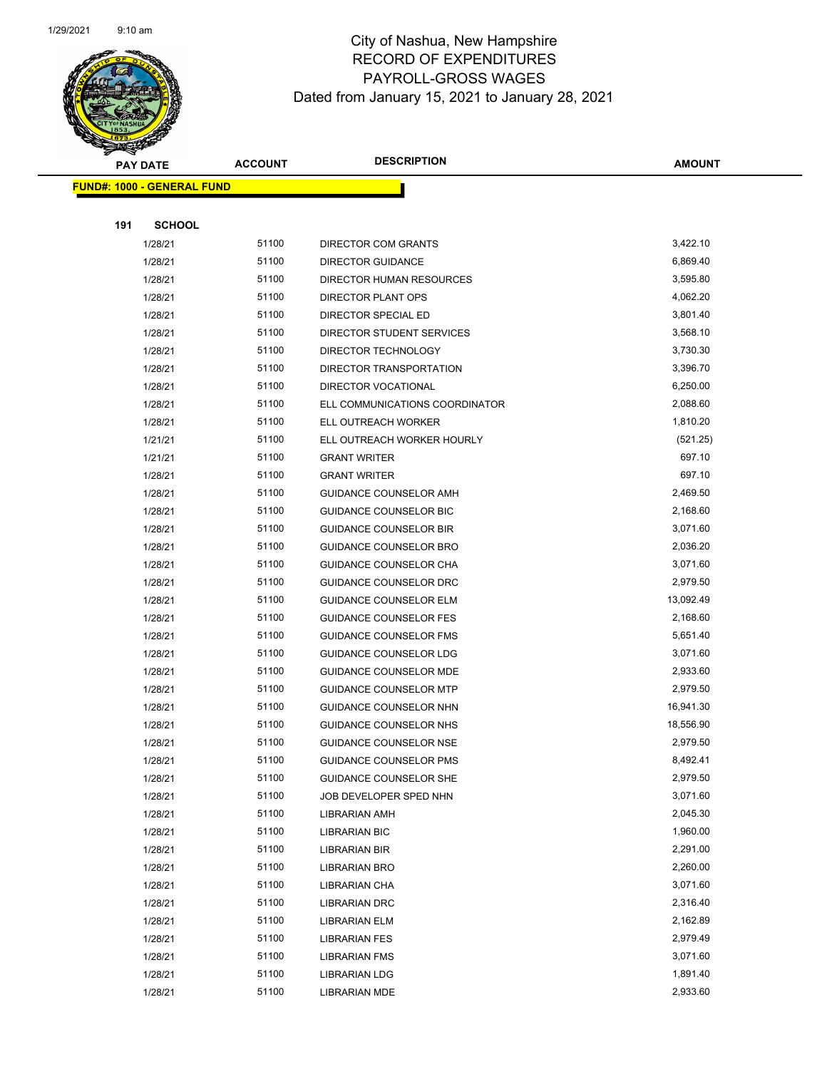

|     | <b>PAY DATE</b>                   | <b>ACCOUNT</b> | <b>DESCRIPTION</b>             | <b>AMOUNT</b> |
|-----|-----------------------------------|----------------|--------------------------------|---------------|
|     | <b>FUND#: 1000 - GENERAL FUND</b> |                |                                |               |
|     |                                   |                |                                |               |
| 191 | <b>SCHOOL</b>                     |                |                                |               |
|     | 1/28/21                           | 51100          | DIRECTOR COM GRANTS            | 3,422.10      |
|     | 1/28/21                           | 51100          | <b>DIRECTOR GUIDANCE</b>       | 6,869.40      |
|     | 1/28/21                           | 51100          | DIRECTOR HUMAN RESOURCES       | 3,595.80      |
|     | 1/28/21                           | 51100          | DIRECTOR PLANT OPS             | 4,062.20      |
|     | 1/28/21                           | 51100          | DIRECTOR SPECIAL ED            | 3,801.40      |
|     | 1/28/21                           | 51100          | DIRECTOR STUDENT SERVICES      | 3,568.10      |
|     | 1/28/21                           | 51100          | DIRECTOR TECHNOLOGY            | 3,730.30      |
|     | 1/28/21                           | 51100          | DIRECTOR TRANSPORTATION        | 3,396.70      |
|     | 1/28/21                           | 51100          | DIRECTOR VOCATIONAL            | 6,250.00      |
|     | 1/28/21                           | 51100          | ELL COMMUNICATIONS COORDINATOR | 2,088.60      |
|     | 1/28/21                           | 51100          | ELL OUTREACH WORKER            | 1,810.20      |
|     | 1/21/21                           | 51100          | ELL OUTREACH WORKER HOURLY     | (521.25)      |
|     | 1/21/21                           | 51100          | <b>GRANT WRITER</b>            | 697.10        |
|     | 1/28/21                           | 51100          | <b>GRANT WRITER</b>            | 697.10        |
|     | 1/28/21                           | 51100          | GUIDANCE COUNSELOR AMH         | 2,469.50      |
|     | 1/28/21                           | 51100          | GUIDANCE COUNSELOR BIC         | 2,168.60      |
|     | 1/28/21                           | 51100          | <b>GUIDANCE COUNSELOR BIR</b>  | 3,071.60      |
|     | 1/28/21                           | 51100          | GUIDANCE COUNSELOR BRO         | 2,036.20      |
|     | 1/28/21                           | 51100          | GUIDANCE COUNSELOR CHA         | 3,071.60      |
|     | 1/28/21                           | 51100          | GUIDANCE COUNSELOR DRC         | 2,979.50      |
|     | 1/28/21                           | 51100          | <b>GUIDANCE COUNSELOR ELM</b>  | 13,092.49     |
|     | 1/28/21                           | 51100          | GUIDANCE COUNSELOR FES         | 2,168.60      |
|     | 1/28/21                           | 51100          | <b>GUIDANCE COUNSELOR FMS</b>  | 5,651.40      |
|     | 1/28/21                           | 51100          | GUIDANCE COUNSELOR LDG         | 3,071.60      |
|     | 1/28/21                           | 51100          | GUIDANCE COUNSELOR MDE         | 2,933.60      |
|     | 1/28/21                           | 51100          | <b>GUIDANCE COUNSELOR MTP</b>  | 2,979.50      |
|     | 1/28/21                           | 51100          | GUIDANCE COUNSELOR NHN         | 16,941.30     |
|     | 1/28/21                           | 51100          | GUIDANCE COUNSELOR NHS         | 18,556.90     |
|     | 1/28/21                           | 51100          | GUIDANCE COUNSELOR NSE         | 2,979.50      |
|     | 1/28/21                           | 51100          | GUIDANCE COUNSELOR PMS         | 8,492.41      |
|     | 1/28/21                           | 51100          | <b>GUIDANCE COUNSELOR SHE</b>  | 2,979.50      |
|     | 1/28/21                           | 51100          | JOB DEVELOPER SPED NHN         | 3,071.60      |
|     | 1/28/21                           | 51100          | LIBRARIAN AMH                  | 2,045.30      |
|     | 1/28/21                           | 51100          | <b>LIBRARIAN BIC</b>           | 1,960.00      |
|     | 1/28/21                           | 51100          | LIBRARIAN BIR                  | 2,291.00      |
|     | 1/28/21                           | 51100          | <b>LIBRARIAN BRO</b>           | 2,260.00      |
|     | 1/28/21                           | 51100          | LIBRARIAN CHA                  | 3,071.60      |
|     | 1/28/21                           | 51100          | <b>LIBRARIAN DRC</b>           | 2,316.40      |
|     | 1/28/21                           | 51100          | <b>LIBRARIAN ELM</b>           | 2,162.89      |
|     | 1/28/21                           | 51100          | <b>LIBRARIAN FES</b>           | 2,979.49      |
|     | 1/28/21                           | 51100          | <b>LIBRARIAN FMS</b>           | 3,071.60      |
|     | 1/28/21                           | 51100          | <b>LIBRARIAN LDG</b>           | 1,891.40      |
|     | 1/28/21                           | 51100          | LIBRARIAN MDE                  | 2,933.60      |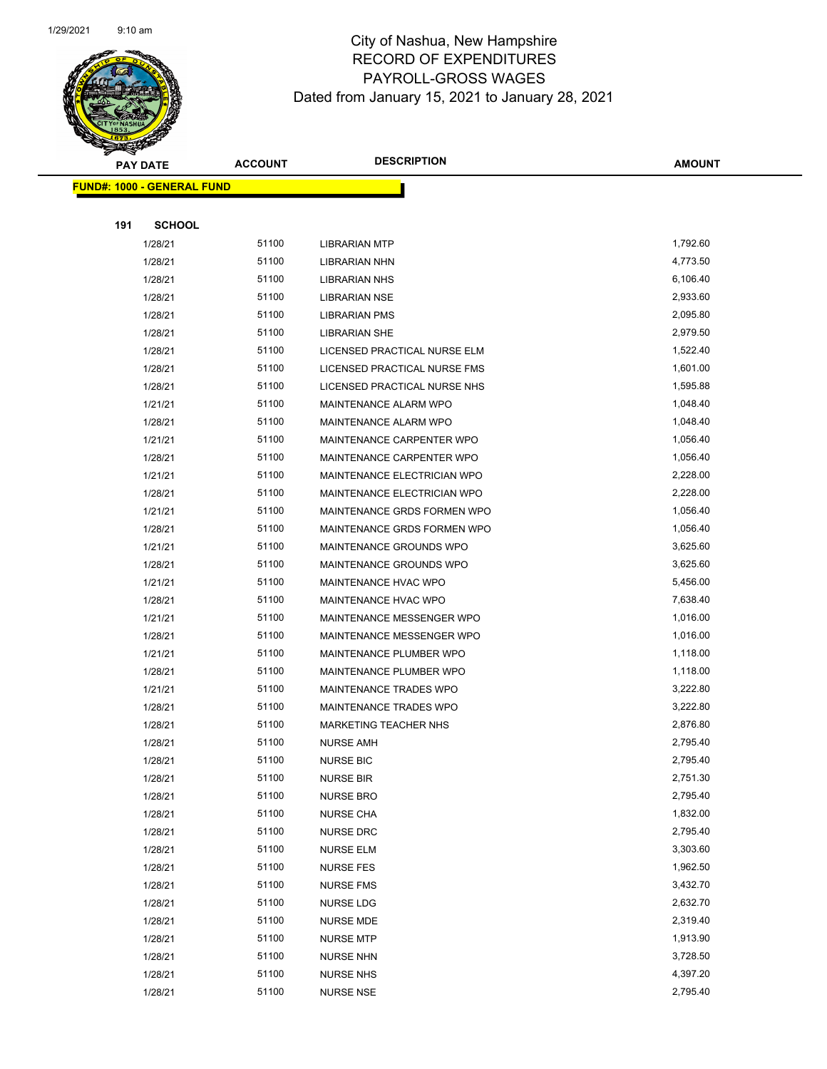

|     | <b>PAY DATE</b>                   | <b>ACCOUNT</b> | <b>DESCRIPTION</b>           | <b>AMOUNT</b> |
|-----|-----------------------------------|----------------|------------------------------|---------------|
|     | <b>FUND#: 1000 - GENERAL FUND</b> |                |                              |               |
|     |                                   |                |                              |               |
| 191 | <b>SCHOOL</b>                     |                |                              |               |
|     | 1/28/21                           | 51100          | <b>LIBRARIAN MTP</b>         | 1,792.60      |
|     | 1/28/21                           | 51100          | <b>LIBRARIAN NHN</b>         | 4,773.50      |
|     | 1/28/21                           | 51100          | <b>LIBRARIAN NHS</b>         | 6,106.40      |
|     | 1/28/21                           | 51100          | <b>LIBRARIAN NSE</b>         | 2,933.60      |
|     | 1/28/21                           | 51100          | <b>LIBRARIAN PMS</b>         | 2,095.80      |
|     | 1/28/21                           | 51100          | <b>LIBRARIAN SHE</b>         | 2,979.50      |
|     | 1/28/21                           | 51100          | LICENSED PRACTICAL NURSE ELM | 1,522.40      |
|     | 1/28/21                           | 51100          | LICENSED PRACTICAL NURSE FMS | 1,601.00      |
|     | 1/28/21                           | 51100          | LICENSED PRACTICAL NURSE NHS | 1,595.88      |
|     | 1/21/21                           | 51100          | MAINTENANCE ALARM WPO        | 1,048.40      |
|     | 1/28/21                           | 51100          | MAINTENANCE ALARM WPO        | 1,048.40      |
|     | 1/21/21                           | 51100          | MAINTENANCE CARPENTER WPO    | 1,056.40      |
|     | 1/28/21                           | 51100          | MAINTENANCE CARPENTER WPO    | 1,056.40      |
|     | 1/21/21                           | 51100          | MAINTENANCE ELECTRICIAN WPO  | 2,228.00      |
|     | 1/28/21                           | 51100          | MAINTENANCE ELECTRICIAN WPO  | 2,228.00      |
|     | 1/21/21                           | 51100          | MAINTENANCE GRDS FORMEN WPO  | 1,056.40      |
|     | 1/28/21                           | 51100          | MAINTENANCE GRDS FORMEN WPO  | 1,056.40      |
|     | 1/21/21                           | 51100          | MAINTENANCE GROUNDS WPO      | 3,625.60      |
|     | 1/28/21                           | 51100          | MAINTENANCE GROUNDS WPO      | 3,625.60      |
|     | 1/21/21                           | 51100          | MAINTENANCE HVAC WPO         | 5,456.00      |
|     | 1/28/21                           | 51100          | MAINTENANCE HVAC WPO         | 7,638.40      |
|     | 1/21/21                           | 51100          | MAINTENANCE MESSENGER WPO    | 1,016.00      |
|     | 1/28/21                           | 51100          | MAINTENANCE MESSENGER WPO    | 1,016.00      |
|     | 1/21/21                           | 51100          | MAINTENANCE PLUMBER WPO      | 1,118.00      |
|     | 1/28/21                           | 51100          | MAINTENANCE PLUMBER WPO      | 1,118.00      |
|     | 1/21/21                           | 51100          | MAINTENANCE TRADES WPO       | 3,222.80      |
|     | 1/28/21                           | 51100          | MAINTENANCE TRADES WPO       | 3,222.80      |
|     | 1/28/21                           | 51100          | MARKETING TEACHER NHS        | 2,876.80      |
|     | 1/28/21                           | 51100          | <b>NURSE AMH</b>             | 2,795.40      |
|     | 1/28/21                           | 51100          | <b>NURSE BIC</b>             | 2,795.40      |
|     | 1/28/21                           | 51100          | <b>NURSE BIR</b>             | 2,751.30      |
|     | 1/28/21                           | 51100          | <b>NURSE BRO</b>             | 2,795.40      |
|     | 1/28/21                           | 51100          | <b>NURSE CHA</b>             | 1,832.00      |
|     | 1/28/21                           | 51100          | NURSE DRC                    | 2,795.40      |
|     | 1/28/21                           | 51100          | <b>NURSE ELM</b>             | 3,303.60      |
|     | 1/28/21                           | 51100          | <b>NURSE FES</b>             | 1,962.50      |
|     | 1/28/21                           | 51100          | <b>NURSE FMS</b>             | 3,432.70      |
|     | 1/28/21                           | 51100          | <b>NURSE LDG</b>             | 2,632.70      |
|     | 1/28/21                           | 51100          | <b>NURSE MDE</b>             | 2,319.40      |
|     | 1/28/21                           | 51100          | <b>NURSE MTP</b>             | 1,913.90      |
|     | 1/28/21                           | 51100          | <b>NURSE NHN</b>             | 3,728.50      |
|     | 1/28/21                           | 51100          | <b>NURSE NHS</b>             | 4,397.20      |
|     | 1/28/21                           | 51100          | <b>NURSE NSE</b>             | 2,795.40      |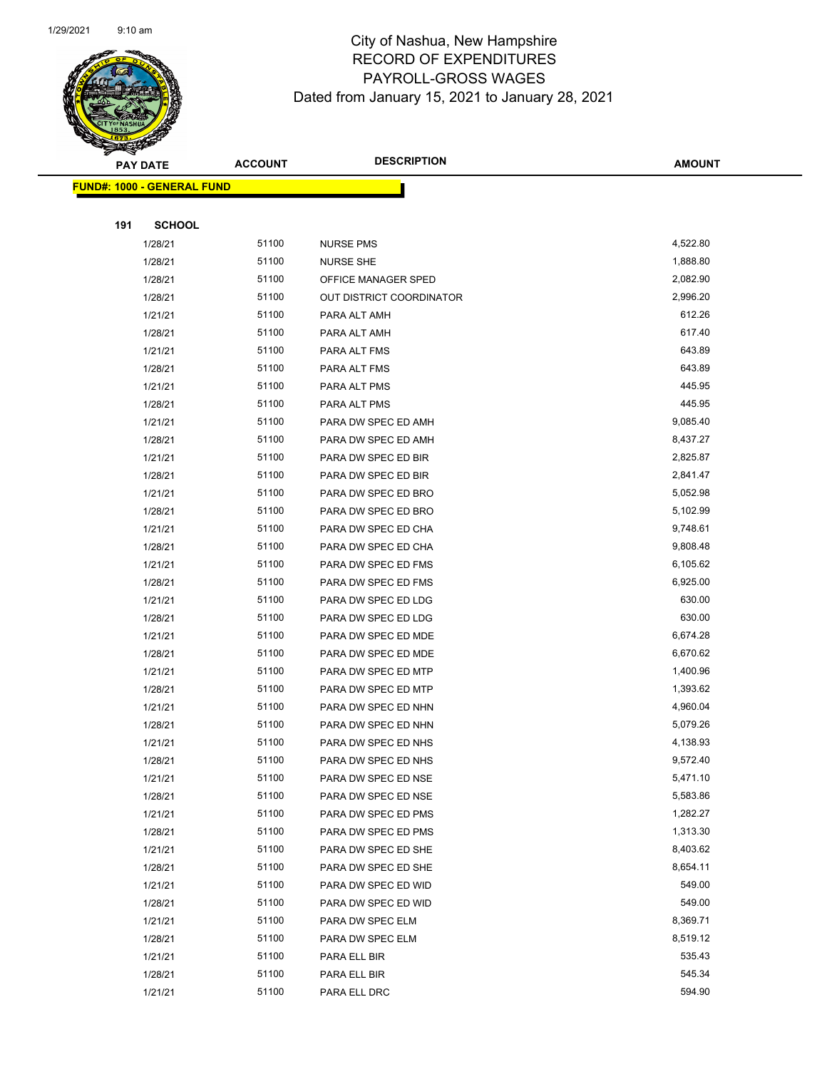

| T<br>$\blacktriangleleft$ . | <b>PAY DATE</b>                   | <b>ACCOUNT</b> | <b>DESCRIPTION</b>       | <b>AMOUNT</b> |
|-----------------------------|-----------------------------------|----------------|--------------------------|---------------|
|                             | <b>FUND#: 1000 - GENERAL FUND</b> |                |                          |               |
|                             |                                   |                |                          |               |
| 191                         | <b>SCHOOL</b>                     |                |                          |               |
|                             | 1/28/21                           | 51100          | <b>NURSE PMS</b>         | 4,522.80      |
|                             | 1/28/21                           | 51100          | <b>NURSE SHE</b>         | 1,888.80      |
|                             | 1/28/21                           | 51100          | OFFICE MANAGER SPED      | 2,082.90      |
|                             | 1/28/21                           | 51100          | OUT DISTRICT COORDINATOR | 2,996.20      |
|                             | 1/21/21                           | 51100          | PARA ALT AMH             | 612.26        |
|                             | 1/28/21                           | 51100          | PARA ALT AMH             | 617.40        |
|                             | 1/21/21                           | 51100          | PARA ALT FMS             | 643.89        |
|                             | 1/28/21                           | 51100          | PARA ALT FMS             | 643.89        |
|                             | 1/21/21                           | 51100          | PARA ALT PMS             | 445.95        |
|                             | 1/28/21                           | 51100          | PARA ALT PMS             | 445.95        |
|                             | 1/21/21                           | 51100          | PARA DW SPEC ED AMH      | 9,085.40      |
|                             | 1/28/21                           | 51100          | PARA DW SPEC ED AMH      | 8,437.27      |
|                             | 1/21/21                           | 51100          | PARA DW SPEC ED BIR      | 2,825.87      |
|                             | 1/28/21                           | 51100          | PARA DW SPEC ED BIR      | 2,841.47      |
|                             | 1/21/21                           | 51100          | PARA DW SPEC ED BRO      | 5,052.98      |
|                             | 1/28/21                           | 51100          | PARA DW SPEC ED BRO      | 5,102.99      |
|                             | 1/21/21                           | 51100          | PARA DW SPEC ED CHA      | 9,748.61      |
|                             | 1/28/21                           | 51100          | PARA DW SPEC ED CHA      | 9,808.48      |
|                             | 1/21/21                           | 51100          | PARA DW SPEC ED FMS      | 6,105.62      |
|                             | 1/28/21                           | 51100          | PARA DW SPEC ED FMS      | 6,925.00      |
|                             | 1/21/21                           | 51100          | PARA DW SPEC ED LDG      | 630.00        |
|                             | 1/28/21                           | 51100          | PARA DW SPEC ED LDG      | 630.00        |
|                             | 1/21/21                           | 51100          | PARA DW SPEC ED MDE      | 6,674.28      |
|                             | 1/28/21                           | 51100          | PARA DW SPEC ED MDE      | 6,670.62      |
|                             | 1/21/21                           | 51100          | PARA DW SPEC ED MTP      | 1,400.96      |
|                             | 1/28/21                           | 51100          | PARA DW SPEC ED MTP      | 1,393.62      |
|                             | 1/21/21                           | 51100          | PARA DW SPEC ED NHN      | 4,960.04      |
|                             | 1/28/21                           | 51100          | PARA DW SPEC ED NHN      | 5,079.26      |
|                             | 1/21/21                           | 51100          | PARA DW SPEC ED NHS      | 4,138.93      |
|                             | 1/28/21                           | 51100          | PARA DW SPEC ED NHS      | 9,572.40      |
|                             | 1/21/21                           | 51100          | PARA DW SPEC ED NSE      | 5,471.10      |
|                             | 1/28/21                           | 51100          | PARA DW SPEC ED NSE      | 5,583.86      |
|                             | 1/21/21                           | 51100          | PARA DW SPEC ED PMS      | 1,282.27      |
|                             | 1/28/21                           | 51100          | PARA DW SPEC ED PMS      | 1,313.30      |
|                             | 1/21/21                           | 51100          | PARA DW SPEC ED SHE      | 8,403.62      |
|                             | 1/28/21                           | 51100          | PARA DW SPEC ED SHE      | 8,654.11      |
|                             | 1/21/21                           | 51100          | PARA DW SPEC ED WID      | 549.00        |
|                             | 1/28/21                           | 51100          | PARA DW SPEC ED WID      | 549.00        |
|                             | 1/21/21                           | 51100          | PARA DW SPEC ELM         | 8,369.71      |
|                             | 1/28/21                           | 51100          | PARA DW SPEC ELM         | 8,519.12      |
|                             | 1/21/21                           | 51100          | PARA ELL BIR             | 535.43        |
|                             | 1/28/21                           | 51100          | PARA ELL BIR             | 545.34        |
|                             | 1/21/21                           | 51100          | PARA ELL DRC             | 594.90        |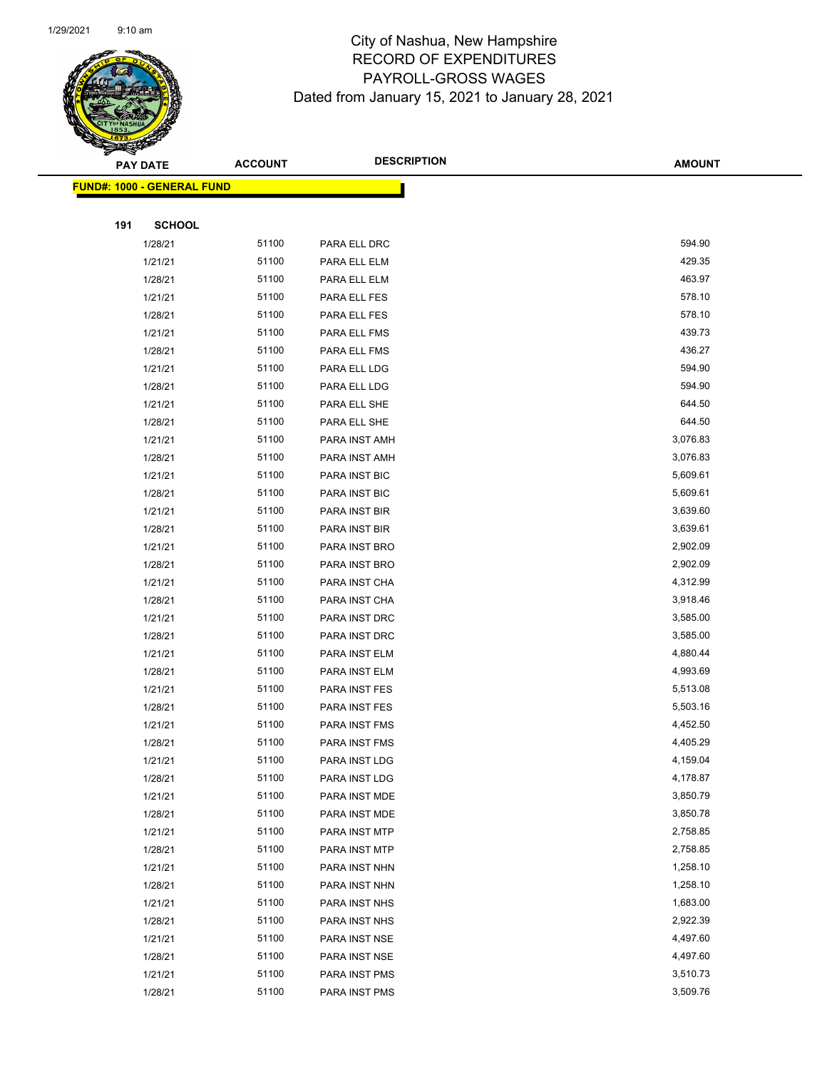

| ॼ   | <b>PAY DATE</b>                   | <b>ACCOUNT</b> | <b>DESCRIPTION</b>             | <b>AMOUNT</b>        |
|-----|-----------------------------------|----------------|--------------------------------|----------------------|
|     | <b>FUND#: 1000 - GENERAL FUND</b> |                |                                |                      |
|     |                                   |                |                                |                      |
| 191 | <b>SCHOOL</b>                     |                |                                |                      |
|     | 1/28/21                           | 51100          | PARA ELL DRC                   | 594.90               |
|     | 1/21/21                           | 51100          | PARA ELL ELM                   | 429.35               |
|     | 1/28/21                           | 51100          | PARA ELL ELM                   | 463.97               |
|     | 1/21/21                           | 51100          | PARA ELL FES                   | 578.10               |
|     | 1/28/21                           | 51100          | PARA ELL FES                   | 578.10               |
|     | 1/21/21                           | 51100          | PARA ELL FMS                   | 439.73               |
|     | 1/28/21                           | 51100          | PARA ELL FMS                   | 436.27               |
|     | 1/21/21                           | 51100          | PARA ELL LDG                   | 594.90               |
|     | 1/28/21                           | 51100          | PARA ELL LDG                   | 594.90               |
|     | 1/21/21                           | 51100          | PARA ELL SHE                   | 644.50               |
|     | 1/28/21                           | 51100          | PARA ELL SHE                   | 644.50               |
|     | 1/21/21                           | 51100          | PARA INST AMH                  | 3,076.83             |
|     | 1/28/21                           | 51100          | PARA INST AMH                  | 3,076.83             |
|     | 1/21/21                           | 51100          | PARA INST BIC                  | 5,609.61             |
|     | 1/28/21                           | 51100          | PARA INST BIC                  | 5,609.61             |
|     | 1/21/21                           | 51100          | PARA INST BIR                  | 3,639.60             |
|     | 1/28/21                           | 51100          | PARA INST BIR                  | 3,639.61             |
|     | 1/21/21                           | 51100          | PARA INST BRO                  | 2,902.09             |
|     | 1/28/21                           | 51100          | PARA INST BRO                  | 2,902.09             |
|     | 1/21/21                           | 51100          | PARA INST CHA                  | 4,312.99             |
|     | 1/28/21                           | 51100          | PARA INST CHA                  | 3,918.46             |
|     | 1/21/21                           | 51100          | PARA INST DRC                  | 3,585.00             |
|     | 1/28/21                           | 51100          | PARA INST DRC                  | 3,585.00             |
|     | 1/21/21                           | 51100          | PARA INST ELM                  | 4,880.44             |
|     | 1/28/21                           | 51100          | PARA INST ELM                  | 4,993.69             |
|     | 1/21/21                           | 51100          | PARA INST FES                  | 5,513.08             |
|     | 1/28/21                           | 51100          | PARA INST FES                  | 5,503.16             |
|     | 1/21/21                           | 51100          | PARA INST FMS                  | 4,452.50             |
|     | 1/28/21                           | 51100          | PARA INST FMS                  | 4,405.29             |
|     | 1/21/21                           | 51100          | PARA INST LDG                  | 4,159.04             |
|     | 1/28/21                           | 51100          | PARA INST LDG                  | 4,178.87<br>3,850.79 |
|     | 1/21/21                           | 51100          | PARA INST MDE                  |                      |
|     | 1/28/21                           | 51100<br>51100 | PARA INST MDE                  | 3,850.78<br>2,758.85 |
|     | 1/21/21                           | 51100          | PARA INST MTP                  |                      |
|     | 1/28/21                           | 51100          | PARA INST MTP                  | 2,758.85<br>1,258.10 |
|     | 1/21/21                           |                | PARA INST NHN                  |                      |
|     | 1/28/21<br>1/21/21                | 51100<br>51100 | PARA INST NHN<br>PARA INST NHS | 1,258.10<br>1,683.00 |
|     |                                   | 51100          | PARA INST NHS                  | 2,922.39             |
|     | 1/28/21                           | 51100          |                                | 4,497.60             |
|     | 1/21/21<br>1/28/21                | 51100          | PARA INST NSE<br>PARA INST NSE | 4,497.60             |
|     | 1/21/21                           | 51100          | PARA INST PMS                  | 3,510.73             |
|     | 1/28/21                           | 51100          |                                | 3,509.76             |
|     |                                   |                | PARA INST PMS                  |                      |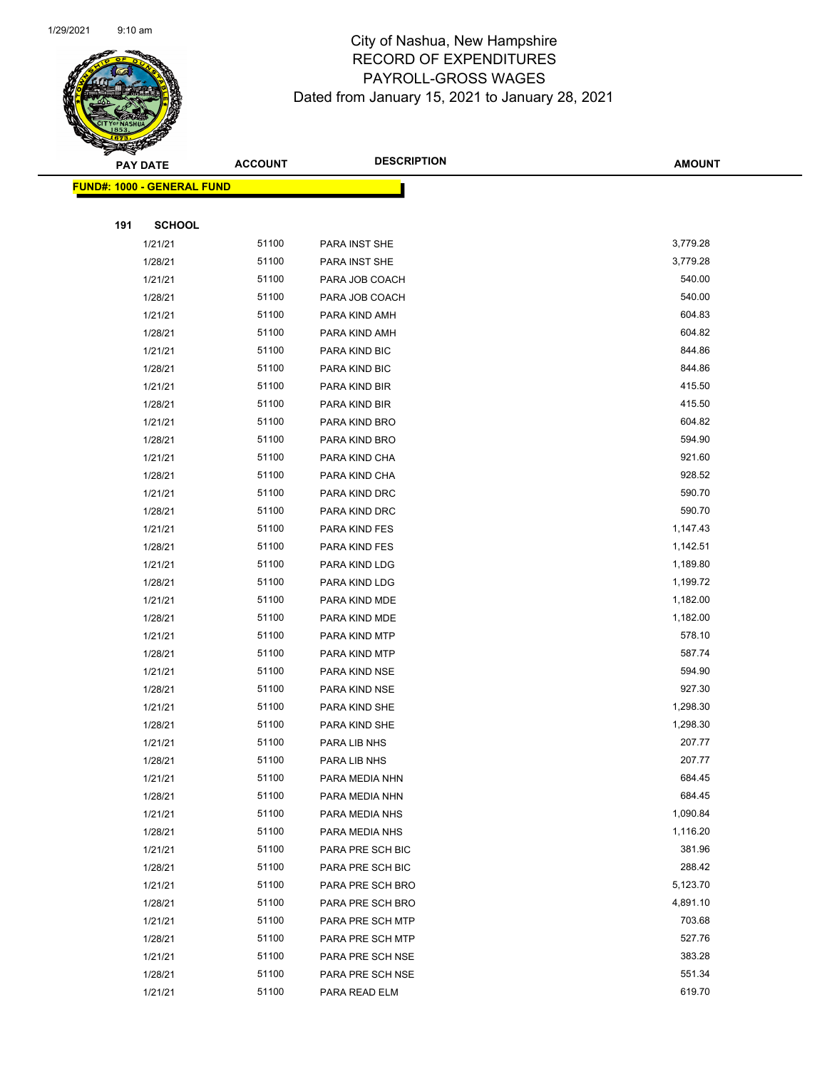

| ॼ   | <b>PAY DATE</b>                   | <b>ACCOUNT</b> | <b>DESCRIPTION</b>               | <b>AMOUNT</b>    |
|-----|-----------------------------------|----------------|----------------------------------|------------------|
|     | <b>FUND#: 1000 - GENERAL FUND</b> |                |                                  |                  |
|     |                                   |                |                                  |                  |
| 191 | <b>SCHOOL</b>                     |                |                                  |                  |
|     | 1/21/21                           | 51100          | PARA INST SHE                    | 3,779.28         |
|     | 1/28/21                           | 51100          | PARA INST SHE                    | 3,779.28         |
|     | 1/21/21                           | 51100          | PARA JOB COACH                   | 540.00           |
|     | 1/28/21                           | 51100          | PARA JOB COACH                   | 540.00           |
|     | 1/21/21                           | 51100          | PARA KIND AMH                    | 604.83           |
|     | 1/28/21                           | 51100          | PARA KIND AMH                    | 604.82           |
|     | 1/21/21                           | 51100          | PARA KIND BIC                    | 844.86           |
|     | 1/28/21                           | 51100          | PARA KIND BIC                    | 844.86           |
|     | 1/21/21                           | 51100          | PARA KIND BIR                    | 415.50           |
|     | 1/28/21                           | 51100          | PARA KIND BIR                    | 415.50           |
|     | 1/21/21                           | 51100          | PARA KIND BRO                    | 604.82           |
|     | 1/28/21                           | 51100          | PARA KIND BRO                    | 594.90           |
|     | 1/21/21                           | 51100          | PARA KIND CHA                    | 921.60           |
|     | 1/28/21                           | 51100          | PARA KIND CHA                    | 928.52           |
|     | 1/21/21                           | 51100          | PARA KIND DRC                    | 590.70           |
|     | 1/28/21                           | 51100          | PARA KIND DRC                    | 590.70           |
|     | 1/21/21                           | 51100          | PARA KIND FES                    | 1,147.43         |
|     | 1/28/21                           | 51100          | PARA KIND FES                    | 1,142.51         |
|     | 1/21/21                           | 51100          | PARA KIND LDG                    | 1,189.80         |
|     | 1/28/21                           | 51100          | PARA KIND LDG                    | 1,199.72         |
|     | 1/21/21                           | 51100          | PARA KIND MDE                    | 1,182.00         |
|     | 1/28/21                           | 51100          | PARA KIND MDE                    | 1,182.00         |
|     | 1/21/21                           | 51100          | PARA KIND MTP                    | 578.10           |
|     | 1/28/21                           | 51100          | PARA KIND MTP                    | 587.74           |
|     | 1/21/21                           | 51100          | PARA KIND NSE                    | 594.90           |
|     | 1/28/21                           | 51100          | PARA KIND NSE                    | 927.30           |
|     | 1/21/21                           | 51100          | PARA KIND SHE                    | 1,298.30         |
|     | 1/28/21                           | 51100          | PARA KIND SHE                    | 1,298.30         |
|     | 1/21/21                           | 51100          | PARA LIB NHS                     | 207.77           |
|     | 1/28/21                           | 51100          | PARA LIB NHS                     | 207.77<br>684.45 |
|     | 1/21/21                           | 51100<br>51100 | PARA MEDIA NHN<br>PARA MEDIA NHN | 684.45           |
|     | 1/28/21                           | 51100          |                                  | 1,090.84         |
|     | 1/21/21<br>1/28/21                | 51100          | PARA MEDIA NHS<br>PARA MEDIA NHS | 1,116.20         |
|     | 1/21/21                           | 51100          | PARA PRE SCH BIC                 | 381.96           |
|     | 1/28/21                           | 51100          | PARA PRE SCH BIC                 | 288.42           |
|     | 1/21/21                           | 51100          | PARA PRE SCH BRO                 | 5,123.70         |
|     | 1/28/21                           | 51100          | PARA PRE SCH BRO                 | 4,891.10         |
|     | 1/21/21                           | 51100          | PARA PRE SCH MTP                 | 703.68           |
|     | 1/28/21                           | 51100          | PARA PRE SCH MTP                 | 527.76           |
|     | 1/21/21                           | 51100          | PARA PRE SCH NSE                 | 383.28           |
|     | 1/28/21                           | 51100          | PARA PRE SCH NSE                 | 551.34           |
|     | 1/21/21                           | 51100          | PARA READ ELM                    | 619.70           |
|     |                                   |                |                                  |                  |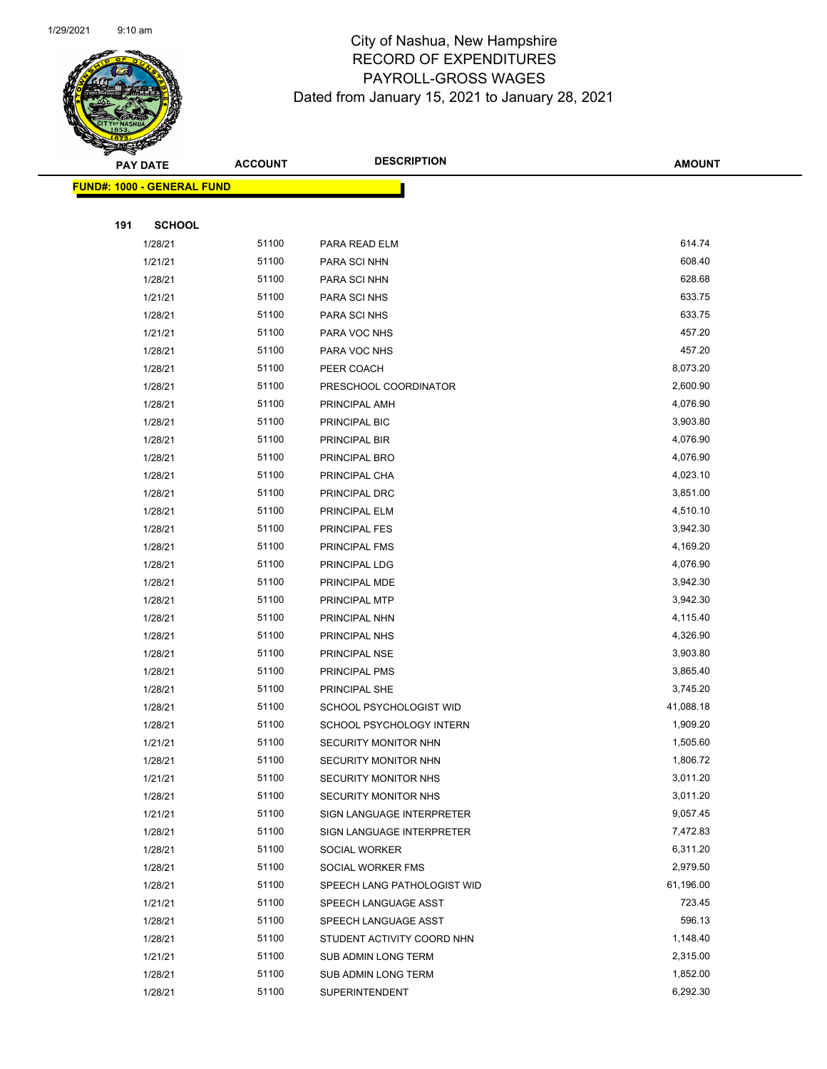

| ॼ   | <b>PAY DATE</b>                   | <b>ACCOUNT</b> | <b>DESCRIPTION</b>          | <b>AMOUNT</b> |
|-----|-----------------------------------|----------------|-----------------------------|---------------|
|     | <b>FUND#: 1000 - GENERAL FUND</b> |                |                             |               |
|     |                                   |                |                             |               |
| 191 | <b>SCHOOL</b>                     |                |                             |               |
|     | 1/28/21                           | 51100          | PARA READ ELM               | 614.74        |
|     | 1/21/21                           | 51100          | PARA SCI NHN                | 608.40        |
|     | 1/28/21                           | 51100          | PARA SCI NHN                | 628.68        |
|     | 1/21/21                           | 51100          | PARA SCI NHS                | 633.75        |
|     | 1/28/21                           | 51100          | PARA SCI NHS                | 633.75        |
|     | 1/21/21                           | 51100          | PARA VOC NHS                | 457.20        |
|     | 1/28/21                           | 51100          | PARA VOC NHS                | 457.20        |
|     | 1/28/21                           | 51100          | PEER COACH                  | 8,073.20      |
|     | 1/28/21                           | 51100          | PRESCHOOL COORDINATOR       | 2,600.90      |
|     | 1/28/21                           | 51100          | PRINCIPAL AMH               | 4,076.90      |
|     | 1/28/21                           | 51100          | PRINCIPAL BIC               | 3,903.80      |
|     | 1/28/21                           | 51100          | PRINCIPAL BIR               | 4,076.90      |
|     | 1/28/21                           | 51100          | PRINCIPAL BRO               | 4,076.90      |
|     | 1/28/21                           | 51100          | PRINCIPAL CHA               | 4,023.10      |
|     | 1/28/21                           | 51100          | PRINCIPAL DRC               | 3,851.00      |
|     | 1/28/21                           | 51100          | PRINCIPAL ELM               | 4,510.10      |
|     | 1/28/21                           | 51100          | <b>PRINCIPAL FES</b>        | 3,942.30      |
|     | 1/28/21                           | 51100          | PRINCIPAL FMS               | 4,169.20      |
|     | 1/28/21                           | 51100          | PRINCIPAL LDG               | 4,076.90      |
|     | 1/28/21                           | 51100          | PRINCIPAL MDE               | 3,942.30      |
|     | 1/28/21                           | 51100          | PRINCIPAL MTP               | 3,942.30      |
|     | 1/28/21                           | 51100          | PRINCIPAL NHN               | 4,115.40      |
|     | 1/28/21                           | 51100          | PRINCIPAL NHS               | 4,326.90      |
|     | 1/28/21                           | 51100          | PRINCIPAL NSE               | 3,903.80      |
|     | 1/28/21                           | 51100          | PRINCIPAL PMS               | 3,865.40      |
|     | 1/28/21                           | 51100          | PRINCIPAL SHE               | 3,745.20      |
|     | 1/28/21                           | 51100          | SCHOOL PSYCHOLOGIST WID     | 41,088.18     |
|     | 1/28/21                           | 51100          | SCHOOL PSYCHOLOGY INTERN    | 1,909.20      |
|     | 1/21/21                           | 51100          | SECURITY MONITOR NHN        | 1,505.60      |
|     | 1/28/21                           | 51100          | SECURITY MONITOR NHN        | 1,806.72      |
|     | 1/21/21                           | 51100          | <b>SECURITY MONITOR NHS</b> | 3,011.20      |
|     | 1/28/21                           | 51100          | SECURITY MONITOR NHS        | 3,011.20      |
|     | 1/21/21                           | 51100          | SIGN LANGUAGE INTERPRETER   | 9,057.45      |
|     | 1/28/21                           | 51100          | SIGN LANGUAGE INTERPRETER   | 7,472.83      |
|     | 1/28/21                           | 51100          | SOCIAL WORKER               | 6,311.20      |
|     | 1/28/21                           | 51100          | SOCIAL WORKER FMS           | 2,979.50      |
|     | 1/28/21                           | 51100          | SPEECH LANG PATHOLOGIST WID | 61,196.00     |
|     | 1/21/21                           | 51100          | SPEECH LANGUAGE ASST        | 723.45        |
|     | 1/28/21                           | 51100          | SPEECH LANGUAGE ASST        | 596.13        |
|     | 1/28/21                           | 51100          | STUDENT ACTIVITY COORD NHN  | 1,148.40      |
|     | 1/21/21                           | 51100          | SUB ADMIN LONG TERM         | 2,315.00      |
|     | 1/28/21                           | 51100          | SUB ADMIN LONG TERM         | 1,852.00      |
|     | 1/28/21                           | 51100          | SUPERINTENDENT              | 6,292.30      |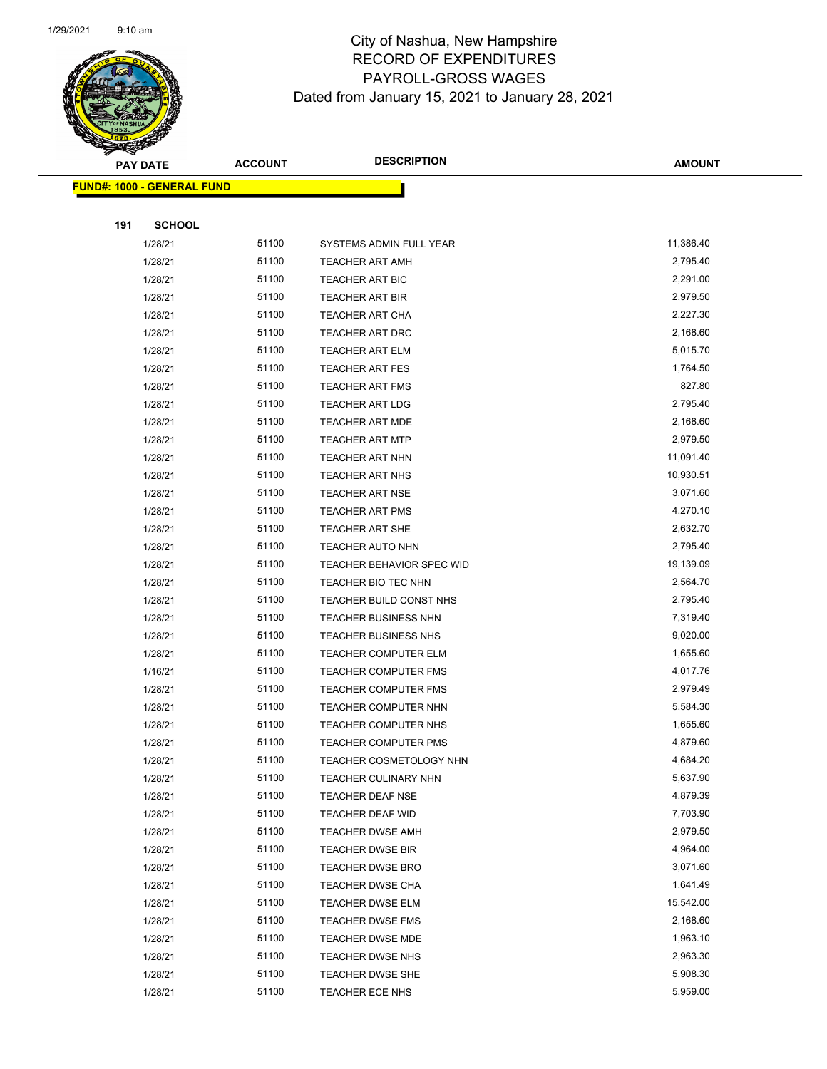

| <b>PAY DATE</b>                   | <b>ACCOUNT</b> | <b>DESCRIPTION</b>                                         | <b>AMOUNT</b>        |
|-----------------------------------|----------------|------------------------------------------------------------|----------------------|
| <b>FUND#: 1000 - GENERAL FUND</b> |                |                                                            |                      |
|                                   |                |                                                            |                      |
| 191<br><b>SCHOOL</b>              |                |                                                            |                      |
| 1/28/21                           | 51100          | SYSTEMS ADMIN FULL YEAR                                    | 11,386.40            |
| 1/28/21                           | 51100          | <b>TEACHER ART AMH</b>                                     | 2,795.40             |
| 1/28/21                           | 51100          | TEACHER ART BIC                                            | 2,291.00             |
| 1/28/21                           | 51100          | <b>TEACHER ART BIR</b>                                     | 2,979.50             |
| 1/28/21                           | 51100          | <b>TEACHER ART CHA</b>                                     | 2,227.30             |
| 1/28/21                           | 51100          | <b>TEACHER ART DRC</b>                                     | 2,168.60             |
| 1/28/21                           | 51100          | <b>TEACHER ART ELM</b>                                     | 5,015.70             |
| 1/28/21                           | 51100          | <b>TEACHER ART FES</b>                                     | 1,764.50             |
| 1/28/21                           | 51100          | <b>TEACHER ART FMS</b>                                     | 827.80               |
| 1/28/21                           | 51100          | <b>TEACHER ART LDG</b>                                     | 2,795.40             |
| 1/28/21                           | 51100          | TEACHER ART MDE                                            | 2,168.60             |
| 1/28/21                           | 51100          | <b>TEACHER ART MTP</b>                                     | 2,979.50             |
| 1/28/21                           | 51100          | <b>TEACHER ART NHN</b>                                     | 11,091.40            |
| 1/28/21                           | 51100          | <b>TEACHER ART NHS</b>                                     | 10,930.51            |
| 1/28/21                           | 51100          | <b>TEACHER ART NSE</b>                                     | 3,071.60             |
| 1/28/21                           | 51100          | TEACHER ART PMS                                            | 4,270.10             |
| 1/28/21                           | 51100          | <b>TEACHER ART SHE</b>                                     | 2,632.70             |
| 1/28/21                           | 51100          | TEACHER AUTO NHN                                           | 2,795.40             |
| 1/28/21                           | 51100          | TEACHER BEHAVIOR SPEC WID                                  | 19,139.09            |
| 1/28/21                           | 51100          | TEACHER BIO TEC NHN                                        | 2,564.70             |
| 1/28/21                           | 51100<br>51100 | TEACHER BUILD CONST NHS                                    | 2,795.40<br>7,319.40 |
| 1/28/21<br>1/28/21                | 51100          | <b>TEACHER BUSINESS NHN</b><br><b>TEACHER BUSINESS NHS</b> | 9,020.00             |
| 1/28/21                           | 51100          | <b>TEACHER COMPUTER ELM</b>                                | 1,655.60             |
| 1/16/21                           | 51100          | TEACHER COMPUTER FMS                                       | 4,017.76             |
| 1/28/21                           | 51100          | TEACHER COMPUTER FMS                                       | 2,979.49             |
| 1/28/21                           | 51100          | TEACHER COMPUTER NHN                                       | 5,584.30             |
| 1/28/21                           | 51100          | <b>TEACHER COMPUTER NHS</b>                                | 1,655.60             |
| 1/28/21                           | 51100          | <b>TEACHER COMPUTER PMS</b>                                | 4,879.60             |
| 1/28/21                           | 51100          | TEACHER COSMETOLOGY NHN                                    | 4,684.20             |
| 1/28/21                           | 51100          | TEACHER CULINARY NHN                                       | 5,637.90             |
| 1/28/21                           | 51100          | TEACHER DEAF NSE                                           | 4,879.39             |
| 1/28/21                           | 51100          | TEACHER DEAF WID                                           | 7,703.90             |
| 1/28/21                           | 51100          | <b>TEACHER DWSE AMH</b>                                    | 2,979.50             |
| 1/28/21                           | 51100          | <b>TEACHER DWSE BIR</b>                                    | 4,964.00             |
| 1/28/21                           | 51100          | <b>TEACHER DWSE BRO</b>                                    | 3,071.60             |
| 1/28/21                           | 51100          | <b>TEACHER DWSE CHA</b>                                    | 1,641.49             |
| 1/28/21                           | 51100          | TEACHER DWSE ELM                                           | 15,542.00            |
| 1/28/21                           | 51100          | <b>TEACHER DWSE FMS</b>                                    | 2,168.60             |
| 1/28/21                           | 51100          | <b>TEACHER DWSE MDE</b>                                    | 1,963.10             |
| 1/28/21                           | 51100          | <b>TEACHER DWSE NHS</b>                                    | 2,963.30             |
| 1/28/21                           | 51100          | <b>TEACHER DWSE SHE</b>                                    | 5,908.30             |
| 1/28/21                           | 51100          | TEACHER ECE NHS                                            | 5,959.00             |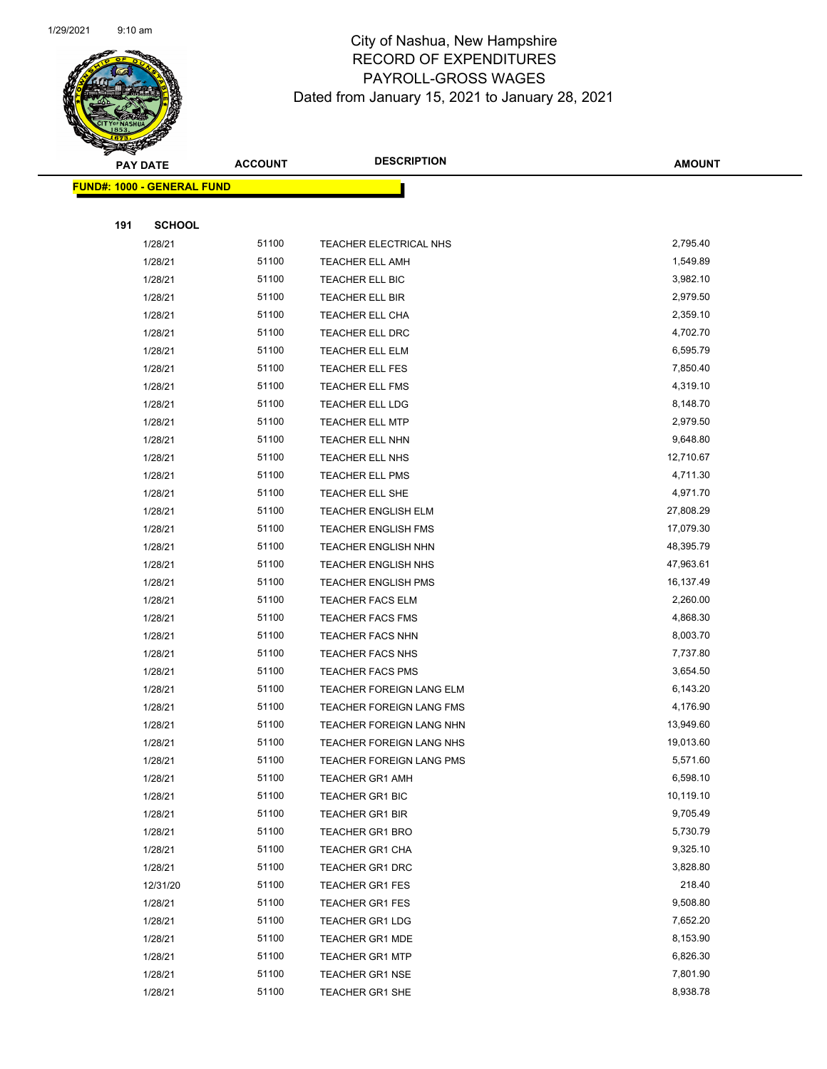

|     | <b>PAY DATE</b>                   | <b>ACCOUNT</b> | <b>DESCRIPTION</b>         | <b>AMOUNT</b> |
|-----|-----------------------------------|----------------|----------------------------|---------------|
|     | <b>FUND#: 1000 - GENERAL FUND</b> |                |                            |               |
|     |                                   |                |                            |               |
| 191 | <b>SCHOOL</b>                     |                |                            |               |
|     | 1/28/21                           | 51100          | TEACHER ELECTRICAL NHS     | 2,795.40      |
|     | 1/28/21                           | 51100          | <b>TEACHER ELL AMH</b>     | 1,549.89      |
|     | 1/28/21                           | 51100          | TEACHER ELL BIC            | 3,982.10      |
|     | 1/28/21                           | 51100          | TEACHER ELL BIR            | 2,979.50      |
|     | 1/28/21                           | 51100          | TEACHER ELL CHA            | 2,359.10      |
|     | 1/28/21                           | 51100          | TEACHER ELL DRC            | 4,702.70      |
|     | 1/28/21                           | 51100          | TEACHER ELL ELM            | 6,595.79      |
|     | 1/28/21                           | 51100          | TEACHER ELL FES            | 7,850.40      |
|     | 1/28/21                           | 51100          | <b>TEACHER ELL FMS</b>     | 4,319.10      |
|     | 1/28/21                           | 51100          | <b>TEACHER ELL LDG</b>     | 8,148.70      |
|     | 1/28/21                           | 51100          | <b>TEACHER ELL MTP</b>     | 2,979.50      |
|     | 1/28/21                           | 51100          | TEACHER ELL NHN            | 9,648.80      |
|     | 1/28/21                           | 51100          | TEACHER ELL NHS            | 12,710.67     |
|     | 1/28/21                           | 51100          | TEACHER ELL PMS            | 4,711.30      |
|     | 1/28/21                           | 51100          | TEACHER ELL SHE            | 4,971.70      |
|     | 1/28/21                           | 51100          | <b>TEACHER ENGLISH ELM</b> | 27,808.29     |
|     | 1/28/21                           | 51100          | TEACHER ENGLISH FMS        | 17,079.30     |
|     | 1/28/21                           | 51100          | <b>TEACHER ENGLISH NHN</b> | 48,395.79     |
|     | 1/28/21                           | 51100          | <b>TEACHER ENGLISH NHS</b> | 47,963.61     |
|     | 1/28/21                           | 51100          | <b>TEACHER ENGLISH PMS</b> | 16,137.49     |
|     | 1/28/21                           | 51100          | <b>TEACHER FACS ELM</b>    | 2,260.00      |
|     | 1/28/21                           | 51100          | <b>TEACHER FACS FMS</b>    | 4,868.30      |
|     | 1/28/21                           | 51100          | TEACHER FACS NHN           | 8,003.70      |
|     | 1/28/21                           | 51100          | TEACHER FACS NHS           | 7,737.80      |
|     | 1/28/21                           | 51100          | <b>TEACHER FACS PMS</b>    | 3,654.50      |
|     | 1/28/21                           | 51100          | TEACHER FOREIGN LANG ELM   | 6,143.20      |
|     | 1/28/21                           | 51100          | TEACHER FOREIGN LANG FMS   | 4,176.90      |
|     | 1/28/21                           | 51100          | TEACHER FOREIGN LANG NHN   | 13,949.60     |
|     | 1/28/21                           | 51100          | TEACHER FOREIGN LANG NHS   | 19,013.60     |
|     | 1/28/21                           | 51100          | TEACHER FOREIGN LANG PMS   | 5,571.60      |
|     | 1/28/21                           | 51100          | <b>TEACHER GR1 AMH</b>     | 6,598.10      |
|     | 1/28/21                           | 51100          | TEACHER GR1 BIC            | 10,119.10     |
|     | 1/28/21                           | 51100          | <b>TEACHER GR1 BIR</b>     | 9,705.49      |
|     | 1/28/21                           | 51100          | <b>TEACHER GR1 BRO</b>     | 5,730.79      |
|     | 1/28/21                           | 51100          | TEACHER GR1 CHA            | 9,325.10      |
|     | 1/28/21                           | 51100          | <b>TEACHER GR1 DRC</b>     | 3,828.80      |
|     | 12/31/20                          | 51100          | <b>TEACHER GR1 FES</b>     | 218.40        |
|     | 1/28/21                           | 51100          | <b>TEACHER GR1 FES</b>     | 9,508.80      |
|     | 1/28/21                           | 51100          | <b>TEACHER GR1 LDG</b>     | 7,652.20      |
|     | 1/28/21                           | 51100          | <b>TEACHER GR1 MDE</b>     | 8,153.90      |
|     | 1/28/21                           | 51100          | <b>TEACHER GR1 MTP</b>     | 6,826.30      |
|     | 1/28/21                           | 51100          | <b>TEACHER GR1 NSE</b>     | 7,801.90      |
|     | 1/28/21                           | 51100          | <b>TEACHER GR1 SHE</b>     | 8,938.78      |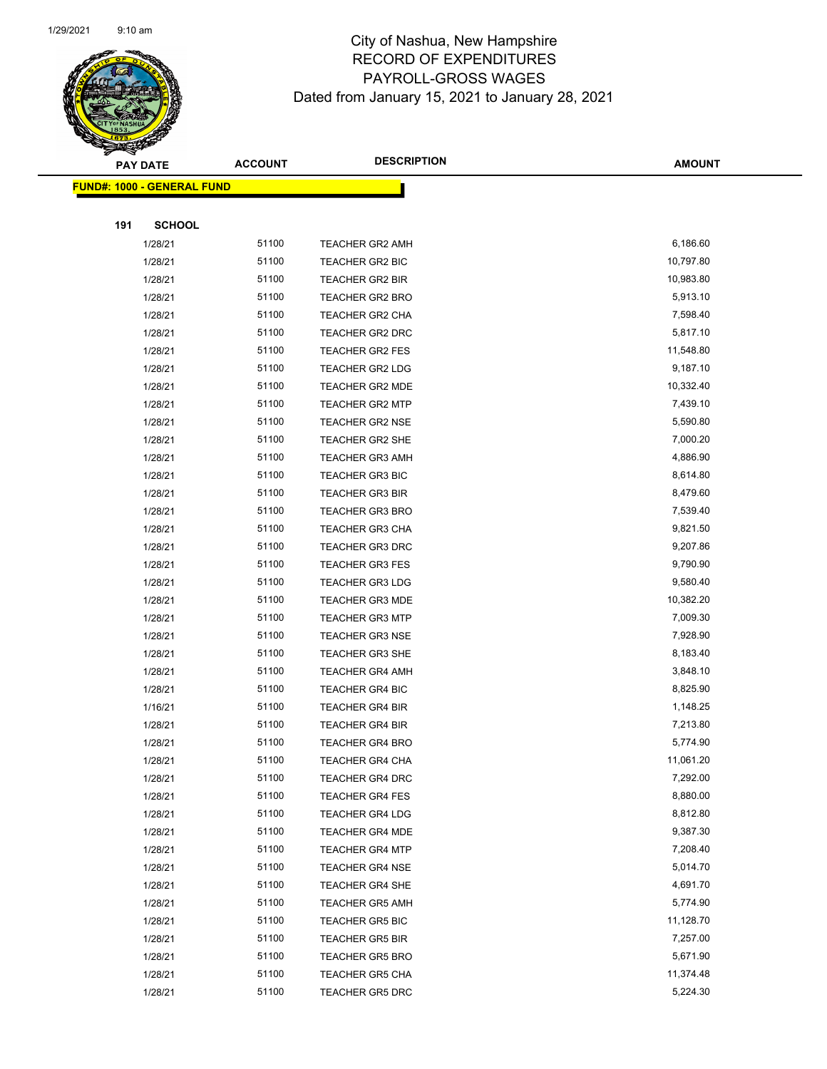

|     | <b>PAY DATE</b>                   | <b>ACCOUNT</b> | <b>DESCRIPTION</b>     | <b>AMOUNT</b> |
|-----|-----------------------------------|----------------|------------------------|---------------|
|     | <b>FUND#: 1000 - GENERAL FUND</b> |                |                        |               |
|     |                                   |                |                        |               |
| 191 | <b>SCHOOL</b>                     |                |                        |               |
|     | 1/28/21                           | 51100          | <b>TEACHER GR2 AMH</b> | 6,186.60      |
|     | 1/28/21                           | 51100          | TEACHER GR2 BIC        | 10,797.80     |
|     | 1/28/21                           | 51100          | <b>TEACHER GR2 BIR</b> | 10,983.80     |
|     | 1/28/21                           | 51100          | <b>TEACHER GR2 BRO</b> | 5,913.10      |
|     | 1/28/21                           | 51100          | <b>TEACHER GR2 CHA</b> | 7,598.40      |
|     | 1/28/21                           | 51100          | TEACHER GR2 DRC        | 5,817.10      |
|     | 1/28/21                           | 51100          | <b>TEACHER GR2 FES</b> | 11,548.80     |
|     | 1/28/21                           | 51100          | <b>TEACHER GR2 LDG</b> | 9,187.10      |
|     | 1/28/21                           | 51100          | <b>TEACHER GR2 MDE</b> | 10,332.40     |
|     | 1/28/21                           | 51100          | <b>TEACHER GR2 MTP</b> | 7,439.10      |
|     | 1/28/21                           | 51100          | <b>TEACHER GR2 NSE</b> | 5,590.80      |
|     | 1/28/21                           | 51100          | <b>TEACHER GR2 SHE</b> | 7,000.20      |
|     | 1/28/21                           | 51100          | <b>TEACHER GR3 AMH</b> | 4,886.90      |
|     | 1/28/21                           | 51100          | <b>TEACHER GR3 BIC</b> | 8,614.80      |
|     | 1/28/21                           | 51100          | <b>TEACHER GR3 BIR</b> | 8,479.60      |
|     | 1/28/21                           | 51100          | TEACHER GR3 BRO        | 7,539.40      |
|     | 1/28/21                           | 51100          | TEACHER GR3 CHA        | 9,821.50      |
|     | 1/28/21                           | 51100          | TEACHER GR3 DRC        | 9,207.86      |
|     | 1/28/21                           | 51100          | <b>TEACHER GR3 FES</b> | 9,790.90      |
|     | 1/28/21                           | 51100          | <b>TEACHER GR3 LDG</b> | 9,580.40      |
|     | 1/28/21                           | 51100          | <b>TEACHER GR3 MDE</b> | 10,382.20     |
|     | 1/28/21                           | 51100          | <b>TEACHER GR3 MTP</b> | 7,009.30      |
|     | 1/28/21                           | 51100          | <b>TEACHER GR3 NSE</b> | 7,928.90      |
|     | 1/28/21                           | 51100          | <b>TEACHER GR3 SHE</b> | 8,183.40      |
|     | 1/28/21                           | 51100          | <b>TEACHER GR4 AMH</b> | 3,848.10      |
|     | 1/28/21                           | 51100          | <b>TEACHER GR4 BIC</b> | 8,825.90      |
|     | 1/16/21                           | 51100          | <b>TEACHER GR4 BIR</b> | 1,148.25      |
|     | 1/28/21                           | 51100          | <b>TEACHER GR4 BIR</b> | 7,213.80      |
|     | 1/28/21                           | 51100          | <b>TEACHER GR4 BRO</b> | 5,774.90      |
|     | 1/28/21                           | 51100          | TEACHER GR4 CHA        | 11,061.20     |
|     | 1/28/21                           | 51100          | TEACHER GR4 DRC        | 7,292.00      |
|     | 1/28/21                           | 51100          | <b>TEACHER GR4 FES</b> | 8,880.00      |
|     | 1/28/21                           | 51100          | <b>TEACHER GR4 LDG</b> | 8,812.80      |
|     | 1/28/21                           | 51100          | <b>TEACHER GR4 MDE</b> | 9,387.30      |
|     | 1/28/21                           | 51100          | <b>TEACHER GR4 MTP</b> | 7,208.40      |
|     | 1/28/21                           | 51100          | <b>TEACHER GR4 NSE</b> | 5,014.70      |
|     | 1/28/21                           | 51100          | <b>TEACHER GR4 SHE</b> | 4,691.70      |
|     | 1/28/21                           | 51100          | <b>TEACHER GR5 AMH</b> | 5,774.90      |
|     | 1/28/21                           | 51100          | <b>TEACHER GR5 BIC</b> | 11,128.70     |
|     | 1/28/21                           | 51100          | <b>TEACHER GR5 BIR</b> | 7,257.00      |
|     | 1/28/21                           | 51100          | <b>TEACHER GR5 BRO</b> | 5,671.90      |
|     | 1/28/21                           | 51100          | <b>TEACHER GR5 CHA</b> | 11,374.48     |
|     | 1/28/21                           | 51100          | <b>TEACHER GR5 DRC</b> | 5,224.30      |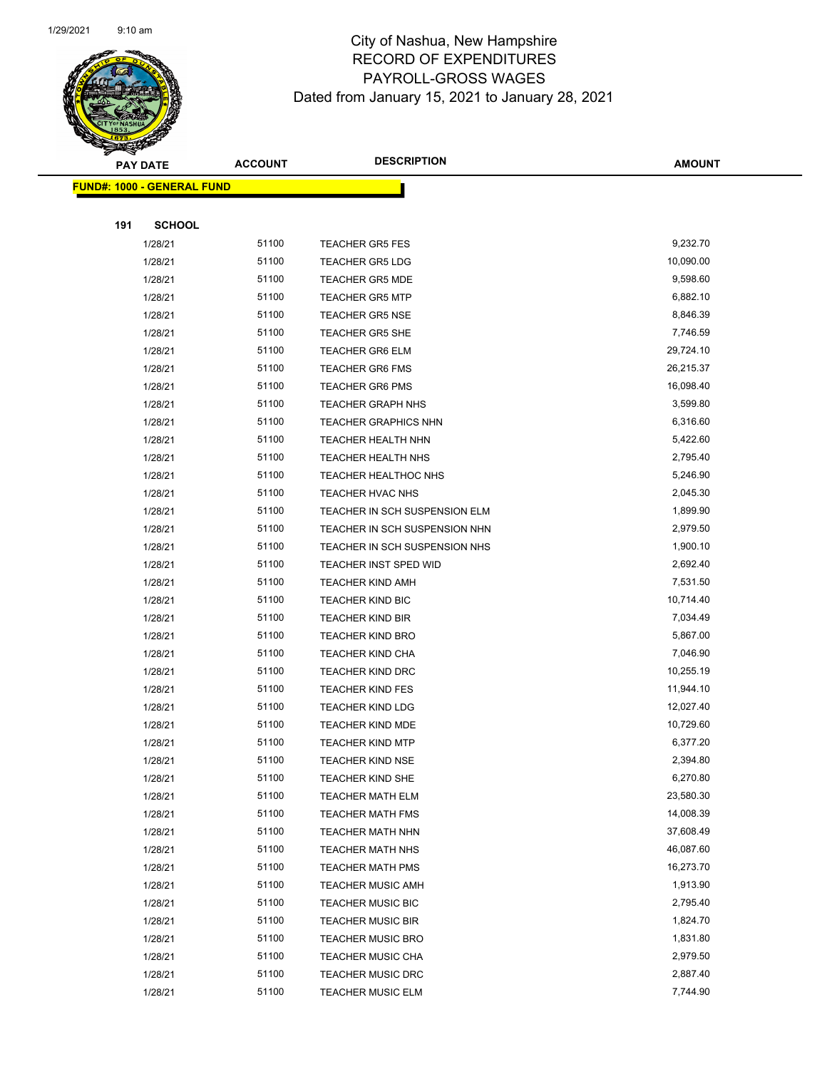

|     | <b>PAY DATE</b>                   | <b>ACCOUNT</b> | <b>DESCRIPTION</b>                                 | <b>AMOUNT</b>          |
|-----|-----------------------------------|----------------|----------------------------------------------------|------------------------|
|     | <b>FUND#: 1000 - GENERAL FUND</b> |                |                                                    |                        |
|     |                                   |                |                                                    |                        |
| 191 | <b>SCHOOL</b>                     |                |                                                    |                        |
|     | 1/28/21                           | 51100          | <b>TEACHER GR5 FES</b>                             | 9,232.70               |
|     | 1/28/21                           | 51100          | <b>TEACHER GR5 LDG</b>                             | 10,090.00              |
|     | 1/28/21                           | 51100          | <b>TEACHER GR5 MDE</b>                             | 9,598.60               |
|     | 1/28/21                           | 51100          | <b>TEACHER GR5 MTP</b>                             | 6,882.10               |
|     | 1/28/21                           | 51100          | <b>TEACHER GR5 NSE</b>                             | 8,846.39               |
|     | 1/28/21                           | 51100          | <b>TEACHER GR5 SHE</b>                             | 7,746.59               |
|     | 1/28/21                           | 51100          | <b>TEACHER GR6 ELM</b>                             | 29,724.10              |
|     | 1/28/21                           | 51100          | <b>TEACHER GR6 FMS</b>                             | 26,215.37              |
|     | 1/28/21                           | 51100          | <b>TEACHER GR6 PMS</b>                             | 16,098.40              |
|     | 1/28/21                           | 51100          | <b>TEACHER GRAPH NHS</b>                           | 3,599.80               |
|     | 1/28/21                           | 51100          | <b>TEACHER GRAPHICS NHN</b>                        | 6,316.60               |
|     | 1/28/21                           | 51100          | TEACHER HEALTH NHN                                 | 5,422.60               |
|     | 1/28/21                           | 51100          | TEACHER HEALTH NHS                                 | 2,795.40               |
|     | 1/28/21                           | 51100          | TEACHER HEALTHOC NHS                               | 5,246.90               |
|     | 1/28/21                           | 51100          | TEACHER HVAC NHS                                   | 2,045.30               |
|     | 1/28/21                           | 51100          | TEACHER IN SCH SUSPENSION ELM                      | 1,899.90               |
|     | 1/28/21                           | 51100          | TEACHER IN SCH SUSPENSION NHN                      | 2,979.50               |
|     | 1/28/21                           | 51100          | TEACHER IN SCH SUSPENSION NHS                      | 1,900.10               |
|     | 1/28/21                           | 51100          | <b>TEACHER INST SPED WID</b>                       | 2,692.40               |
|     | 1/28/21                           | 51100          | <b>TEACHER KIND AMH</b>                            | 7,531.50               |
|     | 1/28/21                           | 51100          | <b>TEACHER KIND BIC</b>                            | 10,714.40              |
|     | 1/28/21                           | 51100          | <b>TEACHER KIND BIR</b>                            | 7,034.49               |
|     | 1/28/21                           | 51100          | <b>TEACHER KIND BRO</b>                            | 5,867.00               |
|     | 1/28/21                           | 51100          | TEACHER KIND CHA                                   | 7,046.90               |
|     | 1/28/21                           | 51100<br>51100 | <b>TEACHER KIND DRC</b>                            | 10,255.19<br>11,944.10 |
|     | 1/28/21<br>1/28/21                | 51100          | <b>TEACHER KIND FES</b>                            | 12,027.40              |
|     | 1/28/21                           | 51100          | <b>TEACHER KIND LDG</b><br><b>TEACHER KIND MDE</b> | 10,729.60              |
|     | 1/28/21                           | 51100          | <b>TEACHER KIND MTP</b>                            | 6,377.20               |
|     | 1/28/21                           | 51100          | TEACHER KIND NSE                                   | 2,394.80               |
|     | 1/28/21                           | 51100          | TEACHER KIND SHE                                   | 6,270.80               |
|     | 1/28/21                           | 51100          | <b>TEACHER MATH ELM</b>                            | 23,580.30              |
|     | 1/28/21                           | 51100          | <b>TEACHER MATH FMS</b>                            | 14,008.39              |
|     | 1/28/21                           | 51100          | <b>TEACHER MATH NHN</b>                            | 37,608.49              |
|     | 1/28/21                           | 51100          | <b>TEACHER MATH NHS</b>                            | 46,087.60              |
|     | 1/28/21                           | 51100          | <b>TEACHER MATH PMS</b>                            | 16,273.70              |
|     | 1/28/21                           | 51100          | <b>TEACHER MUSIC AMH</b>                           | 1,913.90               |
|     | 1/28/21                           | 51100          | TEACHER MUSIC BIC                                  | 2,795.40               |
|     | 1/28/21                           | 51100          | <b>TEACHER MUSIC BIR</b>                           | 1,824.70               |
|     | 1/28/21                           | 51100          | <b>TEACHER MUSIC BRO</b>                           | 1,831.80               |
|     | 1/28/21                           | 51100          | <b>TEACHER MUSIC CHA</b>                           | 2,979.50               |
|     | 1/28/21                           | 51100          | <b>TEACHER MUSIC DRC</b>                           | 2,887.40               |
|     | 1/28/21                           | 51100          | <b>TEACHER MUSIC ELM</b>                           | 7,744.90               |
|     |                                   |                |                                                    |                        |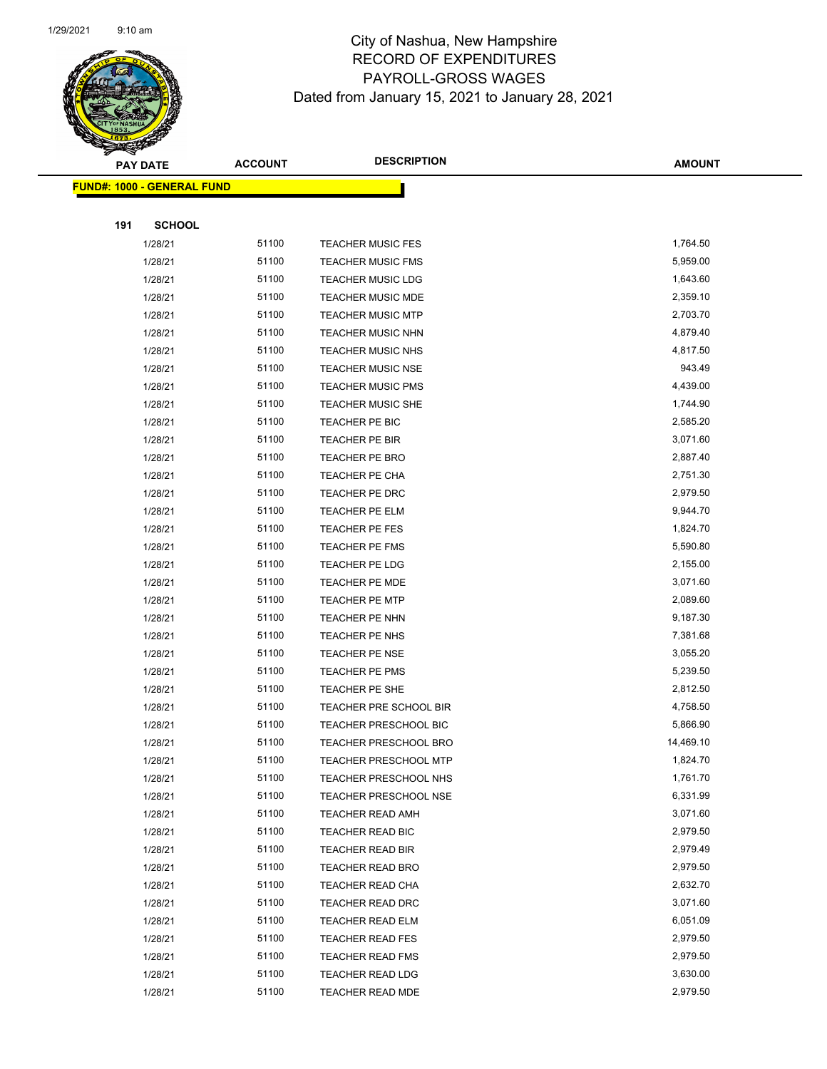

| <b>PAY DATE</b>                   |               | <b>ACCOUNT</b> | <b>DESCRIPTION</b>           | <b>AMOUNT</b> |  |  |  |
|-----------------------------------|---------------|----------------|------------------------------|---------------|--|--|--|
| <b>FUND#: 1000 - GENERAL FUND</b> |               |                |                              |               |  |  |  |
|                                   |               |                |                              |               |  |  |  |
| 191                               | <b>SCHOOL</b> |                |                              |               |  |  |  |
|                                   | 1/28/21       | 51100          | <b>TEACHER MUSIC FES</b>     | 1,764.50      |  |  |  |
|                                   | 1/28/21       | 51100          | <b>TEACHER MUSIC FMS</b>     | 5,959.00      |  |  |  |
|                                   | 1/28/21       | 51100          | <b>TEACHER MUSIC LDG</b>     | 1,643.60      |  |  |  |
|                                   | 1/28/21       | 51100          | <b>TEACHER MUSIC MDE</b>     | 2,359.10      |  |  |  |
|                                   | 1/28/21       | 51100          | <b>TEACHER MUSIC MTP</b>     | 2,703.70      |  |  |  |
|                                   | 1/28/21       | 51100          | TEACHER MUSIC NHN            | 4,879.40      |  |  |  |
|                                   | 1/28/21       | 51100          | <b>TEACHER MUSIC NHS</b>     | 4,817.50      |  |  |  |
|                                   | 1/28/21       | 51100          | <b>TEACHER MUSIC NSE</b>     | 943.49        |  |  |  |
|                                   | 1/28/21       | 51100          | <b>TEACHER MUSIC PMS</b>     | 4,439.00      |  |  |  |
|                                   | 1/28/21       | 51100          | <b>TEACHER MUSIC SHE</b>     | 1,744.90      |  |  |  |
|                                   | 1/28/21       | 51100          | TEACHER PE BIC               | 2,585.20      |  |  |  |
|                                   | 1/28/21       | 51100          | TEACHER PE BIR               | 3,071.60      |  |  |  |
|                                   | 1/28/21       | 51100          | TEACHER PE BRO               | 2,887.40      |  |  |  |
|                                   | 1/28/21       | 51100          | TEACHER PE CHA               | 2,751.30      |  |  |  |
|                                   | 1/28/21       | 51100          | TEACHER PE DRC               | 2,979.50      |  |  |  |
|                                   | 1/28/21       | 51100          | TEACHER PE ELM               | 9,944.70      |  |  |  |
|                                   | 1/28/21       | 51100          | TEACHER PE FES               | 1,824.70      |  |  |  |
|                                   | 1/28/21       | 51100          | TEACHER PE FMS               | 5,590.80      |  |  |  |
|                                   | 1/28/21       | 51100          | TEACHER PE LDG               | 2,155.00      |  |  |  |
|                                   | 1/28/21       | 51100          | <b>TEACHER PE MDE</b>        | 3,071.60      |  |  |  |
|                                   | 1/28/21       | 51100          | <b>TEACHER PE MTP</b>        | 2,089.60      |  |  |  |
|                                   | 1/28/21       | 51100          | TEACHER PE NHN               | 9,187.30      |  |  |  |
|                                   | 1/28/21       | 51100          | TEACHER PE NHS               | 7,381.68      |  |  |  |
|                                   | 1/28/21       | 51100          | TEACHER PE NSE               | 3,055.20      |  |  |  |
|                                   | 1/28/21       | 51100          | TEACHER PE PMS               | 5,239.50      |  |  |  |
|                                   | 1/28/21       | 51100          | TEACHER PE SHE               | 2,812.50      |  |  |  |
|                                   | 1/28/21       | 51100          | TEACHER PRE SCHOOL BIR       | 4,758.50      |  |  |  |
|                                   | 1/28/21       | 51100          | TEACHER PRESCHOOL BIC        | 5,866.90      |  |  |  |
|                                   | 1/28/21       | 51100          | <b>TEACHER PRESCHOOL BRO</b> | 14,469.10     |  |  |  |
|                                   | 1/28/21       | 51100          | <b>TEACHER PRESCHOOL MTP</b> | 1,824.70      |  |  |  |
|                                   | 1/28/21       | 51100          | TEACHER PRESCHOOL NHS        | 1,761.70      |  |  |  |
|                                   | 1/28/21       | 51100          | <b>TEACHER PRESCHOOL NSE</b> | 6,331.99      |  |  |  |
|                                   | 1/28/21       | 51100          | TEACHER READ AMH             | 3,071.60      |  |  |  |
|                                   | 1/28/21       | 51100          | TEACHER READ BIC             | 2,979.50      |  |  |  |
|                                   | 1/28/21       | 51100          | TEACHER READ BIR             | 2,979.49      |  |  |  |
|                                   | 1/28/21       | 51100          | <b>TEACHER READ BRO</b>      | 2,979.50      |  |  |  |
|                                   | 1/28/21       | 51100          | TEACHER READ CHA             | 2,632.70      |  |  |  |
|                                   | 1/28/21       | 51100          | TEACHER READ DRC             | 3,071.60      |  |  |  |
|                                   | 1/28/21       | 51100          | TEACHER READ ELM             | 6,051.09      |  |  |  |
|                                   | 1/28/21       | 51100          | <b>TEACHER READ FES</b>      | 2,979.50      |  |  |  |
|                                   | 1/28/21       | 51100          | <b>TEACHER READ FMS</b>      | 2,979.50      |  |  |  |
|                                   | 1/28/21       | 51100          | <b>TEACHER READ LDG</b>      | 3,630.00      |  |  |  |
|                                   | 1/28/21       | 51100          | TEACHER READ MDE             | 2,979.50      |  |  |  |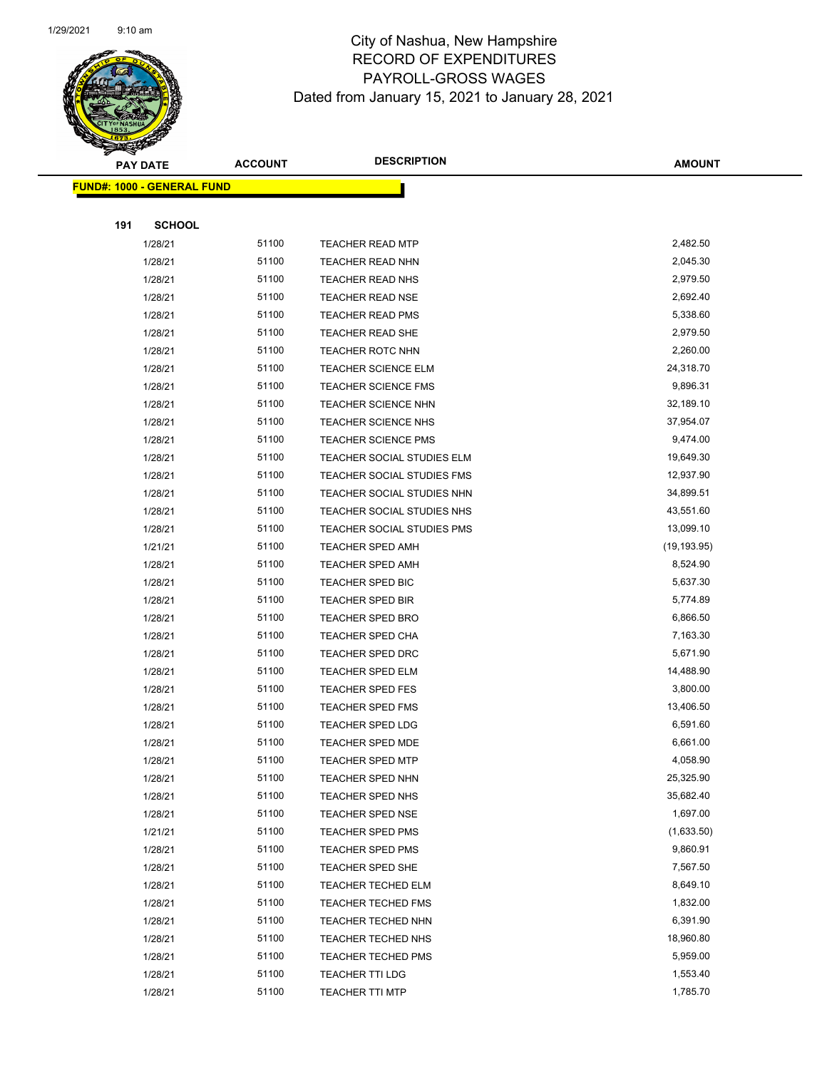

|     | <b>PAY DATE</b>                   | <b>ACCOUNT</b> | <b>DESCRIPTION</b>                | <b>AMOUNT</b> |
|-----|-----------------------------------|----------------|-----------------------------------|---------------|
|     | <b>FUND#: 1000 - GENERAL FUND</b> |                |                                   |               |
|     |                                   |                |                                   |               |
| 191 | <b>SCHOOL</b>                     |                |                                   |               |
|     | 1/28/21                           | 51100          | <b>TEACHER READ MTP</b>           | 2,482.50      |
|     | 1/28/21                           | 51100          | <b>TEACHER READ NHN</b>           | 2,045.30      |
|     | 1/28/21                           | 51100          | <b>TEACHER READ NHS</b>           | 2,979.50      |
|     | 1/28/21                           | 51100          | <b>TEACHER READ NSE</b>           | 2,692.40      |
|     | 1/28/21                           | 51100          | <b>TEACHER READ PMS</b>           | 5,338.60      |
|     | 1/28/21                           | 51100          | <b>TEACHER READ SHE</b>           | 2,979.50      |
|     | 1/28/21                           | 51100          | <b>TEACHER ROTC NHN</b>           | 2,260.00      |
|     | 1/28/21                           | 51100          | <b>TEACHER SCIENCE ELM</b>        | 24,318.70     |
|     | 1/28/21                           | 51100          | <b>TEACHER SCIENCE FMS</b>        | 9,896.31      |
|     | 1/28/21                           | 51100          | <b>TEACHER SCIENCE NHN</b>        | 32,189.10     |
|     | 1/28/21                           | 51100          | <b>TEACHER SCIENCE NHS</b>        | 37,954.07     |
|     | 1/28/21                           | 51100          | <b>TEACHER SCIENCE PMS</b>        | 9,474.00      |
|     | 1/28/21                           | 51100          | TEACHER SOCIAL STUDIES ELM        | 19,649.30     |
|     | 1/28/21                           | 51100          | <b>TEACHER SOCIAL STUDIES FMS</b> | 12,937.90     |
|     | 1/28/21                           | 51100          | TEACHER SOCIAL STUDIES NHN        | 34,899.51     |
|     | 1/28/21                           | 51100          | TEACHER SOCIAL STUDIES NHS        | 43,551.60     |
|     | 1/28/21                           | 51100          | TEACHER SOCIAL STUDIES PMS        | 13,099.10     |
|     | 1/21/21                           | 51100          | <b>TEACHER SPED AMH</b>           | (19, 193.95)  |
|     | 1/28/21                           | 51100          | <b>TEACHER SPED AMH</b>           | 8,524.90      |
|     | 1/28/21                           | 51100          | TEACHER SPED BIC                  | 5,637.30      |
|     | 1/28/21                           | 51100          | <b>TEACHER SPED BIR</b>           | 5,774.89      |
|     | 1/28/21                           | 51100          | <b>TEACHER SPED BRO</b>           | 6,866.50      |
|     | 1/28/21                           | 51100          | TEACHER SPED CHA                  | 7,163.30      |
|     | 1/28/21                           | 51100          | <b>TEACHER SPED DRC</b>           | 5,671.90      |
|     | 1/28/21                           | 51100          | TEACHER SPED ELM                  | 14,488.90     |
|     | 1/28/21                           | 51100          | <b>TEACHER SPED FES</b>           | 3,800.00      |
|     | 1/28/21                           | 51100          | <b>TEACHER SPED FMS</b>           | 13,406.50     |
|     | 1/28/21                           | 51100          | <b>TEACHER SPED LDG</b>           | 6,591.60      |
|     | 1/28/21                           | 51100          | <b>TEACHER SPED MDE</b>           | 6,661.00      |
|     | 1/28/21                           | 51100          | TEACHER SPED MTP                  | 4,058.90      |
|     | 1/28/21                           | 51100          | TEACHER SPED NHN                  | 25,325.90     |
|     | 1/28/21                           | 51100          | <b>TEACHER SPED NHS</b>           | 35,682.40     |
|     | 1/28/21                           | 51100          | <b>TEACHER SPED NSE</b>           | 1,697.00      |
|     | 1/21/21                           | 51100          | <b>TEACHER SPED PMS</b>           | (1,633.50)    |
|     | 1/28/21                           | 51100          | <b>TEACHER SPED PMS</b>           | 9,860.91      |
|     | 1/28/21                           | 51100          | TEACHER SPED SHE                  | 7,567.50      |
|     | 1/28/21                           | 51100          | <b>TEACHER TECHED ELM</b>         | 8,649.10      |
|     | 1/28/21                           | 51100          | <b>TEACHER TECHED FMS</b>         | 1,832.00      |
|     | 1/28/21                           | 51100          | <b>TEACHER TECHED NHN</b>         | 6,391.90      |
|     | 1/28/21                           | 51100          | <b>TEACHER TECHED NHS</b>         | 18,960.80     |
|     | 1/28/21                           | 51100          | <b>TEACHER TECHED PMS</b>         | 5,959.00      |
|     | 1/28/21                           | 51100          | TEACHER TTI LDG                   | 1,553.40      |
|     | 1/28/21                           | 51100          | <b>TEACHER TTI MTP</b>            | 1,785.70      |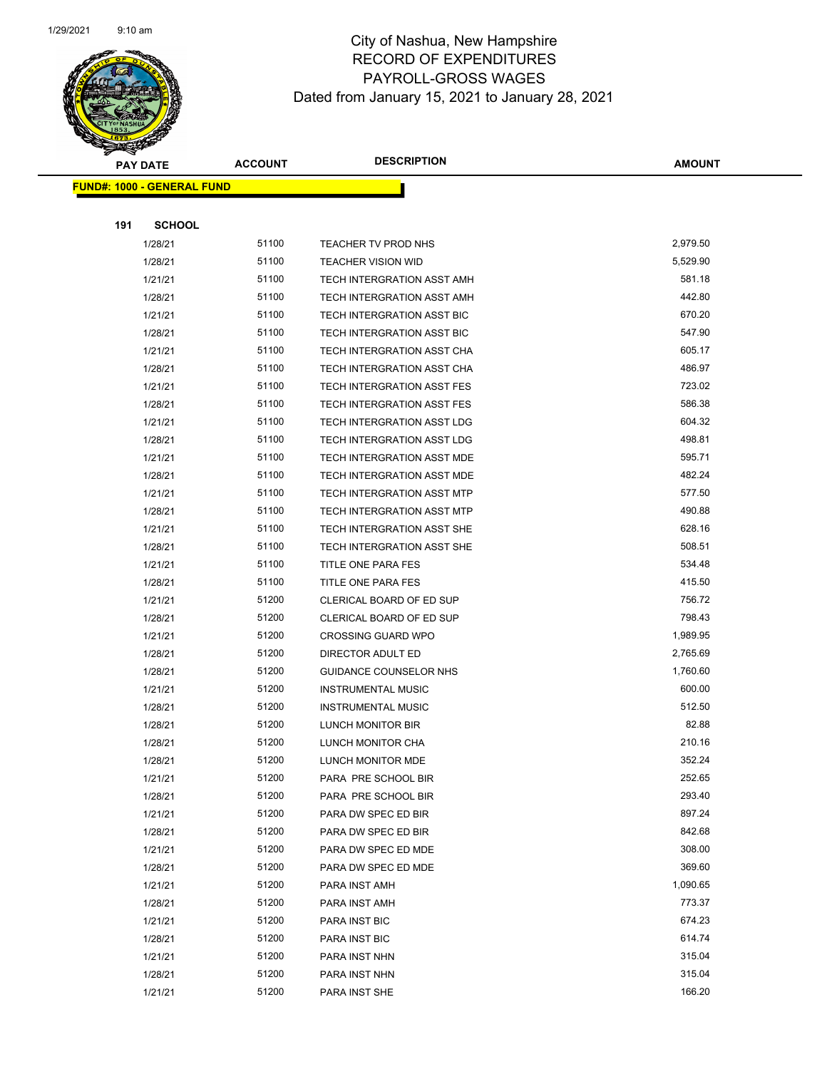

| Ð<br>$\blacktriangleleft$ . | <b>PAY DATE</b>                   | <b>ACCOUNT</b> | <b>DESCRIPTION</b>                | <b>AMOUNT</b> |
|-----------------------------|-----------------------------------|----------------|-----------------------------------|---------------|
|                             | <b>FUND#: 1000 - GENERAL FUND</b> |                |                                   |               |
|                             |                                   |                |                                   |               |
| 191                         | <b>SCHOOL</b>                     |                |                                   |               |
|                             | 1/28/21                           | 51100          | TEACHER TV PROD NHS               | 2,979.50      |
|                             | 1/28/21                           | 51100          | <b>TEACHER VISION WID</b>         | 5,529.90      |
|                             | 1/21/21                           | 51100          | TECH INTERGRATION ASST AMH        | 581.18        |
|                             | 1/28/21                           | 51100          | TECH INTERGRATION ASST AMH        | 442.80        |
|                             | 1/21/21                           | 51100          | TECH INTERGRATION ASST BIC        | 670.20        |
|                             | 1/28/21                           | 51100          | TECH INTERGRATION ASST BIC        | 547.90        |
|                             | 1/21/21                           | 51100          | TECH INTERGRATION ASST CHA        | 605.17        |
|                             | 1/28/21                           | 51100          | TECH INTERGRATION ASST CHA        | 486.97        |
|                             | 1/21/21                           | 51100          | TECH INTERGRATION ASST FES        | 723.02        |
|                             | 1/28/21                           | 51100          | TECH INTERGRATION ASST FES        | 586.38        |
|                             | 1/21/21                           | 51100          | TECH INTERGRATION ASST LDG        | 604.32        |
|                             | 1/28/21                           | 51100          | <b>TECH INTERGRATION ASST LDG</b> | 498.81        |
|                             | 1/21/21                           | 51100          | TECH INTERGRATION ASST MDE        | 595.71        |
|                             | 1/28/21                           | 51100          | TECH INTERGRATION ASST MDE        | 482.24        |
|                             | 1/21/21                           | 51100          | TECH INTERGRATION ASST MTP        | 577.50        |
|                             | 1/28/21                           | 51100          | TECH INTERGRATION ASST MTP        | 490.88        |
|                             | 1/21/21                           | 51100          | <b>TECH INTERGRATION ASST SHE</b> | 628.16        |
|                             | 1/28/21                           | 51100          | TECH INTERGRATION ASST SHE        | 508.51        |
|                             | 1/21/21                           | 51100          | TITLE ONE PARA FES                | 534.48        |
|                             | 1/28/21                           | 51100          | TITLE ONE PARA FES                | 415.50        |
|                             | 1/21/21                           | 51200          | CLERICAL BOARD OF ED SUP          | 756.72        |
|                             | 1/28/21                           | 51200          | CLERICAL BOARD OF ED SUP          | 798.43        |
|                             | 1/21/21                           | 51200          | <b>CROSSING GUARD WPO</b>         | 1,989.95      |
|                             | 1/28/21                           | 51200          | DIRECTOR ADULT ED                 | 2,765.69      |
|                             | 1/28/21                           | 51200          | GUIDANCE COUNSELOR NHS            | 1,760.60      |
|                             | 1/21/21                           | 51200          | <b>INSTRUMENTAL MUSIC</b>         | 600.00        |
|                             | 1/28/21                           | 51200          | <b>INSTRUMENTAL MUSIC</b>         | 512.50        |
|                             | 1/28/21                           | 51200          | LUNCH MONITOR BIR                 | 82.88         |
|                             | 1/28/21                           | 51200          | LUNCH MONITOR CHA                 | 210.16        |
|                             | 1/28/21                           | 51200          | LUNCH MONITOR MDE                 | 352.24        |
|                             | 1/21/21                           | 51200          | PARA PRE SCHOOL BIR               | 252.65        |
|                             | 1/28/21                           | 51200          | PARA PRE SCHOOL BIR               | 293.40        |
|                             | 1/21/21                           | 51200          | PARA DW SPEC ED BIR               | 897.24        |
|                             | 1/28/21                           | 51200          | PARA DW SPEC ED BIR               | 842.68        |
|                             | 1/21/21                           | 51200          | PARA DW SPEC ED MDE               | 308.00        |
|                             | 1/28/21                           | 51200          | PARA DW SPEC ED MDE               | 369.60        |
|                             | 1/21/21                           | 51200          | PARA INST AMH                     | 1,090.65      |
|                             | 1/28/21                           | 51200          | PARA INST AMH                     | 773.37        |
|                             | 1/21/21                           | 51200          | PARA INST BIC                     | 674.23        |
|                             | 1/28/21                           | 51200          | PARA INST BIC                     | 614.74        |
|                             | 1/21/21                           | 51200          | PARA INST NHN                     | 315.04        |
|                             | 1/28/21                           | 51200          | PARA INST NHN                     | 315.04        |
|                             | 1/21/21                           | 51200          | PARA INST SHE                     | 166.20        |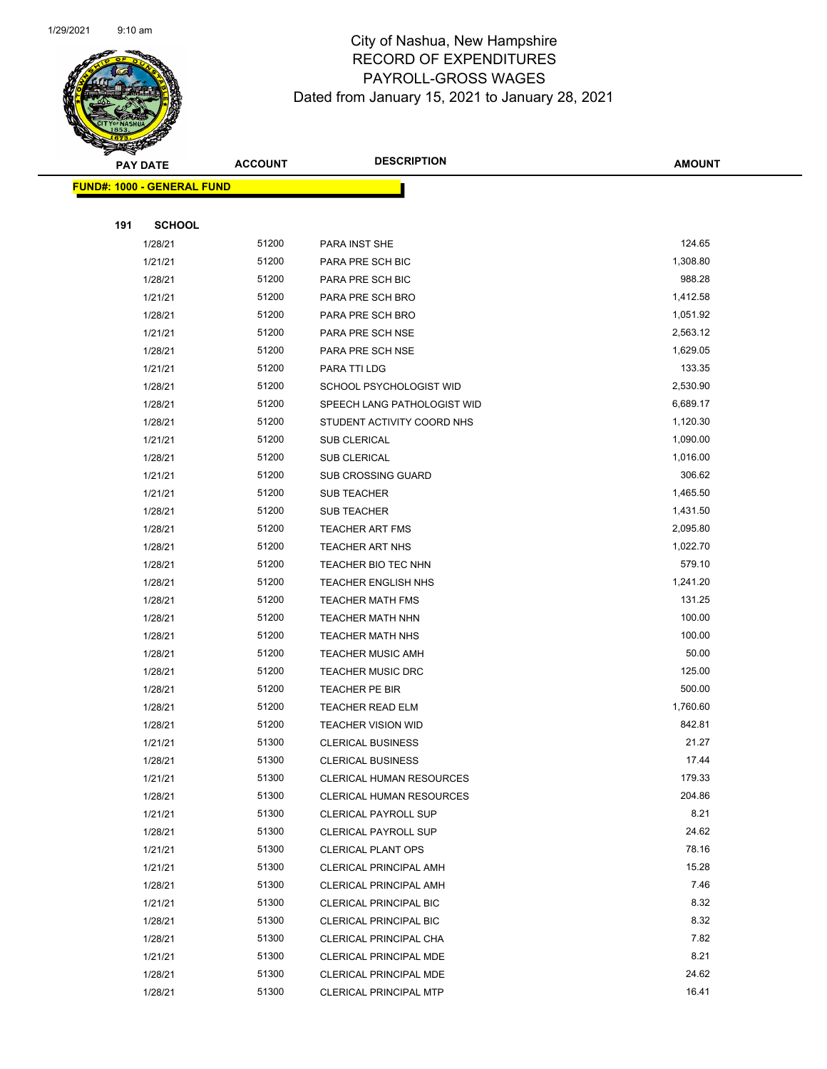

| T<br>$\blacktriangleleft$ . | <b>PAY DATE</b>                   | <b>ACCOUNT</b> | <b>DESCRIPTION</b>              | <b>AMOUNT</b> |
|-----------------------------|-----------------------------------|----------------|---------------------------------|---------------|
|                             | <b>FUND#: 1000 - GENERAL FUND</b> |                |                                 |               |
|                             |                                   |                |                                 |               |
| 191                         | <b>SCHOOL</b>                     |                |                                 |               |
|                             | 1/28/21                           | 51200          | PARA INST SHE                   | 124.65        |
|                             | 1/21/21                           | 51200          | PARA PRE SCH BIC                | 1,308.80      |
|                             | 1/28/21                           | 51200          | PARA PRE SCH BIC                | 988.28        |
|                             | 1/21/21                           | 51200          | PARA PRE SCH BRO                | 1,412.58      |
|                             | 1/28/21                           | 51200          | PARA PRE SCH BRO                | 1,051.92      |
|                             | 1/21/21                           | 51200          | PARA PRE SCH NSE                | 2,563.12      |
|                             | 1/28/21                           | 51200          | PARA PRE SCH NSE                | 1,629.05      |
|                             | 1/21/21                           | 51200          | PARA TTI LDG                    | 133.35        |
|                             | 1/28/21                           | 51200          | SCHOOL PSYCHOLOGIST WID         | 2,530.90      |
|                             | 1/28/21                           | 51200          | SPEECH LANG PATHOLOGIST WID     | 6,689.17      |
|                             | 1/28/21                           | 51200          | STUDENT ACTIVITY COORD NHS      | 1,120.30      |
|                             | 1/21/21                           | 51200          | SUB CLERICAL                    | 1,090.00      |
|                             | 1/28/21                           | 51200          | SUB CLERICAL                    | 1,016.00      |
|                             | 1/21/21                           | 51200          | SUB CROSSING GUARD              | 306.62        |
|                             | 1/21/21                           | 51200          | <b>SUB TEACHER</b>              | 1,465.50      |
|                             | 1/28/21                           | 51200          | SUB TEACHER                     | 1,431.50      |
|                             | 1/28/21                           | 51200          | <b>TEACHER ART FMS</b>          | 2,095.80      |
|                             | 1/28/21                           | 51200          | TEACHER ART NHS                 | 1,022.70      |
|                             | 1/28/21                           | 51200          | TEACHER BIO TEC NHN             | 579.10        |
|                             | 1/28/21                           | 51200          | <b>TEACHER ENGLISH NHS</b>      | 1,241.20      |
|                             | 1/28/21                           | 51200          | <b>TEACHER MATH FMS</b>         | 131.25        |
|                             | 1/28/21                           | 51200          | <b>TEACHER MATH NHN</b>         | 100.00        |
|                             | 1/28/21                           | 51200          | <b>TEACHER MATH NHS</b>         | 100.00        |
|                             | 1/28/21                           | 51200          | <b>TEACHER MUSIC AMH</b>        | 50.00         |
|                             | 1/28/21                           | 51200          | <b>TEACHER MUSIC DRC</b>        | 125.00        |
|                             | 1/28/21                           | 51200          | TEACHER PE BIR                  | 500.00        |
|                             | 1/28/21                           | 51200          | <b>TEACHER READ ELM</b>         | 1,760.60      |
|                             | 1/28/21                           | 51200          | <b>TEACHER VISION WID</b>       | 842.81        |
|                             | 1/21/21                           | 51300          | <b>CLERICAL BUSINESS</b>        | 21.27         |
|                             | 1/28/21                           | 51300          | <b>CLERICAL BUSINESS</b>        | 17.44         |
|                             | 1/21/21                           | 51300          | <b>CLERICAL HUMAN RESOURCES</b> | 179.33        |
|                             | 1/28/21                           | 51300          | CLERICAL HUMAN RESOURCES        | 204.86        |
|                             | 1/21/21                           | 51300          | <b>CLERICAL PAYROLL SUP</b>     | 8.21          |
|                             | 1/28/21                           | 51300          | <b>CLERICAL PAYROLL SUP</b>     | 24.62         |
|                             | 1/21/21                           | 51300          | <b>CLERICAL PLANT OPS</b>       | 78.16         |
|                             | 1/21/21                           | 51300          | <b>CLERICAL PRINCIPAL AMH</b>   | 15.28         |
|                             | 1/28/21                           | 51300          | <b>CLERICAL PRINCIPAL AMH</b>   | 7.46          |
|                             | 1/21/21                           | 51300          | <b>CLERICAL PRINCIPAL BIC</b>   | 8.32          |
|                             | 1/28/21                           | 51300          | <b>CLERICAL PRINCIPAL BIC</b>   | 8.32          |
|                             | 1/28/21                           | 51300          | CLERICAL PRINCIPAL CHA          | 7.82          |
|                             | 1/21/21                           | 51300          | CLERICAL PRINCIPAL MDE          | 8.21          |
|                             | 1/28/21                           | 51300          | CLERICAL PRINCIPAL MDE          | 24.62         |
|                             | 1/28/21                           | 51300          | <b>CLERICAL PRINCIPAL MTP</b>   | 16.41         |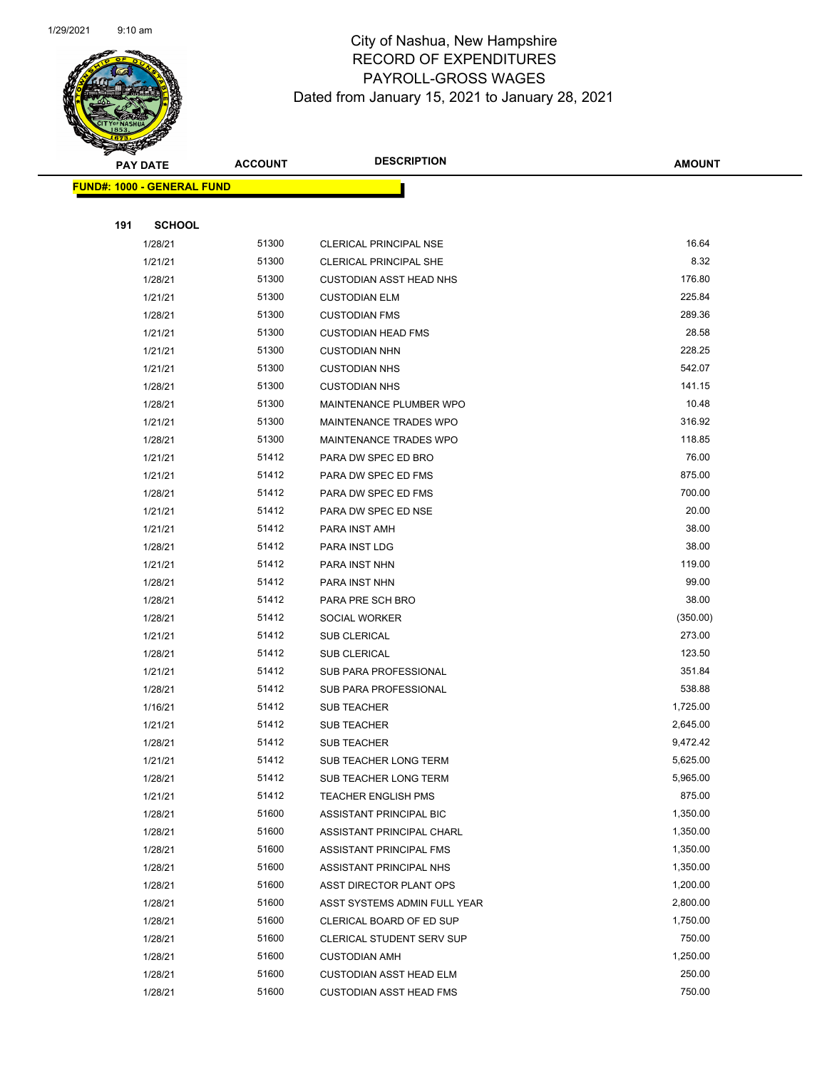

| $\checkmark$ | <b>PAY DATE</b>                   | <b>ACCOUNT</b> | <b>DESCRIPTION</b>               | <b>AMOUNT</b> |  |  |  |
|--------------|-----------------------------------|----------------|----------------------------------|---------------|--|--|--|
|              | <b>FUND#: 1000 - GENERAL FUND</b> |                |                                  |               |  |  |  |
|              |                                   |                |                                  |               |  |  |  |
| 191          | <b>SCHOOL</b>                     |                |                                  |               |  |  |  |
|              | 1/28/21                           | 51300          | <b>CLERICAL PRINCIPAL NSE</b>    | 16.64         |  |  |  |
|              | 1/21/21                           | 51300          | CLERICAL PRINCIPAL SHE           | 8.32          |  |  |  |
|              | 1/28/21                           | 51300          | <b>CUSTODIAN ASST HEAD NHS</b>   | 176.80        |  |  |  |
|              | 1/21/21                           | 51300          | <b>CUSTODIAN ELM</b>             | 225.84        |  |  |  |
|              | 1/28/21                           | 51300          | <b>CUSTODIAN FMS</b>             | 289.36        |  |  |  |
|              | 1/21/21                           | 51300          | <b>CUSTODIAN HEAD FMS</b>        | 28.58         |  |  |  |
|              | 1/21/21                           | 51300          | <b>CUSTODIAN NHN</b>             | 228.25        |  |  |  |
|              | 1/21/21                           | 51300          | <b>CUSTODIAN NHS</b>             | 542.07        |  |  |  |
|              | 1/28/21                           | 51300          | <b>CUSTODIAN NHS</b>             | 141.15        |  |  |  |
|              | 1/28/21                           | 51300          | MAINTENANCE PLUMBER WPO          | 10.48         |  |  |  |
|              | 1/21/21                           | 51300          | MAINTENANCE TRADES WPO           | 316.92        |  |  |  |
|              | 1/28/21                           | 51300          | <b>MAINTENANCE TRADES WPO</b>    | 118.85        |  |  |  |
|              | 1/21/21                           | 51412          | PARA DW SPEC ED BRO              | 76.00         |  |  |  |
|              | 1/21/21                           | 51412          | PARA DW SPEC ED FMS              | 875.00        |  |  |  |
|              | 1/28/21                           | 51412          | PARA DW SPEC ED FMS              | 700.00        |  |  |  |
|              | 1/21/21                           | 51412          | PARA DW SPEC ED NSE              | 20.00         |  |  |  |
|              | 1/21/21                           | 51412          | PARA INST AMH                    | 38.00         |  |  |  |
|              | 1/28/21                           | 51412          | PARA INST LDG                    | 38.00         |  |  |  |
|              | 1/21/21                           | 51412          | PARA INST NHN                    | 119.00        |  |  |  |
|              | 1/28/21                           | 51412          | PARA INST NHN                    | 99.00         |  |  |  |
|              | 1/28/21                           | 51412          | PARA PRE SCH BRO                 | 38.00         |  |  |  |
|              | 1/28/21                           | 51412          | SOCIAL WORKER                    | (350.00)      |  |  |  |
|              | 1/21/21                           | 51412          | SUB CLERICAL                     | 273.00        |  |  |  |
|              | 1/28/21                           | 51412          | SUB CLERICAL                     | 123.50        |  |  |  |
|              | 1/21/21                           | 51412          | SUB PARA PROFESSIONAL            | 351.84        |  |  |  |
|              | 1/28/21                           | 51412          | SUB PARA PROFESSIONAL            | 538.88        |  |  |  |
|              | 1/16/21                           | 51412          | SUB TEACHER                      | 1,725.00      |  |  |  |
|              | 1/21/21                           | 51412          | <b>SUB TEACHER</b>               | 2,645.00      |  |  |  |
|              | 1/28/21                           | 51412          | <b>SUB TEACHER</b>               | 9,472.42      |  |  |  |
|              | 1/21/21                           | 51412          | SUB TEACHER LONG TERM            | 5,625.00      |  |  |  |
|              | 1/28/21                           | 51412          | SUB TEACHER LONG TERM            | 5,965.00      |  |  |  |
|              | 1/21/21                           | 51412          | <b>TEACHER ENGLISH PMS</b>       | 875.00        |  |  |  |
|              | 1/28/21                           | 51600          | ASSISTANT PRINCIPAL BIC          | 1,350.00      |  |  |  |
|              | 1/28/21                           | 51600          | ASSISTANT PRINCIPAL CHARL        | 1,350.00      |  |  |  |
|              | 1/28/21                           | 51600          | ASSISTANT PRINCIPAL FMS          | 1,350.00      |  |  |  |
|              | 1/28/21                           | 51600          | ASSISTANT PRINCIPAL NHS          | 1,350.00      |  |  |  |
|              | 1/28/21                           | 51600          | ASST DIRECTOR PLANT OPS          | 1,200.00      |  |  |  |
|              | 1/28/21                           | 51600          | ASST SYSTEMS ADMIN FULL YEAR     | 2,800.00      |  |  |  |
|              | 1/28/21                           | 51600          | CLERICAL BOARD OF ED SUP         | 1,750.00      |  |  |  |
|              | 1/28/21                           | 51600          | <b>CLERICAL STUDENT SERV SUP</b> | 750.00        |  |  |  |
|              | 1/28/21                           | 51600          | <b>CUSTODIAN AMH</b>             | 1,250.00      |  |  |  |
|              | 1/28/21                           | 51600          | <b>CUSTODIAN ASST HEAD ELM</b>   | 250.00        |  |  |  |
|              | 1/28/21                           | 51600          | <b>CUSTODIAN ASST HEAD FMS</b>   | 750.00        |  |  |  |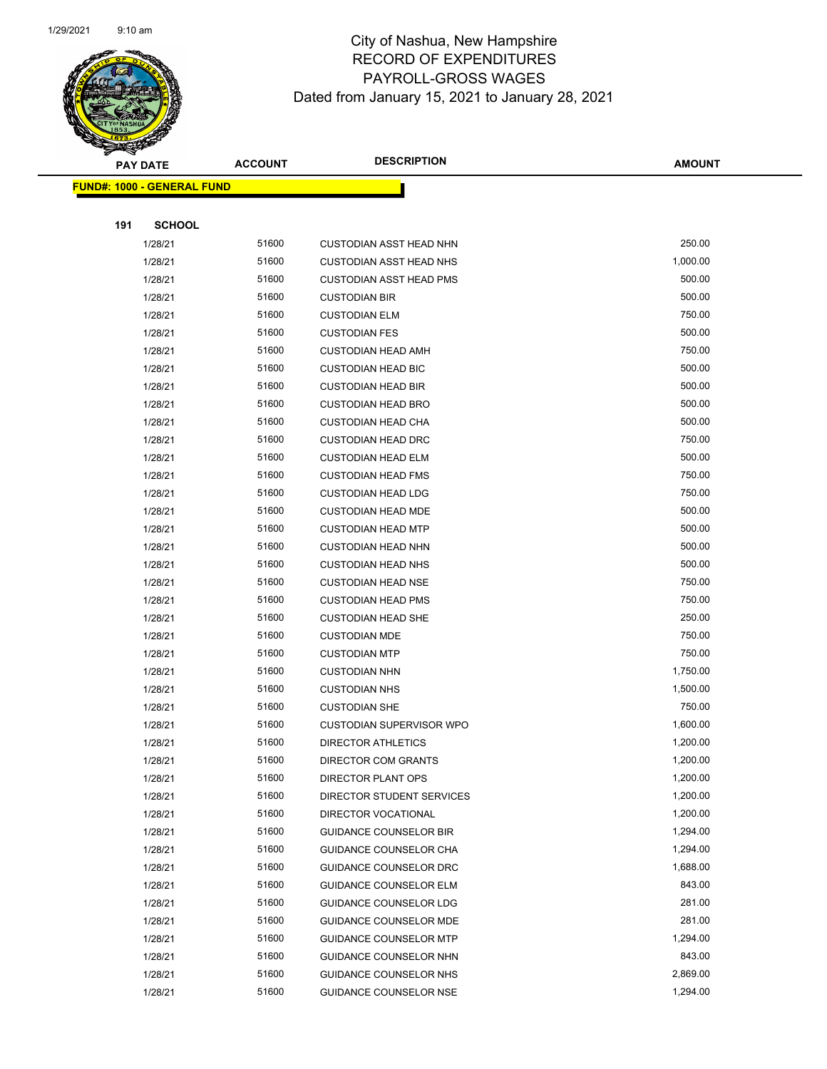

| ॼ   | <b>PAY DATE</b>                   | <b>ACCOUNT</b> | <b>DESCRIPTION</b>              | <b>AMOUNT</b> |
|-----|-----------------------------------|----------------|---------------------------------|---------------|
|     | <b>FUND#: 1000 - GENERAL FUND</b> |                |                                 |               |
|     |                                   |                |                                 |               |
| 191 | <b>SCHOOL</b>                     |                |                                 |               |
|     | 1/28/21                           | 51600          | <b>CUSTODIAN ASST HEAD NHN</b>  | 250.00        |
|     | 1/28/21                           | 51600          | <b>CUSTODIAN ASST HEAD NHS</b>  | 1,000.00      |
|     | 1/28/21                           | 51600          | <b>CUSTODIAN ASST HEAD PMS</b>  | 500.00        |
|     | 1/28/21                           | 51600          | <b>CUSTODIAN BIR</b>            | 500.00        |
|     | 1/28/21                           | 51600          | <b>CUSTODIAN ELM</b>            | 750.00        |
|     | 1/28/21                           | 51600          | <b>CUSTODIAN FES</b>            | 500.00        |
|     | 1/28/21                           | 51600          | <b>CUSTODIAN HEAD AMH</b>       | 750.00        |
|     | 1/28/21                           | 51600          | <b>CUSTODIAN HEAD BIC</b>       | 500.00        |
|     | 1/28/21                           | 51600          | <b>CUSTODIAN HEAD BIR</b>       | 500.00        |
|     | 1/28/21                           | 51600          | <b>CUSTODIAN HEAD BRO</b>       | 500.00        |
|     | 1/28/21                           | 51600          | <b>CUSTODIAN HEAD CHA</b>       | 500.00        |
|     | 1/28/21                           | 51600          | <b>CUSTODIAN HEAD DRC</b>       | 750.00        |
|     | 1/28/21                           | 51600          | <b>CUSTODIAN HEAD ELM</b>       | 500.00        |
|     | 1/28/21                           | 51600          | <b>CUSTODIAN HEAD FMS</b>       | 750.00        |
|     | 1/28/21                           | 51600          | <b>CUSTODIAN HEAD LDG</b>       | 750.00        |
|     | 1/28/21                           | 51600          | <b>CUSTODIAN HEAD MDE</b>       | 500.00        |
|     | 1/28/21                           | 51600          | <b>CUSTODIAN HEAD MTP</b>       | 500.00        |
|     | 1/28/21                           | 51600          | <b>CUSTODIAN HEAD NHN</b>       | 500.00        |
|     | 1/28/21                           | 51600          | <b>CUSTODIAN HEAD NHS</b>       | 500.00        |
|     | 1/28/21                           | 51600          | <b>CUSTODIAN HEAD NSE</b>       | 750.00        |
|     | 1/28/21                           | 51600          | <b>CUSTODIAN HEAD PMS</b>       | 750.00        |
|     | 1/28/21                           | 51600          | <b>CUSTODIAN HEAD SHE</b>       | 250.00        |
|     | 1/28/21                           | 51600          | <b>CUSTODIAN MDE</b>            | 750.00        |
|     | 1/28/21                           | 51600          | <b>CUSTODIAN MTP</b>            | 750.00        |
|     | 1/28/21                           | 51600          | <b>CUSTODIAN NHN</b>            | 1,750.00      |
|     | 1/28/21                           | 51600          | <b>CUSTODIAN NHS</b>            | 1,500.00      |
|     | 1/28/21                           | 51600          | <b>CUSTODIAN SHE</b>            | 750.00        |
|     | 1/28/21                           | 51600          | <b>CUSTODIAN SUPERVISOR WPO</b> | 1,600.00      |
|     | 1/28/21                           | 51600          | DIRECTOR ATHLETICS              | 1,200.00      |
|     | 1/28/21                           | 51600          | DIRECTOR COM GRANTS             | 1,200.00      |
|     | 1/28/21                           | 51600          | DIRECTOR PLANT OPS              | 1,200.00      |
|     | 1/28/21                           | 51600          | DIRECTOR STUDENT SERVICES       | 1,200.00      |
|     | 1/28/21                           | 51600          | DIRECTOR VOCATIONAL             | 1,200.00      |
|     | 1/28/21                           | 51600          | <b>GUIDANCE COUNSELOR BIR</b>   | 1,294.00      |
|     | 1/28/21                           | 51600          | <b>GUIDANCE COUNSELOR CHA</b>   | 1,294.00      |
|     | 1/28/21                           | 51600          | <b>GUIDANCE COUNSELOR DRC</b>   | 1,688.00      |
|     | 1/28/21                           | 51600          | <b>GUIDANCE COUNSELOR ELM</b>   | 843.00        |
|     | 1/28/21                           | 51600          | <b>GUIDANCE COUNSELOR LDG</b>   | 281.00        |
|     | 1/28/21                           | 51600          | <b>GUIDANCE COUNSELOR MDE</b>   | 281.00        |
|     | 1/28/21                           | 51600          | <b>GUIDANCE COUNSELOR MTP</b>   | 1,294.00      |
|     | 1/28/21                           | 51600          | <b>GUIDANCE COUNSELOR NHN</b>   | 843.00        |
|     | 1/28/21                           | 51600          | GUIDANCE COUNSELOR NHS          | 2,869.00      |
|     | 1/28/21                           | 51600          | GUIDANCE COUNSELOR NSE          | 1,294.00      |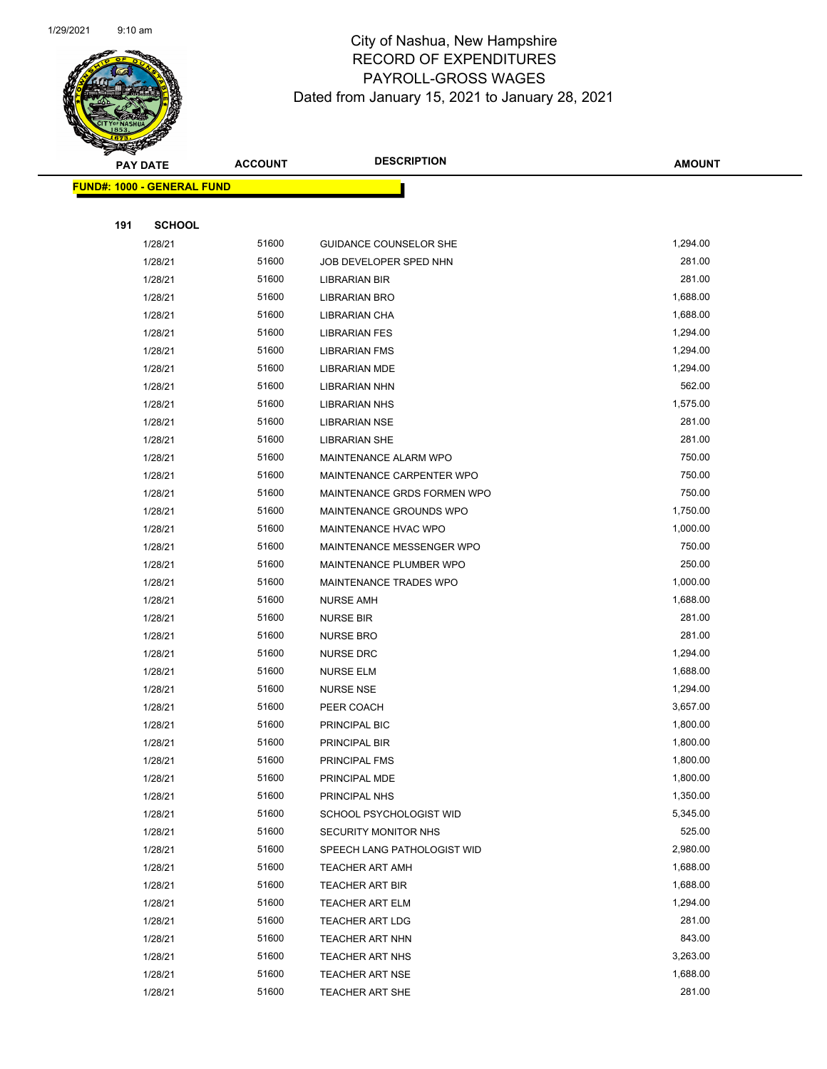

|     | <b>PAY DATE</b>                   | <b>ACCOUNT</b> | <b>DESCRIPTION</b>            | <b>AMOUNT</b>        |
|-----|-----------------------------------|----------------|-------------------------------|----------------------|
|     | <b>FUND#: 1000 - GENERAL FUND</b> |                |                               |                      |
|     |                                   |                |                               |                      |
| 191 | <b>SCHOOL</b>                     |                |                               |                      |
|     | 1/28/21                           | 51600          | <b>GUIDANCE COUNSELOR SHE</b> | 1,294.00             |
|     | 1/28/21                           | 51600          | JOB DEVELOPER SPED NHN        | 281.00               |
|     | 1/28/21                           | 51600          | <b>LIBRARIAN BIR</b>          | 281.00               |
|     | 1/28/21                           | 51600          | <b>LIBRARIAN BRO</b>          | 1,688.00             |
|     | 1/28/21                           | 51600          | LIBRARIAN CHA                 | 1,688.00             |
|     | 1/28/21                           | 51600          | <b>LIBRARIAN FES</b>          | 1,294.00             |
|     | 1/28/21                           | 51600          | <b>LIBRARIAN FMS</b>          | 1,294.00             |
|     | 1/28/21                           | 51600          | <b>LIBRARIAN MDE</b>          | 1,294.00             |
|     | 1/28/21                           | 51600          | <b>LIBRARIAN NHN</b>          | 562.00               |
|     | 1/28/21                           | 51600          | <b>LIBRARIAN NHS</b>          | 1,575.00             |
|     | 1/28/21                           | 51600          | <b>LIBRARIAN NSE</b>          | 281.00               |
|     | 1/28/21                           | 51600          | <b>LIBRARIAN SHE</b>          | 281.00               |
|     | 1/28/21                           | 51600          | MAINTENANCE ALARM WPO         | 750.00               |
|     | 1/28/21                           | 51600          | MAINTENANCE CARPENTER WPO     | 750.00               |
|     | 1/28/21                           | 51600          | MAINTENANCE GRDS FORMEN WPO   | 750.00               |
|     | 1/28/21                           | 51600          | MAINTENANCE GROUNDS WPO       | 1,750.00             |
|     | 1/28/21                           | 51600          | MAINTENANCE HVAC WPO          | 1,000.00             |
|     | 1/28/21                           | 51600          | MAINTENANCE MESSENGER WPO     | 750.00               |
|     | 1/28/21                           | 51600          | MAINTENANCE PLUMBER WPO       | 250.00               |
|     | 1/28/21                           | 51600          | MAINTENANCE TRADES WPO        | 1,000.00             |
|     | 1/28/21                           | 51600          | <b>NURSE AMH</b>              | 1,688.00             |
|     | 1/28/21                           | 51600          | <b>NURSE BIR</b>              | 281.00               |
|     | 1/28/21                           | 51600          | <b>NURSE BRO</b>              | 281.00               |
|     | 1/28/21                           | 51600          | <b>NURSE DRC</b>              | 1,294.00             |
|     | 1/28/21                           | 51600<br>51600 | <b>NURSE ELM</b>              | 1,688.00<br>1,294.00 |
|     | 1/28/21<br>1/28/21                | 51600          | <b>NURSE NSE</b>              | 3,657.00             |
|     | 1/28/21                           | 51600          | PEER COACH<br>PRINCIPAL BIC   | 1,800.00             |
|     | 1/28/21                           | 51600          | PRINCIPAL BIR                 | 1,800.00             |
|     | 1/28/21                           | 51600          | PRINCIPAL FMS                 | 1,800.00             |
|     | 1/28/21                           | 51600          | PRINCIPAL MDE                 | 1,800.00             |
|     | 1/28/21                           | 51600          | PRINCIPAL NHS                 | 1,350.00             |
|     | 1/28/21                           | 51600          | SCHOOL PSYCHOLOGIST WID       | 5,345.00             |
|     | 1/28/21                           | 51600          | SECURITY MONITOR NHS          | 525.00               |
|     | 1/28/21                           | 51600          | SPEECH LANG PATHOLOGIST WID   | 2,980.00             |
|     | 1/28/21                           | 51600          | <b>TEACHER ART AMH</b>        | 1,688.00             |
|     | 1/28/21                           | 51600          | <b>TEACHER ART BIR</b>        | 1,688.00             |
|     | 1/28/21                           | 51600          | <b>TEACHER ART ELM</b>        | 1,294.00             |
|     | 1/28/21                           | 51600          | <b>TEACHER ART LDG</b>        | 281.00               |
|     | 1/28/21                           | 51600          | TEACHER ART NHN               | 843.00               |
|     |                                   |                |                               |                      |
|     | 1/28/21                           | 51600          | <b>TEACHER ART NHS</b>        | 3,263.00             |
|     | 1/28/21                           | 51600          | <b>TEACHER ART NSE</b>        | 1,688.00             |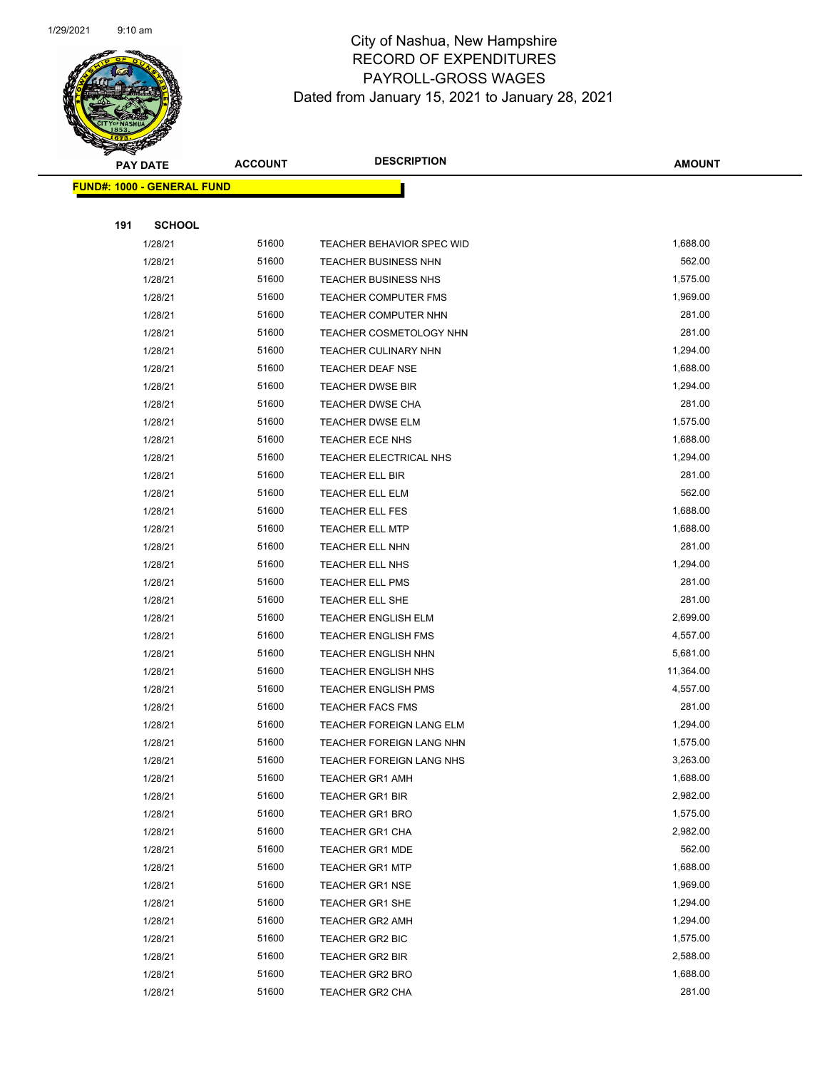

|     | <b>PAY DATE</b>                   | <b>ACCOUNT</b> | <b>DESCRIPTION</b>               | <b>AMOUNT</b> |
|-----|-----------------------------------|----------------|----------------------------------|---------------|
|     | <b>FUND#: 1000 - GENERAL FUND</b> |                |                                  |               |
|     |                                   |                |                                  |               |
| 191 | <b>SCHOOL</b>                     |                |                                  |               |
|     | 1/28/21                           | 51600          | <b>TEACHER BEHAVIOR SPEC WID</b> | 1,688.00      |
|     | 1/28/21                           | 51600          | <b>TEACHER BUSINESS NHN</b>      | 562.00        |
|     | 1/28/21                           | 51600          | <b>TEACHER BUSINESS NHS</b>      | 1,575.00      |
|     | 1/28/21                           | 51600          | <b>TEACHER COMPUTER FMS</b>      | 1,969.00      |
|     | 1/28/21                           | 51600          | TEACHER COMPUTER NHN             | 281.00        |
|     | 1/28/21                           | 51600          | TEACHER COSMETOLOGY NHN          | 281.00        |
|     | 1/28/21                           | 51600          | <b>TEACHER CULINARY NHN</b>      | 1,294.00      |
|     | 1/28/21                           | 51600          | <b>TEACHER DEAF NSE</b>          | 1,688.00      |
|     | 1/28/21                           | 51600          | <b>TEACHER DWSE BIR</b>          | 1,294.00      |
|     | 1/28/21                           | 51600          | <b>TEACHER DWSE CHA</b>          | 281.00        |
|     | 1/28/21                           | 51600          | <b>TEACHER DWSE ELM</b>          | 1,575.00      |
|     | 1/28/21                           | 51600          | TEACHER ECE NHS                  | 1,688.00      |
|     | 1/28/21                           | 51600          | TEACHER ELECTRICAL NHS           | 1,294.00      |
|     | 1/28/21                           | 51600          | <b>TEACHER ELL BIR</b>           | 281.00        |
|     | 1/28/21                           | 51600          | <b>TEACHER ELL ELM</b>           | 562.00        |
|     | 1/28/21                           | 51600          | <b>TEACHER ELL FES</b>           | 1,688.00      |
|     | 1/28/21                           | 51600          | TEACHER ELL MTP                  | 1,688.00      |
|     | 1/28/21                           | 51600          | TEACHER ELL NHN                  | 281.00        |
|     | 1/28/21                           | 51600          | TEACHER ELL NHS                  | 1,294.00      |
|     | 1/28/21                           | 51600          | <b>TEACHER ELL PMS</b>           | 281.00        |
|     | 1/28/21                           | 51600          | TEACHER ELL SHE                  | 281.00        |
|     | 1/28/21                           | 51600          | <b>TEACHER ENGLISH ELM</b>       | 2,699.00      |
|     | 1/28/21                           | 51600          | <b>TEACHER ENGLISH FMS</b>       | 4,557.00      |
|     | 1/28/21                           | 51600          | <b>TEACHER ENGLISH NHN</b>       | 5,681.00      |
|     | 1/28/21                           | 51600          | <b>TEACHER ENGLISH NHS</b>       | 11,364.00     |
|     | 1/28/21                           | 51600          | <b>TEACHER ENGLISH PMS</b>       | 4,557.00      |
|     | 1/28/21                           | 51600          | <b>TEACHER FACS FMS</b>          | 281.00        |
|     | 1/28/21                           | 51600          | TEACHER FOREIGN LANG ELM         | 1,294.00      |
|     | 1/28/21                           | 51600          | <b>TEACHER FOREIGN LANG NHN</b>  | 1,575.00      |
|     | 1/28/21                           | 51600          | TEACHER FOREIGN LANG NHS         | 3,263.00      |
|     | 1/28/21                           | 51600          | <b>TEACHER GR1 AMH</b>           | 1,688.00      |
|     | 1/28/21                           | 51600          | <b>TEACHER GR1 BIR</b>           | 2,982.00      |
|     | 1/28/21                           | 51600          | <b>TEACHER GR1 BRO</b>           | 1,575.00      |
|     | 1/28/21                           | 51600          | TEACHER GR1 CHA                  | 2,982.00      |
|     | 1/28/21                           | 51600          | <b>TEACHER GR1 MDE</b>           | 562.00        |
|     | 1/28/21                           | 51600          | <b>TEACHER GR1 MTP</b>           | 1,688.00      |
|     | 1/28/21                           | 51600          | <b>TEACHER GR1 NSE</b>           | 1,969.00      |
|     | 1/28/21                           | 51600          | <b>TEACHER GR1 SHE</b>           | 1,294.00      |
|     | 1/28/21                           | 51600          | <b>TEACHER GR2 AMH</b>           | 1,294.00      |
|     | 1/28/21                           | 51600          | TEACHER GR2 BIC                  | 1,575.00      |
|     | 1/28/21                           | 51600          | <b>TEACHER GR2 BIR</b>           | 2,588.00      |
|     | 1/28/21                           | 51600          | <b>TEACHER GR2 BRO</b>           | 1,688.00      |
|     | 1/28/21                           | 51600          | TEACHER GR2 CHA                  | 281.00        |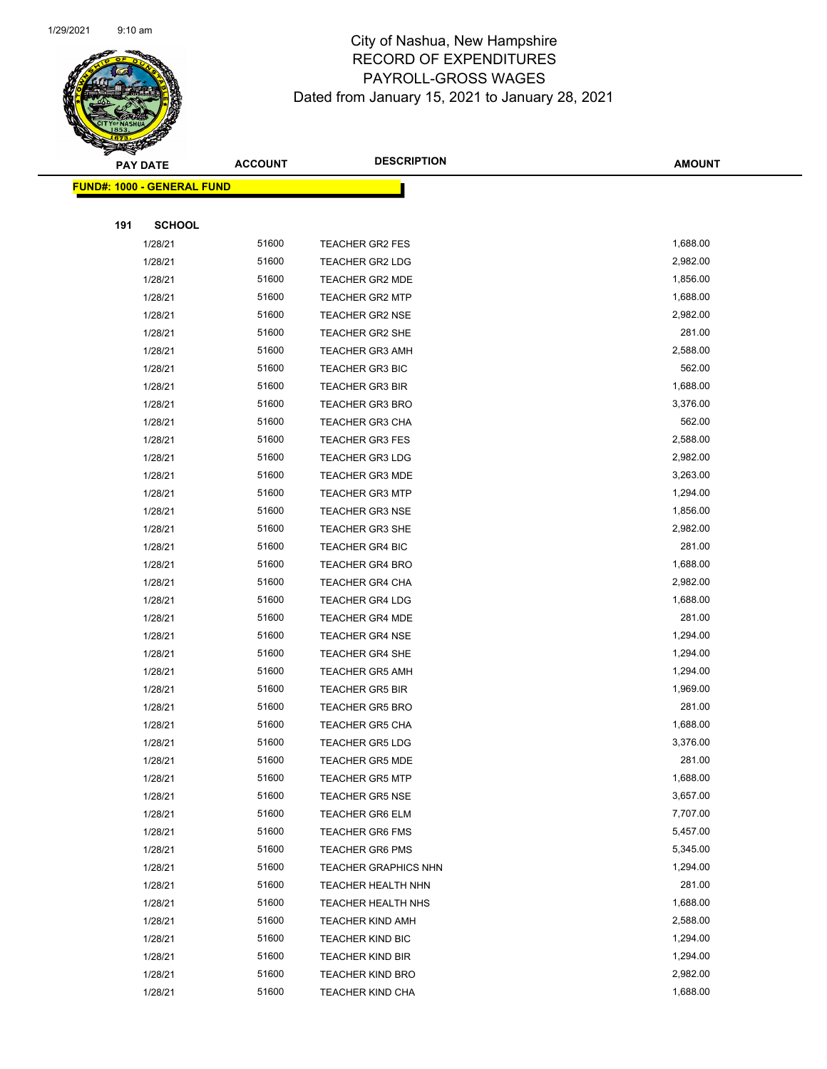

| S<br>$\tilde{\phantom{a}}$ | <b>PAY DATE</b>                   | <b>ACCOUNT</b> | <b>DESCRIPTION</b>                            | <b>AMOUNT</b>        |
|----------------------------|-----------------------------------|----------------|-----------------------------------------------|----------------------|
|                            | <b>FUND#: 1000 - GENERAL FUND</b> |                |                                               |                      |
|                            |                                   |                |                                               |                      |
| 191                        | <b>SCHOOL</b>                     |                |                                               |                      |
|                            | 1/28/21                           | 51600          | <b>TEACHER GR2 FES</b>                        | 1,688.00             |
|                            | 1/28/21                           | 51600          | TEACHER GR2 LDG                               | 2,982.00             |
|                            | 1/28/21                           | 51600          | <b>TEACHER GR2 MDE</b>                        | 1,856.00             |
|                            | 1/28/21                           | 51600          | <b>TEACHER GR2 MTP</b>                        | 1,688.00             |
|                            | 1/28/21                           | 51600          | <b>TEACHER GR2 NSE</b>                        | 2,982.00             |
|                            | 1/28/21                           | 51600          | TEACHER GR2 SHE                               | 281.00               |
|                            | 1/28/21                           | 51600          | <b>TEACHER GR3 AMH</b>                        | 2,588.00             |
|                            | 1/28/21                           | 51600          | <b>TEACHER GR3 BIC</b>                        | 562.00               |
|                            | 1/28/21                           | 51600          | <b>TEACHER GR3 BIR</b>                        | 1,688.00             |
|                            | 1/28/21                           | 51600          | <b>TEACHER GR3 BRO</b>                        | 3,376.00             |
|                            | 1/28/21                           | 51600          | <b>TEACHER GR3 CHA</b>                        | 562.00               |
|                            | 1/28/21                           | 51600          | <b>TEACHER GR3 FES</b>                        | 2,588.00             |
|                            | 1/28/21                           | 51600          | <b>TEACHER GR3 LDG</b>                        | 2,982.00             |
|                            | 1/28/21                           | 51600          | <b>TEACHER GR3 MDE</b>                        | 3,263.00             |
|                            | 1/28/21                           | 51600          | <b>TEACHER GR3 MTP</b>                        | 1,294.00             |
|                            | 1/28/21                           | 51600          | <b>TEACHER GR3 NSE</b>                        | 1,856.00             |
|                            | 1/28/21                           | 51600          | <b>TEACHER GR3 SHE</b>                        | 2,982.00             |
|                            | 1/28/21                           | 51600          | <b>TEACHER GR4 BIC</b>                        | 281.00               |
|                            | 1/28/21                           | 51600          | <b>TEACHER GR4 BRO</b>                        | 1,688.00             |
|                            | 1/28/21                           | 51600          | <b>TEACHER GR4 CHA</b>                        | 2,982.00             |
|                            | 1/28/21                           | 51600          | <b>TEACHER GR4 LDG</b>                        | 1,688.00             |
|                            | 1/28/21                           | 51600          | <b>TEACHER GR4 MDE</b>                        | 281.00               |
|                            | 1/28/21                           | 51600          | <b>TEACHER GR4 NSE</b>                        | 1,294.00             |
|                            | 1/28/21                           | 51600          | <b>TEACHER GR4 SHE</b>                        | 1,294.00             |
|                            | 1/28/21                           | 51600          | <b>TEACHER GR5 AMH</b>                        | 1,294.00             |
|                            | 1/28/21                           | 51600          | <b>TEACHER GR5 BIR</b>                        | 1,969.00             |
|                            | 1/28/21                           | 51600          | <b>TEACHER GR5 BRO</b>                        | 281.00               |
|                            | 1/28/21                           | 51600          | <b>TEACHER GR5 CHA</b>                        | 1,688.00             |
|                            | 1/28/21                           | 51600          | <b>TEACHER GR5 LDG</b>                        | 3,376.00             |
|                            | 1/28/21                           | 51600          | TEACHER GR5 MDE                               | 281.00               |
|                            | 1/28/21                           | 51600          | <b>TEACHER GR5 MTP</b>                        | 1,688.00             |
|                            | 1/28/21                           | 51600          | <b>TEACHER GR5 NSE</b>                        | 3,657.00             |
|                            | 1/28/21                           | 51600          | <b>TEACHER GR6 ELM</b>                        | 7,707.00             |
|                            | 1/28/21                           | 51600          | <b>TEACHER GR6 FMS</b>                        | 5,457.00             |
|                            | 1/28/21                           | 51600          | <b>TEACHER GR6 PMS</b>                        | 5,345.00<br>1,294.00 |
|                            | 1/28/21                           | 51600<br>51600 | <b>TEACHER GRAPHICS NHN</b>                   | 281.00               |
|                            | 1/28/21                           |                | TEACHER HEALTH NHN                            |                      |
|                            | 1/28/21                           | 51600<br>51600 | TEACHER HEALTH NHS<br><b>TEACHER KIND AMH</b> | 1,688.00<br>2,588.00 |
|                            | 1/28/21                           |                |                                               |                      |
|                            | 1/28/21                           | 51600<br>51600 | <b>TEACHER KIND BIC</b>                       | 1,294.00<br>1,294.00 |
|                            | 1/28/21                           | 51600          | <b>TEACHER KIND BIR</b>                       | 2,982.00             |
|                            | 1/28/21                           |                | <b>TEACHER KIND BRO</b>                       |                      |
|                            | 1/28/21                           | 51600          | <b>TEACHER KIND CHA</b>                       | 1,688.00             |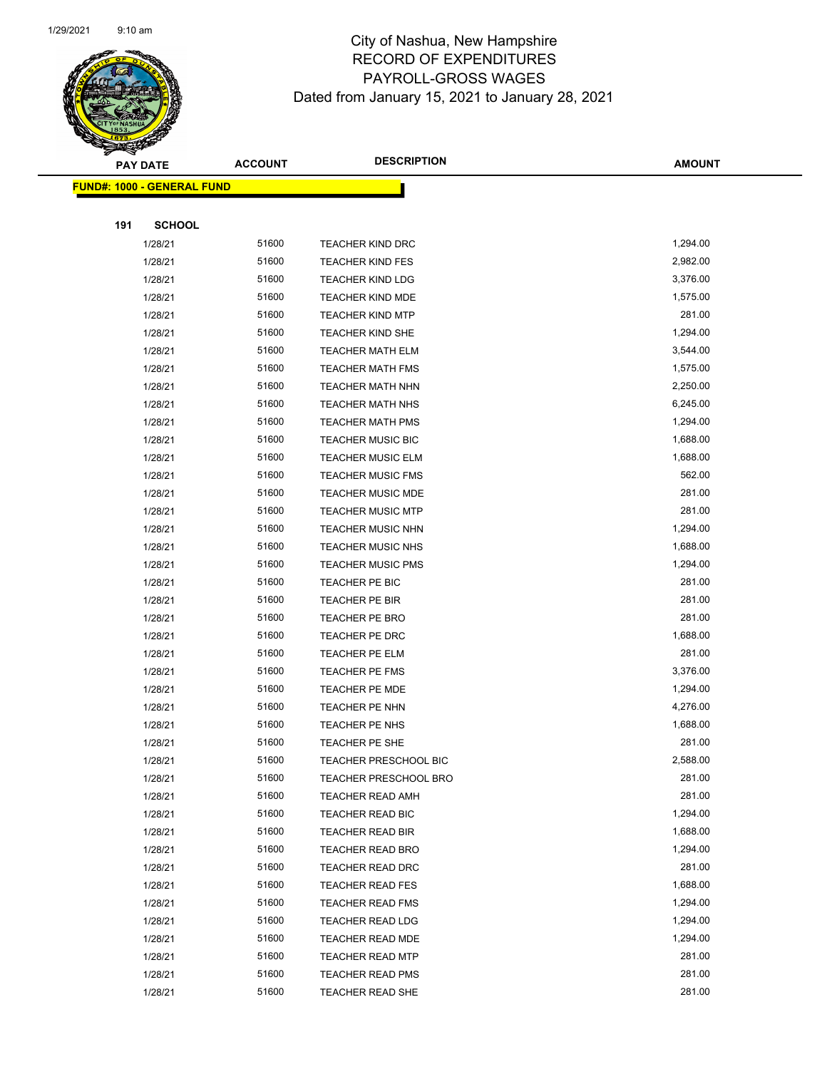

|     | <b>PAY DATE</b>            | <b>ACCOUNT</b> | <b>DESCRIPTION</b>               | <b>AMOUNT</b>        |
|-----|----------------------------|----------------|----------------------------------|----------------------|
|     | FUND#: 1000 - GENERAL FUND |                |                                  |                      |
|     |                            |                |                                  |                      |
| 191 | <b>SCHOOL</b>              |                |                                  |                      |
|     | 1/28/21                    | 51600          | <b>TEACHER KIND DRC</b>          | 1,294.00             |
|     | 1/28/21                    | 51600          | <b>TEACHER KIND FES</b>          | 2,982.00             |
|     | 1/28/21                    | 51600          | <b>TEACHER KIND LDG</b>          | 3,376.00             |
|     | 1/28/21                    | 51600          | TEACHER KIND MDE                 | 1,575.00             |
|     | 1/28/21                    | 51600          | <b>TEACHER KIND MTP</b>          | 281.00               |
|     | 1/28/21                    | 51600          | TEACHER KIND SHE                 | 1,294.00             |
|     | 1/28/21                    | 51600          | <b>TEACHER MATH ELM</b>          | 3,544.00             |
|     | 1/28/21                    | 51600          | <b>TEACHER MATH FMS</b>          | 1,575.00             |
|     | 1/28/21                    | 51600          | <b>TEACHER MATH NHN</b>          | 2,250.00             |
|     | 1/28/21                    | 51600          | <b>TEACHER MATH NHS</b>          | 6,245.00             |
|     | 1/28/21                    | 51600          | <b>TEACHER MATH PMS</b>          | 1,294.00             |
|     | 1/28/21                    | 51600          | <b>TEACHER MUSIC BIC</b>         | 1,688.00             |
|     | 1/28/21                    | 51600          | <b>TEACHER MUSIC ELM</b>         | 1,688.00             |
|     | 1/28/21                    | 51600          | <b>TEACHER MUSIC FMS</b>         | 562.00               |
|     | 1/28/21                    | 51600          | <b>TEACHER MUSIC MDE</b>         | 281.00               |
|     | 1/28/21                    | 51600          | <b>TEACHER MUSIC MTP</b>         | 281.00               |
|     | 1/28/21                    | 51600          | <b>TEACHER MUSIC NHN</b>         | 1,294.00             |
|     | 1/28/21                    | 51600          | <b>TEACHER MUSIC NHS</b>         | 1,688.00             |
|     | 1/28/21                    | 51600          | <b>TEACHER MUSIC PMS</b>         | 1,294.00             |
|     | 1/28/21                    | 51600          | TEACHER PE BIC                   | 281.00               |
|     | 1/28/21                    | 51600          | TEACHER PE BIR                   | 281.00               |
|     | 1/28/21                    | 51600          | <b>TEACHER PE BRO</b>            | 281.00               |
|     | 1/28/21                    | 51600          | TEACHER PE DRC                   | 1,688.00             |
|     | 1/28/21                    | 51600          | TEACHER PE ELM                   | 281.00               |
|     | 1/28/21                    | 51600<br>51600 | TEACHER PE FMS<br>TEACHER PE MDE | 3,376.00<br>1,294.00 |
|     | 1/28/21<br>1/28/21         | 51600          |                                  | 4,276.00             |
|     | 1/28/21                    | 51600          | TEACHER PE NHN<br>TEACHER PE NHS | 1,688.00             |
|     | 1/28/21                    | 51600          | TEACHER PE SHE                   | 281.00               |
|     | 1/28/21                    | 51600          | TEACHER PRESCHOOL BIC            | 2,588.00             |
|     | 1/28/21                    | 51600          | <b>TEACHER PRESCHOOL BRO</b>     | 281.00               |
|     | 1/28/21                    | 51600          | <b>TEACHER READ AMH</b>          | 281.00               |
|     | 1/28/21                    | 51600          | <b>TEACHER READ BIC</b>          | 1,294.00             |
|     | 1/28/21                    | 51600          | <b>TEACHER READ BIR</b>          | 1,688.00             |
|     | 1/28/21                    | 51600          | TEACHER READ BRO                 | 1,294.00             |
|     | 1/28/21                    | 51600          | <b>TEACHER READ DRC</b>          | 281.00               |
|     | 1/28/21                    | 51600          | <b>TEACHER READ FES</b>          | 1,688.00             |
|     | 1/28/21                    | 51600          | <b>TEACHER READ FMS</b>          | 1,294.00             |
|     | 1/28/21                    | 51600          | <b>TEACHER READ LDG</b>          | 1,294.00             |
|     | 1/28/21                    | 51600          | <b>TEACHER READ MDE</b>          | 1,294.00             |
|     | 1/28/21                    | 51600          | <b>TEACHER READ MTP</b>          | 281.00               |
|     | 1/28/21                    | 51600          | <b>TEACHER READ PMS</b>          | 281.00               |
|     | 1/28/21                    | 51600          | TEACHER READ SHE                 | 281.00               |
|     |                            |                |                                  |                      |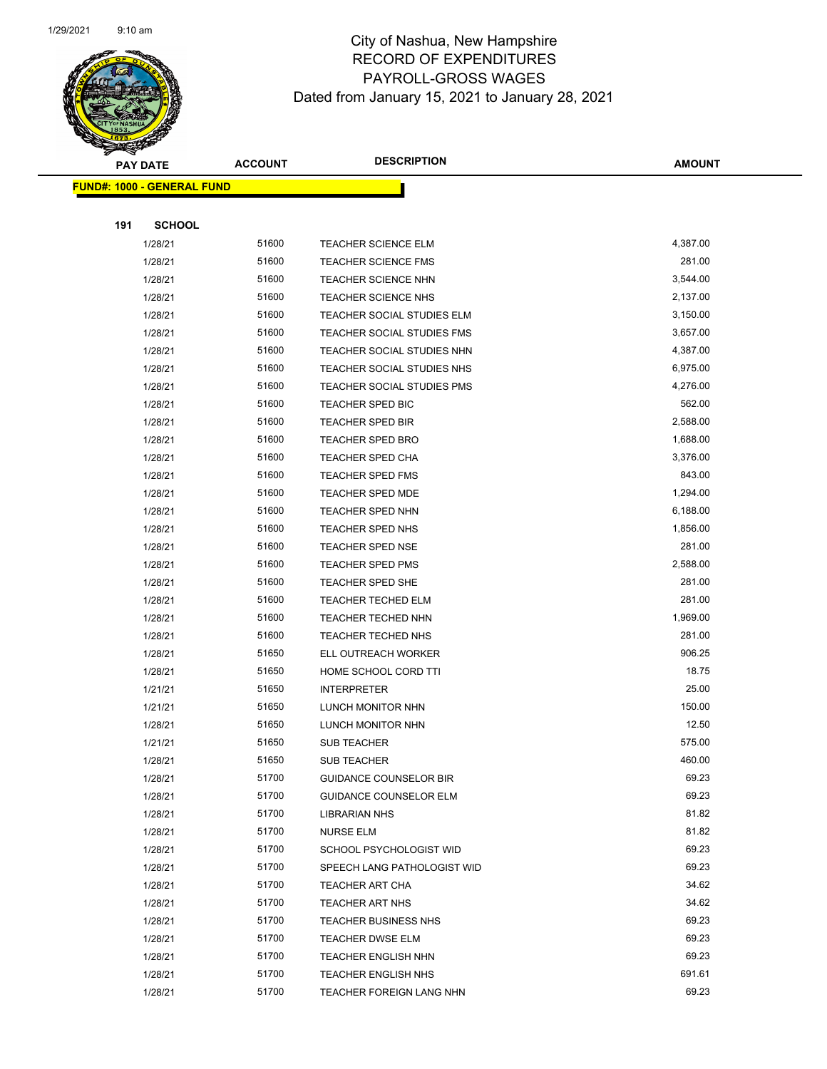

| S<br>$\tilde{\phantom{a}}$ | <b>PAY DATE</b>                   | <b>ACCOUNT</b> | <b>DESCRIPTION</b>                                             | <b>AMOUNT</b>    |
|----------------------------|-----------------------------------|----------------|----------------------------------------------------------------|------------------|
|                            | <b>FUND#: 1000 - GENERAL FUND</b> |                |                                                                |                  |
|                            |                                   |                |                                                                |                  |
| 191                        | <b>SCHOOL</b>                     |                |                                                                |                  |
|                            | 1/28/21                           | 51600          | <b>TEACHER SCIENCE ELM</b>                                     | 4,387.00         |
|                            | 1/28/21                           | 51600          | <b>TEACHER SCIENCE FMS</b>                                     | 281.00           |
|                            | 1/28/21                           | 51600          | <b>TEACHER SCIENCE NHN</b>                                     | 3,544.00         |
|                            | 1/28/21                           | 51600          | <b>TEACHER SCIENCE NHS</b>                                     | 2,137.00         |
|                            | 1/28/21                           | 51600          | TEACHER SOCIAL STUDIES ELM                                     | 3,150.00         |
|                            | 1/28/21                           | 51600          | TEACHER SOCIAL STUDIES FMS                                     | 3,657.00         |
|                            | 1/28/21                           | 51600          | TEACHER SOCIAL STUDIES NHN                                     | 4,387.00         |
|                            | 1/28/21                           | 51600          | TEACHER SOCIAL STUDIES NHS                                     | 6,975.00         |
|                            | 1/28/21                           | 51600          | TEACHER SOCIAL STUDIES PMS                                     | 4,276.00         |
|                            | 1/28/21                           | 51600          | TEACHER SPED BIC                                               | 562.00           |
|                            | 1/28/21                           | 51600          | TEACHER SPED BIR                                               | 2,588.00         |
|                            | 1/28/21                           | 51600          | TEACHER SPED BRO                                               | 1,688.00         |
|                            | 1/28/21                           | 51600          | TEACHER SPED CHA                                               | 3,376.00         |
|                            | 1/28/21                           | 51600          | <b>TEACHER SPED FMS</b>                                        | 843.00           |
|                            | 1/28/21                           | 51600          | <b>TEACHER SPED MDE</b>                                        | 1,294.00         |
|                            | 1/28/21                           | 51600          | <b>TEACHER SPED NHN</b>                                        | 6,188.00         |
|                            | 1/28/21                           | 51600          | TEACHER SPED NHS                                               | 1,856.00         |
|                            | 1/28/21                           | 51600          | <b>TEACHER SPED NSE</b>                                        | 281.00           |
|                            | 1/28/21                           | 51600          | <b>TEACHER SPED PMS</b>                                        | 2,588.00         |
|                            | 1/28/21                           | 51600          | TEACHER SPED SHE                                               | 281.00           |
|                            | 1/28/21                           | 51600          | TEACHER TECHED ELM                                             | 281.00           |
|                            | 1/28/21                           | 51600          | TEACHER TECHED NHN                                             | 1,969.00         |
|                            | 1/28/21                           | 51600          | TEACHER TECHED NHS                                             | 281.00           |
|                            | 1/28/21                           | 51650          | ELL OUTREACH WORKER                                            | 906.25           |
|                            | 1/28/21                           | 51650          | HOME SCHOOL CORD TTI                                           | 18.75            |
|                            | 1/21/21                           | 51650          | <b>INTERPRETER</b>                                             | 25.00            |
|                            | 1/21/21                           | 51650          | LUNCH MONITOR NHN                                              | 150.00           |
|                            | 1/28/21                           | 51650          | LUNCH MONITOR NHN                                              | 12.50            |
|                            | 1/21/21                           | 51650          | SUB TEACHER                                                    | 575.00<br>460.00 |
|                            | 1/28/21                           | 51650<br>51700 | SUB TEACHER                                                    | 69.23            |
|                            | 1/28/21<br>1/28/21                | 51700          | <b>GUIDANCE COUNSELOR BIR</b><br><b>GUIDANCE COUNSELOR ELM</b> | 69.23            |
|                            | 1/28/21                           | 51700          | <b>LIBRARIAN NHS</b>                                           | 81.82            |
|                            | 1/28/21                           | 51700          | <b>NURSE ELM</b>                                               | 81.82            |
|                            | 1/28/21                           | 51700          | SCHOOL PSYCHOLOGIST WID                                        | 69.23            |
|                            | 1/28/21                           | 51700          | SPEECH LANG PATHOLOGIST WID                                    | 69.23            |
|                            | 1/28/21                           | 51700          | TEACHER ART CHA                                                | 34.62            |
|                            | 1/28/21                           | 51700          | TEACHER ART NHS                                                | 34.62            |
|                            | 1/28/21                           | 51700          | <b>TEACHER BUSINESS NHS</b>                                    | 69.23            |
|                            | 1/28/21                           | 51700          | <b>TEACHER DWSE ELM</b>                                        | 69.23            |
|                            | 1/28/21                           | 51700          | <b>TEACHER ENGLISH NHN</b>                                     | 69.23            |
|                            | 1/28/21                           | 51700          | <b>TEACHER ENGLISH NHS</b>                                     | 691.61           |
|                            | 1/28/21                           | 51700          | TEACHER FOREIGN LANG NHN                                       | 69.23            |
|                            |                                   |                |                                                                |                  |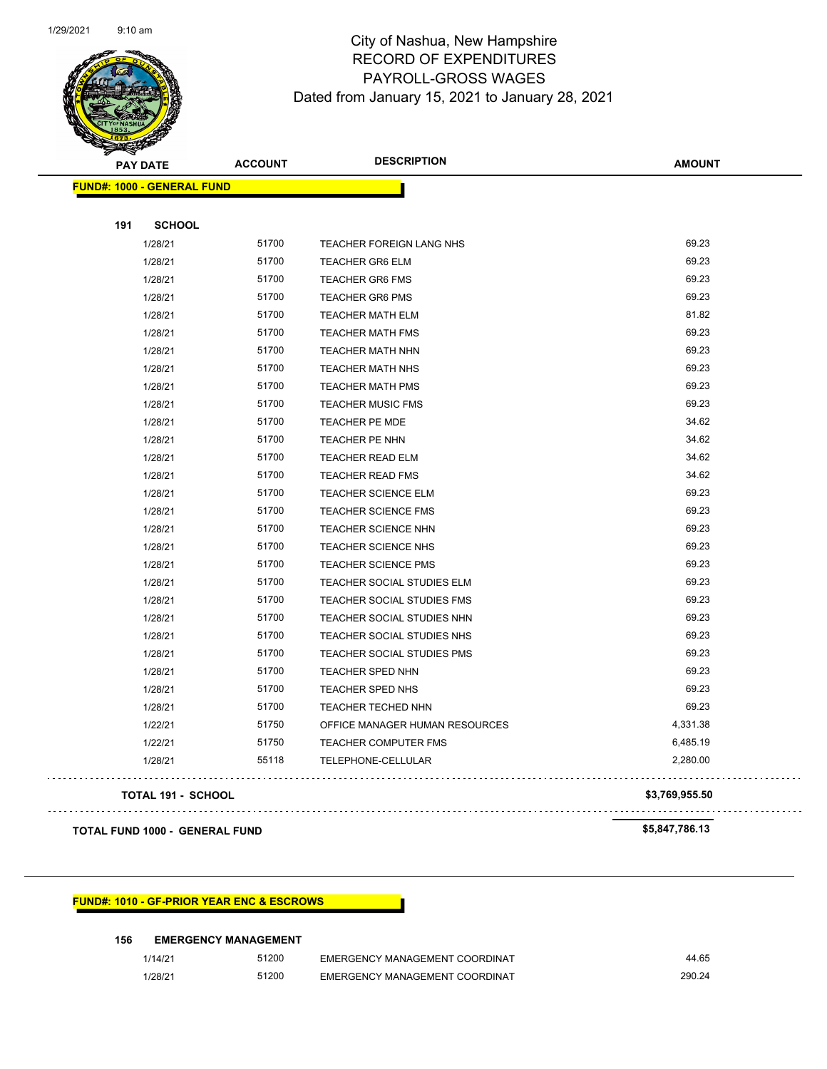

|     | <b>PAY DATE</b>                   | <b>ACCOUNT</b> | <b>DESCRIPTION</b>             | <b>AMOUNT</b>  |
|-----|-----------------------------------|----------------|--------------------------------|----------------|
|     | <b>FUND#: 1000 - GENERAL FUND</b> |                |                                |                |
|     |                                   |                |                                |                |
| 191 | <b>SCHOOL</b>                     |                |                                |                |
|     | 1/28/21                           | 51700          | TEACHER FOREIGN LANG NHS       | 69.23          |
|     | 1/28/21                           | 51700          | <b>TEACHER GR6 ELM</b>         | 69.23          |
|     | 1/28/21                           | 51700          | <b>TEACHER GR6 FMS</b>         | 69.23          |
|     | 1/28/21                           | 51700          | <b>TEACHER GR6 PMS</b>         | 69.23          |
|     | 1/28/21                           | 51700          | <b>TEACHER MATH ELM</b>        | 81.82          |
|     | 1/28/21                           | 51700          | <b>TEACHER MATH FMS</b>        | 69.23          |
|     | 1/28/21                           | 51700          | <b>TEACHER MATH NHN</b>        | 69.23          |
|     | 1/28/21                           | 51700          | <b>TEACHER MATH NHS</b>        | 69.23          |
|     | 1/28/21                           | 51700          | <b>TEACHER MATH PMS</b>        | 69.23          |
|     | 1/28/21                           | 51700          | <b>TEACHER MUSIC FMS</b>       | 69.23          |
|     | 1/28/21                           | 51700          | <b>TEACHER PE MDE</b>          | 34.62          |
|     | 1/28/21                           | 51700          | <b>TEACHER PE NHN</b>          | 34.62          |
|     | 1/28/21                           | 51700          | <b>TEACHER READ ELM</b>        | 34.62          |
|     | 1/28/21                           | 51700          | <b>TEACHER READ FMS</b>        | 34.62          |
|     | 1/28/21                           | 51700          | <b>TEACHER SCIENCE ELM</b>     | 69.23          |
|     | 1/28/21                           | 51700          | <b>TEACHER SCIENCE FMS</b>     | 69.23          |
|     | 1/28/21                           | 51700          | <b>TEACHER SCIENCE NHN</b>     | 69.23          |
|     | 1/28/21                           | 51700          | TEACHER SCIENCE NHS            | 69.23          |
|     | 1/28/21                           | 51700          | <b>TEACHER SCIENCE PMS</b>     | 69.23          |
|     | 1/28/21                           | 51700          | TEACHER SOCIAL STUDIES ELM     | 69.23          |
|     | 1/28/21                           | 51700          | TEACHER SOCIAL STUDIES FMS     | 69.23          |
|     | 1/28/21                           | 51700          | TEACHER SOCIAL STUDIES NHN     | 69.23          |
|     | 1/28/21                           | 51700          | TEACHER SOCIAL STUDIES NHS     | 69.23          |
|     | 1/28/21                           | 51700          | TEACHER SOCIAL STUDIES PMS     | 69.23          |
|     | 1/28/21                           | 51700          | TEACHER SPED NHN               | 69.23          |
|     | 1/28/21                           | 51700          | TEACHER SPED NHS               | 69.23          |
|     | 1/28/21                           | 51700          | TEACHER TECHED NHN             | 69.23          |
|     | 1/22/21                           | 51750          | OFFICE MANAGER HUMAN RESOURCES | 4,331.38       |
|     | 1/22/21                           | 51750          | TEACHER COMPUTER FMS           | 6,485.19       |
|     | 1/28/21                           | 55118          | TELEPHONE-CELLULAR             | 2,280.00       |
|     | <b>TOTAL 191 - SCHOOL</b>         |                |                                | \$3,769,955.50 |

**TOTAL FUND 1000 - GENERAL FUND \$5,847,786.13** 

 $\sim$   $\sim$   $\sim$ 

#### **FUND#: 1010 - GF-PRIOR YEAR ENC & ESCROWS**

#### **156 EMERGENCY MANAGEMENT**

| 1/14/21 | 51200 | EMERGENCY MANAGEMENT COORDINAT | 44.65  |
|---------|-------|--------------------------------|--------|
| 1/28/21 | 51200 | EMERGENCY MANAGEMENT COORDINAT | 290.24 |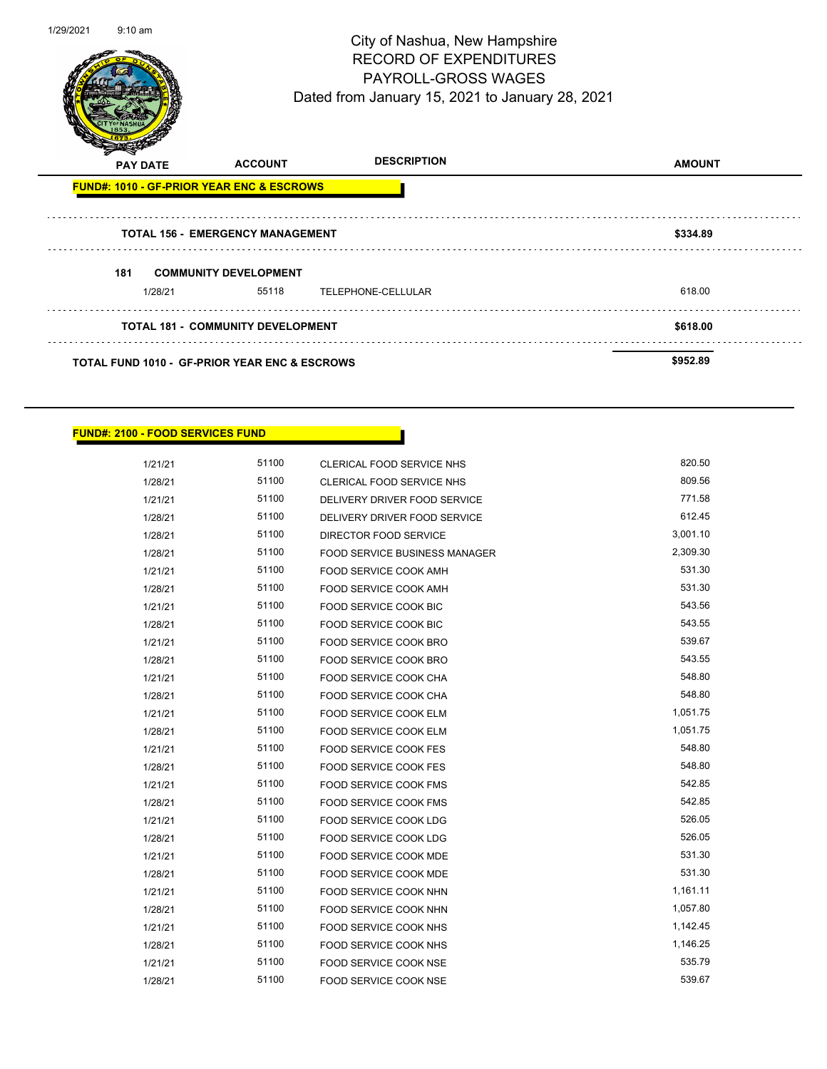

| <b>PAY DATE</b>                                          | <b>ACCOUNT</b>                           | <b>DESCRIPTION</b> | <b>AMOUNT</b> |
|----------------------------------------------------------|------------------------------------------|--------------------|---------------|
| <b>FUND#: 1010 - GF-PRIOR YEAR ENC &amp; ESCROWS</b>     |                                          |                    |               |
|                                                          | <b>TOTAL 156 - EMERGENCY MANAGEMENT</b>  |                    | \$334.89      |
| 181                                                      | <b>COMMUNITY DEVELOPMENT</b>             |                    |               |
| 1/28/21                                                  | 55118                                    | TELEPHONE-CELLULAR | 618.00        |
|                                                          | <b>TOTAL 181 - COMMUNITY DEVELOPMENT</b> | \$618.00           |               |
| <b>TOTAL FUND 1010 - GF-PRIOR YEAR ENC &amp; ESCROWS</b> |                                          |                    | \$952.89      |

| <b>FUND#: 2100 - FOOD SERVICES FUND</b> |  |
|-----------------------------------------|--|
|                                         |  |
|                                         |  |

| 1/21/21 | 51100 | <b>CLERICAL FOOD SERVICE NHS</b>     | 820.50   |
|---------|-------|--------------------------------------|----------|
| 1/28/21 | 51100 | <b>CLERICAL FOOD SERVICE NHS</b>     | 809.56   |
| 1/21/21 | 51100 | DELIVERY DRIVER FOOD SERVICE         | 771.58   |
| 1/28/21 | 51100 | DELIVERY DRIVER FOOD SERVICE         | 612.45   |
| 1/28/21 | 51100 | DIRECTOR FOOD SERVICE                | 3,001.10 |
| 1/28/21 | 51100 | <b>FOOD SERVICE BUSINESS MANAGER</b> | 2,309.30 |
| 1/21/21 | 51100 | FOOD SERVICE COOK AMH                | 531.30   |
| 1/28/21 | 51100 | <b>FOOD SERVICE COOK AMH</b>         | 531.30   |
| 1/21/21 | 51100 | FOOD SERVICE COOK BIC                | 543.56   |
| 1/28/21 | 51100 | FOOD SERVICE COOK BIC                | 543.55   |
| 1/21/21 | 51100 | FOOD SERVICE COOK BRO                | 539.67   |
| 1/28/21 | 51100 | FOOD SERVICE COOK BRO                | 543.55   |
| 1/21/21 | 51100 | FOOD SERVICE COOK CHA                | 548.80   |
| 1/28/21 | 51100 | FOOD SERVICE COOK CHA                | 548.80   |
| 1/21/21 | 51100 | FOOD SERVICE COOK ELM                | 1,051.75 |
| 1/28/21 | 51100 | <b>FOOD SERVICE COOK ELM</b>         | 1,051.75 |
| 1/21/21 | 51100 | <b>FOOD SERVICE COOK FES</b>         | 548.80   |
| 1/28/21 | 51100 | FOOD SERVICE COOK FES                | 548.80   |
| 1/21/21 | 51100 | <b>FOOD SERVICE COOK FMS</b>         | 542.85   |
| 1/28/21 | 51100 | <b>FOOD SERVICE COOK FMS</b>         | 542.85   |
| 1/21/21 | 51100 | <b>FOOD SERVICE COOK LDG</b>         | 526.05   |
| 1/28/21 | 51100 | FOOD SERVICE COOK LDG                | 526.05   |
| 1/21/21 | 51100 | FOOD SERVICE COOK MDE                | 531.30   |
| 1/28/21 | 51100 | FOOD SERVICE COOK MDE                | 531.30   |
| 1/21/21 | 51100 | FOOD SERVICE COOK NHN                | 1,161.11 |
| 1/28/21 | 51100 | FOOD SERVICE COOK NHN                | 1,057.80 |
| 1/21/21 | 51100 | FOOD SERVICE COOK NHS                | 1,142.45 |
| 1/28/21 | 51100 | FOOD SERVICE COOK NHS                | 1,146.25 |
| 1/21/21 | 51100 | FOOD SERVICE COOK NSE                | 535.79   |
| 1/28/21 | 51100 | FOOD SERVICE COOK NSE                | 539.67   |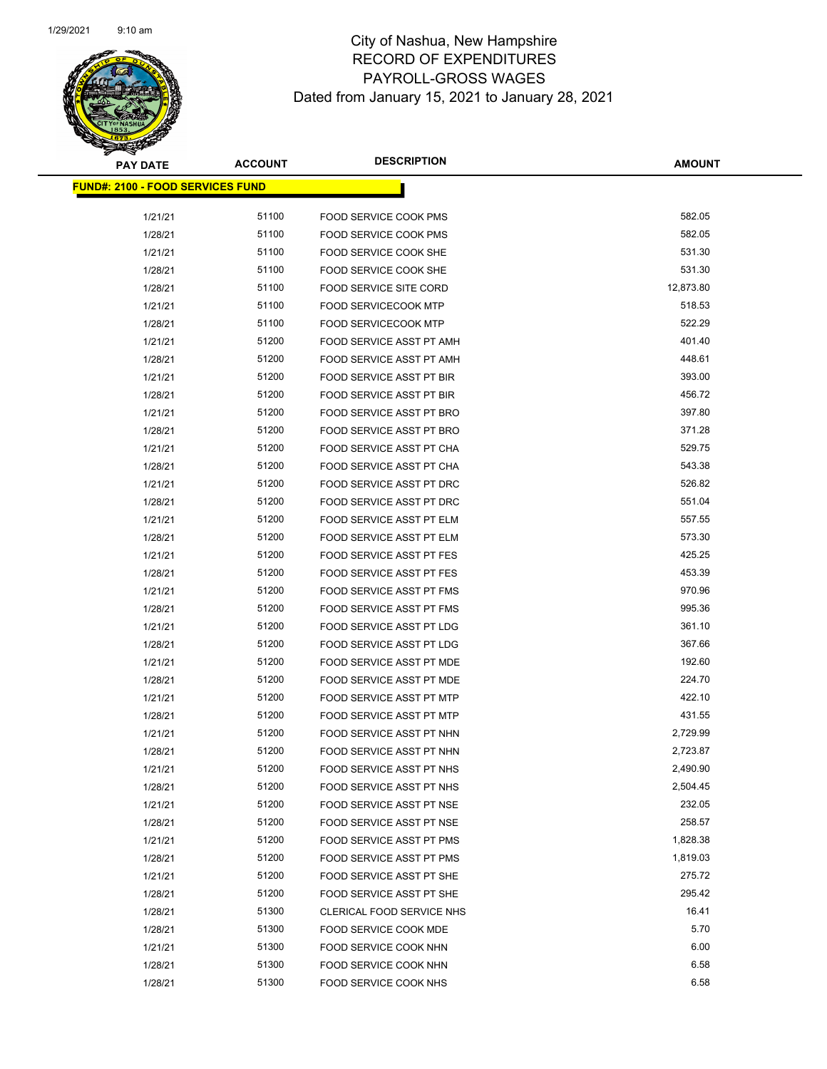

| <b>PAY DATE</b>                         | <b>ACCOUNT</b> | <b>DESCRIPTION</b>              | <b>AMOUNT</b> |
|-----------------------------------------|----------------|---------------------------------|---------------|
| <b>FUND#: 2100 - FOOD SERVICES FUND</b> |                |                                 |               |
|                                         |                |                                 |               |
| 1/21/21                                 | 51100          | <b>FOOD SERVICE COOK PMS</b>    | 582.05        |
| 1/28/21                                 | 51100          | FOOD SERVICE COOK PMS           | 582.05        |
| 1/21/21                                 | 51100          | FOOD SERVICE COOK SHE           | 531.30        |
| 1/28/21                                 | 51100          | FOOD SERVICE COOK SHE           | 531.30        |
| 1/28/21                                 | 51100          | FOOD SERVICE SITE CORD          | 12,873.80     |
| 1/21/21                                 | 51100          | <b>FOOD SERVICECOOK MTP</b>     | 518.53        |
| 1/28/21                                 | 51100          | <b>FOOD SERVICECOOK MTP</b>     | 522.29        |
| 1/21/21                                 | 51200          | FOOD SERVICE ASST PT AMH        | 401.40        |
| 1/28/21                                 | 51200          | FOOD SERVICE ASST PT AMH        | 448.61        |
| 1/21/21                                 | 51200          | FOOD SERVICE ASST PT BIR        | 393.00        |
| 1/28/21                                 | 51200          | FOOD SERVICE ASST PT BIR        | 456.72        |
| 1/21/21                                 | 51200          | FOOD SERVICE ASST PT BRO        | 397.80        |
| 1/28/21                                 | 51200          | FOOD SERVICE ASST PT BRO        | 371.28        |
| 1/21/21                                 | 51200          | FOOD SERVICE ASST PT CHA        | 529.75        |
| 1/28/21                                 | 51200          | FOOD SERVICE ASST PT CHA        | 543.38        |
| 1/21/21                                 | 51200          | FOOD SERVICE ASST PT DRC        | 526.82        |
| 1/28/21                                 | 51200          | FOOD SERVICE ASST PT DRC        | 551.04        |
| 1/21/21                                 | 51200          | <b>FOOD SERVICE ASST PT ELM</b> | 557.55        |
| 1/28/21                                 | 51200          | FOOD SERVICE ASST PT ELM        | 573.30        |
| 1/21/21                                 | 51200          | FOOD SERVICE ASST PT FES        | 425.25        |
| 1/28/21                                 | 51200          | FOOD SERVICE ASST PT FES        | 453.39        |
| 1/21/21                                 | 51200          | FOOD SERVICE ASST PT FMS        | 970.96        |
| 1/28/21                                 | 51200          | FOOD SERVICE ASST PT FMS        | 995.36        |
| 1/21/21                                 | 51200          | FOOD SERVICE ASST PT LDG        | 361.10        |
| 1/28/21                                 | 51200          | FOOD SERVICE ASST PT LDG        | 367.66        |
| 1/21/21                                 | 51200          | FOOD SERVICE ASST PT MDE        | 192.60        |
| 1/28/21                                 | 51200          | FOOD SERVICE ASST PT MDE        | 224.70        |
| 1/21/21                                 | 51200          | <b>FOOD SERVICE ASST PT MTP</b> | 422.10        |
| 1/28/21                                 | 51200          | FOOD SERVICE ASST PT MTP        | 431.55        |
| 1/21/21                                 | 51200          | FOOD SERVICE ASST PT NHN        | 2,729.99      |
| 1/28/21                                 | 51200          | <b>FOOD SERVICE ASST PT NHN</b> | 2,723.87      |
| 1/21/21                                 | 51200          | FOOD SERVICE ASST PT NHS        | 2,490.90      |
| 1/28/21                                 | 51200          | FOOD SERVICE ASST PT NHS        | 2,504.45      |
| 1/21/21                                 | 51200          | FOOD SERVICE ASST PT NSE        | 232.05        |
| 1/28/21                                 | 51200          | FOOD SERVICE ASST PT NSE        | 258.57        |
| 1/21/21                                 | 51200          | FOOD SERVICE ASST PT PMS        | 1,828.38      |
| 1/28/21                                 | 51200          | FOOD SERVICE ASST PT PMS        | 1,819.03      |
| 1/21/21                                 | 51200          | FOOD SERVICE ASST PT SHE        | 275.72        |
| 1/28/21                                 | 51200          | FOOD SERVICE ASST PT SHE        | 295.42        |
| 1/28/21                                 | 51300          | CLERICAL FOOD SERVICE NHS       | 16.41         |
| 1/28/21                                 | 51300          | FOOD SERVICE COOK MDE           | 5.70          |
| 1/21/21                                 | 51300          | FOOD SERVICE COOK NHN           | 6.00          |
| 1/28/21                                 | 51300          | FOOD SERVICE COOK NHN           | 6.58          |
| 1/28/21                                 | 51300          | FOOD SERVICE COOK NHS           | 6.58          |
|                                         |                |                                 |               |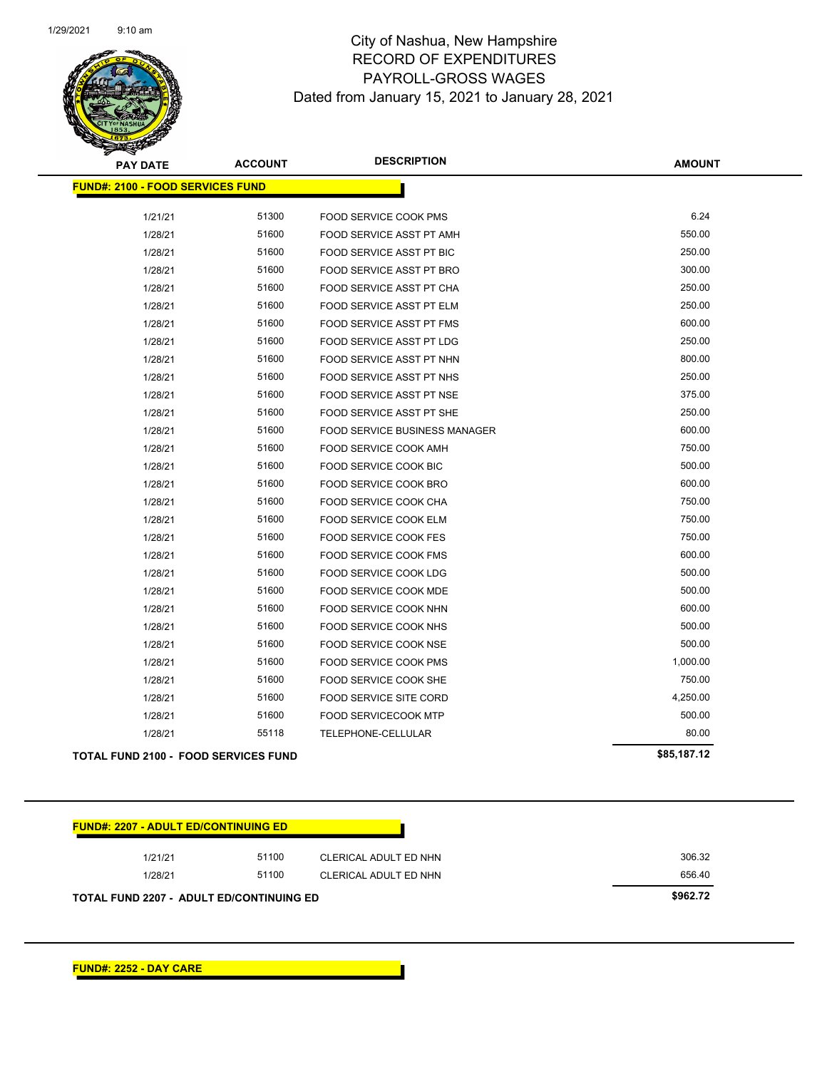

| <b>PAY DATE</b>                             | <b>ACCOUNT</b> | <b>DESCRIPTION</b>                   | <b>AMOUNT</b> |
|---------------------------------------------|----------------|--------------------------------------|---------------|
| <b>FUND#: 2100 - FOOD SERVICES FUND</b>     |                |                                      |               |
| 1/21/21                                     | 51300          | FOOD SERVICE COOK PMS                | 6.24          |
| 1/28/21                                     | 51600          | FOOD SERVICE ASST PT AMH             | 550.00        |
| 1/28/21                                     | 51600          | FOOD SERVICE ASST PT BIC             | 250.00        |
| 1/28/21                                     | 51600          | <b>FOOD SERVICE ASST PT BRO</b>      | 300.00        |
| 1/28/21                                     | 51600          | FOOD SERVICE ASST PT CHA             | 250.00        |
| 1/28/21                                     | 51600          | FOOD SERVICE ASST PT ELM             | 250.00        |
| 1/28/21                                     | 51600          | FOOD SERVICE ASST PT FMS             | 600.00        |
| 1/28/21                                     | 51600          | <b>FOOD SERVICE ASST PT LDG</b>      | 250.00        |
| 1/28/21                                     | 51600          | FOOD SERVICE ASST PT NHN             | 800.00        |
| 1/28/21                                     | 51600          | <b>FOOD SERVICE ASST PT NHS</b>      | 250.00        |
| 1/28/21                                     | 51600          | FOOD SERVICE ASST PT NSE             | 375.00        |
| 1/28/21                                     | 51600          | FOOD SERVICE ASST PT SHE             | 250.00        |
| 1/28/21                                     | 51600          | <b>FOOD SERVICE BUSINESS MANAGER</b> | 600.00        |
| 1/28/21                                     | 51600          | <b>FOOD SERVICE COOK AMH</b>         | 750.00        |
| 1/28/21                                     | 51600          | FOOD SERVICE COOK BIC                | 500.00        |
| 1/28/21                                     | 51600          | FOOD SERVICE COOK BRO                | 600.00        |
| 1/28/21                                     | 51600          | FOOD SERVICE COOK CHA                | 750.00        |
| 1/28/21                                     | 51600          | <b>FOOD SERVICE COOK ELM</b>         | 750.00        |
| 1/28/21                                     | 51600          | <b>FOOD SERVICE COOK FES</b>         | 750.00        |
| 1/28/21                                     | 51600          | <b>FOOD SERVICE COOK FMS</b>         | 600.00        |
| 1/28/21                                     | 51600          | FOOD SERVICE COOK LDG                | 500.00        |
| 1/28/21                                     | 51600          | <b>FOOD SERVICE COOK MDE</b>         | 500.00        |
| 1/28/21                                     | 51600          | FOOD SERVICE COOK NHN                | 600.00        |
| 1/28/21                                     | 51600          | FOOD SERVICE COOK NHS                | 500.00        |
| 1/28/21                                     | 51600          | <b>FOOD SERVICE COOK NSE</b>         | 500.00        |
| 1/28/21                                     | 51600          | <b>FOOD SERVICE COOK PMS</b>         | 1,000.00      |
| 1/28/21                                     | 51600          | FOOD SERVICE COOK SHE                | 750.00        |
| 1/28/21                                     | 51600          | FOOD SERVICE SITE CORD               | 4,250.00      |
| 1/28/21                                     | 51600          | <b>FOOD SERVICECOOK MTP</b>          | 500.00        |
| 1/28/21                                     | 55118          | TELEPHONE-CELLULAR                   | 80.00         |
| <b>TOTAL FUND 2100 - FOOD SERVICES FUND</b> |                |                                      | \$85,187.12   |

| <b>FUND#: 2207 - ADULT ED/CONTINUING ED</b> |                                                 |                       |        |  |  |
|---------------------------------------------|-------------------------------------------------|-----------------------|--------|--|--|
| 1/21/21                                     | 51100                                           | CLERICAL ADULT ED NHN | 306.32 |  |  |
| 1/28/21                                     | 51100                                           | CLERICAL ADULT ED NHN | 656.40 |  |  |
|                                             | <b>TOTAL FUND 2207 - ADULT ED/CONTINUING ED</b> |                       |        |  |  |

**FUND#: 2252 - DAY CARE**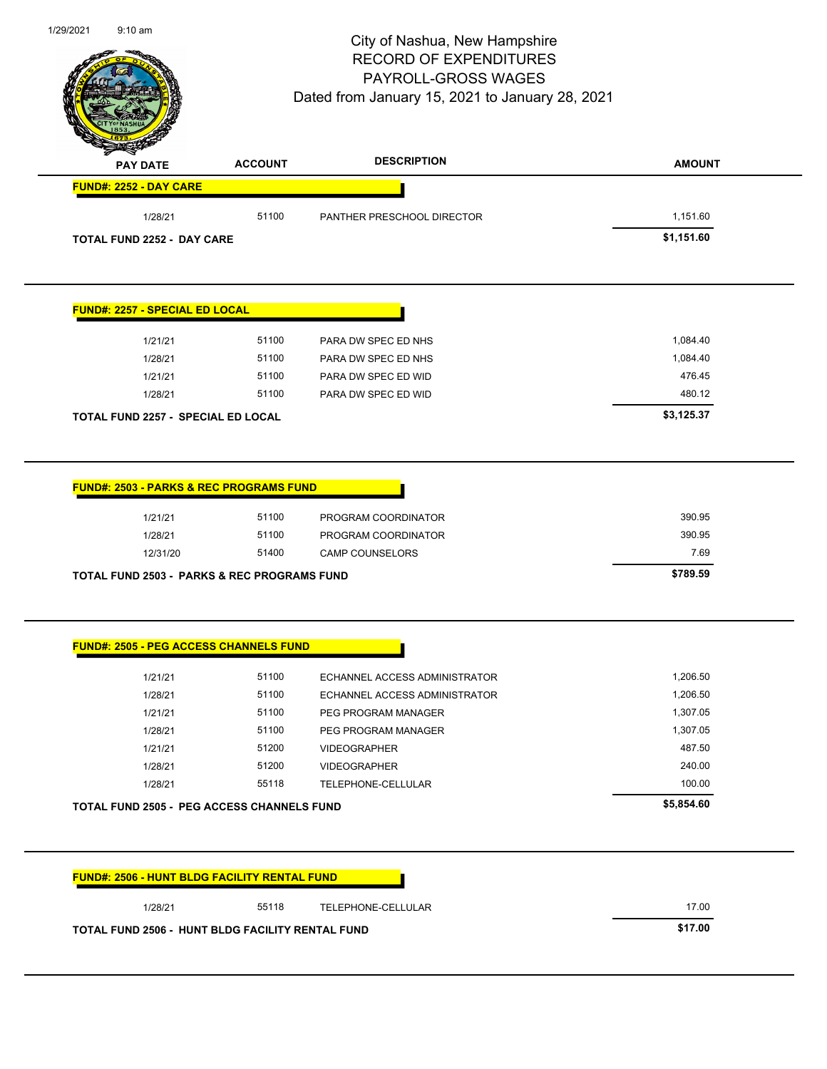| <b>PAY DATE</b>                                                                          | <b>ACCOUNT</b>                                    | <b>DESCRIPTION</b>                                                   | <b>AMOUNT</b>                        |
|------------------------------------------------------------------------------------------|---------------------------------------------------|----------------------------------------------------------------------|--------------------------------------|
| FUND#: 2252 - DAY CARE                                                                   |                                                   |                                                                      |                                      |
| 1/28/21                                                                                  | 51100                                             | PANTHER PRESCHOOL DIRECTOR                                           | 1,151.60                             |
| <b>TOTAL FUND 2252 - DAY CARE</b>                                                        |                                                   |                                                                      | \$1,151.60                           |
| FUND#: 2257 - SPECIAL ED LOCAL                                                           |                                                   |                                                                      |                                      |
| 1/21/21                                                                                  | 51100                                             | PARA DW SPEC ED NHS                                                  | 1,084.40                             |
| 1/28/21                                                                                  | 51100                                             | PARA DW SPEC ED NHS                                                  | 1,084.40                             |
| 1/21/21                                                                                  | 51100                                             | PARA DW SPEC ED WID                                                  | 476.45                               |
| 1/28/21                                                                                  | 51100                                             | PARA DW SPEC ED WID                                                  | 480.12                               |
| <b>TOTAL FUND 2257 - SPECIAL ED LOCAL</b>                                                |                                                   |                                                                      | \$3,125.37                           |
| 1/21/21<br>1/28/21<br>12/31/20<br><b>TOTAL FUND 2503 - PARKS &amp; REC PROGRAMS FUND</b> | 51100<br>51100<br>51400                           | PROGRAM COORDINATOR<br>PROGRAM COORDINATOR<br><b>CAMP COUNSELORS</b> | 390.95<br>390.95<br>7.69<br>\$789.59 |
| <b>FUND#: 2505 - PEG ACCESS CHANNELS FUND</b>                                            |                                                   |                                                                      |                                      |
| 1/21/21                                                                                  | 51100                                             | ECHANNEL ACCESS ADMINISTRATOR                                        | 1,206.50                             |
| 1/28/21                                                                                  | 51100                                             | ECHANNEL ACCESS ADMINISTRATOR                                        | 1,206.50                             |
| 1/21/21                                                                                  | 51100                                             | PEG PROGRAM MANAGER                                                  | 1,307.05                             |
| 1/28/21                                                                                  | 51100                                             | PEG PROGRAM MANAGER                                                  | 1,307.05                             |
| 1/21/21                                                                                  | 51200                                             | <b>VIDEOGRAPHER</b>                                                  | 487.50                               |
| 1/28/21                                                                                  | 51200                                             | <b>VIDEOGRAPHER</b>                                                  | 240.00                               |
| 1/28/21                                                                                  | 55118                                             | TELEPHONE-CELLULAR                                                   | 100.00                               |
|                                                                                          | <b>TOTAL FUND 2505 - PEG ACCESS CHANNELS FUND</b> |                                                                      | \$5,854.60                           |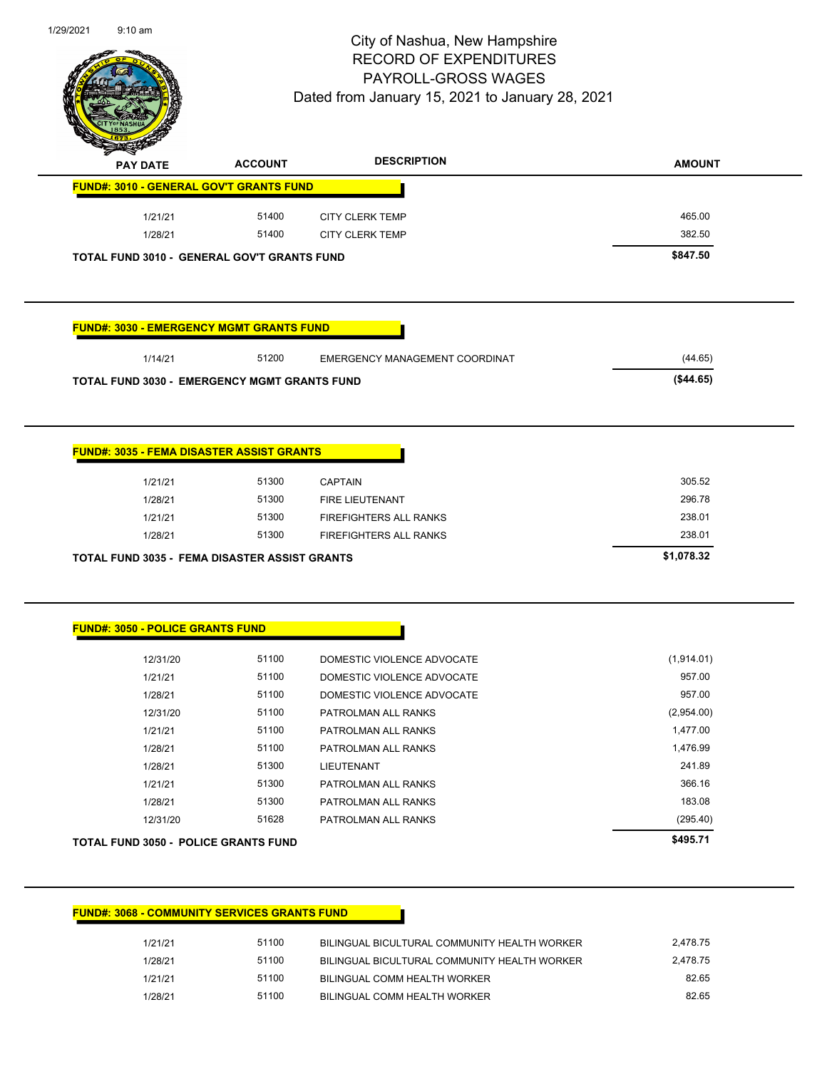

| <b>A</b> | <b>PAY DATE</b> | <b>ACCOUNT</b>                                     | <b>DESCRIPTION</b> | <b>AMOUNT</b> |
|----------|-----------------|----------------------------------------------------|--------------------|---------------|
|          |                 | <b>FUND#: 3010 - GENERAL GOV'T GRANTS FUND</b>     |                    |               |
|          | 1/21/21         | 51400                                              | CITY CLERK TEMP    | 465.00        |
|          | 1/28/21         | 51400                                              | CITY CLERK TEMP    | 382.50        |
|          |                 | <b>TOTAL FUND 3010 - GENERAL GOV'T GRANTS FUND</b> |                    | \$847.50      |

### **FUND#: 3030 - EMERGENCY MGMT GRANTS FUND**

| 1/14/21 | 51200 | EMERGENCY MANAGEMENT COORDINAT | (44.65)  |
|---------|-------|--------------------------------|----------|
|         |       |                                | (S44.65) |

| <b>FUND#: 3035 - FEMA DISASTER ASSIST GRANTS</b>     |       |                        |            |
|------------------------------------------------------|-------|------------------------|------------|
|                                                      |       |                        |            |
| 1/21/21                                              | 51300 | <b>CAPTAIN</b>         | 305.52     |
| 1/28/21                                              | 51300 | <b>FIRE LIEUTENANT</b> | 296.78     |
| 1/21/21                                              | 51300 | FIREFIGHTERS ALL RANKS | 238.01     |
| 1/28/21                                              | 51300 | FIREFIGHTERS ALL RANKS | 238.01     |
| <b>TOTAL FUND 3035 - FEMA DISASTER ASSIST GRANTS</b> |       |                        | \$1,078.32 |

#### **FUND#: 3050 - POLICE GRANTS FUND**

| TOTAL FUND 3050 - POLICE GRANTS FUND |       |                            | \$495.71   |
|--------------------------------------|-------|----------------------------|------------|
| 12/31/20                             | 51628 | PATROLMAN ALL RANKS        | (295.40)   |
| 1/28/21                              | 51300 | PATROLMAN ALL RANKS        | 183.08     |
| 1/21/21                              | 51300 | PATROLMAN ALL RANKS        | 366.16     |
| 1/28/21                              | 51300 | <b>LIEUTENANT</b>          | 241.89     |
| 1/28/21                              | 51100 | PATROLMAN ALL RANKS        | 1,476.99   |
| 1/21/21                              | 51100 | PATROLMAN ALL RANKS        | 1,477.00   |
| 12/31/20                             | 51100 | PATROLMAN ALL RANKS        | (2,954.00) |
| 1/28/21                              | 51100 | DOMESTIC VIOLENCE ADVOCATE | 957.00     |
| 1/21/21                              | 51100 | DOMESTIC VIOLENCE ADVOCATE | 957.00     |
| 12/31/20                             | 51100 | DOMESTIC VIOLENCE ADVOCATE | (1,914.01) |
|                                      |       |                            |            |

#### **FUND#: 3068 - COMMUNITY SERVICES GRANTS FUND**

| 1/21/21 | 51100 | BILINGUAL BICULTURAL COMMUNITY HEALTH WORKER | 2.478.75 |
|---------|-------|----------------------------------------------|----------|
| 1/28/21 | 51100 | BILINGUAL BICULTURAL COMMUNITY HEALTH WORKER | 2.478.75 |
| 1/21/21 | 51100 | BILINGUAL COMM HEALTH WORKER                 | 82.65    |
| 1/28/21 | 51100 | BILINGUAL COMM HEALTH WORKER                 | 82.65    |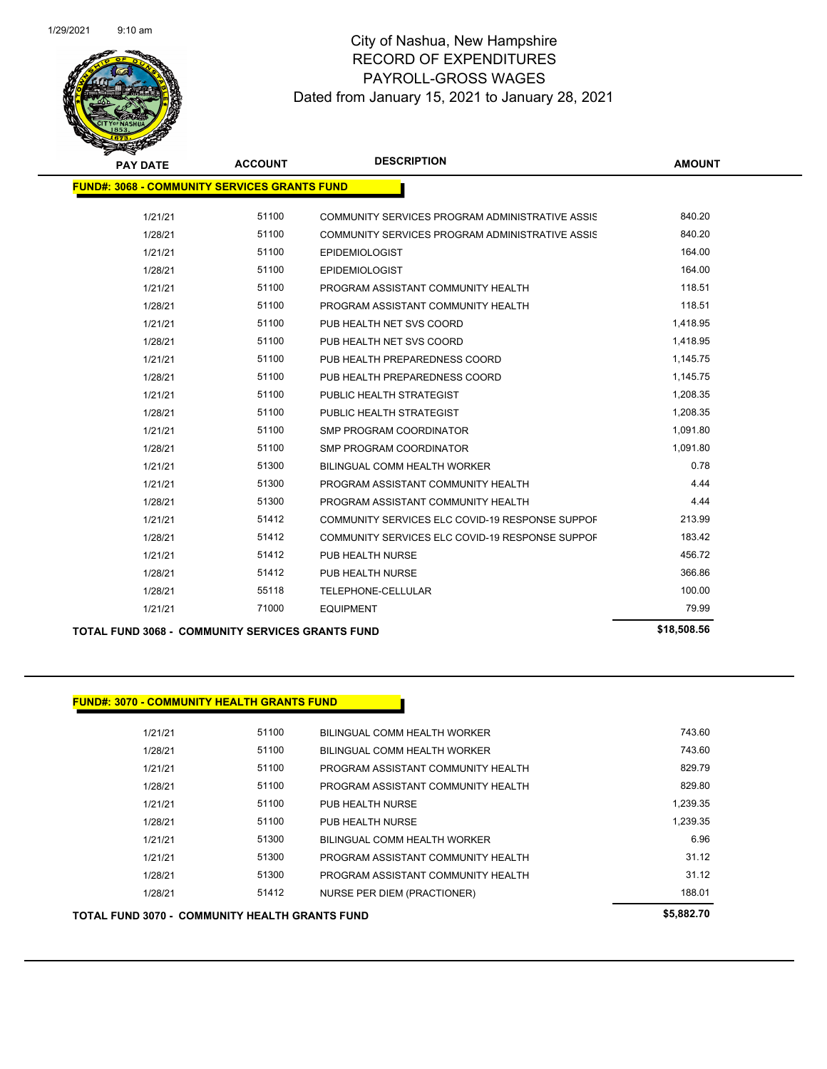

| <b>PAY DATE</b>                                         | <b>ACCOUNT</b> | <b>DESCRIPTION</b>                              | <b>AMOUNT</b> |  |  |  |
|---------------------------------------------------------|----------------|-------------------------------------------------|---------------|--|--|--|
| <b>FUND#: 3068 - COMMUNITY SERVICES GRANTS FUND</b>     |                |                                                 |               |  |  |  |
|                                                         |                |                                                 |               |  |  |  |
| 1/21/21                                                 | 51100          | COMMUNITY SERVICES PROGRAM ADMINISTRATIVE ASSIS | 840.20        |  |  |  |
| 1/28/21                                                 | 51100          | COMMUNITY SERVICES PROGRAM ADMINISTRATIVE ASSIS | 840.20        |  |  |  |
| 1/21/21                                                 | 51100          | <b>EPIDEMIOLOGIST</b>                           | 164.00        |  |  |  |
| 1/28/21                                                 | 51100          | <b>EPIDEMIOLOGIST</b>                           | 164.00        |  |  |  |
| 1/21/21                                                 | 51100          | PROGRAM ASSISTANT COMMUNITY HEALTH              | 118.51        |  |  |  |
| 1/28/21                                                 | 51100          | PROGRAM ASSISTANT COMMUNITY HEALTH              | 118.51        |  |  |  |
| 1/21/21                                                 | 51100          | PUB HEALTH NET SVS COORD                        | 1,418.95      |  |  |  |
| 1/28/21                                                 | 51100          | PUB HEALTH NET SVS COORD                        | 1,418.95      |  |  |  |
| 1/21/21                                                 | 51100          | PUB HEALTH PREPAREDNESS COORD                   | 1,145.75      |  |  |  |
| 1/28/21                                                 | 51100          | PUB HEALTH PREPAREDNESS COORD                   | 1,145.75      |  |  |  |
| 1/21/21                                                 | 51100          | PUBLIC HEALTH STRATEGIST                        | 1,208.35      |  |  |  |
| 1/28/21                                                 | 51100          | PUBLIC HEALTH STRATEGIST                        | 1,208.35      |  |  |  |
| 1/21/21                                                 | 51100          | SMP PROGRAM COORDINATOR                         | 1,091.80      |  |  |  |
| 1/28/21                                                 | 51100          | SMP PROGRAM COORDINATOR                         | 1,091.80      |  |  |  |
| 1/21/21                                                 | 51300          | BILINGUAL COMM HEALTH WORKER                    | 0.78          |  |  |  |
| 1/21/21                                                 | 51300          | PROGRAM ASSISTANT COMMUNITY HEALTH              | 4.44          |  |  |  |
| 1/28/21                                                 | 51300          | PROGRAM ASSISTANT COMMUNITY HEALTH              | 4.44          |  |  |  |
| 1/21/21                                                 | 51412          | COMMUNITY SERVICES ELC COVID-19 RESPONSE SUPPOF | 213.99        |  |  |  |
| 1/28/21                                                 | 51412          | COMMUNITY SERVICES ELC COVID-19 RESPONSE SUPPOF | 183.42        |  |  |  |
| 1/21/21                                                 | 51412          | PUB HEALTH NURSE                                | 456.72        |  |  |  |
| 1/28/21                                                 | 51412          | PUB HEALTH NURSE                                | 366.86        |  |  |  |
| 1/28/21                                                 | 55118          | TELEPHONE-CELLULAR                              | 100.00        |  |  |  |
| 1/21/21                                                 | 71000          | <b>EQUIPMENT</b>                                | 79.99         |  |  |  |
| <b>TOTAL FUND 3068 - COMMUNITY SERVICES GRANTS FUND</b> |                |                                                 | \$18,508.56   |  |  |  |

|         |       |                                    | $\bullet$ = $\bullet$ $\bullet$ = $\bullet$ |
|---------|-------|------------------------------------|---------------------------------------------|
| 1/28/21 | 51412 | NURSE PER DIEM (PRACTIONER)        | 188.01                                      |
| 1/28/21 | 51300 | PROGRAM ASSISTANT COMMUNITY HEALTH | 31.12                                       |
| 1/21/21 | 51300 | PROGRAM ASSISTANT COMMUNITY HEALTH | 31.12                                       |
| 1/21/21 | 51300 | BILINGUAL COMM HEALTH WORKER       | 6.96                                        |
| 1/28/21 | 51100 | PUB HEALTH NURSE                   | 1,239.35                                    |
| 1/21/21 | 51100 | PUB HEALTH NURSE                   | 1,239.35                                    |
| 1/28/21 | 51100 | PROGRAM ASSISTANT COMMUNITY HEALTH | 829.80                                      |
| 1/21/21 | 51100 | PROGRAM ASSISTANT COMMUNITY HEALTH | 829.79                                      |
| 1/28/21 | 51100 | BILINGUAL COMM HEALTH WORKER       | 743.60                                      |
| 1/21/21 | 51100 | BILINGUAL COMM HEALTH WORKER       | 743.60                                      |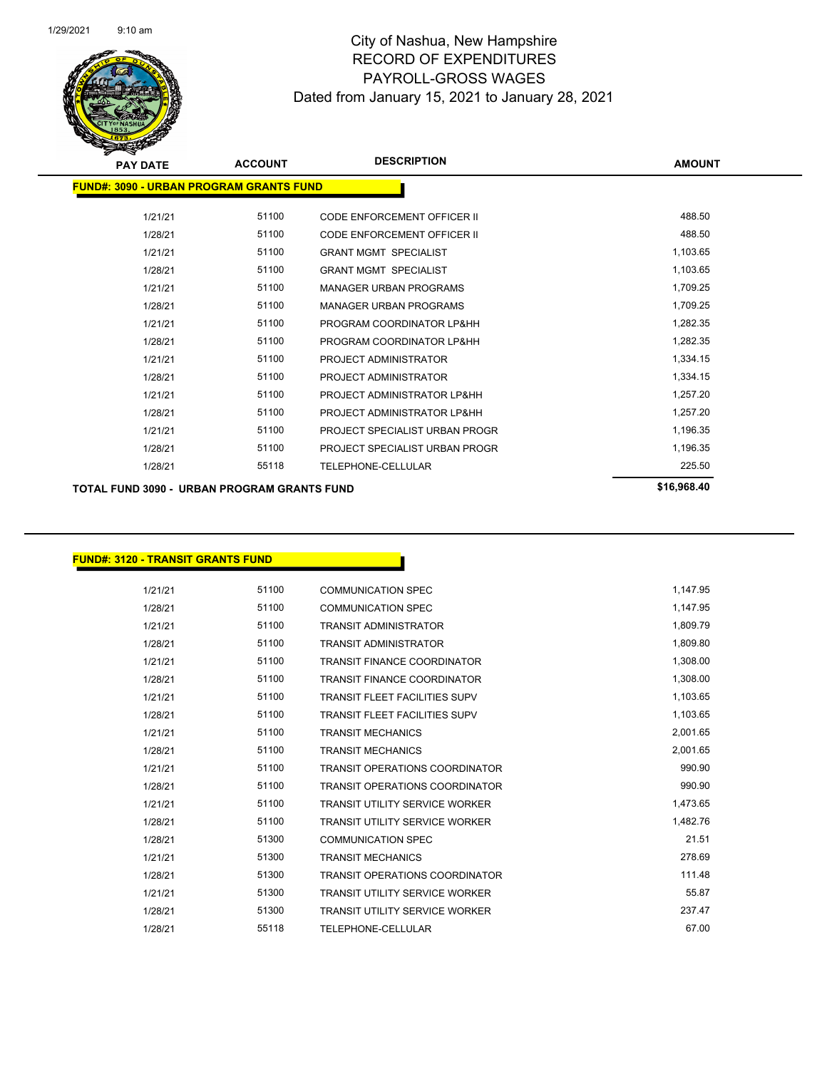

| <b>PAY DATE</b>                                | <b>ACCOUNT</b> | <b>DESCRIPTION</b>                 | <b>AMOUNT</b> |
|------------------------------------------------|----------------|------------------------------------|---------------|
| <b>FUND#: 3090 - URBAN PROGRAM GRANTS FUND</b> |                |                                    |               |
| 1/21/21                                        | 51100          | <b>CODE ENFORCEMENT OFFICER II</b> | 488.50        |
| 1/28/21                                        | 51100          | CODE ENFORCEMENT OFFICER II        | 488.50        |
| 1/21/21                                        | 51100          | <b>GRANT MGMT SPECIALIST</b>       | 1,103.65      |
| 1/28/21                                        | 51100          | <b>GRANT MGMT SPECIALIST</b>       | 1,103.65      |
| 1/21/21                                        | 51100          | <b>MANAGER URBAN PROGRAMS</b>      | 1,709.25      |
| 1/28/21                                        | 51100          | <b>MANAGER URBAN PROGRAMS</b>      | 1,709.25      |
| 1/21/21                                        | 51100          | PROGRAM COORDINATOR LP&HH          | 1,282.35      |
| 1/28/21                                        | 51100          | PROGRAM COORDINATOR LP&HH          | 1,282.35      |
| 1/21/21                                        | 51100          | PROJECT ADMINISTRATOR              | 1,334.15      |
| 1/28/21                                        | 51100          | PROJECT ADMINISTRATOR              | 1,334.15      |
| 1/21/21                                        | 51100          | PROJECT ADMINISTRATOR LP&HH        | 1,257.20      |
| 1/28/21                                        | 51100          | PROJECT ADMINISTRATOR LP&HH        | 1,257.20      |
| 1/21/21                                        | 51100          | PROJECT SPECIALIST URBAN PROGR     | 1,196.35      |
| 1/28/21                                        | 51100          | PROJECT SPECIALIST URBAN PROGR     | 1,196.35      |
| 1/28/21                                        | 55118          | <b>TELEPHONE-CELLULAR</b>          | 225.50        |
| TOTAL FUND 3090 - URBAN PROGRAM GRANTS FUND    |                |                                    | \$16,968.40   |

### **FUND#: 3120 - TRANSIT GRANTS FUND**

| 1/21/21 | 51100 | <b>COMMUNICATION SPEC</b>             | 1,147.95 |
|---------|-------|---------------------------------------|----------|
| 1/28/21 | 51100 | <b>COMMUNICATION SPEC</b>             | 1.147.95 |
| 1/21/21 | 51100 | <b>TRANSIT ADMINISTRATOR</b>          | 1,809.79 |
| 1/28/21 | 51100 | <b>TRANSIT ADMINISTRATOR</b>          | 1,809.80 |
| 1/21/21 | 51100 | <b>TRANSIT FINANCE COORDINATOR</b>    | 1,308.00 |
| 1/28/21 | 51100 | <b>TRANSIT FINANCE COORDINATOR</b>    | 1,308.00 |
| 1/21/21 | 51100 | <b>TRANSIT FLEET FACILITIES SUPV</b>  | 1,103.65 |
| 1/28/21 | 51100 | <b>TRANSIT FLEET FACILITIES SUPV</b>  | 1,103.65 |
| 1/21/21 | 51100 | <b>TRANSIT MECHANICS</b>              | 2,001.65 |
| 1/28/21 | 51100 | <b>TRANSIT MECHANICS</b>              | 2.001.65 |
| 1/21/21 | 51100 | <b>TRANSIT OPERATIONS COORDINATOR</b> | 990.90   |
| 1/28/21 | 51100 | <b>TRANSIT OPERATIONS COORDINATOR</b> | 990.90   |
| 1/21/21 | 51100 | <b>TRANSIT UTILITY SERVICE WORKER</b> | 1,473.65 |
| 1/28/21 | 51100 | <b>TRANSIT UTILITY SERVICE WORKER</b> | 1,482.76 |
| 1/28/21 | 51300 | <b>COMMUNICATION SPEC</b>             | 21.51    |
| 1/21/21 | 51300 | <b>TRANSIT MECHANICS</b>              | 278.69   |
| 1/28/21 | 51300 | <b>TRANSIT OPERATIONS COORDINATOR</b> | 111.48   |
| 1/21/21 | 51300 | <b>TRANSIT UTILITY SERVICE WORKER</b> | 55.87    |
| 1/28/21 | 51300 | <b>TRANSIT UTILITY SERVICE WORKER</b> | 237.47   |
| 1/28/21 | 55118 | TELEPHONE-CELLULAR                    | 67.00    |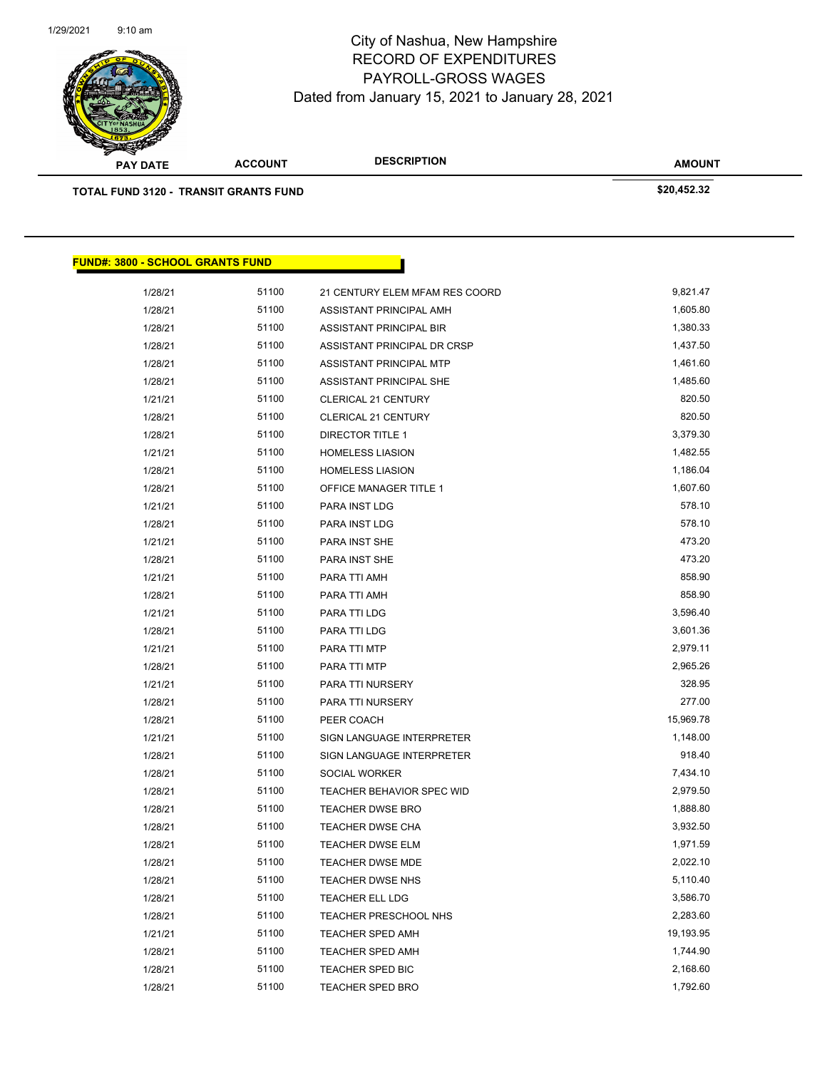

| <b>Antarchie</b>                             |                |                                |               |  |
|----------------------------------------------|----------------|--------------------------------|---------------|--|
| <b>PAY DATE</b>                              | <b>ACCOUNT</b> | <b>DESCRIPTION</b>             | <b>AMOUNT</b> |  |
| <b>TOTAL FUND 3120 - TRANSIT GRANTS FUND</b> |                |                                | \$20,452.32   |  |
|                                              |                |                                |               |  |
|                                              |                |                                |               |  |
|                                              |                |                                |               |  |
| <b>FUND#: 3800 - SCHOOL GRANTS FUND</b>      |                |                                |               |  |
| 1/28/21                                      | 51100          | 21 CENTURY ELEM MFAM RES COORD | 9,821.47      |  |
| 1/28/21                                      | 51100          | ASSISTANT PRINCIPAL AMH        | 1,605.80      |  |
| 1/28/21                                      | 51100          | <b>ASSISTANT PRINCIPAL BIR</b> | 1,380.33      |  |
| 1/28/21                                      | 51100          | ASSISTANT PRINCIPAL DR CRSP    | 1,437.50      |  |
| 1/28/21                                      | 51100          | ASSISTANT PRINCIPAL MTP        | 1,461.60      |  |
| 1/28/21                                      | 51100          | ASSISTANT PRINCIPAL SHE        | 1,485.60      |  |
| 1/21/21                                      | 51100          | <b>CLERICAL 21 CENTURY</b>     | 820.50        |  |
| 1/28/21                                      | 51100          | CLERICAL 21 CENTURY            | 820.50        |  |
| 1/28/21                                      | 51100          | <b>DIRECTOR TITLE 1</b>        | 3,379.30      |  |
| 1/21/21                                      | 51100          | <b>HOMELESS LIASION</b>        | 1,482.55      |  |
| 1/28/21                                      | 51100          | <b>HOMELESS LIASION</b>        | 1,186.04      |  |
| 1/28/21                                      | 51100          | OFFICE MANAGER TITLE 1         | 1,607.60      |  |
| 1/21/21                                      | 51100          | PARA INST LDG                  | 578.10        |  |
| 1/28/21                                      | 51100          | PARA INST LDG                  | 578.10        |  |
| 1/21/21                                      | 51100          | PARA INST SHE                  | 473.20        |  |
| 1/28/21                                      | 51100          | PARA INST SHE                  | 473.20        |  |
| 1/21/21                                      | 51100          | PARA TTI AMH                   | 858.90        |  |
| 1/28/21                                      | 51100          | PARA TTI AMH                   | 858.90        |  |
| 1/21/21                                      | 51100          | PARA TTI LDG                   | 3,596.40      |  |
| 1/28/21                                      | 51100          | PARA TTI LDG                   | 3,601.36      |  |
| 1/21/21                                      | 51100          | PARA TTI MTP                   | 2,979.11      |  |
| 1/28/21                                      | 51100          | PARA TTI MTP                   | 2,965.26      |  |
| 1/21/21                                      | 51100          | PARA TTI NURSERY               | 328.95        |  |
| 1/28/21                                      | 51100          | PARA TTI NURSERY               | 277.00        |  |
| 1/28/21                                      | 51100          | PEER COACH                     | 15,969.78     |  |
| 1/21/21                                      | 51100          | SIGN LANGUAGE INTERPRETER      | 1,148.00      |  |
| 1/28/21                                      | 51100          | SIGN LANGUAGE INTERPRETER      | 918.40        |  |
| 1/28/21                                      | 51100          | SOCIAL WORKER                  | 7,434.10      |  |
| 1/28/21                                      | 51100          | TEACHER BEHAVIOR SPEC WID      | 2,979.50      |  |
| 1/28/21                                      | 51100          | <b>TEACHER DWSE BRO</b>        | 1,888.80      |  |
| 1/28/21                                      | 51100          | <b>TEACHER DWSE CHA</b>        | 3,932.50      |  |
| 1/28/21                                      | 51100          | <b>TEACHER DWSE ELM</b>        | 1,971.59      |  |
| 1/28/21                                      | 51100          | TEACHER DWSE MDE               | 2,022.10      |  |
| 1/28/21                                      | 51100          | TEACHER DWSE NHS               | 5,110.40      |  |
| 1/28/21                                      | 51100          | TEACHER ELL LDG                | 3,586.70      |  |
| 1/28/21                                      | 51100          | TEACHER PRESCHOOL NHS          | 2,283.60      |  |
| 1/21/21                                      | 51100          | <b>TEACHER SPED AMH</b>        | 19,193.95     |  |
| 1/28/21                                      | 51100          | TEACHER SPED AMH               | 1,744.90      |  |
| 1/28/21                                      | 51100          | TEACHER SPED BIC               | 2,168.60      |  |
| 1/28/21                                      | 51100          | TEACHER SPED BRO               | 1,792.60      |  |
|                                              |                |                                |               |  |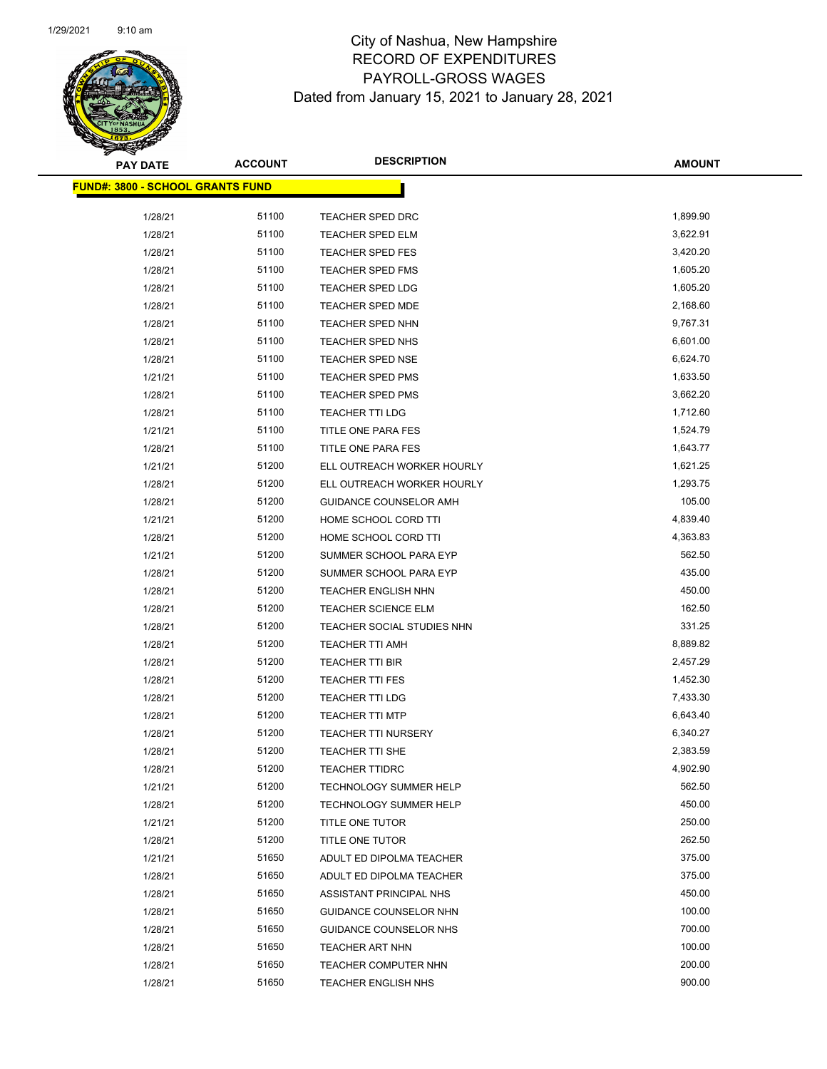

| <b>PAY DATE</b>                         | <b>ACCOUNT</b> | <b>DESCRIPTION</b>            | <b>AMOUNT</b> |
|-----------------------------------------|----------------|-------------------------------|---------------|
| <b>FUND#: 3800 - SCHOOL GRANTS FUND</b> |                |                               |               |
|                                         |                |                               |               |
| 1/28/21                                 | 51100          | TEACHER SPED DRC              | 1,899.90      |
| 1/28/21                                 | 51100          | <b>TEACHER SPED ELM</b>       | 3,622.91      |
| 1/28/21                                 | 51100          | <b>TEACHER SPED FES</b>       | 3,420.20      |
| 1/28/21                                 | 51100          | <b>TEACHER SPED FMS</b>       | 1,605.20      |
| 1/28/21                                 | 51100          | TEACHER SPED LDG              | 1,605.20      |
| 1/28/21                                 | 51100          | TEACHER SPED MDE              | 2,168.60      |
| 1/28/21                                 | 51100          | TEACHER SPED NHN              | 9,767.31      |
| 1/28/21                                 | 51100          | TEACHER SPED NHS              | 6,601.00      |
| 1/28/21                                 | 51100          | TEACHER SPED NSE              | 6,624.70      |
| 1/21/21                                 | 51100          | TEACHER SPED PMS              | 1,633.50      |
| 1/28/21                                 | 51100          | TEACHER SPED PMS              | 3,662.20      |
| 1/28/21                                 | 51100          | <b>TEACHER TTI LDG</b>        | 1,712.60      |
| 1/21/21                                 | 51100          | TITLE ONE PARA FES            | 1,524.79      |
| 1/28/21                                 | 51100          | TITLE ONE PARA FES            | 1,643.77      |
| 1/21/21                                 | 51200          | ELL OUTREACH WORKER HOURLY    | 1,621.25      |
| 1/28/21                                 | 51200          | ELL OUTREACH WORKER HOURLY    | 1,293.75      |
| 1/28/21                                 | 51200          | GUIDANCE COUNSELOR AMH        | 105.00        |
| 1/21/21                                 | 51200          | HOME SCHOOL CORD TTI          | 4,839.40      |
| 1/28/21                                 | 51200          | HOME SCHOOL CORD TTI          | 4,363.83      |
| 1/21/21                                 | 51200          | SUMMER SCHOOL PARA EYP        | 562.50        |
| 1/28/21                                 | 51200          | SUMMER SCHOOL PARA EYP        | 435.00        |
| 1/28/21                                 | 51200          | <b>TEACHER ENGLISH NHN</b>    | 450.00        |
| 1/28/21                                 | 51200          | <b>TEACHER SCIENCE ELM</b>    | 162.50        |
| 1/28/21                                 | 51200          | TEACHER SOCIAL STUDIES NHN    | 331.25        |
| 1/28/21                                 | 51200          | TEACHER TTI AMH               | 8,889.82      |
| 1/28/21                                 | 51200          | <b>TEACHER TTI BIR</b>        | 2,457.29      |
| 1/28/21                                 | 51200          | <b>TEACHER TTI FES</b>        | 1,452.30      |
| 1/28/21                                 | 51200          | <b>TEACHER TTI LDG</b>        | 7,433.30      |
| 1/28/21                                 | 51200          | <b>TEACHER TTI MTP</b>        | 6,643.40      |
| 1/28/21                                 | 51200          | <b>TEACHER TTI NURSERY</b>    | 6,340.27      |
| 1/28/21                                 | 51200          | <b>TEACHER TTI SHE</b>        | 2,383.59      |
| 1/28/21                                 | 51200          | <b>TEACHER TTIDRC</b>         | 4,902.90      |
| 1/21/21                                 | 51200          | <b>TECHNOLOGY SUMMER HELP</b> | 562.50        |
| 1/28/21                                 | 51200          | <b>TECHNOLOGY SUMMER HELP</b> | 450.00        |
| 1/21/21                                 | 51200          | TITLE ONE TUTOR               | 250.00        |
| 1/28/21                                 | 51200          | TITLE ONE TUTOR               | 262.50        |
| 1/21/21                                 | 51650          | ADULT ED DIPOLMA TEACHER      | 375.00        |
| 1/28/21                                 | 51650          | ADULT ED DIPOLMA TEACHER      | 375.00        |
| 1/28/21                                 | 51650          | ASSISTANT PRINCIPAL NHS       | 450.00        |
| 1/28/21                                 | 51650          | GUIDANCE COUNSELOR NHN        | 100.00        |
| 1/28/21                                 | 51650          | GUIDANCE COUNSELOR NHS        | 700.00        |
| 1/28/21                                 | 51650          | TEACHER ART NHN               | 100.00        |
| 1/28/21                                 | 51650          | TEACHER COMPUTER NHN          | 200.00        |
| 1/28/21                                 | 51650          | <b>TEACHER ENGLISH NHS</b>    | 900.00        |
|                                         |                |                               |               |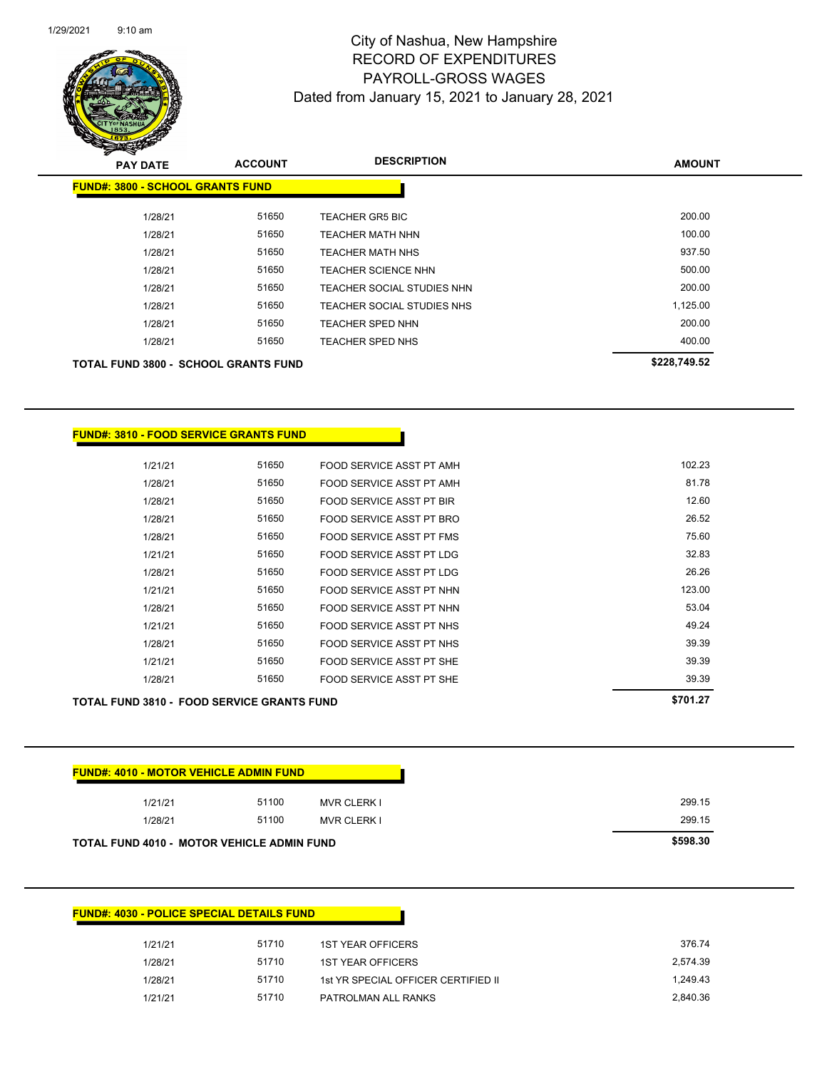

| $\mathscr{D} \rightarrow \mathscr{D}$<br><b>PAY DATE</b> | <b>ACCOUNT</b> | <b>DESCRIPTION</b>         | <b>AMOUNT</b> |
|----------------------------------------------------------|----------------|----------------------------|---------------|
| <b>FUND#: 3800 - SCHOOL GRANTS FUND</b>                  |                |                            |               |
| 1/28/21                                                  | 51650          | <b>TEACHER GR5 BIC</b>     | 200.00        |
| 1/28/21                                                  | 51650          | <b>TEACHER MATH NHN</b>    | 100.00        |
| 1/28/21                                                  | 51650          | <b>TEACHER MATH NHS</b>    | 937.50        |
| 1/28/21                                                  | 51650          | <b>TEACHER SCIENCE NHN</b> | 500.00        |
| 1/28/21                                                  | 51650          | TEACHER SOCIAL STUDIES NHN | 200.00        |
| 1/28/21                                                  | 51650          | TEACHER SOCIAL STUDIES NHS | 1,125.00      |
| 1/28/21                                                  | 51650          | <b>TEACHER SPED NHN</b>    | 200.00        |
| 1/28/21                                                  | 51650          | TEACHER SPED NHS           | 400.00        |
| TOTAL FUND 3800 - SCHOOL GRANTS FUND                     |                |                            | \$228,749.52  |

| <b>TOTAL FUND 3810 - FOOD SERVICE GRANTS FUND</b> | \$701.27 |                          |        |
|---------------------------------------------------|----------|--------------------------|--------|
| 1/28/21                                           | 51650    | FOOD SERVICE ASST PT SHE | 39.39  |
| 1/21/21                                           | 51650    | FOOD SERVICE ASST PT SHE | 39.39  |
| 1/28/21                                           | 51650    | FOOD SERVICE ASST PT NHS | 39.39  |
| 1/21/21                                           | 51650    | FOOD SERVICE ASST PT NHS | 49.24  |
| 1/28/21                                           | 51650    | FOOD SERVICE ASST PT NHN | 53.04  |
| 1/21/21                                           | 51650    | FOOD SERVICE ASST PT NHN | 123.00 |
| 1/28/21                                           | 51650    | FOOD SERVICE ASST PT LDG | 26.26  |
| 1/21/21                                           | 51650    | FOOD SERVICE ASST PT LDG | 32.83  |
| 1/28/21                                           | 51650    | FOOD SERVICE ASST PT FMS | 75.60  |
| 1/28/21                                           | 51650    | FOOD SERVICE ASST PT BRO | 26.52  |
| 1/28/21                                           | 51650    | FOOD SERVICE ASST PT BIR | 12.60  |
| 1/28/21                                           | 51650    | FOOD SERVICE ASST PT AMH | 81.78  |
| 1/21/21                                           | 51650    | FOOD SERVICE ASST PT AMH | 102.23 |
|                                                   |          |                          |        |

| <b>FUND#: 4010 - MOTOR VEHICLE ADMIN FUND</b>     |       |                    |          |
|---------------------------------------------------|-------|--------------------|----------|
| 1/21/21                                           | 51100 | <b>MVR CLERK I</b> | 299.15   |
| 1/28/21                                           | 51100 | <b>MVR CLERK I</b> | 299.15   |
| <b>TOTAL FUND 4010 - MOTOR VEHICLE ADMIN FUND</b> |       |                    | \$598.30 |

### **FUND#: 4030 - POLICE SPECIAL DETAILS FUND**

**FUND#: 3810 - FOOD SERVICE GRANTS FUND**

| 1/21/21 | 51710 | <b>1ST YEAR OFFICERS</b>            | 376.74   |
|---------|-------|-------------------------------------|----------|
| 1/28/21 | 51710 | 1ST YEAR OFFICERS                   | 2.574.39 |
| 1/28/21 | 51710 | 1st YR SPECIAL OFFICER CERTIFIED II | 1.249.43 |
| 1/21/21 | 51710 | PATROLMAN ALL RANKS                 | 2.840.36 |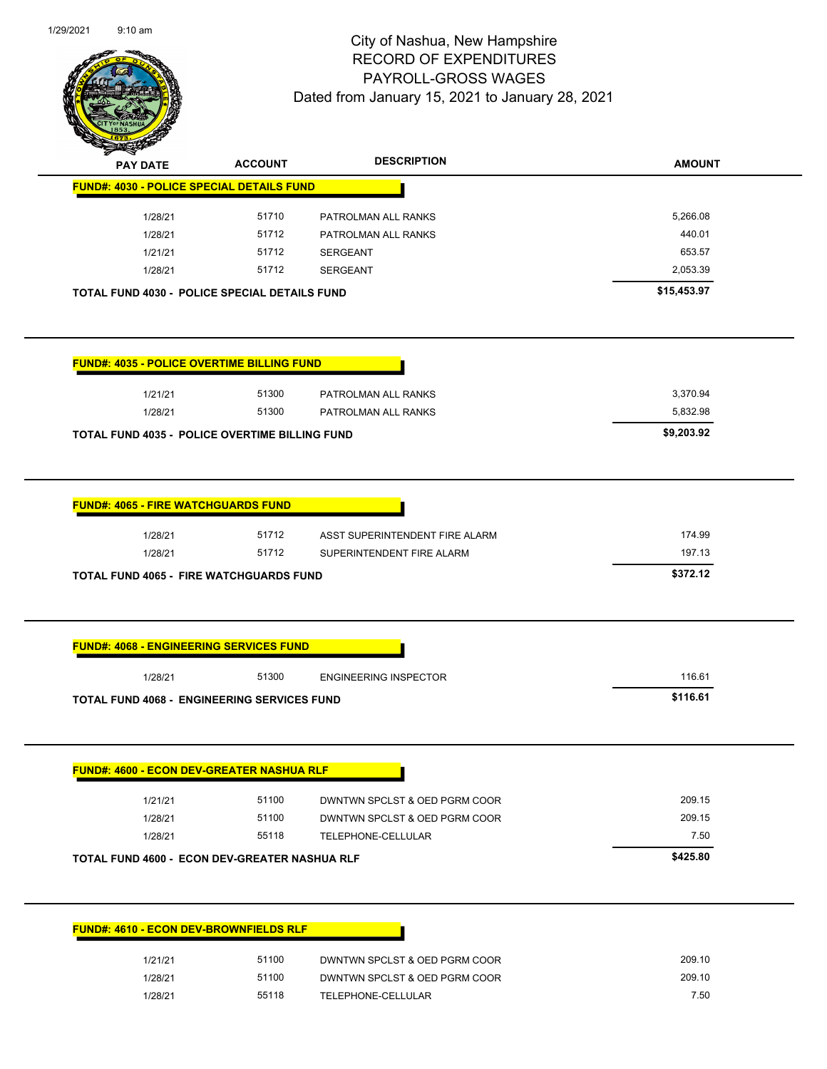

| <b>STARTING</b><br><b>PAY DATE</b><br><b>FUND#: 4030 - POLICE SPECIAL DETAILS FUND</b>                                                         | <b>ACCOUNT</b> | <b>DESCRIPTION</b>                                          | <b>AMOUNT</b>                |
|------------------------------------------------------------------------------------------------------------------------------------------------|----------------|-------------------------------------------------------------|------------------------------|
|                                                                                                                                                |                |                                                             |                              |
|                                                                                                                                                |                |                                                             |                              |
| 1/28/21                                                                                                                                        | 51710          | PATROLMAN ALL RANKS                                         | 5,266.08                     |
| 1/28/21                                                                                                                                        | 51712          | PATROLMAN ALL RANKS                                         | 440.01                       |
| 1/21/21                                                                                                                                        | 51712          | <b>SERGEANT</b>                                             | 653.57                       |
| 1/28/21                                                                                                                                        | 51712          | <b>SERGEANT</b>                                             | 2,053.39                     |
| <b>TOTAL FUND 4030 - POLICE SPECIAL DETAILS FUND</b>                                                                                           |                |                                                             | \$15,453.97                  |
| <b>FUND#: 4035 - POLICE OVERTIME BILLING FUND</b>                                                                                              |                |                                                             |                              |
| 1/21/21                                                                                                                                        | 51300          | PATROLMAN ALL RANKS                                         | 3,370.94                     |
| 1/28/21                                                                                                                                        | 51300          | PATROLMAN ALL RANKS                                         | 5,832.98                     |
| <b>TOTAL FUND 4035 - POLICE OVERTIME BILLING FUND</b>                                                                                          |                |                                                             | \$9,203.92                   |
|                                                                                                                                                |                |                                                             |                              |
| 1/28/21<br>1/28/21                                                                                                                             | 51712<br>51712 | ASST SUPERINTENDENT FIRE ALARM<br>SUPERINTENDENT FIRE ALARM | 174.99<br>197.13<br>\$372.12 |
| <b>FUND#: 4065 - FIRE WATCHGUARDS FUND</b><br><b>TOTAL FUND 4065 - FIRE WATCHGUARDS FUND</b><br><b>FUND#: 4068 - ENGINEERING SERVICES FUND</b> |                |                                                             |                              |
| 1/28/21                                                                                                                                        | 51300          | <b>ENGINEERING INSPECTOR</b>                                | 116.61<br>\$116.61           |
| <b>TOTAL FUND 4068 - ENGINEERING SERVICES FUND</b>                                                                                             |                |                                                             |                              |
|                                                                                                                                                |                |                                                             |                              |
| <b>FUND#: 4600 - ECON DEV-GREATER NASHUA RLF</b><br>1/21/21                                                                                    | 51100          | DWNTWN SPCLST & OED PGRM COOR                               | 209.15                       |
| 1/28/21                                                                                                                                        | 51100          | DWNTWN SPCLST & OED PGRM COOR                               | 209.15                       |
| 1/28/21                                                                                                                                        | 55118          | TELEPHONE-CELLULAR                                          | 7.50                         |
|                                                                                                                                                |                |                                                             |                              |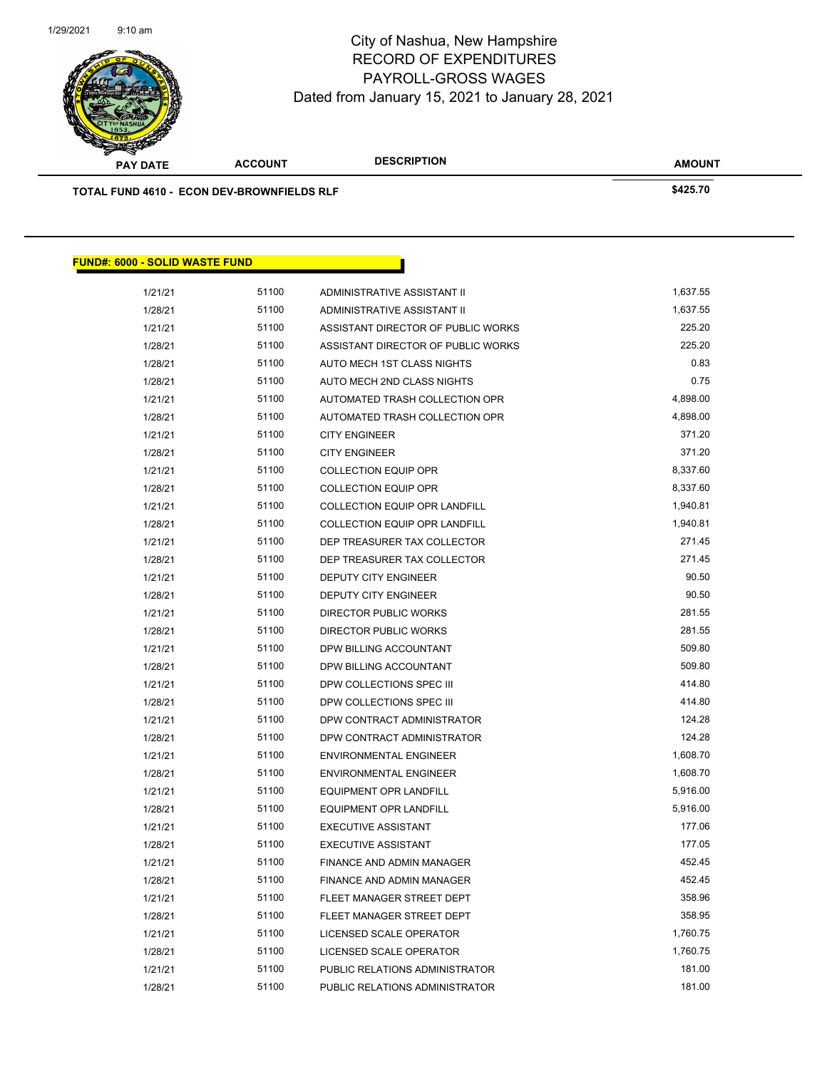

| <b>SANGRA</b>                              |                |                                      |               |
|--------------------------------------------|----------------|--------------------------------------|---------------|
| <b>PAY DATE</b>                            | <b>ACCOUNT</b> | <b>DESCRIPTION</b>                   | <b>AMOUNT</b> |
| TOTAL FUND 4610 - ECON DEV-BROWNFIELDS RLF |                |                                      | \$425.70      |
|                                            |                |                                      |               |
|                                            |                |                                      |               |
|                                            |                |                                      |               |
| <b>FUND#: 6000 - SOLID WASTE FUND</b>      |                |                                      |               |
| 1/21/21                                    | 51100          | ADMINISTRATIVE ASSISTANT II          | 1,637.55      |
| 1/28/21                                    | 51100          | ADMINISTRATIVE ASSISTANT II          | 1,637.55      |
| 1/21/21                                    | 51100          | ASSISTANT DIRECTOR OF PUBLIC WORKS   | 225.20        |
| 1/28/21                                    | 51100          | ASSISTANT DIRECTOR OF PUBLIC WORKS   | 225.20        |
| 1/28/21                                    | 51100          | AUTO MECH 1ST CLASS NIGHTS           | 0.83          |
| 1/28/21                                    | 51100          | AUTO MECH 2ND CLASS NIGHTS           | 0.75          |
| 1/21/21                                    | 51100          | AUTOMATED TRASH COLLECTION OPR       | 4,898.00      |
| 1/28/21                                    | 51100          | AUTOMATED TRASH COLLECTION OPR       | 4,898.00      |
| 1/21/21                                    | 51100          | <b>CITY ENGINEER</b>                 | 371.20        |
| 1/28/21                                    | 51100          | <b>CITY ENGINEER</b>                 | 371.20        |
| 1/21/21                                    | 51100          | <b>COLLECTION EQUIP OPR</b>          | 8,337.60      |
| 1/28/21                                    | 51100          | <b>COLLECTION EQUIP OPR</b>          | 8,337.60      |
| 1/21/21                                    | 51100          | <b>COLLECTION EQUIP OPR LANDFILL</b> | 1,940.81      |
| 1/28/21                                    | 51100          | <b>COLLECTION EQUIP OPR LANDFILL</b> | 1,940.81      |
| 1/21/21                                    | 51100          | DEP TREASURER TAX COLLECTOR          | 271.45        |
| 1/28/21                                    | 51100          | DEP TREASURER TAX COLLECTOR          | 271.45        |
| 1/21/21                                    | 51100          | DEPUTY CITY ENGINEER                 | 90.50         |
| 1/28/21                                    | 51100          | DEPUTY CITY ENGINEER                 | 90.50         |
| 1/21/21                                    | 51100          | DIRECTOR PUBLIC WORKS                | 281.55        |
| 1/28/21                                    | 51100          | DIRECTOR PUBLIC WORKS                | 281.55        |
| 1/21/21                                    | 51100          | DPW BILLING ACCOUNTANT               | 509.80        |
| 1/28/21                                    | 51100          | DPW BILLING ACCOUNTANT               | 509.80        |
| 1/21/21                                    | 51100          | DPW COLLECTIONS SPEC III             | 414.80        |
| 1/28/21                                    | 51100          | DPW COLLECTIONS SPEC III             | 414.80        |
| 1/21/21                                    | 51100          | DPW CONTRACT ADMINISTRATOR           | 124.28        |
| 1/28/21                                    | 51100          | DPW CONTRACT ADMINISTRATOR           | 124.28        |
| 1/21/21                                    | 51100          | ENVIRONMENTAL ENGINEER               | 1,608.70      |
| 1/28/21                                    | 51100          | <b>ENVIRONMENTAL ENGINEER</b>        | 1,608.70      |
| 1/21/21                                    | 51100          | EQUIPMENT OPR LANDFILL               | 5,916.00      |
| 1/28/21                                    | 51100          | <b>EQUIPMENT OPR LANDFILL</b>        | 5,916.00      |
| 1/21/21                                    | 51100          | <b>EXECUTIVE ASSISTANT</b>           | 177.06        |
| 1/28/21                                    | 51100          | <b>EXECUTIVE ASSISTANT</b>           | 177.05        |
| 1/21/21                                    | 51100          | FINANCE AND ADMIN MANAGER            | 452.45        |
| 1/28/21                                    | 51100          | FINANCE AND ADMIN MANAGER            | 452.45        |
| 1/21/21                                    | 51100          | FLEET MANAGER STREET DEPT            | 358.96        |
| 1/28/21                                    | 51100          | FLEET MANAGER STREET DEPT            | 358.95        |
| 1/21/21                                    | 51100          | LICENSED SCALE OPERATOR              | 1,760.75      |
| 1/28/21                                    | 51100          | LICENSED SCALE OPERATOR              | 1,760.75      |
| 1/21/21                                    | 51100          | PUBLIC RELATIONS ADMINISTRATOR       | 181.00        |
| 1/28/21                                    | 51100          | PUBLIC RELATIONS ADMINISTRATOR       | 181.00        |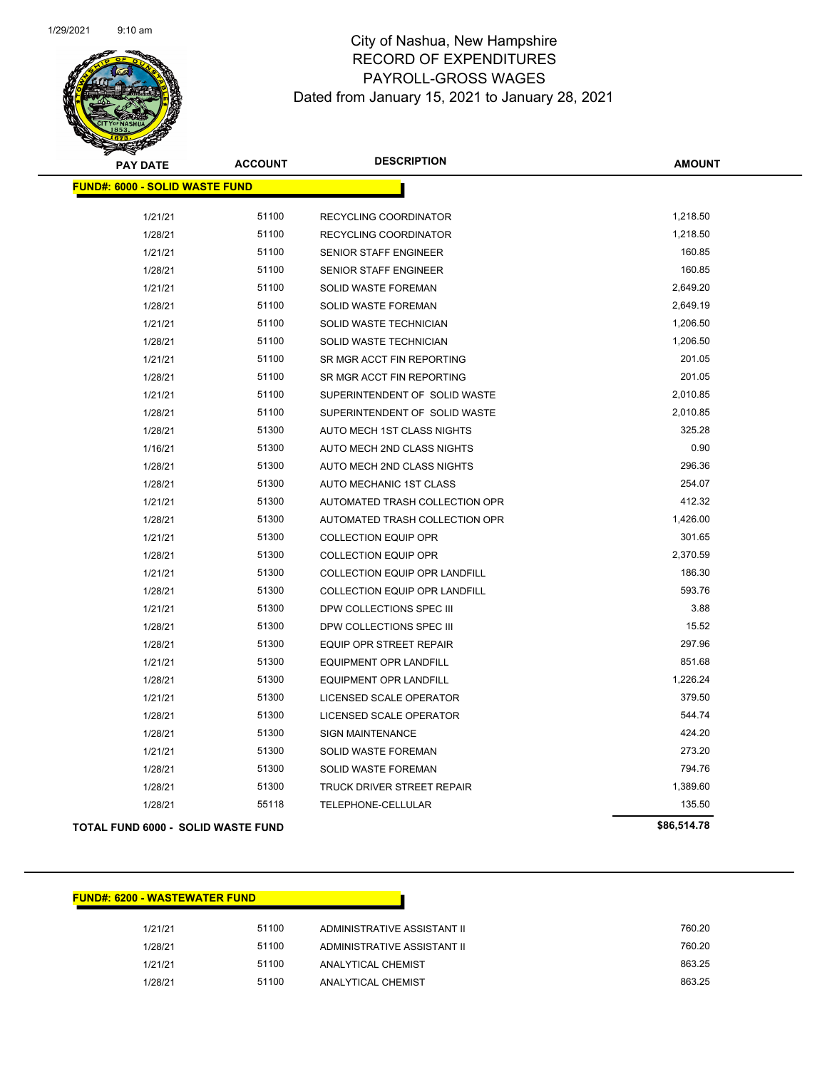

| <b>PAY DATE</b>                           | <b>ACCOUNT</b> | <b>DESCRIPTION</b>                   | <b>AMOUNT</b> |
|-------------------------------------------|----------------|--------------------------------------|---------------|
| <b>FUND#: 6000 - SOLID WASTE FUND</b>     |                |                                      |               |
| 1/21/21                                   | 51100          | RECYCLING COORDINATOR                | 1,218.50      |
| 1/28/21                                   | 51100          | RECYCLING COORDINATOR                | 1,218.50      |
| 1/21/21                                   | 51100          | <b>SENIOR STAFF ENGINEER</b>         | 160.85        |
| 1/28/21                                   | 51100          | <b>SENIOR STAFF ENGINEER</b>         | 160.85        |
| 1/21/21                                   | 51100          | SOLID WASTE FOREMAN                  | 2,649.20      |
| 1/28/21                                   | 51100          | SOLID WASTE FOREMAN                  | 2,649.19      |
| 1/21/21                                   | 51100          | SOLID WASTE TECHNICIAN               | 1,206.50      |
| 1/28/21                                   | 51100          | SOLID WASTE TECHNICIAN               | 1,206.50      |
| 1/21/21                                   | 51100          | SR MGR ACCT FIN REPORTING            | 201.05        |
| 1/28/21                                   | 51100          | SR MGR ACCT FIN REPORTING            | 201.05        |
| 1/21/21                                   | 51100          | SUPERINTENDENT OF SOLID WASTE        | 2,010.85      |
| 1/28/21                                   | 51100          | SUPERINTENDENT OF SOLID WASTE        | 2,010.85      |
| 1/28/21                                   | 51300          | AUTO MECH 1ST CLASS NIGHTS           | 325.28        |
| 1/16/21                                   | 51300          | AUTO MECH 2ND CLASS NIGHTS           | 0.90          |
| 1/28/21                                   | 51300          | AUTO MECH 2ND CLASS NIGHTS           | 296.36        |
| 1/28/21                                   | 51300          | AUTO MECHANIC 1ST CLASS              | 254.07        |
| 1/21/21                                   | 51300          | AUTOMATED TRASH COLLECTION OPR       | 412.32        |
| 1/28/21                                   | 51300          | AUTOMATED TRASH COLLECTION OPR       | 1,426.00      |
| 1/21/21                                   | 51300          | <b>COLLECTION EQUIP OPR</b>          | 301.65        |
| 1/28/21                                   | 51300          | <b>COLLECTION EQUIP OPR</b>          | 2,370.59      |
| 1/21/21                                   | 51300          | COLLECTION EQUIP OPR LANDFILL        | 186.30        |
| 1/28/21                                   | 51300          | <b>COLLECTION EQUIP OPR LANDFILL</b> | 593.76        |
| 1/21/21                                   | 51300          | DPW COLLECTIONS SPEC III             | 3.88          |
| 1/28/21                                   | 51300          | DPW COLLECTIONS SPEC III             | 15.52         |
| 1/28/21                                   | 51300          | EQUIP OPR STREET REPAIR              | 297.96        |
| 1/21/21                                   | 51300          | <b>EQUIPMENT OPR LANDFILL</b>        | 851.68        |
| 1/28/21                                   | 51300          | <b>EQUIPMENT OPR LANDFILL</b>        | 1,226.24      |
| 1/21/21                                   | 51300          | LICENSED SCALE OPERATOR              | 379.50        |
| 1/28/21                                   | 51300          | LICENSED SCALE OPERATOR              | 544.74        |
| 1/28/21                                   | 51300          | <b>SIGN MAINTENANCE</b>              | 424.20        |
| 1/21/21                                   | 51300          | SOLID WASTE FOREMAN                  | 273.20        |
| 1/28/21                                   | 51300          | <b>SOLID WASTE FOREMAN</b>           | 794.76        |
| 1/28/21                                   | 51300          | <b>TRUCK DRIVER STREET REPAIR</b>    | 1,389.60      |
| 1/28/21                                   | 55118          | TELEPHONE-CELLULAR                   | 135.50        |
| <b>TOTAL FUND 6000 - SOLID WASTE FUND</b> |                |                                      | \$86,514.78   |
|                                           |                |                                      |               |

### **FUND#: 6200 - WASTEWATER FUND**

| 1/21/21 | 51100 | ADMINISTRATIVE ASSISTANT II | 760.20 |
|---------|-------|-----------------------------|--------|
| 1/28/21 | 51100 | ADMINISTRATIVE ASSISTANT II | 760.20 |
| 1/21/21 | 51100 | ANALYTICAL CHEMIST          | 863.25 |
| 1/28/21 | 51100 | ANALYTICAL CHEMIST          | 863.25 |
|         |       |                             |        |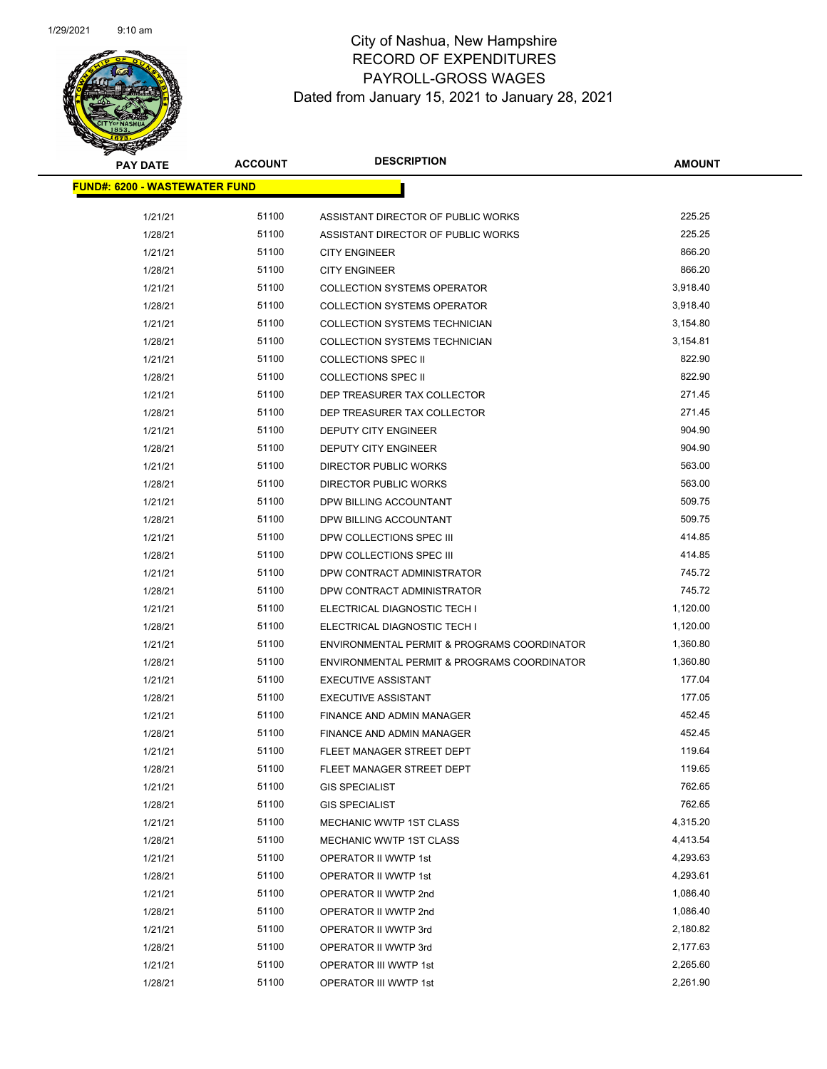

| <b>PAY DATE</b>                      | <b>ACCOUNT</b> | <b>DESCRIPTION</b>                          | <b>AMOUNT</b> |  |
|--------------------------------------|----------------|---------------------------------------------|---------------|--|
| <b>FUND#: 6200 - WASTEWATER FUND</b> |                |                                             |               |  |
|                                      |                |                                             |               |  |
| 1/21/21                              | 51100          | ASSISTANT DIRECTOR OF PUBLIC WORKS          | 225.25        |  |
| 1/28/21                              | 51100          | ASSISTANT DIRECTOR OF PUBLIC WORKS          | 225.25        |  |
| 1/21/21                              | 51100          | <b>CITY ENGINEER</b>                        | 866.20        |  |
| 1/28/21                              | 51100          | <b>CITY ENGINEER</b>                        | 866.20        |  |
| 1/21/21                              | 51100          | <b>COLLECTION SYSTEMS OPERATOR</b>          | 3,918.40      |  |
| 1/28/21                              | 51100          | <b>COLLECTION SYSTEMS OPERATOR</b>          | 3,918.40      |  |
| 1/21/21                              | 51100          | COLLECTION SYSTEMS TECHNICIAN               | 3,154.80      |  |
| 1/28/21                              | 51100          | COLLECTION SYSTEMS TECHNICIAN               | 3,154.81      |  |
| 1/21/21                              | 51100          | <b>COLLECTIONS SPEC II</b>                  | 822.90        |  |
| 1/28/21                              | 51100          | <b>COLLECTIONS SPEC II</b>                  | 822.90        |  |
| 1/21/21                              | 51100          | DEP TREASURER TAX COLLECTOR                 | 271.45        |  |
| 1/28/21                              | 51100          | DEP TREASURER TAX COLLECTOR                 | 271.45        |  |
| 1/21/21                              | 51100          | <b>DEPUTY CITY ENGINEER</b>                 | 904.90        |  |
| 1/28/21                              | 51100          | DEPUTY CITY ENGINEER                        | 904.90        |  |
| 1/21/21                              | 51100          | DIRECTOR PUBLIC WORKS                       | 563.00        |  |
| 1/28/21                              | 51100          | <b>DIRECTOR PUBLIC WORKS</b>                | 563.00        |  |
| 1/21/21                              | 51100          | DPW BILLING ACCOUNTANT                      | 509.75        |  |
| 1/28/21                              | 51100          | DPW BILLING ACCOUNTANT                      | 509.75        |  |
| 1/21/21                              | 51100          | DPW COLLECTIONS SPEC III                    | 414.85        |  |
| 1/28/21                              | 51100          | DPW COLLECTIONS SPEC III                    | 414.85        |  |
| 1/21/21                              | 51100          | DPW CONTRACT ADMINISTRATOR                  | 745.72        |  |
| 1/28/21                              | 51100          | DPW CONTRACT ADMINISTRATOR                  | 745.72        |  |
| 1/21/21                              | 51100          | ELECTRICAL DIAGNOSTIC TECH I                | 1,120.00      |  |
| 1/28/21                              | 51100          | ELECTRICAL DIAGNOSTIC TECH I                | 1,120.00      |  |
| 1/21/21                              | 51100          | ENVIRONMENTAL PERMIT & PROGRAMS COORDINATOR | 1,360.80      |  |
| 1/28/21                              | 51100          | ENVIRONMENTAL PERMIT & PROGRAMS COORDINATOR | 1,360.80      |  |
| 1/21/21                              | 51100          | <b>EXECUTIVE ASSISTANT</b>                  | 177.04        |  |
| 1/28/21                              | 51100          | <b>EXECUTIVE ASSISTANT</b>                  | 177.05        |  |
| 1/21/21                              | 51100          | FINANCE AND ADMIN MANAGER                   | 452.45        |  |
| 1/28/21                              | 51100          | FINANCE AND ADMIN MANAGER                   | 452.45        |  |
| 1/21/21                              | 51100          | FLEET MANAGER STREET DEPT                   | 119.64        |  |
| 1/28/21                              | 51100          | FLEET MANAGER STREET DEPT                   | 119.65        |  |
| 1/21/21                              | 51100          | <b>GIS SPECIALIST</b>                       | 762.65        |  |
| 1/28/21                              | 51100          | <b>GIS SPECIALIST</b>                       | 762.65        |  |
| 1/21/21                              | 51100          | MECHANIC WWTP 1ST CLASS                     | 4,315.20      |  |
| 1/28/21                              | 51100          | MECHANIC WWTP 1ST CLASS                     | 4,413.54      |  |
| 1/21/21                              | 51100          | OPERATOR II WWTP 1st                        | 4,293.63      |  |
| 1/28/21                              | 51100          | OPERATOR II WWTP 1st                        | 4,293.61      |  |
| 1/21/21                              | 51100          | OPERATOR II WWTP 2nd                        | 1,086.40      |  |
| 1/28/21                              | 51100          | OPERATOR II WWTP 2nd                        | 1,086.40      |  |
| 1/21/21                              | 51100          | OPERATOR II WWTP 3rd                        | 2,180.82      |  |
| 1/28/21                              | 51100          | OPERATOR II WWTP 3rd                        | 2,177.63      |  |
| 1/21/21                              | 51100          | OPERATOR III WWTP 1st                       | 2,265.60      |  |
| 1/28/21                              | 51100          | OPERATOR III WWTP 1st                       | 2,261.90      |  |
|                                      |                |                                             |               |  |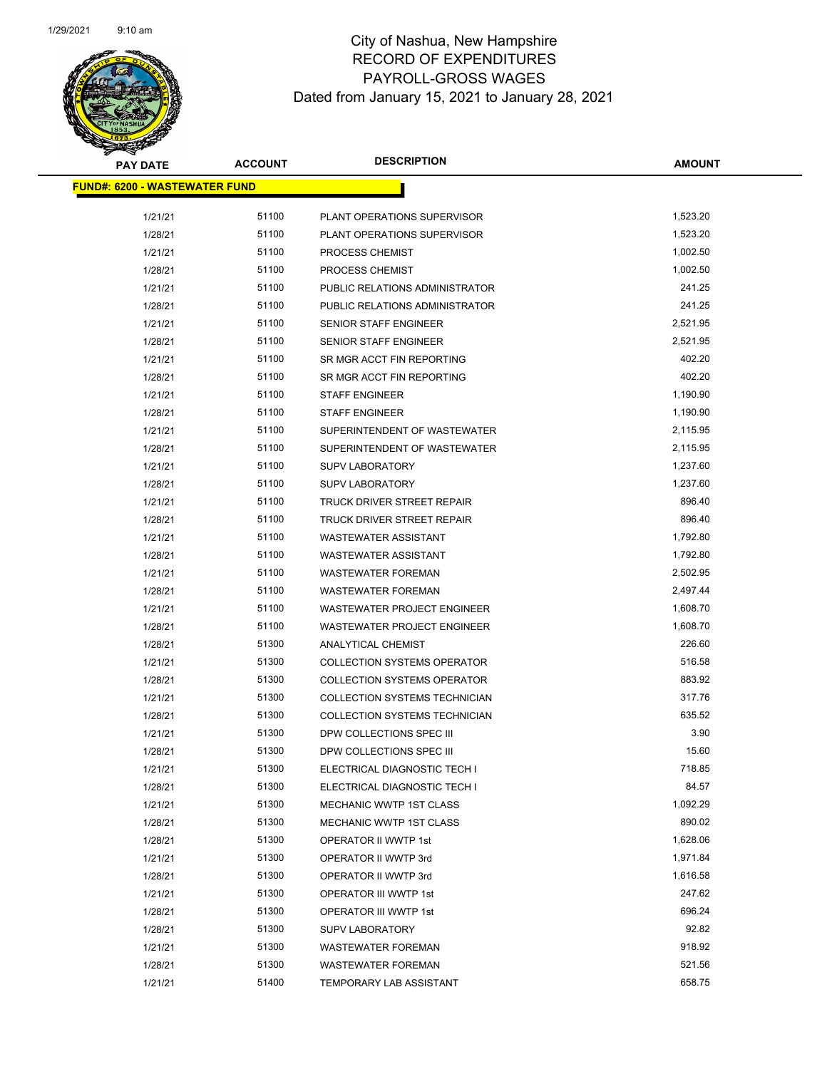

| <b>PAY DATE</b>                      | <b>ACCOUNT</b> | <b>DESCRIPTION</b>                   | <b>AMOUNT</b> |
|--------------------------------------|----------------|--------------------------------------|---------------|
| <b>FUND#: 6200 - WASTEWATER FUND</b> |                |                                      |               |
|                                      |                |                                      |               |
| 1/21/21                              | 51100          | PLANT OPERATIONS SUPERVISOR          | 1,523.20      |
| 1/28/21                              | 51100          | PLANT OPERATIONS SUPERVISOR          | 1,523.20      |
| 1/21/21                              | 51100          | PROCESS CHEMIST                      | 1,002.50      |
| 1/28/21                              | 51100          | PROCESS CHEMIST                      | 1,002.50      |
| 1/21/21                              | 51100          | PUBLIC RELATIONS ADMINISTRATOR       | 241.25        |
| 1/28/21                              | 51100          | PUBLIC RELATIONS ADMINISTRATOR       | 241.25        |
| 1/21/21                              | 51100          | SENIOR STAFF ENGINEER                | 2,521.95      |
| 1/28/21                              | 51100          | SENIOR STAFF ENGINEER                | 2,521.95      |
| 1/21/21                              | 51100          | SR MGR ACCT FIN REPORTING            | 402.20        |
| 1/28/21                              | 51100          | SR MGR ACCT FIN REPORTING            | 402.20        |
| 1/21/21                              | 51100          | <b>STAFF ENGINEER</b>                | 1,190.90      |
| 1/28/21                              | 51100          | <b>STAFF ENGINEER</b>                | 1,190.90      |
| 1/21/21                              | 51100          | SUPERINTENDENT OF WASTEWATER         | 2,115.95      |
| 1/28/21                              | 51100          | SUPERINTENDENT OF WASTEWATER         | 2,115.95      |
| 1/21/21                              | 51100          | <b>SUPV LABORATORY</b>               | 1,237.60      |
| 1/28/21                              | 51100          | <b>SUPV LABORATORY</b>               | 1,237.60      |
| 1/21/21                              | 51100          | TRUCK DRIVER STREET REPAIR           | 896.40        |
| 1/28/21                              | 51100          | TRUCK DRIVER STREET REPAIR           | 896.40        |
| 1/21/21                              | 51100          | <b>WASTEWATER ASSISTANT</b>          | 1,792.80      |
| 1/28/21                              | 51100          | <b>WASTEWATER ASSISTANT</b>          | 1,792.80      |
| 1/21/21                              | 51100          | <b>WASTEWATER FOREMAN</b>            | 2,502.95      |
| 1/28/21                              | 51100          | <b>WASTEWATER FOREMAN</b>            | 2,497.44      |
| 1/21/21                              | 51100          | WASTEWATER PROJECT ENGINEER          | 1,608.70      |
| 1/28/21                              | 51100          | WASTEWATER PROJECT ENGINEER          | 1,608.70      |
| 1/28/21                              | 51300          | ANALYTICAL CHEMIST                   | 226.60        |
| 1/21/21                              | 51300          | <b>COLLECTION SYSTEMS OPERATOR</b>   | 516.58        |
| 1/28/21                              | 51300          | <b>COLLECTION SYSTEMS OPERATOR</b>   | 883.92        |
| 1/21/21                              | 51300          | <b>COLLECTION SYSTEMS TECHNICIAN</b> | 317.76        |
| 1/28/21                              | 51300          | COLLECTION SYSTEMS TECHNICIAN        | 635.52        |
| 1/21/21                              | 51300          | DPW COLLECTIONS SPEC III             | 3.90          |
| 1/28/21                              | 51300          | DPW COLLECTIONS SPEC III             | 15.60         |
| 1/21/21                              | 51300          | ELECTRICAL DIAGNOSTIC TECH I         | 718.85        |
| 1/28/21                              | 51300          | ELECTRICAL DIAGNOSTIC TECH I         | 84.57         |
| 1/21/21                              | 51300          | MECHANIC WWTP 1ST CLASS              | 1,092.29      |
| 1/28/21                              | 51300          | MECHANIC WWTP 1ST CLASS              | 890.02        |
| 1/28/21                              | 51300          | OPERATOR II WWTP 1st                 | 1,628.06      |
| 1/21/21                              | 51300          | OPERATOR II WWTP 3rd                 | 1,971.84      |
| 1/28/21                              | 51300          | OPERATOR II WWTP 3rd                 | 1,616.58      |
| 1/21/21                              | 51300          | OPERATOR III WWTP 1st                | 247.62        |
| 1/28/21                              | 51300          | OPERATOR III WWTP 1st                | 696.24        |
| 1/28/21                              | 51300          | <b>SUPV LABORATORY</b>               | 92.82         |
| 1/21/21                              | 51300          | <b>WASTEWATER FOREMAN</b>            | 918.92        |
| 1/28/21                              | 51300          | <b>WASTEWATER FOREMAN</b>            | 521.56        |
| 1/21/21                              | 51400          | <b>TEMPORARY LAB ASSISTANT</b>       | 658.75        |